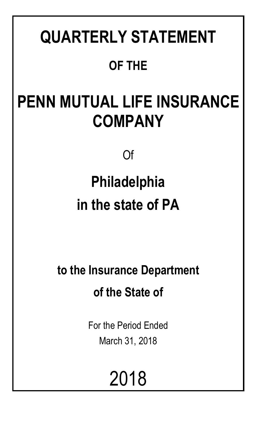# **QUARTERLY STATEMENT OF THE**

# **PENN MUTUAL LIFE INSURANCE COMPANY**

Of

# **Philadelphia in the state of PA**

**to the Insurance Department of the State of**

> For the Period Ended March 31, 2018

> > 2018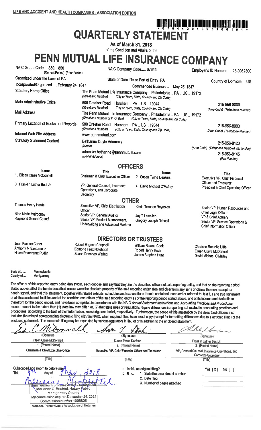# **QUARTERLY STATEMENT**

As of March 31, 2018 of the Condition and Affairs of the

# PENN MUTUAL LIFE INSURANCE COMPANY

| NAIC Group Code850, 850<br>(Current Period) (Prior Period)           | NAIC Company Code 67644                                                                           |                                                                                                                    | Employer's ID Number 23-0952300                                                                           |  |
|----------------------------------------------------------------------|---------------------------------------------------------------------------------------------------|--------------------------------------------------------------------------------------------------------------------|-----------------------------------------------------------------------------------------------------------|--|
| Organized under the Laws of PA                                       |                                                                                                   | State of Domicile or Port of Entry PA                                                                              | Country of Domicile<br>US                                                                                 |  |
| Incorporated/Organized February 24, 1847                             |                                                                                                   | Commenced Business May 25, 1847                                                                                    |                                                                                                           |  |
| <b>Statutory Home Office</b>                                         | (Street and Number)                                                                               | The Penn Mutual Life Insurance Company  Philadelphia  PA  US  19172<br>(City or Town, State, Country and Zip Code) |                                                                                                           |  |
| Main Administrative Office                                           | 600 Dresher Road  Horsham  PA  US  19044<br>(Street and Number)                                   | (City or Town, State, Country and Zip Code)                                                                        | 215-956-8000<br>(Area Code) (Telephone Number)                                                            |  |
| <b>Mail Address</b>                                                  | (Street and Number or P. O. Box)                                                                  | The Penn Mutual Life Insurance Company  Philadelphia  PA  US  19172<br>(City or Town, State, Country and Zip Code) |                                                                                                           |  |
| Primary Location of Books and Records                                | 600 Dresher Road  Horsham  PA  US  19044<br>(Street and Number)                                   | (City or Town, State, Country and Zip Code)                                                                        | 215-956-8000<br>(Area Code) (Telephone Number)                                                            |  |
| Internet Web Site Address                                            |                                                                                                   |                                                                                                                    |                                                                                                           |  |
| <b>Statutory Statement Contact</b>                                   | Bethanne Doyle Adamsky<br>(Name)                                                                  |                                                                                                                    | 215-956-8120<br>(Area Code) (Telephone Number) (Extension)                                                |  |
|                                                                      | (E-Mail Address)                                                                                  | adamsky.bethanne@pennmutual.com                                                                                    |                                                                                                           |  |
|                                                                      | <b>OFFICERS</b>                                                                                   |                                                                                                                    |                                                                                                           |  |
| <b>Name</b>                                                          | <b>Title</b>                                                                                      | <b>Name</b>                                                                                                        | <b>Title</b>                                                                                              |  |
| 1. Eileen Claire McDonnell                                           | Chairman & Chief Executive Officer                                                                | 2. Susan Twine Deakins                                                                                             | Executive VP, Chief Financial                                                                             |  |
| 3. Franklin Luther Best Jr.                                          | VP, General Counsel, Insurance<br>Operations, and Corporate<br>Secretary                          | 4. David Michael O'Malley                                                                                          | Officer and Treasurer<br>President & Chief Operating Officer                                              |  |
|                                                                      | <b>OTHER</b>                                                                                      |                                                                                                                    |                                                                                                           |  |
| Thomas Henry Harris                                                  | Executive VP, Chief Distribution<br>Officer                                                       | Kevin Terance Reynolds                                                                                             | Senior VP, Human Resources and                                                                            |  |
| Nina Marie Mulrooney<br>Raymond Gerard Caucci                        | Senior VP, General Auditor<br>Senior VP, Product Management,<br>Underwriting and Advanced Markets | Jay T Lewellen<br>Gregory Joseph Driscoll                                                                          | Chief Legal Officer<br>VP & Chief Actuary<br>Senior VP, Service Operations &<br>Chief Information Officer |  |
|                                                                      | <b>DIRECTORS OR TRUSTEES</b>                                                                      |                                                                                                                    |                                                                                                           |  |
| Joan Pauline Carter<br>Anthony M Santomero<br>Helen Pomerantz Pudlin | Robert Eugene Chappell<br><b>Edmond Felix Notebaert</b><br>Susan Doenges Waring                   | William Roland Cook<br>Robert Henry Rock<br>James Stephen Hunt                                                     | Charisse Ranielle Lillie<br>Eileen Claire McDonnell<br>David Michael O'Malley                             |  |

State of ........ Pennsylvania County of..... Montgomery

The officers of this reporting entity being duly swom, each depose and say that they are the described officers of said reporting entity, and that on the reporting period stated above, all of the herein described assets were the absolute property of the said reporting entity, free and clear from any liens or claims thereon, except as herein stated, and that this statement, together with related exhibits, schedules and explanations therein contained, annexed or referred to, is a full and true statement of all the assets and liabilities and of the condition and affairs of the said reporting entity as of the reporting period stated above, and of its income and deductions therefrom for the period ended, and have been completed in accordance with the NAIC Annual Statement Instructions and Accounting Practices and Procedures manual except to the extent that: (1) state law may differ, or, (2) that state rules or regulations require differences in reporting not related to accounting practices and procedures, according to the best of their information, knowledge and belief, respectively. Furthermore, the scope of this attestation by the described officers also includes the related corresponding electronic filing with the NAIC, when required, that is an exact copy (except for formatting differences due to electronic filing) of the enclosed statement. The electronic filing may be requested by various regulators in lieu of or in addition to the enclosed statement.

| (Signature)                                                                                                                                                                                                                                                                               | (Signature)                                                                                                                  | (Signature)                                                           |
|-------------------------------------------------------------------------------------------------------------------------------------------------------------------------------------------------------------------------------------------------------------------------------------------|------------------------------------------------------------------------------------------------------------------------------|-----------------------------------------------------------------------|
| Eileen Claire McDonnell                                                                                                                                                                                                                                                                   | <b>Susan Twine Deakins</b>                                                                                                   | Franklin Luther Best Jr.                                              |
| 1. (Printed Name)                                                                                                                                                                                                                                                                         | 2. (Printed Name)                                                                                                            | 3. (Printed Name)                                                     |
| Chairman & Chief Executive Officer                                                                                                                                                                                                                                                        | Executive VP, Chief Financial Officer and Treasurer                                                                          | VP, General Counsel, Insurance Operations, and<br>Corporate Secretary |
| (Title)                                                                                                                                                                                                                                                                                   | (Title)                                                                                                                      | (Title)                                                               |
| Subscribed and swom to before me<br>This<br>day of<br>nn<br>Commonwealth of Perinsylvalua - Netary Sea<br>Marianne C. Bechtel, Notary Public<br>Montgomery County<br>My commission expires December 26, 2021<br>Commission number 1008805<br>Member, Pennsylvania Association of Notaries | a. Is this an original filing?<br>b. If no:<br>1. State the amendment number<br>2. Date filed<br>3. Number of pages attached | Yes $[X]$<br>No [                                                     |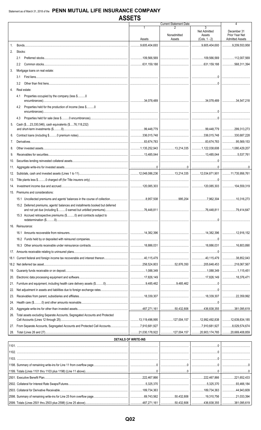|      |                                                                               | <b>AUULIU</b>               |                               |                                                    |                                                         |
|------|-------------------------------------------------------------------------------|-----------------------------|-------------------------------|----------------------------------------------------|---------------------------------------------------------|
|      |                                                                               |                             | <b>Current Statement Date</b> | 3                                                  | 4                                                       |
|      |                                                                               | Assets                      | Nonadmitted<br>Assets         | Net Admitted<br>Assets<br>$(Cols. 1 - 2)$          | December 31<br>Prior Year Net<br><b>Admitted Assets</b> |
|      |                                                                               |                             |                               |                                                    |                                                         |
| 1.   |                                                                               | 0.05,404,693                |                               | 9,605,404,693                                      | 9.209.553.958                                           |
| 2.   | Stocks:                                                                       |                             |                               |                                                    |                                                         |
|      | 2.1                                                                           |                             |                               |                                                    |                                                         |
|      | 2.2                                                                           |                             |                               |                                                    |                                                         |
| 3.   | Mortgage loans on real estate:                                                |                             |                               |                                                    |                                                         |
|      | 3.1                                                                           |                             |                               |                                                    |                                                         |
|      | 3.2                                                                           |                             |                               |                                                    |                                                         |
| 4.   | Real estate:                                                                  |                             |                               |                                                    |                                                         |
|      | Properties occupied by the company (less \$0<br>4.1                           |                             |                               |                                                    |                                                         |
|      | Properties held for the production of income (less \$0<br>4.2                 |                             |                               |                                                    |                                                         |
|      |                                                                               |                             |                               |                                                    |                                                         |
|      | 4.3                                                                           |                             |                               |                                                    |                                                         |
| 5.   | Cash (\$23,330,546), cash equivalents (\$76,118,232)                          |                             |                               |                                                    |                                                         |
|      |                                                                               |                             |                               |                                                    |                                                         |
| 6.   |                                                                               |                             |                               |                                                    |                                                         |
|      |                                                                               |                             |                               |                                                    |                                                         |
| 7.   |                                                                               |                             |                               |                                                    |                                                         |
| 8.   |                                                                               |                             |                               | 13,214,335   1,122,038,608   1,080,429,207         |                                                         |
| 9.   |                                                                               |                             |                               |                                                    |                                                         |
| 10.  |                                                                               |                             |                               |                                                    |                                                         |
| 11.  |                                                                               |                             |                               |                                                    |                                                         |
| 12.  |                                                                               |                             |                               |                                                    |                                                         |
| 13.  |                                                                               |                             |                               |                                                    |                                                         |
| 14.  |                                                                               |                             |                               |                                                    |                                                         |
| 15.  | Premiums and considerations:                                                  |                             |                               |                                                    |                                                         |
|      |                                                                               |                             |                               |                                                    |                                                         |
|      | 15.2 Deferred premiums, agents' balances and installments booked but deferred |                             |                               |                                                    |                                                         |
|      | and not vet due (including \$ 0 earned but unbilled premiums).                | 76 448 811                  |                               | 76.448.811                                         | 79 414 647                                              |
|      | 15.3 Accrued retrospective premiums (\$0) and contracts subject to            |                             |                               |                                                    |                                                         |
|      |                                                                               |                             |                               |                                                    |                                                         |
|      | 16. Reinsurance:                                                              |                             |                               |                                                    |                                                         |
|      |                                                                               |                             |                               |                                                    |                                                         |
|      |                                                                               |                             |                               |                                                    |                                                         |
|      |                                                                               |                             |                               |                                                    |                                                         |
| 17.  |                                                                               |                             |                               |                                                    |                                                         |
| 18.1 |                                                                               |                             |                               |                                                    |                                                         |
| 18.2 |                                                                               |                             |                               | 52,876,350 205,648,453                             | 218,067,567                                             |
|      |                                                                               |                             |                               |                                                    | 1,115,451                                               |
| 19.  |                                                                               |                             |                               |                                                    |                                                         |
| 20.  |                                                                               |                             |                               |                                                    |                                                         |
| 21.  |                                                                               |                             |                               |                                                    |                                                         |
| 22.  |                                                                               |                             |                               |                                                    |                                                         |
| 23.  |                                                                               |                             |                               |                                                    |                                                         |
| 24.  |                                                                               |                             |                               |                                                    |                                                         |
| 25.  |                                                                               |                             |                               | 50,432,806 436,838,355 381,095,619                 |                                                         |
| 26.  | Total assets excluding Separate Accounts, Segregated Accounts and Protected   |                             |                               |                                                    |                                                         |
| 27.  |                                                                               |                             |                               | ,………………………………!…………7,910,681,927 │…………8,029,574,674 |                                                         |
| 28.  |                                                                               |                             |                               |                                                    |                                                         |
|      |                                                                               | <b>DETAILS OF WRITE-INS</b> |                               |                                                    |                                                         |
|      |                                                                               |                             |                               |                                                    |                                                         |
|      |                                                                               |                             |                               |                                                    |                                                         |
|      |                                                                               |                             |                               |                                                    |                                                         |
|      |                                                                               |                             |                               |                                                    |                                                         |
|      |                                                                               |                             |                               |                                                    |                                                         |
|      |                                                                               |                             |                               |                                                    |                                                         |

.222,467,866

 $...5,325,370$ 

189,734,363

.69,743,562

.487,271,161

.50,432,806

.50,432,806

.222,467,866

.5,325,370

189,734,363

.19,310,756

436,838,355

.221,652,433

.93,466,184

.44,943,609

.21,033,394

.381,095,619

2501. Executive Benefit Plan.

2502. Collateral for Interest Rate Swaps/Futures..

2598. Summary of remaining write-ins for Line 25 from overflow page.

2599. Totals (Lines 2501 thru 2503 plus 2598) (Line 25 above).

2503. Collateral for Derivative Receivable...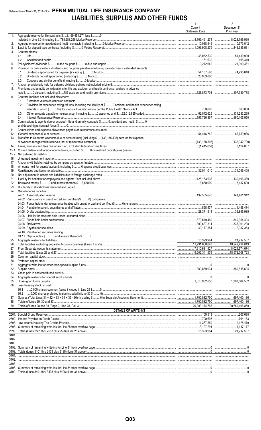# Statement as of March 31, 2018 of the PENN MUTUAL LIFE INSURANCE COMPANY LIABILITIES, SURPLUS AND OTHER FUNDS

|              |                                                                                                                              | $\mathbf{1}$<br>Current<br><b>Statement Date</b> | $\overline{2}$<br>December 31<br>Prior Year |
|--------------|------------------------------------------------------------------------------------------------------------------------------|--------------------------------------------------|---------------------------------------------|
| 1.           | Aggregate reserve for life contracts \$8, 169, 491, 274 less \$0                                                             | 8,169,491,274                                    | $\ldots$ 8,028,756,960                      |
| 2.           |                                                                                                                              |                                                  |                                             |
| 3.           |                                                                                                                              | 1,093,908,279                                    | 846.335.561                                 |
| 4.           | Contract claims:<br>4.1                                                                                                      | 48,052,530                                       | 51,430,900                                  |
|              | 4.2                                                                                                                          |                                                  |                                             |
| 5.           |                                                                                                                              |                                                  | 21,399,461                                  |
| 6.           | Provision for policyholders' dividends and coupons payable in following calendar year - estimated amounts:<br>6.1            |                                                  |                                             |
|              | 6.2                                                                                                                          |                                                  |                                             |
|              | 6.3                                                                                                                          |                                                  |                                             |
| 7.<br>8.     | Premiums and annuity considerations for life and accident and health contracts received in advance                           |                                                  |                                             |
|              |                                                                                                                              |                                                  |                                             |
| 9.           | Contract liabilities not included elsewhere:                                                                                 |                                                  |                                             |
|              | 9.1<br>Provision for experience rating refunds, including the liability of \$ O accident and health experience rating<br>9.2 |                                                  |                                             |
|              |                                                                                                                              |                                                  |                                             |
|              | 9.3                                                                                                                          |                                                  |                                             |
| 10.          | 9.4<br>Commissions to agents due or accrued - life and annuity contracts \$0, accident and health \$0                        |                                                  |                                             |
|              |                                                                                                                              |                                                  |                                             |
| 11.          |                                                                                                                              |                                                  |                                             |
| 12.<br>13.   | Transfers to Separate Accounts due or accrued (net) (including \$(133,188,308) accrued for expense                           |                                                  |                                             |
|              |                                                                                                                              |                                                  |                                             |
| 14.          |                                                                                                                              |                                                  |                                             |
| 15.1<br>15.2 |                                                                                                                              |                                                  |                                             |
| 16.          |                                                                                                                              |                                                  |                                             |
| 17.          |                                                                                                                              |                                                  |                                             |
| 18.<br>19.   |                                                                                                                              |                                                  |                                             |
| 20.          |                                                                                                                              |                                                  |                                             |
| 21.          |                                                                                                                              |                                                  |                                             |
| 22.<br>23.   |                                                                                                                              |                                                  |                                             |
| 24.          | Miscellaneous liabilities:                                                                                                   |                                                  |                                             |
|              |                                                                                                                              |                                                  |                                             |
|              |                                                                                                                              |                                                  |                                             |
|              |                                                                                                                              |                                                  |                                             |
|              |                                                                                                                              |                                                  |                                             |
|              |                                                                                                                              |                                                  | 849,354,404                                 |
|              |                                                                                                                              |                                                  | 333,901,238                                 |
|              |                                                                                                                              |                                                  | 2,037,353                                   |
|              |                                                                                                                              |                                                  |                                             |
| 25.          |                                                                                                                              |                                                  |                                             |
| 26.<br>27.   |                                                                                                                              |                                                  | 10,942,434,049<br>$\ldots$ 8,029,574,674    |
| 28.          |                                                                                                                              |                                                  | 18,972,008,723                              |
| 29.<br>30.   |                                                                                                                              |                                                  |                                             |
| 31.          |                                                                                                                              |                                                  |                                             |
| 32.          |                                                                                                                              |                                                  |                                             |
| 33.<br>34.   |                                                                                                                              |                                                  |                                             |
| 35.          |                                                                                                                              |                                                  |                                             |
| 36.          | Less treasury stock, at cost:                                                                                                |                                                  |                                             |
|              |                                                                                                                              |                                                  |                                             |
| 37.          |                                                                                                                              |                                                  |                                             |
| 38.<br>39.   |                                                                                                                              |                                                  | 20,669,408,859                              |
|              | <b>DETAILS OF WRITE-INS</b>                                                                                                  |                                                  |                                             |
|              |                                                                                                                              |                                                  |                                             |
|              |                                                                                                                              | 790,608                                          |                                             |
|              |                                                                                                                              |                                                  |                                             |
|              |                                                                                                                              |                                                  |                                             |
|              |                                                                                                                              |                                                  |                                             |
|              |                                                                                                                              |                                                  |                                             |
|              |                                                                                                                              |                                                  |                                             |
|              |                                                                                                                              |                                                  |                                             |
|              |                                                                                                                              |                                                  |                                             |
|              |                                                                                                                              |                                                  |                                             |
|              |                                                                                                                              |                                                  |                                             |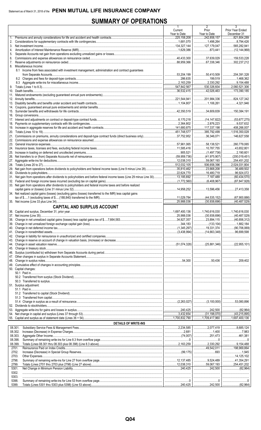# **SUMMARY OF OPERATIONS**

|    |                                                                                                                                  | 1<br>Current        | 2<br>Prior                                                            | 3<br>Prior Year Ended               |
|----|----------------------------------------------------------------------------------------------------------------------------------|---------------------|-----------------------------------------------------------------------|-------------------------------------|
|    |                                                                                                                                  | Year to Date        | Year to Date                                                          | December 31                         |
| 1. |                                                                                                                                  | 225,158,208         | 242,858,157<br>1,498,264                                              | 821,804,289<br>8,794,426            |
|    |                                                                                                                                  | 134,327,144         | 127,179,047                                                           | 565,282,941                         |
| 4. |                                                                                                                                  |                     | 873,441                                                               |                                     |
| 5. |                                                                                                                                  |                     |                                                                       |                                     |
| 6. |                                                                                                                                  |                     | 37,639,029<br>67,338,346<br>.                                         | 159,533,228<br>$\ldots$ 302,237,212 |
|    | 8. Miscellaneous Income:                                                                                                         |                     |                                                                       |                                     |
|    | 8.1 Income from fees associated with investment management, administration and contract guarantees                               |                     |                                                                       |                                     |
|    |                                                                                                                                  | 53,204,199          | 50,410,509                                                            | 204,391,328                         |
|    |                                                                                                                                  | 286,635             |                                                                       | 1,468,362                           |
|    |                                                                                                                                  | 342,567             | $\ldots$ 2,330,292                                                    | 9,154,488<br>2,060,521,306          |
|    |                                                                                                                                  |                     | 42,026,463                                                            | 173,390,185                         |
|    |                                                                                                                                  |                     |                                                                       |                                     |
|    |                                                                                                                                  |                     | 201,984,336                                                           | $\ldots$ 824,127,342                |
|    |                                                                                                                                  |                     | 1.106.261                                                             | 4,321,946                           |
|    |                                                                                                                                  |                     | $\ldots$ 34,609,839   150,384,191                                     |                                     |
|    |                                                                                                                                  |                     |                                                                       |                                     |
|    |                                                                                                                                  |                     |                                                                       |                                     |
|    |                                                                                                                                  |                     | $\ldots$ 2,876,223<br>$\ldots$ 117,337,198   408,266,007              | 9,537,632                           |
|    |                                                                                                                                  |                     | $\dots$ 385,792,499   $\dots$ 1,516,350,028                           |                                     |
|    |                                                                                                                                  |                     | 36,346,071                                                            | 146,627,558                         |
|    |                                                                                                                                  |                     |                                                                       |                                     |
|    |                                                                                                                                  |                     | 58,138,521                                                            | 260.779.065                         |
|    |                                                                                                                                  |                     |                                                                       |                                     |
|    |                                                                                                                                  |                     |                                                                       | $\ldots$ (200,019,451)              |
|    |                                                                                                                                  |                     |                                                                       | $\ldots$ 254,451,202                |
|    |                                                                                                                                  |                     | 506,658,396                                                           | $\ldots$ 2,024,031,804              |
|    |                                                                                                                                  |                     | $\ldots$ 23,668,208                                                   | 36,489,502                          |
|    |                                                                                                                                  |                     | 16,480,719                                                            | $$ 96,924,072                       |
|    | 31, Net gain from operations after dividends to policyholders and before federal income taxes (Line 29 minus Line 30) 13,185,692 |                     | 7,187,489                                                             | (60, 434, 570)<br>.                 |
|    | 33. Net gain from operations after dividends to policyholders and federal income taxes and before realized                       |                     |                                                                       |                                     |
|    |                                                                                                                                  |                     |                                                                       |                                     |
|    | 34. Net realized capital gains (losses) (excluding gains (losses) transferred to the IMR) less capital gains                     |                     |                                                                       |                                     |
|    |                                                                                                                                  | $\ldots$ 25.988.036 |                                                                       | (67,900,886)                        |
|    |                                                                                                                                  |                     | $\overline{\ldots}$ (30,938,696)                                      | $\ldots$ (40,487,529)               |
|    | <b>CAPITAL AND SURPLUS ACCOUNT</b>                                                                                               |                     |                                                                       |                                     |
|    |                                                                                                                                  |                     | $\ldots$ 1,740,616,030   1,740,616,030<br>(30,938,696)   (40,487,529) |                                     |
|    |                                                                                                                                  |                     |                                                                       |                                     |
|    |                                                                                                                                  |                     |                                                                       |                                     |
|    |                                                                                                                                  |                     |                                                                       |                                     |
|    |                                                                                                                                  |                     |                                                                       |                                     |
|    |                                                                                                                                  |                     |                                                                       |                                     |
|    |                                                                                                                                  |                     |                                                                       |                                     |
|    |                                                                                                                                  |                     |                                                                       |                                     |
|    |                                                                                                                                  |                     |                                                                       |                                     |
|    |                                                                                                                                  |                     |                                                                       |                                     |
|    |                                                                                                                                  |                     |                                                                       |                                     |
|    | 50. Capital changes:                                                                                                             |                     |                                                                       |                                     |
|    |                                                                                                                                  |                     |                                                                       |                                     |
|    |                                                                                                                                  |                     |                                                                       |                                     |
|    | 51. Surplus adjustment:                                                                                                          |                     |                                                                       |                                     |
|    |                                                                                                                                  |                     |                                                                       |                                     |
|    |                                                                                                                                  |                     |                                                                       |                                     |
|    |                                                                                                                                  |                     |                                                                       |                                     |
|    |                                                                                                                                  |                     |                                                                       |                                     |
|    |                                                                                                                                  |                     |                                                                       |                                     |
|    |                                                                                                                                  |                     |                                                                       |                                     |
|    |                                                                                                                                  |                     |                                                                       |                                     |
|    | <b>DETAILS OF WRITE-INS</b>                                                                                                      |                     |                                                                       |                                     |
|    | 08.301.                                                                                                                          |                     |                                                                       |                                     |
|    | 08.302.                                                                                                                          |                     |                                                                       |                                     |
|    | 08.303.                                                                                                                          |                     |                                                                       |                                     |
|    | 08.398.<br>08.399.                                                                                                               |                     |                                                                       |                                     |
|    | 2701.                                                                                                                            |                     |                                                                       |                                     |
|    | 2702.                                                                                                                            |                     |                                                                       |                                     |
|    | 2703.                                                                                                                            |                     |                                                                       |                                     |
|    | 2798.<br>2799.                                                                                                                   |                     |                                                                       |                                     |
|    | 5301.                                                                                                                            |                     |                                                                       |                                     |
|    | 5302.                                                                                                                            |                     |                                                                       |                                     |
|    | 5303.                                                                                                                            |                     |                                                                       |                                     |
|    | 5398.                                                                                                                            |                     |                                                                       |                                     |
|    | 5399.                                                                                                                            |                     |                                                                       |                                     |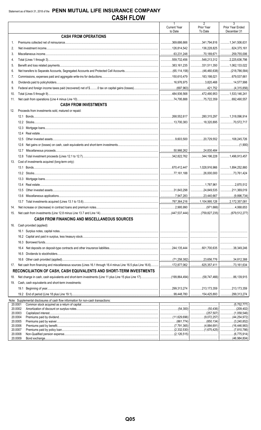|         |                                                                                                                        | $\mathbf{1}$                   | $\overline{2}$                                | $\overline{3}$                      |
|---------|------------------------------------------------------------------------------------------------------------------------|--------------------------------|-----------------------------------------------|-------------------------------------|
|         |                                                                                                                        | <b>Current Year</b><br>to Date | Prior Year<br>To Date                         | Prior Year Ended                    |
|         | <b>CASH FROM OPERATIONS</b>                                                                                            |                                |                                               | December 31                         |
| $1_{-}$ |                                                                                                                        | 369,686,666                    |                                               |                                     |
| 2.      |                                                                                                                        | 126,814,542                    | 136,228,825                                   | $\ldots$ 624,375,161                |
| 3.      |                                                                                                                        |                                |                                               |                                     |
| 4.      |                                                                                                                        |                                | $\dots$ 548,213,312 2,225,636,798             |                                     |
| 5.      |                                                                                                                        |                                | $\ldots$ 331,511,350 1,062,133,022            |                                     |
| 6.      |                                                                                                                        |                                |                                               | $\ldots$ (46,460,638) (218,786,584) |
| 7.      |                                                                                                                        |                                | 183,198,021                                   | 679,537,661                         |
| 8.      |                                                                                                                        |                                |                                               |                                     |
| 9.      |                                                                                                                        |                                |                                               |                                     |
| 10.     |                                                                                                                        |                                |                                               |                                     |
| 11.     |                                                                                                                        |                                |                                               |                                     |
|         | <b>CASH FROM INVESTMENTS</b>                                                                                           |                                |                                               |                                     |
| 12.     | Proceeds from investments sold, matured or repaid:                                                                     |                                |                                               |                                     |
|         |                                                                                                                        |                                |                                               |                                     |
|         |                                                                                                                        |                                |                                               |                                     |
|         |                                                                                                                        |                                |                                               |                                     |
|         | 12.4                                                                                                                   |                                |                                               |                                     |
|         | 12.5                                                                                                                   |                                |                                               |                                     |
|         |                                                                                                                        |                                |                                               |                                     |
|         | 12.6                                                                                                                   |                                |                                               |                                     |
|         | 12.7                                                                                                                   |                                |                                               |                                     |
|         | Cost of investments acquired (long-term only):                                                                         |                                | $\ldots$ 344,196,228 1,496,913,457            |                                     |
| 13.     |                                                                                                                        |                                |                                               |                                     |
|         | 13.1                                                                                                                   |                                |                                               |                                     |
|         |                                                                                                                        |                                |                                               |                                     |
|         |                                                                                                                        |                                |                                               |                                     |
|         |                                                                                                                        |                                |                                               |                                     |
|         | 13.5                                                                                                                   |                                |                                               |                                     |
|         | 13.6                                                                                                                   |                                |                                               |                                     |
|         |                                                                                                                        |                                |                                               |                                     |
| 14.     |                                                                                                                        |                                |                                               |                                     |
| 15.     |                                                                                                                        |                                | (447,537,444)   (759,827,235)   (679,512,277) |                                     |
|         | <b>CASH FROM FINANCING AND MISCELLANEOUS SOURCES</b>                                                                   |                                |                                               |                                     |
| 16.     | Cash provided (applied):                                                                                               |                                |                                               |                                     |
|         |                                                                                                                        |                                |                                               |                                     |
|         |                                                                                                                        |                                |                                               |                                     |
|         |                                                                                                                        |                                |                                               |                                     |
|         | 16.4                                                                                                                   |                                | 601.700.635                                   | 38,349,246                          |
|         | 16.5                                                                                                                   |                                |                                               |                                     |
|         |                                                                                                                        |                                |                                               |                                     |
| 17.     | Net cash from financing and miscellaneous sources (Lines 16.1 through 16.4 minus Line 16.5 plus Line 16.6) 172,877,062 |                                | 625.357.411                                   | 73,161,634<br>.                     |
|         | RECONCILIATION OF CASH, CASH EQUIVALENTS AND SHORT-TERM INVESTMENTS                                                    |                                |                                               |                                     |
| 18.     |                                                                                                                        |                                |                                               |                                     |
| 19.     | Cash, cash equivalents and short-term investments:                                                                     |                                |                                               |                                     |
|         | 19.1                                                                                                                   |                                | $\ldots$ 213,173,359 213,173,359              |                                     |
|         |                                                                                                                        |                                | 154,425,893                                   | 299,313,274                         |
|         | Note: Supplemental disclosures of cash flow information for non-cash transactions:                                     |                                |                                               |                                     |
| 20.0001 |                                                                                                                        |                                |                                               |                                     |
| 20.0002 | 20.0003                                                                                                                |                                |                                               | (209,402)<br>.                      |
| 20.0004 |                                                                                                                        |                                |                                               |                                     |
| 20.0005 |                                                                                                                        |                                |                                               |                                     |
| 20.0007 | 20.0006                                                                                                                |                                |                                               |                                     |
|         | 20.0008                                                                                                                |                                |                                               |                                     |
| 20.0009 | Bond exchange                                                                                                          |                                |                                               | (46.984.804)                        |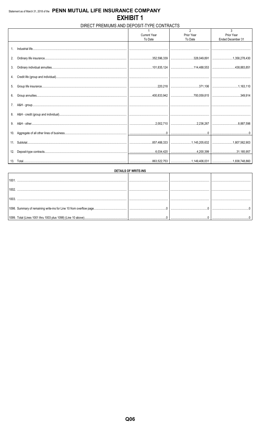# DIRECT PREMIUMS AND DEPOSIT-TYPE CONTRACTS

| <b>Current Year</b><br>Prior Year<br>Prior Year<br>To Date<br>To Date<br>Ended December 31<br>1 <sup>1</sup><br>2.<br>7.<br>8.<br>9.<br>10. |  | $\overline{2}$ | 3 |
|---------------------------------------------------------------------------------------------------------------------------------------------|--|----------------|---|
|                                                                                                                                             |  |                |   |
|                                                                                                                                             |  |                |   |
|                                                                                                                                             |  |                |   |
|                                                                                                                                             |  |                |   |
|                                                                                                                                             |  |                |   |
|                                                                                                                                             |  |                |   |
|                                                                                                                                             |  |                |   |
|                                                                                                                                             |  |                |   |
|                                                                                                                                             |  |                |   |
|                                                                                                                                             |  |                |   |
|                                                                                                                                             |  |                |   |
|                                                                                                                                             |  |                |   |
|                                                                                                                                             |  |                |   |
|                                                                                                                                             |  |                |   |
|                                                                                                                                             |  |                |   |
|                                                                                                                                             |  |                |   |
|                                                                                                                                             |  |                |   |
|                                                                                                                                             |  |                |   |
|                                                                                                                                             |  |                |   |
|                                                                                                                                             |  |                |   |
|                                                                                                                                             |  |                |   |
|                                                                                                                                             |  |                |   |
|                                                                                                                                             |  |                |   |
|                                                                                                                                             |  |                |   |
|                                                                                                                                             |  |                |   |
|                                                                                                                                             |  |                |   |
|                                                                                                                                             |  |                |   |
|                                                                                                                                             |  |                |   |
|                                                                                                                                             |  |                |   |
| 12.                                                                                                                                         |  |                |   |
|                                                                                                                                             |  |                |   |
| │…………………………863,522,753 │………………………1,149,406,031 │………………………1,838,748,860                                                                      |  |                |   |

| <b>DETAILS OF WRITE-INS</b> |   |  |  |  |  |  |  |  |
|-----------------------------|---|--|--|--|--|--|--|--|
|                             |   |  |  |  |  |  |  |  |
|                             |   |  |  |  |  |  |  |  |
|                             |   |  |  |  |  |  |  |  |
|                             |   |  |  |  |  |  |  |  |
|                             |   |  |  |  |  |  |  |  |
|                             | . |  |  |  |  |  |  |  |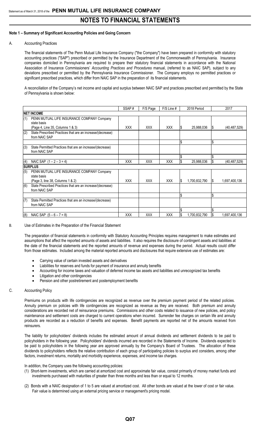### **Note 1 – Summary of Significant Accounting Policies and Going Concern**

#### A. Accounting Practices

The financial statements of The Penn Mutual Life Insurance Company ("the Company") have been prepared in conformity with statutory accounting practices ("SAP") prescribed or permitted by the Insurance Department of the Commonwealth of Pennsylvania. Insurance companies domiciled in Pennsylvania are required to prepare their statutory financial statements in accordance with the National Association of Insurance Commissioners' *Accounting Practices and Procedures* manual, (referred to as NAIC SAP), subject to any deviations prescribed or permitted by the Pennsylvania Insurance Commissioner. The Company employs no permitted practices or significant prescribed practices, which differ from NAIC SAP in the preparation of its financial statements.

A reconciliation of the Company's net income and capital and surplus between NAIC SAP and practices prescribed and permitted by the State of Pennsylvania is shown below:

|     |                                                                                               | SSAP#      | F/S Page   | F/S Line # |     | 2018 Period   |     | 2017           |
|-----|-----------------------------------------------------------------------------------------------|------------|------------|------------|-----|---------------|-----|----------------|
|     | <b>NET INCOME</b>                                                                             |            |            |            |     |               |     |                |
| (1) | PENN MUTUAL LIFE INSURANCE COMPANY Company<br>state basis<br>(Page 4, Line 35, Columns 1 & 3) | <b>XXX</b> | <b>XXX</b> | <b>XXX</b> | S   | 25,988,036    | 1\$ | (40, 487, 529) |
| (2) | State Prescribed Practices that are an increase/(decrease)<br>from NAIC SAP                   |            |            |            |     |               |     |                |
|     |                                                                                               |            |            |            | \$  |               | Ŝ.  |                |
| (3) | State Permitted Practices that are an increase/(decrease)<br>from NAIC SAP                    |            |            |            |     |               |     |                |
|     |                                                                                               |            |            |            |     |               |     |                |
| (4) | NAIC SAP $(1 - 2 - 3 = 4)$                                                                    | <b>XXX</b> | <b>XXX</b> | <b>XXX</b> |     | 25,988,036    |     | (40, 487, 529) |
|     | Isurplus                                                                                      |            |            |            |     |               |     |                |
| (5) | PENN MUTUAL LIFE INSURANCE COMPANY Company<br>state basis                                     |            |            |            |     |               |     |                |
|     | (Page 3, line 38, Columns 1 & 2)                                                              | <b>XXX</b> | <b>XXX</b> | <b>XXX</b> | l S | 1,700,832,790 | I\$ | 1,697,400,136  |
| (6) | State Prescribed Practices that are an increase/(decrease)<br>from NAIC SAP                   |            |            |            |     |               |     |                |
|     |                                                                                               |            |            |            | S,  |               | \$  |                |
| (7) | State Permitted Practices that are an increase/(decrease)<br>from NAIC SAP                    |            |            |            |     |               |     |                |
|     |                                                                                               |            |            |            |     |               |     |                |
| (8) | NAIC SAP $(5 - 6 - 7 = 8)$                                                                    | <b>XXX</b> | <b>XXX</b> | <b>XXX</b> |     | 1,700,832,790 | Ŝ.  | 1,697,400,136  |

B. Use of Estimates in the Preparation of the Financial Statement

The preparation of financial statements in conformity with Statutory Accounting Principles requires management to make estimates and assumptions that affect the reported amounts of assets and liabilities. It also requires the disclosure of contingent assets and liabilities at the date of the financial statements and the reported amounts of revenue and expenses during the period. Actual results could differ from those estimates. Included among the material reported amounts and disclosures that require extensive use of estimates are:

- Carrying value of certain invested assets and derivatives
- Liabilities for reserves and funds for payment of insurance and annuity benefits
- Accounting for income taxes and valuation of deferred income tax assets and liabilities and unrecognized tax benefits
- Litigation and other contingencies
- Pension and other postretirement and postemployment benefits

### C. Accounting Policy

Premiums on products with life contingencies are recognized as revenue over the premium payment period of the related policies. Annuity premium on policies with life contingencies are recognized as revenue as they are received. Both premium and annuity considerations are recorded net of reinsurance premiums. Commissions and other costs related to issuance of new policies, and policy maintenance and settlement costs are charged to current operations when incurred. Surrender fee charges on certain life and annuity products are recorded as a reduction of benefits and expenses. Benefit payments are reported net of the amounts received from reinsurers.

The liability for policyholders' dividends includes the estimated amount of annual dividends and settlement dividends to be paid to policyholders in the following year. Policyholders' dividends incurred are recorded in the Statements of Income. Dividends expected to be paid to policyholders in the following year are approved annually by the Company's Board of Trustees. The allocation of these dividends to policyholders reflects the relative contribution of each group of participating policies to surplus and considers, among other factors, investment returns, mortality and morbidity experience, expenses, and income tax charges.

In addition, the Company uses the following accounting policies:

- (1) Short-term investments, which are carried at amortized cost and approximate fair value, consist primarily of money market funds and investments purchased with maturities of greater than three months and less than or equal to 12 months.
- (2) Bonds with a NAIC designation of 1 to 5 are valued at amortized cost. All other bonds are valued at the lower of cost or fair value. Fair value is determined using an external pricing service or management's pricing model.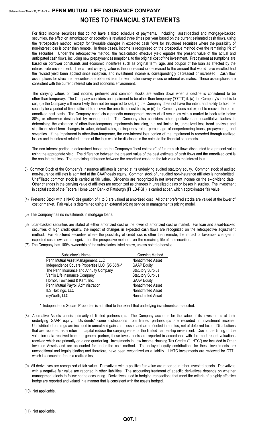For fixed income securities that do not have a fixed schedule of payments, including asset-backed and mortgage-backed securities, the effect on amortization or accretion is revalued three times per year based on the current estimated cash flows, using the retrospective method, except for favorable changes in expected cash flows for structured securities where the possibility of non-interest loss is other than remote. In these cases, income is recognized on the prospective method over the remaining life of the securities. Under the retrospective method, the recalculated effective yield equates the present value of the actual and anticipated cash flows, including new prepayment assumptions, to the original cost of the investment. Prepayment assumptions are based on borrower constraints and economic incentives such as original term, age, and coupon of the loan as affected by the interest rate environment. The current carrying value is then increased or decreased to the amount that would have resulted had the revised yield been applied since inception, and investment income is correspondingly decreased or increased. Cash flow assumptions for structured securities are obtained from broker dealer survey values or internal estimates. These assumptions are consistent with the current interest rate and economic environment.

The carrying values of fixed income, preferred and common stocks are written down when a decline is considered to be other-than-temporary. The Company considers an impairment to be other-than-temporary ("OTTI") if: (a) the Company's intent is to sell, (b) the Company will more likely than not be required to sell, (c) the Company does not have the intent and ability to hold the security for a period of time sufficient to recover the amortized cost basis, or (d) the Company does not expect to recover the entire amortized cost basis. The Company conducts a periodic management review of all securities with a market to book ratio below 80%, or otherwise designated by management. The Company also considers other qualitative and quantitative factors in determining the existence of other-than-temporary impairments including, but not limited to, unrealized loss trend analysis and significant short-term changes in value, default rates, delinquency rates, percentage of nonperforming loans, prepayments, and severities. If the impairment is other-than-temporary, the non-interest loss portion of the impairment is recorded through realized losses and the interest related portion of the loss would be disclosed in the notes to the financial statements.

The non-interest portion is determined based on the Company's "best estimate" of future cash flows discounted to a present value using the appropriate yield. The difference between the present value of the best estimate of cash flows and the amortized cost is the non-interest loss. The remaining difference between the amortized cost and the fair value is the interest loss.

- 3) Common Stock of the Company's insurance affiliates is carried at its underlying audited statutory equity. Common stock of audited non-insurance affiliates is admitted at the GAAP-basis equity. Common stock of unaudited non-insurance affiliates is nonadmitted. Unaffiliated common stock is carried at fair value. Dividends are recognized in net investment income on the ex-dividend date. Other changes in the carrying value of affiliates are recognized as changes in unrealized gains or losses in surplus. The investment in capital stock of the Federal Home Loan Bank of Pittsburgh (FHLB-PGH) is carried at par, which approximates fair value.
- (4) Preferred Stock with a NAIC designation of 1 to 3 are valued at amortized cost. All other preferred stocks are valued at the lower of cost or market. Fair value is determined using an external pricing service or management's pricing model.
- (5) The Company has no investments in mortgage loans.
- (6) Loan-backed securities are stated at either amortized cost or the lower of amortized cost or market. For loan and asset-backed securities of high credit quality, the impact of changes in expected cash flows are recognized on the retrospective adjustment method. For structured securities where the possibility of credit loss is other than remote, the impact of favorable changes in expected cash flows are recognized on the prospective method over the remaining life of the securities.
- (7) The Company has 100% ownership of the subsidiaries listed below, unless noted otherwise:

| Subsidiary's Name                            | Carrying Method          |
|----------------------------------------------|--------------------------|
| Penn Mutual Asset Management, LLC            | Nonadmitted Asset        |
| Independence Square Properties LLC (95.65%)* | <b>GAAP Equity</b>       |
| The Penn Insurance and Annuity Company       | <b>Statutory Surplus</b> |
| Vantis Life Insurance Company                | <b>Statutory Surplus</b> |
| Hornor, Townsend & Kent, Inc.                | <b>GAAP Equity</b>       |
| Penn Mutual Payroll Administration           | Nonadmitted Asset        |
| ILS Holdings, LLC                            | Nonadmitted Asset        |
| myWorth, LLC                                 | Nonadmitted Asset        |

- \* Independence Square Properties is admitted to the extent that underlying investments are audited.
- (8) Alternative Assets consist primarily of limited partnerships. The Company accounts for the value of its investments at their underlying GAAP equity. Dividends/income distributions from limited partnerships are recorded in investment income. Undistributed earnings are included in unrealized gains and losses and are reflected in surplus, net of deferred taxes. Distributions that are recorded as a return of capital reduce the carrying value of the limited partnership investment. Due to the timing of the valuation data received from the general partner, these investments are reported in accordance with the most recent valuations received which are primarily on a one quarter lag. Investments in Low Income Housing Tax Credits ("LIHTC") are included in Other Invested Assets and are accounted for under the cost method. The delayed equity contributions for these investments are unconditional and legally binding and therefore, have been recognized as a liability. LIHTC investments are reviewed for OTTI, which is accounted for as a realized loss.
- (9) All derivatives are recognized at fair value. Derivatives with a positive fair value are reported in other invested assets. Derivatives with a negative fair value are reported in other liabilities**.** The accounting treatment of specific derivatives depends on whether management elects to follow hedge accounting. Derivatives used in hedging transactions that meet the criteria of a highly effective hedge are reported and valued in a manner that is consistent with the assets hedged.
- (10) Not applicable.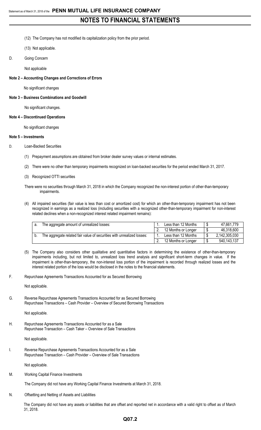- (12) The Company has not modified its capitalization policy from the prior period.
- (13) Not applicable.
- D. Going Concern

Not applicable

**Note 2 – Accounting Changes and Corrections of Errors**

No significant changes

**Note 3 – Business Combinations and Goodwill**

No significant changes.

#### **Note 4 – Discontinued Operations**

No significant changes

#### **Note 5 – Investments**

D. Loan-Backed Securities

- (1) Prepayment assumptions are obtained from broker dealer survey values or internal estimates.
- (2) There were no other than temporary impairments recognized on loan-backed securities for the period ended March 31, 2017.
- (3) Recognized OTTI securities

There were no securities through March 31, 2018 in which the Company recognized the non-interest portion of other-than-temporary impairments.

(4) All impaired securities (fair value is less than cost or amortized cost) for which an other-than-temporary impairment has not been recognized in earnings as a realized loss (including securities with a recognized other-than-temporary impairment for non-interest related declines when a non-recognized interest related impairment remains):

| The aggregate amount of unrealized losses:                             | Less than 12 Months | 47,661,779    |
|------------------------------------------------------------------------|---------------------|---------------|
|                                                                        | 12 Months or Longer | 46,318,600    |
| The aggregate related fair value of securities with unrealized losses: | Less than 12 Months | 2,142,305,030 |
|                                                                        | 12 Months or Longer | 540, 143, 137 |

(5) The Company also considers other qualitative and quantitative factors in determining the existence of other-than-temporary impairments including, but not limited to, unrealized loss trend analysis and significant short-term changes in value. If the impairment is other-than-temporary, the non-interest loss portion of the impairment is recorded through realized losses and the interest related portion of the loss would be disclosed in the notes to the financial statements.

F. Repurchase Agreements Transactions Accounted for as Secured Borrowing

Not applicable.

G. Reverse Repurchase Agreements Transactions Accounted for as Secured Borrowing Repurchase Transactions – Cash Provider – Overview of Secured Borrowing Transactions

Not applicable.

H. Repurchase Agreements Transactions Accounted for as a Sale Repurchase Transaction – Cash Taker – Overview of Sale Transactions

Not applicable.

I. Reverse Repurchase Agreements Transactions Accounted for as a Sale Repurchase Transaction – Cash Provider – Overview of Sale Transactions

Not applicable.

M. Working Capital Finance Investments

The Company did not have any Working Capital Finance Investments at March 31, 2018.

N. Offsetting and Netting of Assets and Liabilities

The Company did not have any assets or liabilities that are offset and reported net in accordance with a valid right to offset as of March 31, 2018.

# **Q07.2**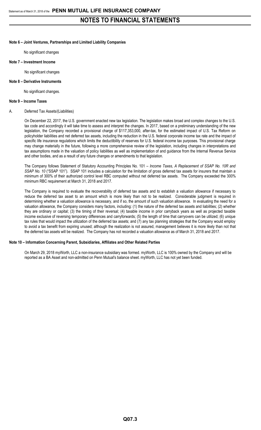## **Note 6 – Joint Ventures, Partnerships and Limited Liability Companies**

No significant changes

#### **Note 7 – Investment Income**

No significant changes

#### **Note 8 – Derivative Instruments**

No significant changes.

#### **Note 9 – Income Taxes**

#### A. Deferred Tax Assets/(Liabilities)

On December 22, 2017, the U.S. government enacted new tax legislation. The legislation makes broad and complex changes to the U.S. tax code and accordingly it will take time to assess and interpret the changes. In 2017, based on a preliminary understanding of the new legislation, the Company recorded a provisional charge of \$117,353,000, after-tax, for the estimated impact of U.S. Tax Reform on policyholder liabilities and net deferred tax assets, including the reduction in the U.S. federal corporate income tax rate and the impact of specific life insurance regulations which limits the deductibility of reserves for U.S. federal income tax purposes. This provisional charge may change materially in the future, following a more comprehensive review of the legislation, including changes in interpretations and tax assumptions made in the valuation of policy liabilities as well as implementation of and guidance from the Internal Revenue Service and other bodies, and as a result of any future changes or amendments to that legislation.

The Company follows Statement of Statutory Accounting Principles No. 101 – *Income Taxes, A Replacement of SSAP No. 10R and* SSAP No. 10 ("SSAP 101"). SSAP 101 includes a calculation for the limitation of gross deferred tax assets for insurers that maintain a minimum of 300% of their authorized control level RBC computed without net deferred tax assets. The Company exceeded the 300% minimum RBC requirement at March 31, 2018 and 2017.

The Company is required to evaluate the recoverability of deferred tax assets and to establish a valuation allowance if necessary to reduce the deferred tax asset to an amount which is more likely than not to be realized. Considerable judgment is required in determining whether a valuation allowance is necessary, and if so, the amount of such valuation allowance. In evaluating the need for a valuation allowance, the Company considers many factors, including: (1) the nature of the deferred tax assets and liabilities; (2) whether they are ordinary or capital; (3) the timing of their reversal; (4) taxable income in prior carryback years as well as projected taxable income exclusive of reversing temporary differences and carryforwards; (5) the length of time that carryovers can be utilized; (6) unique tax rules that would impact the utilization of the deferred tax assets; and (7) any tax planning strategies that the Company would employ to avoid a tax benefit from expiring unused; although the realization is not assured, management believes it is more likely than not that the deferred tax assets will be realized. The Company has not recorded a valuation allowance as of March 31, 2018 and 2017.

### **Note 10 – Information Concerning Parent, Subsidiaries, Affiliates and Other Related Parties**

On March 29, 2018 myWorth, LLC a non-insurance subsidiary was formed. myWorth, LLC is 100% owned by the Company and will be reported as a BA Asset and non-admitted on Penn Mutual's balance sheet. myWorth, LLC has not yet been funded.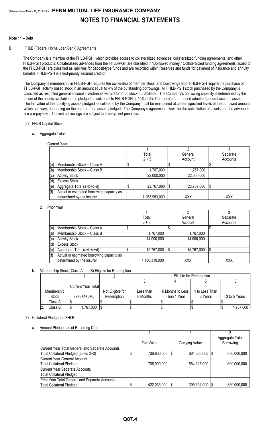### **Note 11 – Debt**

### B. FHLB (Federal Home Loan Bank) Agreements

The Company is a member of the FHLB-PGH, which provides access to collateralized advances, collateralized funding agreements, and other FHLB-PGH products. Collateralized advances from the FHLB-PGH are classified in "Borrowed money." Collateralized funding agreements issued to the FHLB-PGH are classified as liabilities for deposit-type funds and are recorded within Reserves and funds for payment of insurance and annuity benefits. FHLB-PGH is a first-priority secured creditor.

The Company' s membership in FHLB-PGH requires the ownership of member stock, and borrowings from FHLB-PGH require the purchase of FHLB-PGH activity based stock in an amount equal to 4% of the outstanding borrowings. All FHLB-PGH stock purchased by the Company is classified as restricted general account investments within Common stock - unaffiliated. The Company's borrowing capacity is determined by the lesser of the assets available to be pledged as collateral to FHLB-PGH or 10% of the Company's prior period admitted general account assets. The fair value of the qualifying assets pledged as collateral by the Company must be maintained at certain specified levels of the borrowed amount, which can vary, depending on the nature of the assets pledged. The Company's agreement allows for the substitution of assets and the advances are pre-payable. Current borrowings are subject to prepayment penalties.

### (2) FHLB Capital Stock

### a. Aggregate Totals

1. Current Year

|     |                                           | Total         | General    | Separate |
|-----|-------------------------------------------|---------------|------------|----------|
|     |                                           | $2 + 3$       | Account    | Accounts |
| (a) | Membership Stock - Class A                |               |            |          |
| (b) | Membership Stock - Class B                | 1,767,000     | 1,767,000  |          |
| (c) | <b>Activity Stock</b>                     | 22,000,000    | 22,000,000 |          |
|     | <b>Excess Stock</b>                       |               |            |          |
| (e) | Aggregate Total (a+b+c+d)                 | 23,767,000    | 23,767,000 | \$       |
|     | Actual or estimated borrowing capacity as |               |            |          |
|     | determined by the insurer                 | 1,263,983,000 | XXX        | XXX      |

### 2. Prior Year

|     |                                           | Total         | General    | Separate |
|-----|-------------------------------------------|---------------|------------|----------|
|     |                                           | $2 + 3$       | Account    | Accounts |
| (a) | Membership Stock - Class A                |               |            |          |
| (b) | Membership Stock - Class B                | 1,767,000     | 1,767,000  |          |
| (c) | <b>Activity Stock</b>                     | 14,000,000    | 14,000,000 |          |
| (ď  | <b>Excess Stock</b>                       |               |            |          |
| (e) | Aggregate Total (a+b+c+d)                 | 15,767,000    | 15,767,000 | 1\$      |
|     | Actual or estimated borrowing capacity as |               |            |          |
|     | determined by the insurer                 | 1,180,319,000 | XXX        | XXX      |

#### b. Membership Stock (Class A and B) Eligible for Redemption

|   |            |                           |                  |           |                  | Eligible for Redemption |              |
|---|------------|---------------------------|------------------|-----------|------------------|-------------------------|--------------|
|   |            |                           |                  |           |                  |                         |              |
|   |            |                           |                  |           |                  |                         |              |
|   |            | <b>Current Year Total</b> |                  |           |                  |                         |              |
|   | Membership |                           | Not Eligible for | Less than | 6 Months to Less | 1 to Less Than          |              |
|   | Stock      | $(2+3+4+5+6)$             | Redemption       | 6 Months  | Than 1 Year      | 3 Years                 | 3 to 5 Years |
|   | Class A    |                           |                  |           |                  |                         |              |
| 2 | Class B    | 1,767,000                 |                  |           |                  |                         | 1,767,000    |

### (3) Collateral Pledged to FHLB

#### a. Amount Pledged as of Reporting Date

|                                                  |             | n                |                 |
|--------------------------------------------------|-------------|------------------|-----------------|
|                                                  |             |                  | Aggregate Total |
|                                                  | Fair Value  | Carrying Value   | Borrowing       |
| Current Year Total General and Separate Accounts |             |                  |                 |
| Total Collateral Pledged (Lines 2+3)             | 706,900,000 | 664,325,000      | 600,000,000     |
| Current Year General Account                     |             |                  |                 |
| <b>Total Collateral Pledged</b>                  | 706,900,000 | 664,325,000      | 600,000,000     |
| Current Year Separate Accounts                   |             |                  |                 |
| Total Collateral Pledged                         |             |                  |                 |
| Prior Year Total General and Separate Accounts   |             |                  |                 |
| <b>Total Collateral Pledged</b>                  | 422,033,000 | 395,694,000   \$ | 350,000,000     |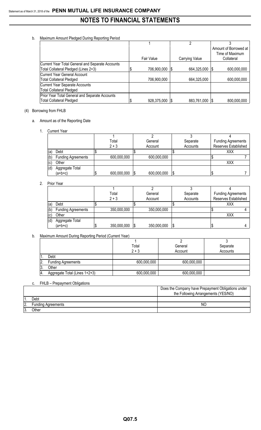## b. Maximum Amount Pledged During Reporting Period

|                                                  |             | $\overline{c}$   |                       |
|--------------------------------------------------|-------------|------------------|-----------------------|
|                                                  |             |                  | Amount of Borrowed at |
|                                                  |             |                  | Time of Maximum       |
|                                                  | Fair Value  | Carrying Value   | Collateral            |
| Current Year Total General and Separate Accounts |             |                  |                       |
| Total Collateral Pledged (Lines 2+3)             | 706,900,000 | 664,325,000 \$   | 600,000,000           |
| <b>Current Year General Account</b>              |             |                  |                       |
| <b>Total Collateral Pledged</b>                  | 706,900,000 | 664,325,000      | 600,000,000           |
| Current Year Separate Accounts                   |             |                  |                       |
| <b>Total Collateral Pledged</b>                  |             |                  |                       |
| Prior Year Total General and Separate Accounts   |             |                  |                       |
| <b>Total Collateral Pledged</b>                  | 928,375,000 | 883,761,000   \$ | 800,000,000           |

# (4) Borrowing from FHLB

# a. Amount as of the Reporting Date

1. Current Year

|     |                           | Total       |     | General     |     | Separate | <b>Funding Agreements</b> |
|-----|---------------------------|-------------|-----|-------------|-----|----------|---------------------------|
|     |                           | $2 + 3$     |     | Account     |     | Accounts | Reserves Established      |
| (a) | Debt                      |             |     |             |     |          | XXX                       |
| (b) | <b>Funding Agreements</b> | 600,000,000 |     | 600,000,000 |     |          |                           |
| (c) | Other                     |             |     |             |     |          | XXX                       |
| (d) | Aggregate Total           |             |     |             |     |          |                           |
|     | $(a+b+c)$                 | 600,000,000 | l\$ | 600,000,000 | 1\$ |          |                           |

### 2. Prior Year

|     |                           | Total       | General     | Separate | <b>Funding Agreements</b> |
|-----|---------------------------|-------------|-------------|----------|---------------------------|
|     |                           | $2 + 3$     | Account     | Accounts | Reserves Established      |
| (a) | Debt                      |             |             |          | XXX                       |
| (b) | <b>Funding Agreements</b> | 350,000,000 | 350,000,000 |          |                           |
| (c) | Other                     |             |             |          | XXX                       |
| (d) | Aggregate Total           |             |             |          |                           |
|     | $(a+b+c)$                 | 350,000,000 | 350,000,000 | - 3      |                           |

# b. Maximum Amount During Reporting Period (Current Year)

|    |                               | Total       | General     | Separate |
|----|-------------------------------|-------------|-------------|----------|
|    |                               | $2 + 3$     | Account     | Accounts |
|    | Debt                          |             |             |          |
|    | <b>Funding Agreements</b>     | 600,000,000 | 600,000,000 |          |
| J. | Other                         |             |             |          |
|    | Aggregate Total (Lines 1+2+3) | 600,000,000 | 600,000,000 |          |

# c. FHLB – Prepayment Obligations

|    |                    | Does the Company have Prepayment Obligations under<br>the Following Arrangements (YES/NO) |
|----|--------------------|-------------------------------------------------------------------------------------------|
|    | Debt               |                                                                                           |
| z. | Funding Agreements | NΟ                                                                                        |
|    | <b>Other</b>       |                                                                                           |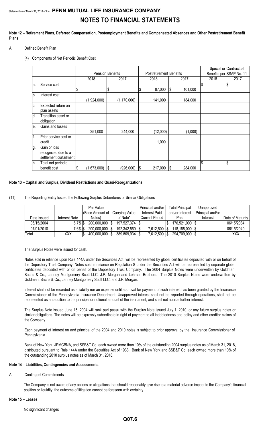**Note 12 – Retirement Plans, Deferred Compensation, Postemployment Benefits and Compensated Absences and Other Postretirement Benefit Plans**

- A. Defined Benefit Plan
	- (4) Components of Net Periodic Benefit Cost

|     |                                                               |    |                         |                 |                                |            |         | Special or Contractual |      |                          |
|-----|---------------------------------------------------------------|----|-------------------------|-----------------|--------------------------------|------------|---------|------------------------|------|--------------------------|
|     |                                                               |    | <b>Pension Benefits</b> |                 | <b>Postretirement Benefits</b> |            |         |                        |      | Benefits per SSAP No. 11 |
|     |                                                               |    | 2018                    | 2017            | 2018                           |            | 2017    |                        | 2018 | 2017                     |
| la. | Service cost                                                  | S  |                         |                 | 87,000                         | <b>\$</b>  | 101,000 |                        |      | \$                       |
|     |                                                               |    |                         | \$              | \$                             |            |         |                        |      |                          |
| lb. | Interest cost                                                 |    | (1,924,000)             | (1, 170, 000)   | 141,000                        |            | 184,000 |                        |      |                          |
| C.  | Expected return on<br>plan assets                             |    |                         |                 |                                |            |         |                        |      |                          |
| ld. | Transition asset or<br>obligation                             |    |                         |                 |                                |            |         |                        |      |                          |
| le. | Gains and losses                                              |    | 251,000                 | 244,000         | (12,000)                       |            | (1,000) |                        |      |                          |
| f.  | Prior service cost or<br>credit                               |    |                         |                 | 1,000                          |            |         |                        |      |                          |
| g.  | Gain or loss<br>recognized due to a<br>settlement curtailment |    |                         |                 |                                |            |         |                        |      |                          |
| h.  | Total net periodic<br>benefit cost                            | \$ | (1,673,000)             | \$<br>(926,000) | \$<br>217,000                  | $\sqrt{3}$ | 284,000 | \$                     |      | \$                       |

### **Note 13 – Capital and Surplus, Dividend Restrictions and Quasi-Reorganizations**

(11) The Reporting Entity Issued the Following Surplus Debentures or Similar Obligations

|             |               | Par Value       |                       | Principal and/or      | <b>Total Principal</b>   | Unapproved       |                  |
|-------------|---------------|-----------------|-----------------------|-----------------------|--------------------------|------------------|------------------|
|             |               | (Face Amount of | <b>Carrying Value</b> | Interest Paid         | and/or Interest          | Principal and/or |                  |
| Date Issued | Interest Rate | Notes)          | of Note*              | <b>Current Period</b> | Paid                     | Interest         | Date of Maturity |
| 06/15/2004  | $6.7\%$ \$    | 200,000,000 \$  | 197.527.374 \\$       |                       | 176,521,000   \$         |                  | 06/15/2034       |
| 07/01/2010  | 7.6%∣\$       | 200,000,000  \$ | 192,342,560   \$      | 7,612,500             | 118,188,000   \$<br>-1\$ |                  | 06/15/2040       |
| Total       | XXX           | 400,000,000     | 389,869,934   \$      | 7,612,500             | 294,709,000 \$<br>- 15   |                  | XXX              |

The Surplus Notes were issued for cash.

Notes sold in reliance upon Rule 144A under the Securities Act will be represented by global certificates deposited with or on behalf of the Depository Trust Company. Notes sold in reliance on Regulation S under the Securities Act will be represented by separate global certificates deposited with or on behalf of the Depository Trust Company. The 2004 Surplus Notes were underwritten by Goldman, Sachs & Co., Janney Montgomery Scott LLC, J.P. Morgan and Lehman Brothers. The 2010 Surplus Notes were underwritten by Goldman, Sachs & Co., Janney Montgomery Scott LLC, and J.P. Morgan.

Interest shall not be recorded as a liability nor an expense until approval for payment of such interest has been granted by the Insurance Commissioner of the Pennsylvania Insurance Department. Unapproved interest shall not be reported through operations, shall not be represented as an addition to the principal or notional amount of the instrument, and shall not accrue further interest.

The Surplus Note issued June 15, 2004 will rank pari passu with the Surplus Note issued July 1, 2010, or any future surplus notes or similar obligations. The notes will be expressly subordinate in right of payment to all indebtedness and policy and other creditor claims of the Company.

Each payment of interest on and principal of the 2004 and 2010 notes is subject to prior approval by the Insurance Commissioner of Pennsylvania.

Bank of New York, JPMCBNA, and SSB&T Co. each owned more than 10% of the outstanding 2004 surplus notes as of March 31, 2018, distributed pursuant to Rule 144A under the Securities Act of 1933. Bank of New York and SSB&T Co. each owned more than 10% of the outstanding 2010 surplus notes as of March 31, 2018.

#### **Note 14 – Liabilities, Contingencies and Assessments**

A. Contingent Commitments

The Company is not aware of any actions or allegations that should reasonably give rise to a material adverse impact to the Company's financial position or liquidity, the outcome of litigation cannot be foreseen with certainty.

#### **Note 15 – Leases**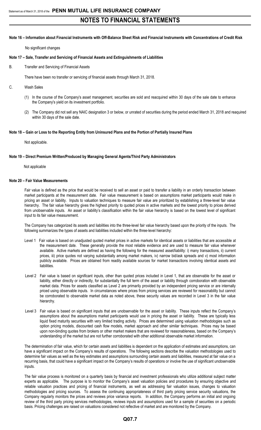### **Note 16 – Information about Financial Instruments with Off-Balance Sheet Risk and Financial Instruments with Concentrations of Credit Risk**

No significant changes

#### **Note 17 – Sale, Transfer and Servicing of Financial Assets and Extinguishments of Liabilities**

B. Transfer and Servicing of Financial Assets

There have been no transfer or servicing of financial assets through March 31, 2018.

- C. Wash Sales
	- (1) In the course of the Company's asset management, securities are sold and reacquired within 30 days of the sale date to enhance the Company's yield on its investment portfolio.
	- (2) The Company did not sell any NAIC designation 3 or below, or unrated of securities during the period ended March 31, 2018 and reaquired within 30 days of the sale date.

#### **Note 18 – Gain or Loss to the Reporting Entity from Uninsured Plans and the Portion of Partially Insured Plans**

Not applicable.

#### **Note 19 – Direct Premium Written/Produced by Managing General Agents/Third Party Administrators**

Not applicable

### **Note 20 – Fair Value Measurements**

Fair value is defined as the price that would be received to sell an asset or paid to transfer a liability in an orderly transaction between market participants at the measurement date. Fair value measurement is based on assumptions market participants would make in pricing an asset or liability. Inputs to valuation techniques to measure fair value are prioritized by establishing a three-level fair value hierarchy. The fair value hierarchy gives the highest priority to quoted prices in active markets and the lowest priority to prices derived from unobservable inputs. An asset or liability's classification within the fair value hierarchy is based on the lowest level of significant input to its fair value measurement.

The Company has categorized its assets and liabilities into the three-level fair value hierarchy based upon the priority of the inputs. The following summarizes the types of assets and liabilities included within the three-level hierarchy:

- Level 1 Fair value is based on unadjusted quoted market prices in active markets for identical assets or liabilities that are accessible at the measurement date. These generally provide the most reliable evidence and are used to measure fair value whenever available. Active markets are defined as having the following for the measured asset/liability: i) many transactions, ii) current prices, iii) price quotes not varying substantially among market makers, iv) narrow bid/ask spreads and v) most information publicly available. Prices are obtained from readily available sources for market transactions involving identical assets and liabilities.
- Level 2 Fair value is based on significant inputs, other than quoted prices included in Level 1, that are observable for the asset or liability, either directly or indirectly, for substantially the full term of the asset or liability through corroboration with observable market data. Prices for assets classified as Level 2 are primarily provided by an independent pricing service or are internally priced using observable inputs. In circumstances where prices from pricing services are reviewed for reasonability but cannot be corroborated to observable market data as noted above, these security values are recorded in Level 3 in the fair value hierarchy.
- Level 3 Fair value is based on significant inputs that are unobservable for the asset or liability. These inputs reflect the Company's assumptions about the assumptions market participants would use in pricing the asset or liability. These are typically less liquid fixed maturity securities with very limited trading activity. Prices are determined using valuation methodologies such as option pricing models, discounted cash flow models, market approach and other similar techniques. Prices may be based upon non-binding quotes from brokers or other market makers that are reviewed for reasonableness, based on the Company's understanding of the market but are not further corroborated with other additional observable market information.

The determination of fair value, which for certain assets and liabilities is dependent on the application of estimates and assumptions, can have a significant impact on the Company's results of operations. The following sections describe the valuation methodologies used to determine fair values as well as the key estimates and assumptions surrounding certain assets and liabilities, measured at fair value on a recurring basis, that could have a significant impact on the Company's results of operations or involve the use of significant unobservable inputs.

The fair value process is monitored on a quarterly basis by financial and investment professionals who utilize additional subject matter experts as applicable. The purpose is to monitor the Company's asset valuation policies and procedures by ensuring objective and reliable valuation practices and pricing of financial instruments, as well as addressing fair valuation issues, changes to valuation methodologies and pricing sources. To assess the continuing appropriateness of third party pricing service security valuations, the Company regularly monitors the prices and reviews price variance reports. In addition, the Company performs an initial and ongoing review of the third party pricing services methodologies, reviews inputs and assumptions used for a sample of securities on a periodic basis. Pricing challenges are raised on valuations considered not reflective of market and are monitored by the Company.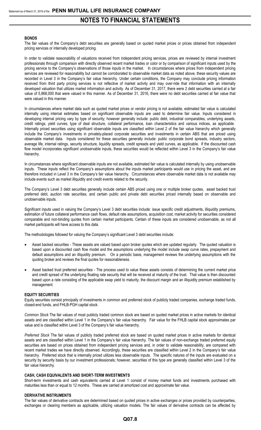### **BONDS**

The fair values of the Company's debt securities are generally based on quoted market prices or prices obtained from independent pricing services or internally developed pricing.

In order to validate reasonability of valuations received from independent pricing services, prices are reviewed by internal investment professionals through comparison with directly observed recent market trades or color or by comparison of significant inputs used by the pricing service to the Company's observations of those inputs in the market. In circumstances where prices from independent pricing services are reviewed for reasonability but cannot be corroborated to observable market data as noted above, these security values are recorded in Level 3 in the Company's fair value hierarchy. Under certain conditions, the Company may conclude pricing information received from third party pricing services is not reflective of market activity and may over-ride that information with an internally developed valuation that utilizes market information and activity. As of December 31, 2017, there were 2 debt securities carried at a fair value of 5,868,000 that were valued in this manner. As of December 31, 2016, there were no debt securities carried at fair value that were valued in this manner.

In circumstances where market data such as quoted market prices or vendor pricing is not available, estimated fair value is calculated internally using internal estimates based on significant observable inputs are used to determine fair value. Inputs considered in developing internal pricing vary by type of security; however generally include: public debt, industrial comparables, underlying assets, credit ratings, yield curves, type of deal structure, collateral performance, loan characteristics and various indices, as applicable. Internally priced securities using significant observable inputs are classified within Level 2 of the fair value hierarchy which generally include the Company's investments in privately-placed corporate securities and investments in certain ABS that are priced using observable market data. Inputs considered for these securities generally include: public corporate bond spreads, industry sectors, average life, internal ratings, security structure, liquidity spreads, credit spreads and yield curves, as applicable. If the discounted cash flow model incorporates significant unobservable inputs, these securities would be reflected within Level 3 in the Company's fair value hierarchy.

In circumstances where significant observable inputs are not available, estimated fair value is calculated internally by using unobservable inputs. These inputs reflect the Company's assumptions about the inputs market participants would use in pricing the asset, and are therefore included in Level 3 in the Company's fair value hierarchy. Circumstances where observable market data is not available may include events such as market illiquidity and credit events related to the security.

The Company's Level 3 debt securities generally include certain ABS priced using one or multiple broker quotes, asset backed trust preferred debt, auction rate securities, and certain public and private debt securities priced internally based on observable and unobservable inputs.

Significant inputs used in valuing the Company's Level 3 debt securities include: issue specific credit adjustments, illiquidity premiums, estimation of future collateral performance cash flows, default rate assumptions, acquisition cost, market activity for securities considered comparable and non-binding quotes from certain market participants. Certain of these inputs are considered unobservable, as not all market participants will have access to this data.

The methodologies followed for valuing the Company's significant Level 3 debt securities include:

- Asset backed securities These assets are valued based upon broker quotes which are updated regularly. The quoted valuation is based upon a discounted cash flow model and the assumptions underlying the model include swap curve rates, prepayment and default assumptions and an illiquidity premium. On a periodic basis, management reviews the underlying assumptions with the quoting broker and reviews the final quotes for reasonableness.
- Asset backed trust preferred securities The process used to value these assets consists of determining the current market price and credit spread of the underlying floating rate security that will be received at maturity of the trust. That value is then discounted based upon a rate consisting of the applicable swap yield to maturity, the discount margin and an illiquidity premium established by management.

#### **EQUITY SECURITIES**

Equity securities consist principally of investments in common and preferred stock of publicly traded companies, exchange traded funds, closed-end funds, and FHLB-PGH capital stock.

*Common Stock* The fair values of most publicly traded common stock are based on quoted market prices in active markets for identical assets and are classified within Level 1 in the Company's fair value hierarchy. Fair value for the FHLB capital stock approximates par value and is classified within Level 3 of the Company's fair value hierarchy.

*Preferred Stock* The fair values of publicly traded preferred stock are based on quoted market prices in active markets for identical assets and are classified within Level 1 in the Company's fair value hierarchy. The fair values of non-exchange traded preferred equity securities are based on prices obtained from independent pricing services and, in order to validate reasonability, are compared with recent market trades we have directly observed. Accordingly, these securities are classified within Level 2 in the Company's fair value hierarchy. Preferred stock that is internally priced utilizes less observable inputs. The specific natures of the inputs are evaluated on a security by security basis by our investment professionals; however, securities of this type are generally classified within Level 3 of the fair value hierarchy.

#### **CASH, CASH EQUIVALENTS AND SHORT-TERM INVESTMENTS**

Short-term investments and cash equivalents carried at Level 1 consist of money market funds and investments purchased with maturities less than or equal to 12 months. These are carried at amortized cost and approximate fair value.

#### **DERIVATIVE INSTRUMENTS**

The fair values of derivative contracts are determined based on quoted prices in active exchanges or prices provided by counterparties, exchanges or clearing members as applicable, utilizing valuation models. The fair values of derivative contracts can be affected by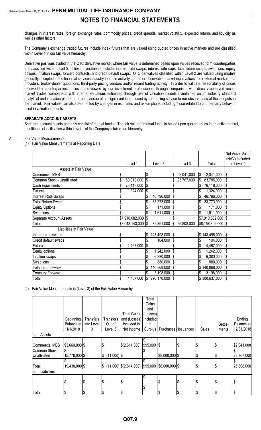changes in interest rates, foreign exchange rates, commodity prices, credit spreads, market volatility, expected returns and liquidity as well as other factors.

The Company's exchange traded futures include index futures that are valued using quoted prices in active markets and are classified within Level 1 in our fair value hierarchy.

Derivative positions traded in the OTC derivative market where fair value is determined based upon values received form counterparties are classified within Level 2. These investments include: interest rate swaps, interest rate caps, total return swaps, swaptions, equity options, inflation swaps, forward contracts, and credit default swaps. OTC derivatives classified within Level 2 are valued using models generally accepted in the financial services industry that use actively quoted or observable market input values from external market data providers, broker-dealer quotations, third-party pricing vendors and/or recent trading activity. In order to validate reasonability of prices received by counterparties, prices are reviewed by our investment professionals through comparison with directly observed recent market trades, comparison with internal valuations estimated through use of valuation models maintained on an industry standard analytical and valuation platform, or comparison of all significant inputs used by the pricing service to our observations of those inputs in the market. Fair values can also be affected by changes in estimates and assumptions including those related to counterparty behavior used in valuation models.

### **SEPARATE ACCOUNT ASSETS**

Separate account assets primarily consist of mutual funds. The fair value of mutual funds is based upon quoted prices in an active market, resulting in classification within Level 1 of the Company's fair value hierarchy.

#### A. Fair Value Measurements

(1) Fair Value Measurements at Reporting Date

|                             |                  |                           |                  |                  | Net Asset Value              |
|-----------------------------|------------------|---------------------------|------------------|------------------|------------------------------|
|                             | Level 1          | Level <sub>2</sub>        | Level 3          | Total            | (NAV) Included<br>in Level 2 |
| Assets at Fair Value        |                  |                           |                  |                  |                              |
|                             |                  |                           |                  |                  |                              |
| Commercial MBS              | \$               | \$                        | 2,041,000<br>\$  | 2,041,000<br>S   | \$                           |
| Common Stock - Unaffiliated | \$<br>60,019,000 | \$                        | 23,767,000<br>\$ | 83,786,000<br>\$ | \$                           |
| Cash Equivalents            | 76,118,000<br>\$ | \$                        | \$               | 76,118,000<br>\$ | \$                           |
| Futures                     | 1,324,000        | \$                        |                  | \$<br>1,324,000  | \$                           |
| <b>Interest Rate Swaps</b>  |                  | 46,796,000<br>\$          | \$               | \$<br>46,796,000 | \$                           |
| <b>Total Return Swaps</b>   | \$               | 33,773,000<br>\$          | $\frac{3}{2}$    | \$<br>33,773,000 | \$                           |
| Equity Options              | \$               | $171,000$ \\$             |                  | \$<br>171,000    | \$                           |
| Swaptions                   |                  | 1,611,000                 | \$               | \$<br>1,611,000  | \$                           |
| Separate Account Assets     | \$7,910,682,000  | $\boldsymbol{\mathsf{S}}$ |                  | \$7,910,682,000  | $\boldsymbol{\mathsf{S}}$    |
| Total                       | \$8,048,143,000  | 82,351,000<br>I\$         | \$<br>25,808,000 | \$8,156,302,000  | $\sqrt{3}$                   |
| Liabilities at Fair Value   |                  |                           |                  |                  |                              |
| Interest rate swaps         | \$               | 143,498,000 \$<br>\$      |                  | \$143,498,000    | \$                           |
| Credit default swaps        | \$               | 104,000                   | 1\$              | 104,000          | \$                           |
| Futures                     | \$<br>4,467,000  | \$                        |                  | 4,467,000        | \$                           |
| Equity options              |                  | 1,242,000                 | \$               | \$<br>1,242,000  | \$                           |
| Inflation swaps             | \$               | 6,380,000                 | \$               | \$<br>6,380,000  | \$                           |
| <b>Swaptions</b>            | \$               | 880,000 \$<br>\$          |                  | \$<br>880,000    | \$                           |
| Total return swaps          | \$               | \$<br>140,868,000         | \$               | \$140,868,000    | \$                           |
| <b>Treasury Forward</b>     | \$               | 3,198,000                 | l\$              | 3,198,000<br>\$  | \$                           |
| Total                       | \$<br>4,467,000  | 296,170,000<br>\$         | l\$              | \$300,637,000    | \$                           |

(2) Fair Value Measurements in (Level 3) of the Fair Value Hierarchy

|                    |                |                  |                     |                          | Total    |                 |                  |       |         |             |
|--------------------|----------------|------------------|---------------------|--------------------------|----------|-----------------|------------------|-------|---------|-------------|
|                    |                |                  |                     |                          | Gains    |                 |                  |       |         |             |
|                    |                |                  |                     |                          | and      |                 |                  |       |         |             |
|                    |                |                  |                     | <b>Total Gains</b>       | (Losses) |                 |                  |       |         |             |
|                    | Beginning      | <b>Transfers</b> | Transfers           | and (Losses)             | Included |                 |                  |       |         | Ending      |
|                    | Balance at     | Into Level       | Out of              | Included in              | in.      |                 |                  |       | Settle- | Balance at  |
|                    | 1/1/2018       | 3                | Level 3             | Net Income               | Surplus  | Purchases       | <b>Issuances</b> | Sales | ments   | 12/31/2018  |
| Assets<br>a.       |                |                  |                     |                          |          |                 |                  |       |         |             |
|                    |                |                  |                     |                          |          |                 |                  |       |         |             |
| Commercial MBS     | \$3,660,000 \$ |                  |                     | \$(2,614,000)            | 995,000  | 1\$             |                  |       | \$      | \$2,041,000 |
| Common Stock -     |                |                  |                     |                          |          |                 |                  |       |         |             |
| Unaffiliated       | 15,778,000 \$  |                  | $(11,000)$ \$<br>\$ |                          |          | \$8,000,000 \$  |                  | J.    | l\$     | 23,767,000  |
|                    |                |                  |                     |                          |          |                 |                  |       |         |             |
| Total              | 19,438,000 \$  |                  | I\$                 | $(11,000)$ \$(2,614,000) | 995,000  | $$8,000,000$ \$ |                  | 1\$   | 1\$     | 25,808,000  |
| Liabilities<br>lb. |                |                  |                     |                          |          |                 |                  |       |         |             |
|                    |                |                  |                     |                          | \$       |                 |                  |       |         |             |
|                    | 1\$            |                  | \$                  | J                        |          | æ               | \$               | P     | \$      | ıъ          |
|                    |                |                  |                     |                          | \$       |                 |                  |       |         |             |
| Total              | Ι\$            | C                | \$                  | Œ                        |          |                 | S                |       | l\$     | 12          |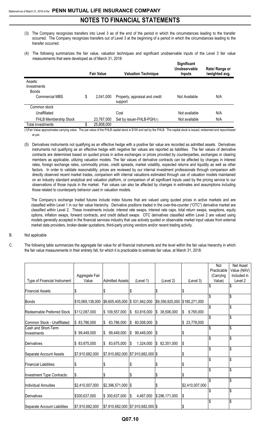- (3) The Company recognizes transfers into Level 3 as of the end of the period in which the circumstances leading to the transfer occurred. The Company recognizes transfers out of Level 3 at the beginning of a period in which the circumstances leading to the transfer occurred.
- (4) The following summarizes the fair value, valuation techniques and significant unobservable inputs of the Level 3 fair value measurements that were developed as of March 31, 2018: **Significant**

|                                                                 | <b>Fair Value</b> | <b>Valuation Technique</b>                | Significant<br>Unobservable<br><b>Inputs</b> | Rate/ Range or<br>/weighted avg. |
|-----------------------------------------------------------------|-------------------|-------------------------------------------|----------------------------------------------|----------------------------------|
| Assets:<br>Investments<br><b>Bonds</b><br><b>Commercial MBS</b> | \$<br>2,041,000   | Property, appraisal and credit<br>support | Not Available                                | N/A                              |
| Common stock                                                    |                   |                                           |                                              |                                  |
| Unaffiliated                                                    |                   | Cost                                      | Not available                                | N/A                              |
| <b>FHLB Membership Stock</b>                                    | 23,767,000        | Set by issuer-FHLB-PGH(1)                 | Not available                                | N/A                              |
| Total investments                                               | \$<br>25,808,000  |                                           |                                              |                                  |

(1)Fair Value approximates carrying value. The par value of the FHLB capital stock is \$100 and set by the FHLB. The capital stock is issued, redeemed and repurchased at par.

(5) Derivatives instruments not qualifying as an effective hedge with a positive fair value are recorded as admitted assets. Derivatives instruments not qualifying as an effective hedge with negative fair values are reported as liabilities. The fair values of derivative contracts are determined based on quoted prices in active exchanges or prices provided by counterparties, exchanges or clearing members as applicable, utilizing valuation models. The fair values of derivative contracts can be affected by changes in interest rates, foreign exchange rates, commodity prices, credit spreads, market volatility, expected returns and liquidity as well as other factors. In order to validate reasonability, prices are reviewed by our internal investment professionals through comparison with directly observed recent market trades, comparison with internal valuations estimated through use of valuation models maintained on an industry standard analytical and valuation platform, or comparison of all significant inputs used by the pricing service to our observations of those inputs in the market. Fair values can also be affected by changes in estimates and assumptions including those related to counterparty behavior used in valuation models.

The Company's exchange traded futures include index futures that are valued using quoted prices in active markets and are classified within Level 1 in our fair value hierarchy. Derivative positions traded in the over-the-counter ("OTC") derivative market are classified within Level 2. These investments include: interest rate swaps, interest rate caps, total return swaps, swaptions, equity options, inflation swaps, forward contracts, and credit default swaps. OTC derivatives classified within Level 2 are valued using models generally accepted in the financial services industry that use actively quoted or observable market input values from external market data providers, broker-dealer quotations, third-party pricing vendors and/or recent trading activity.

### B. Not applicable

C. The following table summarizes the aggregate fair value for all financial instruments and the level within the fair value hierarchy in which the fair value measurements in their entirety fall, for which it is practicable to estimate fair value, at March 31, 2018:

|                              |                  |                                    |                             |                               |                 | Not         | Net Asset   |
|------------------------------|------------------|------------------------------------|-----------------------------|-------------------------------|-----------------|-------------|-------------|
|                              |                  |                                    |                             |                               |                 | Practicable | Value (NAV) |
|                              | Aggregate Fair   |                                    |                             |                               |                 | (Carrying   | Included in |
| Type of Financial Instrument | Value            | <b>Admitted Assets</b>             | (Level 1)                   | (Level 2)                     | (Level 3)       | Value)      | Level 2     |
|                              |                  |                                    |                             |                               |                 | \$          | \$          |
| Financial Assets:            | \$               | \$                                 | \$                          | \$                            | \$              |             |             |
| <b>Bonds</b>                 | \$10,069,138,000 | \$9,605,405,000 \$531,942,000      |                             | \$9,356,925,000 \$180,271,000 |                 | \$          | \$          |
|                              |                  |                                    |                             |                               |                 | \$          | \$          |
| Redeemable Preferred Stock   | \$112,087,000    | \$109,557,000                      | 63,816,000<br>IS.           | <b>S</b><br>38,506,000        | \$<br>9,765,000 |             |             |
|                              |                  |                                    |                             |                               |                 | \$          | \$          |
| Common Stock - Unaffiliated  | \$83,786,000     | 83,786,000<br>\$                   | 60,008,000<br>$\frac{1}{2}$ | $\sqrt{3}$                    | \$23,778,000    |             |             |
| Cash and Short-Term          |                  |                                    |                             |                               |                 | \$          | \$          |
| Investments                  | \$99,449,000     | \$<br>99,449,000                   | 99,449,000<br>I\$           | $\sqrt{3}$                    | \$              |             |             |
|                              |                  |                                    |                             |                               |                 | \$          | \$          |
| Derivatives                  | \$83,675,000     | \$<br>83,675,000                   | 1,324,000<br>S.             | <b>\$</b><br>82,351,000       | \$              |             |             |
|                              |                  |                                    |                             |                               |                 | \$          | \$          |
| Separate Account Assets      | \$7,910,682,000  | \$7,910,682,000 \$7,910,682,000 \$ |                             |                               | \$              |             |             |
|                              |                  |                                    |                             |                               |                 | \$          | \$          |
| Financial Liabilities:       |                  |                                    | \$                          | \$                            | \$              |             |             |
|                              |                  |                                    |                             |                               |                 | \$          | \$          |
| Investment Type Contracts:   | \$               | \$                                 | \$                          | \$                            | \$              |             |             |
|                              |                  |                                    |                             |                               |                 | \$          | \$          |
| Individual Annuities         | \$2,410,007,000  | $$2,396,571,000$ \\$               |                             | \$                            | \$2,410,007,000 |             |             |
|                              |                  |                                    |                             |                               |                 | \$          | \$          |
| Derivatives                  | \$300,637,000    | \$300,637,000                      | 4,467,000<br>\$             | \$296,171,000                 | \$              |             |             |
|                              |                  |                                    |                             |                               |                 | \$          | \$          |
| Separate Account Liabilities | \$7,910,682,000  | \$7,910,682,000 \$7,910,682,000 \$ |                             |                               |                 |             |             |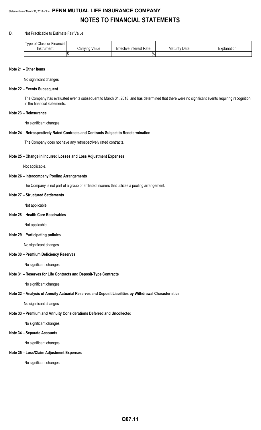### D. Not Practicable to Estimate Fair Value

| <sup>f</sup> Class or Financial<br>Tvpe of ( |                   |                         |                    |             |
|----------------------------------------------|-------------------|-------------------------|--------------------|-------------|
| Instrument                                   | Value<br>Carrying | Effective Interest Rate | Date<br>Maturity F | ≘xplanation |
|                                              | l st              | Λ.<br>$\frac{9}{2}$     |                    |             |

#### **Note 21 – Other Items**

No significant changes

#### **Note 22 – Events Subsequent**

The Company has evaluated events subsequent to March 31, 2018, and has determined that there were no significant events requiring recognition in the financial statements.

#### **Note 23 – Reinsurance**

No significant changes

### **Note 24 – Retrospectively Rated Contracts and Contracts Subject to Redetermination**

The Company does not have any retrospectively rated contracts.

### **Note 25 – Change in Incurred Losses and Loss Adjustment Expenses**

Not applicable.

#### **Note 26 – Intercompany Pooling Arrangements**

The Company is not part of a group of affiliated insurers that utilizes a pooling arrangement.

#### **Note 27 – Structured Settlements**

Not applicable.

### **Note 28 – Health Care Receivables**

Not applicable.

#### **Note 29 – Participating policies**

No significant changes

#### **Note 30 – Premium Deficiency Reserves**

No significant changes

### **Note 31 – Reserves for Life Contracts and Deposit-Type Contracts**

No significant changes

#### **Note 32 – Analysis of Annuity Actuarial Reserves and Deposit Liabilities by Withdrawal Characteristics**

No significant changes

### **Note 33 – Premium and Annuity Considerations Deferred and Uncollected**

No significant changes

## **Note 34 – Separate Accounts**

No significant changes

# **Note 35 – Loss/Claim Adjustment Expenses**

No significant changes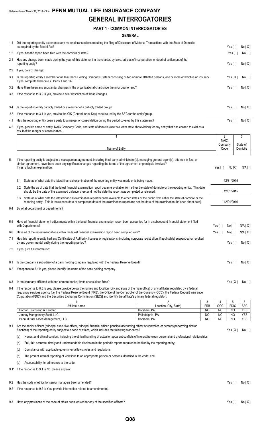# **GENERAL INTERROGATORIES**

# **PART 1 - COMMON INTERROGATORIES**

|     | <b>GENERAL</b>                                                                                                                                                                                                                                                                                                                                                                                                                               |                                          |                 |                               |                        |                          |
|-----|----------------------------------------------------------------------------------------------------------------------------------------------------------------------------------------------------------------------------------------------------------------------------------------------------------------------------------------------------------------------------------------------------------------------------------------------|------------------------------------------|-----------------|-------------------------------|------------------------|--------------------------|
| 1.1 | Did the reporting entity experience any material transactions requiring the filing of Disclosure of Material Transactions with the State of Domicile,                                                                                                                                                                                                                                                                                        |                                          |                 |                               |                        |                          |
|     | as required by the Model Act?                                                                                                                                                                                                                                                                                                                                                                                                                |                                          |                 |                               | Yes $\lceil$ 1         | No[X]                    |
| 1.2 | If yes, has the report been filed with the domiciliary state?                                                                                                                                                                                                                                                                                                                                                                                |                                          |                 |                               | Yes[]                  | No [ ]                   |
| 2.1 | Has any change been made during the year of this statement in the charter, by-laws, articles of incorporation, or deed of settlement of the<br>reporting entity?                                                                                                                                                                                                                                                                             |                                          |                 |                               | Yes $[ ]$              | No[X]                    |
| 2.2 | If yes, date of change:                                                                                                                                                                                                                                                                                                                                                                                                                      |                                          |                 |                               |                        |                          |
| 3.1 | Is the reporting entity a member of an Insurance Holding Company System consisting of two or more affiliated persons, one or more of which is an insurer?<br>If yes, complete Schedule Y, Parts 1 and 1A.                                                                                                                                                                                                                                    |                                          |                 |                               | Yes[X]                 | No [ ]                   |
| 3.2 | Have there been any substantial changes in the organizational chart since the prior quarter end?                                                                                                                                                                                                                                                                                                                                             |                                          |                 |                               | Yes $\lceil \ \rceil$  | No[X]                    |
| 3.3 | If the response to 3.2 is yes, provide a brief description of those changes.                                                                                                                                                                                                                                                                                                                                                                 |                                          |                 |                               |                        |                          |
| 3.4 | Is the reporting entity publicly traded or a member of a publicly traded group?                                                                                                                                                                                                                                                                                                                                                              |                                          |                 |                               | Yes $[ ]$              | No[X]                    |
| 3.5 | If the response to 3.4 is yes, provide the CIK (Central Index Key) code issued by the SEC for the entity/group.                                                                                                                                                                                                                                                                                                                              |                                          |                 |                               |                        |                          |
| 4.1 | Has the reporting entity been a party to a merger or consolidation during the period covered by this statement?                                                                                                                                                                                                                                                                                                                              |                                          |                 |                               | Yes $\lceil \; \rceil$ | No[X]                    |
| 4.2 | If yes, provide name of entity, NAIC Company Code, and state of domicile (use two letter state abbreviation) for any entity that has ceased to exist as a<br>result of the merger or consolidation.                                                                                                                                                                                                                                          |                                          |                 |                               |                        |                          |
|     | $\mathbf{1}$                                                                                                                                                                                                                                                                                                                                                                                                                                 |                                          |                 | $\overline{2}$<br><b>NAIC</b> |                        | 3                        |
|     |                                                                                                                                                                                                                                                                                                                                                                                                                                              |                                          |                 | Company                       |                        | State of                 |
|     | Name of Entity                                                                                                                                                                                                                                                                                                                                                                                                                               |                                          |                 | Code                          |                        | Domicile                 |
| 5.  | If the reporting entity is subject to a management agreement, including third-party administrator(s), managing general agent(s), attorney-in-fact, or<br>similar agreement, have there been any significant changes regarding the terms of the agreement or principals involved?<br>If yes, attach an explanation.                                                                                                                           |                                          |                 | Yes[ ]                        | No[X]                  | N/A [ ]                  |
|     |                                                                                                                                                                                                                                                                                                                                                                                                                                              |                                          |                 |                               |                        |                          |
|     | State as of what date the latest financial examination of the reporting entity was made or is being made.<br>6.1                                                                                                                                                                                                                                                                                                                             |                                          |                 |                               | 12/31/2015             |                          |
|     | 6.2 State the as of date that the latest financial examination report became available from either the state of domicile or the reporting entity. This date<br>should be the date of the examined balance sheet and not the date the report was completed or released.                                                                                                                                                                       |                                          |                 |                               | 12/31/2015             |                          |
|     | State as of what date the latest financial examination report became available to other states or the public from either the state of domicile or the<br>6.3<br>reporting entity. This is the release date or completion date of the examination report and not the date of the examination (balance sheet date).                                                                                                                            |                                          |                 |                               | 12/04/2016             |                          |
| 6.4 | By what department or departments?                                                                                                                                                                                                                                                                                                                                                                                                           |                                          |                 |                               |                        |                          |
| 6.5 | Have all financial statement adjustments within the latest financial examination report been accounted for in a subsequent financial statement filed<br>with Departments?                                                                                                                                                                                                                                                                    |                                          |                 | Yes[]                         | No [ ]                 | N/A[X]                   |
| 6.6 | Have all of the recommendations within the latest financial examination report been complied with?                                                                                                                                                                                                                                                                                                                                           |                                          |                 | Yes [ ]                       | No[ ]                  | N/A[X]                   |
| 7.1 | Has this reporting entity had any Certificates of Authority, licenses or registrations (including corporate registration, if applicable) suspended or revoked<br>by any governmental entity during the reporting period?                                                                                                                                                                                                                     |                                          |                 |                               | Yes $[ ]$              | No[X]                    |
| 7.2 | If yes, give full information:                                                                                                                                                                                                                                                                                                                                                                                                               |                                          |                 |                               |                        |                          |
| 8.1 | Is the company a subsidiary of a bank holding company regulated with the Federal Reserve Board?                                                                                                                                                                                                                                                                                                                                              |                                          |                 |                               | Yes $\lceil \ \rceil$  | No[X]                    |
| 8.2 | If response to 8.1 is yes, please identify the name of the bank holding company.                                                                                                                                                                                                                                                                                                                                                             |                                          |                 |                               |                        |                          |
| 8.3 | Is the company affiliated with one or more banks, thrifts or securities firms?                                                                                                                                                                                                                                                                                                                                                               |                                          |                 |                               | Yes[X]                 | No[ ]                    |
| 8.4 | If the response to 8.3 is yes, please provide below the names and location (city and state of the main office) of any affiliates regulated by a federal<br>regulatory services agency [i.e. the Federal Reserve Board (FRB), the Office of the Comptroller of the Currency (OCC), the Federal Deposit Insurance<br>Corporation (FDIC) and the Securities Exchange Commission (SEC)] and identify the affiliate's primary federal regulator]. |                                          |                 |                               |                        |                          |
|     | Affiliate Name                                                                                                                                                                                                                                                                                                                                                                                                                               | $\overline{c}$<br>Location (City, State) | 3<br><b>FRB</b> | 4<br>OCC                      | 5<br><b>FDIC</b>       | 6<br><b>SEC</b>          |
|     | Hornor, Townsend & Kent Inc.                                                                                                                                                                                                                                                                                                                                                                                                                 | Horsham, PA                              | NO              | NO                            | NO                     | <b>YES</b>               |
|     | Janney Montgomery Scott, LLC<br>Penn Mutual Asset Management, LLC                                                                                                                                                                                                                                                                                                                                                                            | Philadelphia, PA<br>Horsham, PA          | NO<br>NO        | <b>NO</b><br>NO               | <b>NO</b><br>NO        | <b>YES</b><br><b>YES</b> |
| 9.1 | Are the senior officers (principal executive officer, principal financial officer, principal accounting officer or controller, or persons performing similar<br>functions) of the reporting entity subject to a code of ethics, which includes the following standards?                                                                                                                                                                      |                                          |                 |                               | Yes[X]                 | No [ ]                   |
|     | Honest and ethical conduct, including the ethical handling of actual or apparent conflicts of interest between personal and professional relationships;<br>(a)                                                                                                                                                                                                                                                                               |                                          |                 |                               |                        |                          |
|     | Full, fair, accurate, timely and understandable disclosure in the periodic reports required to be filed by the reporting entity;<br>(b)                                                                                                                                                                                                                                                                                                      |                                          |                 |                               |                        |                          |
|     | Compliance with applicable governmental laws, rules and regulations;<br>(C)                                                                                                                                                                                                                                                                                                                                                                  |                                          |                 |                               |                        |                          |
|     | The prompt internal reporting of violations to an appropriate person or persons identified in the code; and<br>(d)                                                                                                                                                                                                                                                                                                                           |                                          |                 |                               |                        |                          |
|     | Accountability for adherence to the code.<br>(e)                                                                                                                                                                                                                                                                                                                                                                                             |                                          |                 |                               |                        |                          |
|     | 9.11 If the response to 9.1 is No, please explain:                                                                                                                                                                                                                                                                                                                                                                                           |                                          |                 |                               |                        |                          |

- 
- 9.2 Has the code of ethics for senior managers been amended? Yes [ ] No [ X ]
- 9.21 If the response to 9.2 is Yes, provide information related to amendment(s).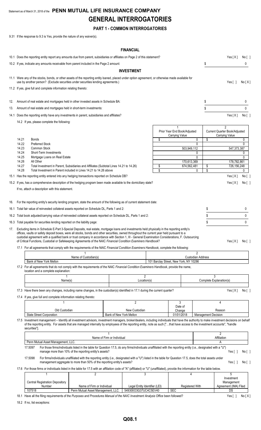# Statement as of March 31, 2018 of the **PENN MUTUAL LIFE INSURANCE COMPANY GENERAL INTERROGATORIES**

# **PART 1 - COMMON INTERROGATORIES**

9.31 If the response to 9.3 is Yes, provide the nature of any waiver(s).

# **FINANCIAL**

|     |                                                                      |                                                                                                                                                                                                                                                                                                                                                                                                                                                                                                                                                                                                                                                                                                                                                                                                                                                                                                                            |                                                                                                                                                                                                                                          |                            | <b>FINANUIAL</b>                   |                |                                                                                             |                                                            |                                                                                                                       |                                                    |
|-----|----------------------------------------------------------------------|----------------------------------------------------------------------------------------------------------------------------------------------------------------------------------------------------------------------------------------------------------------------------------------------------------------------------------------------------------------------------------------------------------------------------------------------------------------------------------------------------------------------------------------------------------------------------------------------------------------------------------------------------------------------------------------------------------------------------------------------------------------------------------------------------------------------------------------------------------------------------------------------------------------------------|------------------------------------------------------------------------------------------------------------------------------------------------------------------------------------------------------------------------------------------|----------------------------|------------------------------------|----------------|---------------------------------------------------------------------------------------------|------------------------------------------------------------|-----------------------------------------------------------------------------------------------------------------------|----------------------------------------------------|
|     |                                                                      | 10.1 Does the reporting entity report any amounts due from parent, subsidiaries or affiliates on Page 2 of this statement?                                                                                                                                                                                                                                                                                                                                                                                                                                                                                                                                                                                                                                                                                                                                                                                                 |                                                                                                                                                                                                                                          |                            |                                    |                |                                                                                             |                                                            | Yes[X]                                                                                                                | No [ ]                                             |
|     |                                                                      | 10.2 If yes, indicate any amounts receivable from parent included in the Page 2 amount:                                                                                                                                                                                                                                                                                                                                                                                                                                                                                                                                                                                                                                                                                                                                                                                                                                    |                                                                                                                                                                                                                                          |                            |                                    |                |                                                                                             | \$                                                         |                                                                                                                       | 0                                                  |
|     |                                                                      |                                                                                                                                                                                                                                                                                                                                                                                                                                                                                                                                                                                                                                                                                                                                                                                                                                                                                                                            |                                                                                                                                                                                                                                          |                            | <b>INVESTMENT</b>                  |                |                                                                                             |                                                            |                                                                                                                       |                                                    |
|     |                                                                      | 11.1 Were any of the stocks, bonds, or other assets of the reporting entity loaned, placed under option agreement, or otherwise made available for<br>use by another person? (Exclude securities under securities lending agreements.)                                                                                                                                                                                                                                                                                                                                                                                                                                                                                                                                                                                                                                                                                     |                                                                                                                                                                                                                                          |                            |                                    |                |                                                                                             |                                                            | Yes $\lceil \; \rceil$                                                                                                | No[X]                                              |
|     |                                                                      | 11.2 If yes, give full and complete information relating thereto:                                                                                                                                                                                                                                                                                                                                                                                                                                                                                                                                                                                                                                                                                                                                                                                                                                                          |                                                                                                                                                                                                                                          |                            |                                    |                |                                                                                             |                                                            |                                                                                                                       |                                                    |
| 12. |                                                                      | Amount of real estate and mortgages held in other invested assets in Schedule BA:                                                                                                                                                                                                                                                                                                                                                                                                                                                                                                                                                                                                                                                                                                                                                                                                                                          |                                                                                                                                                                                                                                          |                            |                                    |                |                                                                                             | \$                                                         |                                                                                                                       | 0                                                  |
| 13. |                                                                      | Amount of real estate and mortgages held in short-term investments:                                                                                                                                                                                                                                                                                                                                                                                                                                                                                                                                                                                                                                                                                                                                                                                                                                                        |                                                                                                                                                                                                                                          |                            |                                    |                |                                                                                             | \$                                                         |                                                                                                                       | 0                                                  |
|     |                                                                      | 14.1 Does the reporting entity have any investments in parent, subsidiaries and affiliates?                                                                                                                                                                                                                                                                                                                                                                                                                                                                                                                                                                                                                                                                                                                                                                                                                                |                                                                                                                                                                                                                                          |                            |                                    |                |                                                                                             |                                                            | Yes[X]                                                                                                                | No [ ]                                             |
|     |                                                                      | 14.2 If yes, please complete the following:                                                                                                                                                                                                                                                                                                                                                                                                                                                                                                                                                                                                                                                                                                                                                                                                                                                                                |                                                                                                                                                                                                                                          |                            |                                    |                |                                                                                             |                                                            |                                                                                                                       |                                                    |
| 16. | 14.21<br>14.22<br>14.23<br>14.24<br>14.25<br>14.26<br>14.27<br>14.28 | <b>Bonds</b><br><b>Preferred Stock</b><br><b>Common Stock</b><br>Short-Term Investments<br>Mortgage Loans on Real Estate<br>All Other<br>Total Investment in Parent, Subsidiaries and Affiliates (Subtotal Lines 14.21 to 14.26)<br>Total Investment in Parent included in Lines 14.21 to 14.26 above<br>15.1 Has the reporting entity entered into any hedging transactions reported on Schedule DB?<br>15.2 If yes, has a comprehensive description of the hedging program been made available to the domiciliary state?<br>If no, attach a description with this statement.<br>For the reporting entity's security lending program, state the amount of the following as of current statement date:<br>16.1 Total fair value of reinvested collateral assets reported on Schedule DL, Parts 1 and 2:<br>16.2 Total book adjusted/carrying value of reinvested collateral assets reported on Schedule DL, Parts 1 and 2: |                                                                                                                                                                                                                                          |                            |                                    | \$<br>\$<br>\$ | Prior Year End Book/Adjusted<br>Carrying Value<br>503,949,112<br>170,613,369<br>674,562,481 | \$<br>0<br>$\Omega$<br>0<br>0<br>\$<br>\$<br>0<br>\$<br>\$ | 2<br>Current Quarter Book/Adjusted<br>Carrying Value<br>547,373,387<br>178,782,861<br>726,156,248<br>Yes[X]<br>Yes[X] | 0<br>0<br>0<br>0<br>0<br>No [ ]<br>No[ ]<br>0<br>0 |
|     |                                                                      | 16.3 Total payable for securities lending reported on the liability page:                                                                                                                                                                                                                                                                                                                                                                                                                                                                                                                                                                                                                                                                                                                                                                                                                                                  |                                                                                                                                                                                                                                          |                            |                                    |                |                                                                                             | \$                                                         |                                                                                                                       | $\mathbf{0}$                                       |
|     |                                                                      | 17. Excluding items in Schedule E-Part 3-Special Deposits, real estate, mortgage loans and investments held physically in the reporting entity's<br>offices, vaults or safety deposit boxes, were all stocks, bonds and other securities, owned throughout the current year held pursuant to a<br>custodial agreement with a qualified bank or trust company in accordance with Section 1, III - General Examination Considerations, F. Outsourcing<br>of Critical Functions, Custodial or Safekeeping Agreements of the NAIC Financial Condition Examiners Handbook?<br>17.1 For all agreements that comply with the requirements of the NAIC Financial Condition Examiners Handbook, complete the following:                                                                                                                                                                                                             |                                                                                                                                                                                                                                          |                            |                                    |                |                                                                                             |                                                            | Yes[X] No[]                                                                                                           |                                                    |
|     |                                                                      |                                                                                                                                                                                                                                                                                                                                                                                                                                                                                                                                                                                                                                                                                                                                                                                                                                                                                                                            |                                                                                                                                                                                                                                          |                            |                                    |                |                                                                                             | $\overline{c}$                                             |                                                                                                                       |                                                    |
|     |                                                                      | Bank of New York Mellon                                                                                                                                                                                                                                                                                                                                                                                                                                                                                                                                                                                                                                                                                                                                                                                                                                                                                                    | Name of Custodian(s)                                                                                                                                                                                                                     |                            |                                    |                | 101 Barclay Street, New York, NY 10286                                                      | <b>Custodian Address</b>                                   |                                                                                                                       |                                                    |
|     |                                                                      | 17.2 For all agreements that do not comply with the requirements of the NAIC Financial Condition Examiners Handbook, provide the name,<br>location and a complete explanation:                                                                                                                                                                                                                                                                                                                                                                                                                                                                                                                                                                                                                                                                                                                                             |                                                                                                                                                                                                                                          |                            |                                    |                |                                                                                             |                                                            |                                                                                                                       |                                                    |
|     |                                                                      |                                                                                                                                                                                                                                                                                                                                                                                                                                                                                                                                                                                                                                                                                                                                                                                                                                                                                                                            |                                                                                                                                                                                                                                          |                            | $\overline{2}$                     |                |                                                                                             |                                                            | 3                                                                                                                     |                                                    |
|     |                                                                      | Name(s)                                                                                                                                                                                                                                                                                                                                                                                                                                                                                                                                                                                                                                                                                                                                                                                                                                                                                                                    |                                                                                                                                                                                                                                          |                            | Location(s)                        |                |                                                                                             |                                                            | Complete Explanation(s)                                                                                               |                                                    |
|     |                                                                      | 17.3 Have there been any changes, including name changes, in the custodian(s) identified in 17.1 during the current quarter?<br>17.4 If yes, give full and complete information relating thereto:                                                                                                                                                                                                                                                                                                                                                                                                                                                                                                                                                                                                                                                                                                                          |                                                                                                                                                                                                                                          |                            |                                    |                |                                                                                             |                                                            | Yes[X]                                                                                                                | No [ ]                                             |
|     |                                                                      |                                                                                                                                                                                                                                                                                                                                                                                                                                                                                                                                                                                                                                                                                                                                                                                                                                                                                                                            |                                                                                                                                                                                                                                          |                            | $\overline{2}$                     |                | 3                                                                                           |                                                            | 4                                                                                                                     |                                                    |
|     |                                                                      | Old Custodian                                                                                                                                                                                                                                                                                                                                                                                                                                                                                                                                                                                                                                                                                                                                                                                                                                                                                                              |                                                                                                                                                                                                                                          |                            | New Custodian                      |                | Date of<br>Change                                                                           |                                                            | Reason                                                                                                                |                                                    |
|     |                                                                      | State Street Corporation                                                                                                                                                                                                                                                                                                                                                                                                                                                                                                                                                                                                                                                                                                                                                                                                                                                                                                   |                                                                                                                                                                                                                                          | Bank of New York Mellon    |                                    |                | 01/01/2018                                                                                  | <b>Management Decision</b>                                 |                                                                                                                       |                                                    |
|     |                                                                      | 17.5 Investment management - Identify all investment advisors, investment managers, broker/dealers, including individuals that have the authority to make investment decisions on behalf<br>of the reporting entity. For assets that are managed internally by employees of the reporting entity, note as such ["that have access to the investment accounts", "handle<br>securities"].                                                                                                                                                                                                                                                                                                                                                                                                                                                                                                                                    |                                                                                                                                                                                                                                          |                            |                                    |                |                                                                                             |                                                            |                                                                                                                       |                                                    |
|     |                                                                      |                                                                                                                                                                                                                                                                                                                                                                                                                                                                                                                                                                                                                                                                                                                                                                                                                                                                                                                            |                                                                                                                                                                                                                                          | Name of Firm or Individual |                                    |                |                                                                                             |                                                            | $\overline{2}$<br>Affiliation                                                                                         |                                                    |
|     |                                                                      | Penn Mutual Asset Management, LLC.                                                                                                                                                                                                                                                                                                                                                                                                                                                                                                                                                                                                                                                                                                                                                                                                                                                                                         |                                                                                                                                                                                                                                          |                            |                                    |                |                                                                                             |                                                            | Α                                                                                                                     |                                                    |
|     |                                                                      | 17.5097                                                                                                                                                                                                                                                                                                                                                                                                                                                                                                                                                                                                                                                                                                                                                                                                                                                                                                                    | For those firms/individuals listed in the table for Question 17.5, do any firms/individuals unaffiliated with the reporting entity (i.e., designated with a "U")<br>manage more than 10% of the reporting entity's assets?               |                            |                                    |                |                                                                                             |                                                            | Yes $[ \ ]$                                                                                                           | No[ ]                                              |
|     |                                                                      | 17.5098                                                                                                                                                                                                                                                                                                                                                                                                                                                                                                                                                                                                                                                                                                                                                                                                                                                                                                                    | For firms/individuals unaffiliated with the reporting entity (i.e., designated with a "U") listed in the table for Question 17.5, does the total assets under<br>management aggregate to more than 50% of the reporting entity's assets? |                            |                                    |                |                                                                                             |                                                            | Yes $[ \ ]$                                                                                                           | No[]                                               |
|     |                                                                      | 17.6 For those firms or individuals listed in the table for 17.5 with an affiliation code of "A" (affiliated) or "U" (unaffiliated), provide the information for the table below.                                                                                                                                                                                                                                                                                                                                                                                                                                                                                                                                                                                                                                                                                                                                          |                                                                                                                                                                                                                                          |                            |                                    |                |                                                                                             |                                                            |                                                                                                                       |                                                    |
|     |                                                                      | 1<br><b>Central Registration Depository</b><br>Number                                                                                                                                                                                                                                                                                                                                                                                                                                                                                                                                                                                                                                                                                                                                                                                                                                                                      | $\overline{c}$<br>Name of Firm or Individual                                                                                                                                                                                             |                            | 3<br>Legal Entity Identifier (LEI) |                | 4<br>Registered With                                                                        |                                                            | 5<br>Investment<br>Management<br>Agreement (IMA) Filed                                                                |                                                    |
|     |                                                                      | 107518                                                                                                                                                                                                                                                                                                                                                                                                                                                                                                                                                                                                                                                                                                                                                                                                                                                                                                                     | Penn Mutual Asset Management, LLC.                                                                                                                                                                                                       |                            | 549300O3G37UC4C5EV40               |                | <b>SEC</b>                                                                                  |                                                            | DS                                                                                                                    |                                                    |
|     |                                                                      |                                                                                                                                                                                                                                                                                                                                                                                                                                                                                                                                                                                                                                                                                                                                                                                                                                                                                                                            |                                                                                                                                                                                                                                          |                            |                                    |                |                                                                                             |                                                            |                                                                                                                       |                                                    |

18.1 Have all the filing requirements of the Purposes and Procedures Manual of the NAIC Investment Analysis Office been followed? Yes [ ] No [ X ]

18.2 If no, list exceptions: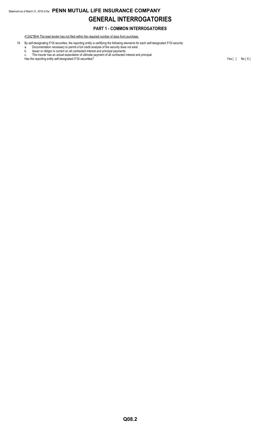# Statement as of March 31, 2018 of the **PENN MUTUAL LIFE INSURANCE COMPANY GENERAL INTERROGATORIES**

# **PART 1 - COMMON INTERROGATORIES**

41242\*BH4 The lead lender has not filed within the required number of days from purchase.

19. By self-designating 5\*GI securities, the reporting entity is certifying the following elements for each self-designated 5\*GI security:

a. Documentation necessary to permit a full credit analysis of the security does not exist.

b. Issuer or obligor is current on all contracted interest and principal payments. c. The insurer has an actual expectation of ultimate payment of all contracted interest and principal.

Has the reporting entity self-designated 5\*GI securities? Yes [ ] No [ X ]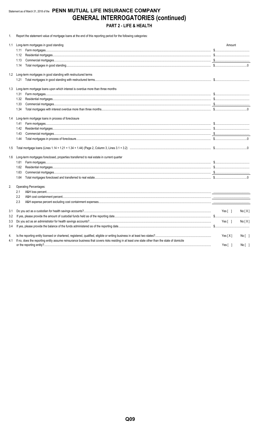# Statement as of March 31, 2018 of the PENN MUTUAL LIFE INSURANCE COMPANY **GENERAL INTERROGATORIES (continued)** PART 2 - LIFE & HEALTH

1. Report the statement value of mortgage loans at the end of this reporting period for the following categories:

|     | 1.1 Long-term mortgages in good standing                                                                                                                                                                                                                                                                                                                                                              | Amount                              |        |
|-----|-------------------------------------------------------------------------------------------------------------------------------------------------------------------------------------------------------------------------------------------------------------------------------------------------------------------------------------------------------------------------------------------------------|-------------------------------------|--------|
|     | 1.11                                                                                                                                                                                                                                                                                                                                                                                                  |                                     |        |
|     | 1.12                                                                                                                                                                                                                                                                                                                                                                                                  |                                     |        |
|     | $\textbf{Commercial} \ \textbf{mortgages} \ \text{} \ \text{} \ \text{} \ \text{} \ \text{} \ \text{} \ \text{} \ \text{} \ \text{} \ \text{} \ \text{} \ \text{} \ \text{} \ \text{} \ \text{} \ \text{} \ \text{} \ \text{} \ \text{} \ \text{} \ \text{} \ \text{} \ \text{} \ \text{} \ \text{} \ \text{} \ \text{} \ \text{} \ \text{} \ \text{} \ \text{} \ \text{} \ \text{} \ \text{$<br>1.13 |                                     |        |
|     | 1.14                                                                                                                                                                                                                                                                                                                                                                                                  |                                     |        |
|     | 1.2 Long-term mortgages in good standing with restructured terms                                                                                                                                                                                                                                                                                                                                      |                                     |        |
|     | 1.21                                                                                                                                                                                                                                                                                                                                                                                                  |                                     |        |
| 1.3 | Long-term mortgage loans upon which interest is overdue more than three months                                                                                                                                                                                                                                                                                                                        |                                     |        |
|     | 1.31                                                                                                                                                                                                                                                                                                                                                                                                  |                                     |        |
|     | 1.32                                                                                                                                                                                                                                                                                                                                                                                                  |                                     |        |
|     | 1.33                                                                                                                                                                                                                                                                                                                                                                                                  |                                     |        |
|     | 1.34                                                                                                                                                                                                                                                                                                                                                                                                  |                                     |        |
| 1.4 | Long-term mortgage loans in process of foreclosure                                                                                                                                                                                                                                                                                                                                                    |                                     |        |
|     | 1.41                                                                                                                                                                                                                                                                                                                                                                                                  |                                     |        |
|     | 1.42                                                                                                                                                                                                                                                                                                                                                                                                  |                                     |        |
|     | 1.43                                                                                                                                                                                                                                                                                                                                                                                                  |                                     |        |
|     | 1.44                                                                                                                                                                                                                                                                                                                                                                                                  |                                     |        |
| 1.5 |                                                                                                                                                                                                                                                                                                                                                                                                       |                                     |        |
| 1.6 | Long-term mortgages foreclosed, properties transferred to real estate in current quarter                                                                                                                                                                                                                                                                                                              |                                     |        |
|     | 1.61                                                                                                                                                                                                                                                                                                                                                                                                  |                                     |        |
|     | 1.62                                                                                                                                                                                                                                                                                                                                                                                                  |                                     |        |
|     | 1.63                                                                                                                                                                                                                                                                                                                                                                                                  |                                     |        |
|     | 1.64                                                                                                                                                                                                                                                                                                                                                                                                  |                                     |        |
| 2.  | Operating Percentages:                                                                                                                                                                                                                                                                                                                                                                                |                                     |        |
|     | 2.1                                                                                                                                                                                                                                                                                                                                                                                                   |                                     |        |
|     | 2.2                                                                                                                                                                                                                                                                                                                                                                                                   |                                     |        |
|     | 2.3                                                                                                                                                                                                                                                                                                                                                                                                   |                                     |        |
| 3.1 |                                                                                                                                                                                                                                                                                                                                                                                                       | Yes $\begin{bmatrix} \end{bmatrix}$ | No[X]  |
| 3.2 |                                                                                                                                                                                                                                                                                                                                                                                                       |                                     |        |
| 3.3 |                                                                                                                                                                                                                                                                                                                                                                                                       | Yes[ ]                              | No[X]  |
| 3.4 |                                                                                                                                                                                                                                                                                                                                                                                                       |                                     |        |
| 4.  |                                                                                                                                                                                                                                                                                                                                                                                                       | Yes $[X]$                           | No [ ] |
| 4.1 | If no, does the reporting entity assume reinsurance business that covers risks residing in at least one state other than the state of domicile                                                                                                                                                                                                                                                        | Yes $[ \ ]$                         | No [ ] |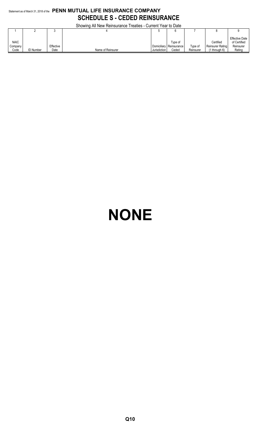# Statement as of March 31, 2018 of the **PENN MUTUAL LIFE INSURANCE COMPANY SCHEDULE S - CEDED REINSURANCE**

Showing All New Reinsurance Treaties - Current Year to Date

|                                |                  |                   | <b>ONOWING A METAGMERISM CONSIGNATION</b> | <b>OUTIVIII TUAT IV DUIV</b> |                                             |                      |                                                  |                                                              |
|--------------------------------|------------------|-------------------|-------------------------------------------|------------------------------|---------------------------------------------|----------------------|--------------------------------------------------|--------------------------------------------------------------|
|                                |                  |                   |                                           |                              | h                                           |                      |                                                  |                                                              |
| <b>NAIC</b><br>Company<br>Code | <b>ID Number</b> | Effective<br>Date | Name of Reinsurer                         | Jurisdiction                 | Type of<br>Domiciliary Reinsurance<br>Ceded | Type of<br>Reinsurer | Certified<br>Reinsurer Rating<br>$(1$ through 6) | <b>Effective Date</b><br>of Certified<br>Reinsurer<br>Rating |

# **NONE**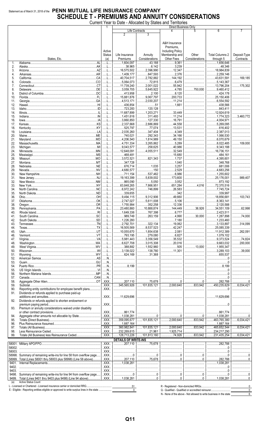# Statement as of March 31, 2018 of the PENN MUTUAL LIFE INSURANCE COMPANY **SCHEDULE T - PREMIUMS AND ANNUITY CONSIDERATIONS**

Current Year to Date - Allocated by States and Territories

|              |                                                                                                                                                                                                                                                                                                                                                                                                                                | 1                                          |                                  | Life Contracts                  | Direct Business Only<br>4               | 5                                                                                                                                                                                                                                                                                                                                                                   | 6                                                                  |                               |
|--------------|--------------------------------------------------------------------------------------------------------------------------------------------------------------------------------------------------------------------------------------------------------------------------------------------------------------------------------------------------------------------------------------------------------------------------------|--------------------------------------------|----------------------------------|---------------------------------|-----------------------------------------|---------------------------------------------------------------------------------------------------------------------------------------------------------------------------------------------------------------------------------------------------------------------------------------------------------------------------------------------------------------------|--------------------------------------------------------------------|-------------------------------|
|              |                                                                                                                                                                                                                                                                                                                                                                                                                                |                                            | 2                                |                                 |                                         |                                                                                                                                                                                                                                                                                                                                                                     |                                                                    |                               |
|              |                                                                                                                                                                                                                                                                                                                                                                                                                                |                                            |                                  |                                 | A&H Insurance                           |                                                                                                                                                                                                                                                                                                                                                                     |                                                                    |                               |
|              |                                                                                                                                                                                                                                                                                                                                                                                                                                |                                            |                                  |                                 | Premiums,                               |                                                                                                                                                                                                                                                                                                                                                                     |                                                                    |                               |
|              |                                                                                                                                                                                                                                                                                                                                                                                                                                | Active                                     |                                  |                                 | <b>Including Policy</b>                 |                                                                                                                                                                                                                                                                                                                                                                     |                                                                    |                               |
|              | States, Etc.                                                                                                                                                                                                                                                                                                                                                                                                                   | <b>Status</b><br>(a)                       | Life Insurance<br>Premiums       | Annuity<br>Considerations       | Membership and<br>Other Fees            | Other<br>Considerations                                                                                                                                                                                                                                                                                                                                             | <b>Total Columns 2</b><br>through 5                                | Deposit-Type<br>Contracts     |
| 1.           | AL<br>Alabama.                                                                                                                                                                                                                                                                                                                                                                                                                 | L                                          | 1,604,097                        | 43,188                          | 9,361                                   |                                                                                                                                                                                                                                                                                                                                                                     | 1,656,646                                                          |                               |
| 2.           |                                                                                                                                                                                                                                                                                                                                                                                                                                | L                                          | 38,965                           | 6,142                           | 3,239                                   |                                                                                                                                                                                                                                                                                                                                                                     | 48,346                                                             |                               |
| 3.<br>4.     |                                                                                                                                                                                                                                                                                                                                                                                                                                | . L<br>. L                                 | $\ldots$ 16,575,502<br>1,409,177 | 2,396,990<br>847,593            | 12,347<br>2,376                         |                                                                                                                                                                                                                                                                                                                                                                     |                                                                    |                               |
| 5.           |                                                                                                                                                                                                                                                                                                                                                                                                                                | . L                                        | 40,704,517                       | 2,782,882                       | 144,192                                 |                                                                                                                                                                                                                                                                                                                                                                     |                                                                    | 169,185                       |
| 6.           |                                                                                                                                                                                                                                                                                                                                                                                                                                | L                                          | $\ldots$ 5,064,073               | 72,815                          | 6,479                                   |                                                                                                                                                                                                                                                                                                                                                                     |                                                                    |                               |
| 7.<br>8.     |                                                                                                                                                                                                                                                                                                                                                                                                                                | L<br>.                                     | 11,739,240<br>3,059,705          | $\ldots$ 2,001,022<br>5,645,922 | 55,942<br>4,785                         | 750,000                                                                                                                                                                                                                                                                                                                                                             | 13,796,204<br>3,460,412                                            | 175,302                       |
| 9.           |                                                                                                                                                                                                                                                                                                                                                                                                                                | . L                                        | 413,958                          | 2,100                           | 8,120                                   |                                                                                                                                                                                                                                                                                                                                                                     | 424,178                                                            |                               |
| 10.          |                                                                                                                                                                                                                                                                                                                                                                                                                                | . L                                        | 15,881,876                       | $\ldots$ 9,067,797              | 200,733                                 |                                                                                                                                                                                                                                                                                                                                                                     | 25,150,406                                                         |                               |
| 11.<br>12.   |                                                                                                                                                                                                                                                                                                                                                                                                                                | . 1.<br>. L                                | 436,854                          | $\ldots$ 2,030,207<br>51        | 11,214<br>1,661                         |                                                                                                                                                                                                                                                                                                                                                                     |                                                                    |                               |
| 13.          |                                                                                                                                                                                                                                                                                                                                                                                                                                | . L                                        | 723,283                          | 120,128                         |                                         |                                                                                                                                                                                                                                                                                                                                                                     | $\vert$ 843,411                                                    |                               |
| 14.          | $\label{eq:1} \hbox{\tt lllinois}. \hbox{\tt .} \hbox{\tt .} \hbox{\tt .} \hbox{\tt .} \hbox{\tt .} \hbox{\tt .} \hbox{\tt .} \hbox{\tt .} \hbox{\tt .} \hbox{\tt .} \hbox{\tt .} \hbox{\tt .} \hbox{\tt .} \hbox{\tt .} \hbox{\tt .} \hbox{\tt .} \hbox{\tt .} \hbox{\tt .} \hbox{\tt .} \hbox{\tt .} \hbox{\tt .} \hbox{\tt .} \hbox{\tt .} \hbox{\tt .} \hbox{\tt .} \hbox{\tt .} \hbox{\tt .} \hbox{\tt .} \hbox{\tt .} \$ | L                                          | 11,687,899                       | 1,203,271                       | 33,449                                  |                                                                                                                                                                                                                                                                                                                                                                     |                                                                    |                               |
| 15.<br>16.   |                                                                                                                                                                                                                                                                                                                                                                                                                                | L<br>. L                                   | 1,451,616<br>3,860,850           | 311,493<br>127,330              | 11,214<br>16,791                        |                                                                                                                                                                                                                                                                                                                                                                     |                                                                    | 3,460,772                     |
| 17.          |                                                                                                                                                                                                                                                                                                                                                                                                                                | .                                          | 2,337,668                        | 2,886,869                       | 44,558                                  |                                                                                                                                                                                                                                                                                                                                                                     |                                                                    |                               |
| 18.          |                                                                                                                                                                                                                                                                                                                                                                                                                                | . L                                        | 525.797                          | 77,074                          | 13,531                                  |                                                                                                                                                                                                                                                                                                                                                                     |                                                                    |                               |
| 19.          |                                                                                                                                                                                                                                                                                                                                                                                                                                | . L                                        | $\ldots$ 2,035,260               | 347,404                         | 4,349                                   |                                                                                                                                                                                                                                                                                                                                                                     |                                                                    |                               |
| 20.<br>21.   |                                                                                                                                                                                                                                                                                                                                                                                                                                | L<br>L                                     | 1.1740,021<br>4,206,540          | 292,343<br>1,814,989            | 34,166<br>49,150                        |                                                                                                                                                                                                                                                                                                                                                                     |                                                                    |                               |
| 22.          |                                                                                                                                                                                                                                                                                                                                                                                                                                | L                                          | 4,751,334                        | 3,265,862                       | 5,289                                   |                                                                                                                                                                                                                                                                                                                                                                     |                                                                    | 109,000                       |
| 23.          |                                                                                                                                                                                                                                                                                                                                                                                                                                | . L                                        | $$ 9.043.577                     | 258,625                         | 40,986                                  |                                                                                                                                                                                                                                                                                                                                                                     |                                                                    |                               |
| 24.<br>25.   |                                                                                                                                                                                                                                                                                                                                                                                                                                | . L<br>. L                                 | 12,648,091<br>468,481            | $\dots$ 4,055,511               | 32,549<br>15,680                        |                                                                                                                                                                                                                                                                                                                                                                     | $1$ 484,161                                                        |                               |
| 26.          |                                                                                                                                                                                                                                                                                                                                                                                                                                | L                                          | 3,572,521                        | 821,343                         | 1,737                                   |                                                                                                                                                                                                                                                                                                                                                                     |                                                                    |                               |
| 27.          |                                                                                                                                                                                                                                                                                                                                                                                                                                | L                                          | $\ldots$ 347,728                 |                                 | 1,040                                   |                                                                                                                                                                                                                                                                                                                                                                     |                                                                    |                               |
| 28.          |                                                                                                                                                                                                                                                                                                                                                                                                                                | L                                          | $\ldots$ 676,714                 | 1,035                           | 3,257                                   |                                                                                                                                                                                                                                                                                                                                                                     |                                                                    |                               |
| 29.<br>30.   |                                                                                                                                                                                                                                                                                                                                                                                                                                | . L<br>. L                                 | 4,680,577<br>711,154             | 150<br>537,462                  | 2,529<br>6,986                          |                                                                                                                                                                                                                                                                                                                                                                     |                                                                    |                               |
| 31.          |                                                                                                                                                                                                                                                                                                                                                                                                                                | . L                                        | 19,163,399                       | 5,839,002                       | 173,600                                 |                                                                                                                                                                                                                                                                                                                                                                     |                                                                    | 989,407                       |
| 32.          |                                                                                                                                                                                                                                                                                                                                                                                                                                | L                                          | $\ldots$ 865,090                 | 5,050                           | 3,052                                   |                                                                                                                                                                                                                                                                                                                                                                     | 1.1.1.1.073,192                                                    |                               |
| 33.<br>34.   |                                                                                                                                                                                                                                                                                                                                                                                                                                | .<br>L                                     | 63,848,265<br>$\ldots$ 6,972,242 | 7,866,951<br>746,899            | 651,284<br>26,583                       | 4,016                                                                                                                                                                                                                                                                                                                                                               | 1.177745724                                                        |                               |
| 35.          |                                                                                                                                                                                                                                                                                                                                                                                                                                | . L                                        | 339,655                          |                                 | 342                                     |                                                                                                                                                                                                                                                                                                                                                                     | 339,997                                                            |                               |
| 36.          | Ohio.                                                                                                                                                                                                                                                                                                                                                                                                                          | L                                          | 9,494,115                        | $\ldots$ 9,312,906              | 49,660                                  |                                                                                                                                                                                                                                                                                                                                                                     |                                                                    | 103,743                       |
| 37.          |                                                                                                                                                                                                                                                                                                                                                                                                                                | . L                                        | 2.747.027                        | 5,611,008                       | 5,106                                   |                                                                                                                                                                                                                                                                                                                                                                     |                                                                    |                               |
| 38.<br>39.   |                                                                                                                                                                                                                                                                                                                                                                                                                                | L<br>. L                                   | 1,755,994<br>23,480,860          | 352,258<br>10,888,874           | 12,336<br>144,449                       |                                                                                                                                                                                                                                                                                                                                                                     | 36,926 34,551,109                                                  | 62,998                        |
| 40.          |                                                                                                                                                                                                                                                                                                                                                                                                                                | L                                          | 1,649,336                        | 767,398                         |                                         |                                                                                                                                                                                                                                                                                                                                                                     | 2,423,511                                                          |                               |
| 41.          | South Carolina.                                                                                                                                                                                                                                                                                                                                                                                                                | .L                                         | 989.749                          | .263.159                        | 4.990                                   | 30.000                                                                                                                                                                                                                                                                                                                                                              | 1.287.898                                                          | 74.000                        |
| 42.<br>43.   |                                                                                                                                                                                                                                                                                                                                                                                                                                | L<br>. L                                   | 1, 226, 280<br>1.111127272701    | 322.134                         | 19.062                                  |                                                                                                                                                                                                                                                                                                                                                                     | 3,133,897                                                          | 314,099                       |
| 44.          |                                                                                                                                                                                                                                                                                                                                                                                                                                | L                                          | $\ldots$ 16,505,569              | 3, 537, 523                     | 42,247                                  |                                                                                                                                                                                                                                                                                                                                                                     | 25,085,339                                                         |                               |
| 45.          |                                                                                                                                                                                                                                                                                                                                                                                                                                | L                                          | $\ldots$ 10,055,670              | 1,854,638                       | 2,081                                   |                                                                                                                                                                                                                                                                                                                                                                     | 11.912.389                                                         | 262,091                       |
| 46.          |                                                                                                                                                                                                                                                                                                                                                                                                                                | L                                          |                                  | 279,080                         | 6,827                                   |                                                                                                                                                                                                                                                                                                                                                                     | 1079,102                                                           |                               |
| 47.<br>48.   |                                                                                                                                                                                                                                                                                                                                                                                                                                | L<br>L                                     | 5.981.443<br>6,627,708           | 3,356,549<br>$\ldots$ 3,015,308 | 35,532<br>20,016                        |                                                                                                                                                                                                                                                                                                                                                                     | 9,373,524<br>32                                                    | 74,824<br>200.000             |
| 49.          |                                                                                                                                                                                                                                                                                                                                                                                                                                | L                                          | 388,882                          | 1,552,960                       | 505                                     |                                                                                                                                                                                                                                                                                                                                                                     | 1,955,347                                                          |                               |
| 50.          |                                                                                                                                                                                                                                                                                                                                                                                                                                | L                                          | 3,139,022                        | 138,780                         | 11,301                                  |                                                                                                                                                                                                                                                                                                                                                                     | 3,289,103                                                          | $\ldots$ 39.000               |
| 51.<br>52.   |                                                                                                                                                                                                                                                                                                                                                                                                                                | L<br>N                                     | $\ldots$ 624,169                 | 31.368                          |                                         |                                                                                                                                                                                                                                                                                                                                                                     | 655,537                                                            |                               |
| 53.          |                                                                                                                                                                                                                                                                                                                                                                                                                                | N                                          |                                  |                                 |                                         |                                                                                                                                                                                                                                                                                                                                                                     |                                                                    |                               |
| 54.          |                                                                                                                                                                                                                                                                                                                                                                                                                                | N                                          | $\dots$ 8.199                    |                                 |                                         |                                                                                                                                                                                                                                                                                                                                                                     | 8.199                                                              |                               |
| 55.          |                                                                                                                                                                                                                                                                                                                                                                                                                                | N                                          |                                  |                                 |                                         |                                                                                                                                                                                                                                                                                                                                                                     |                                                                    |                               |
| 56.<br>57.   |                                                                                                                                                                                                                                                                                                                                                                                                                                | N<br>N                                     |                                  |                                 |                                         |                                                                                                                                                                                                                                                                                                                                                                     |                                                                    |                               |
| 58.          |                                                                                                                                                                                                                                                                                                                                                                                                                                |                                            | $\ldots$ 207,110                 |                                 | 00                                      | 0                                                                                                                                                                                                                                                                                                                                                                   | 282,788                                                            |                               |
| 59.          |                                                                                                                                                                                                                                                                                                                                                                                                                                | XXX                                        | 345,565,926                      | $\frac{1}{2}$ 101,835,121       | $\frac{1}{2,000,640}$                   | 333,942                                                                                                                                                                                                                                                                                                                                                             | 450,235,629                                                        | 6,034,421                     |
| 90.<br>91.   | Reporting entity contributions for employee benefit plans<br>Dividends or refunds applied to purchase paid-up                                                                                                                                                                                                                                                                                                                  | XXX                                        |                                  |                                 |                                         |                                                                                                                                                                                                                                                                                                                                                                     |                                                                    |                               |
|              |                                                                                                                                                                                                                                                                                                                                                                                                                                | XXX                                        | 11,629,696                       |                                 |                                         |                                                                                                                                                                                                                                                                                                                                                                     | 11.629.696                                                         |                               |
| 92.          | Dividends or refunds applied to shorten endowment or                                                                                                                                                                                                                                                                                                                                                                           |                                            |                                  |                                 |                                         |                                                                                                                                                                                                                                                                                                                                                                     |                                                                    |                               |
|              |                                                                                                                                                                                                                                                                                                                                                                                                                                | .XXX.                                      |                                  |                                 |                                         |                                                                                                                                                                                                                                                                                                                                                                     |                                                                    |                               |
| 93.          | Premium or annuity considerations waived under disability                                                                                                                                                                                                                                                                                                                                                                      | $.$ $XXX$                                  | 861,774                          |                                 |                                         |                                                                                                                                                                                                                                                                                                                                                                     | 861.774                                                            |                               |
| 94.          |                                                                                                                                                                                                                                                                                                                                                                                                                                | $.$ $XXX$                                  | 1, 038, 281                      |                                 | 00                                      | $\begin{picture}(20,20) \put(0,0){\vector(1,0){100}} \put(15,0){\vector(1,0){100}} \put(15,0){\vector(1,0){100}} \put(15,0){\vector(1,0){100}} \put(15,0){\vector(1,0){100}} \put(15,0){\vector(1,0){100}} \put(15,0){\vector(1,0){100}} \put(15,0){\vector(1,0){100}} \put(15,0){\vector(1,0){100}} \put(15,0){\vector(1,0){100}} \put(15,0){\vector(1,0){100}} \$ | 1,038,281                                                          |                               |
| 95.          |                                                                                                                                                                                                                                                                                                                                                                                                                                | $.$ $XXX.$                                 | 359,095,677                      |                                 | $\ldots$ 101,835,121 $\ldots$ 2,000,640 | $\overline{\ldots}$ 833,942                                                                                                                                                                                                                                                                                                                                         | 463,765,380                                                        | 6,034,421                     |
| 96.<br>97.   |                                                                                                                                                                                                                                                                                                                                                                                                                                | XXX                                        | 1,887,164<br>.360,982,841<br>.   | 101,835,121                     | $\ldots$ 2,000,640                      |                                                                                                                                                                                                                                                                                                                                                                     | 1,887,164<br>465,652,544                                           | 6.034.421                     |
| 98.          |                                                                                                                                                                                                                                                                                                                                                                                                                                |                                            | .232,269,615                     | 21,961                          | 1,925,714                               |                                                                                                                                                                                                                                                                                                                                                                     | .234,217,290<br>.                                                  |                               |
| 99.          |                                                                                                                                                                                                                                                                                                                                                                                                                                | $.$ XXX $.$                                | .128,713,226<br>.                | 101,813,160                     | 1.174,926                               | 833,942                                                                                                                                                                                                                                                                                                                                                             | 231,435,254<br>.                                                   | $\overline{\ldots}$ 6,034,421 |
|              |                                                                                                                                                                                                                                                                                                                                                                                                                                |                                            | <b>DETAILS OF WRITE-INS</b>      |                                 |                                         |                                                                                                                                                                                                                                                                                                                                                                     |                                                                    |                               |
|              |                                                                                                                                                                                                                                                                                                                                                                                                                                | $\overline{.}$ XXX $\overline{.}$<br>XXX   | $\ldots$ 207,110<br>             | 75,678                          |                                         |                                                                                                                                                                                                                                                                                                                                                                     | 282.788                                                            |                               |
| 58003.       |                                                                                                                                                                                                                                                                                                                                                                                                                                | .XXX.                                      |                                  |                                 |                                         |                                                                                                                                                                                                                                                                                                                                                                     |                                                                    |                               |
|              | 58998. Summary of remaining write-ins for line 58 from overflow page                                                                                                                                                                                                                                                                                                                                                           | .XXX.                                      | 0                                |                                 | 0                                       | 0                                                                                                                                                                                                                                                                                                                                                                   |                                                                    | . 0                           |
|              | 58999. Total (Lines 58001 thru 58003 plus 58998) (Line 58 above)                                                                                                                                                                                                                                                                                                                                                               | .XXX.<br>$\overline{.}$ XXX $\overline{.}$ | .207,110<br>1.038.281            | 75,678                          | 0                                       |                                                                                                                                                                                                                                                                                                                                                                     | .282,788<br>.1,038,281                                             |                               |
| 9402.        |                                                                                                                                                                                                                                                                                                                                                                                                                                | $.$ $XXX$                                  |                                  |                                 |                                         |                                                                                                                                                                                                                                                                                                                                                                     | .<br>0                                                             |                               |
| 9403.        |                                                                                                                                                                                                                                                                                                                                                                                                                                | $.$ $XXX$                                  |                                  |                                 |                                         |                                                                                                                                                                                                                                                                                                                                                                     |                                                                    |                               |
|              | 9498. Summary of remaining write-ins for line 94 from overflow page                                                                                                                                                                                                                                                                                                                                                            | XXX                                        | 0<br>.                           |                                 |                                         | 0                                                                                                                                                                                                                                                                                                                                                                   | 0                                                                  | . 0                           |
| 9499.<br>(a) | Total (Lines 9401 thru 9403 plus 9498) (Line 94 above)<br><b>Active Status Count</b>                                                                                                                                                                                                                                                                                                                                           | .XXX                                       | 1,038,281                        |                                 | 0                                       | 0                                                                                                                                                                                                                                                                                                                                                                   | 1,038,281                                                          |                               |
|              |                                                                                                                                                                                                                                                                                                                                                                                                                                |                                            | 51                               |                                 |                                         |                                                                                                                                                                                                                                                                                                                                                                     |                                                                    | $\mathbf{0}$                  |
|              | E - Eligible - Reporting entities eligible or approved to write surplus lines in the state                                                                                                                                                                                                                                                                                                                                     |                                            | $\mathbf{0}$                     |                                 |                                         |                                                                                                                                                                                                                                                                                                                                                                     |                                                                    | $\mathbf 0$                   |
|              |                                                                                                                                                                                                                                                                                                                                                                                                                                |                                            |                                  |                                 |                                         |                                                                                                                                                                                                                                                                                                                                                                     | N - None of the above - Not allowed to write business in the state |                               |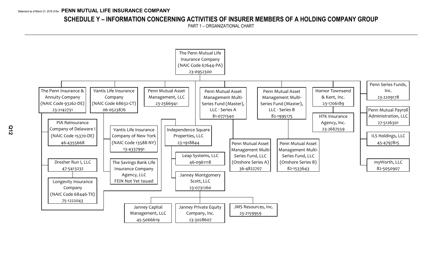# **SCHEDULE Y – INFORMATION CONCERNING ACTIVITIES OF INSURER MEMBERS OF A HOLDING COMPANY GROUP**

PART 1 – ORGANIZATIONAL CHART

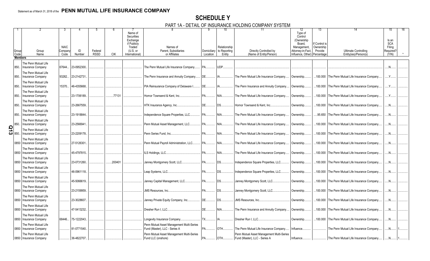# **SCHEDULE Y**

PART 1A - DETAIL OF INSURANCE HOLDING COMPANY SYSTEM

|                    | Group<br>Code  | Group<br>Name                                                            | <b>NAIC</b><br>Compan<br>Code | ID<br>Number | Federal<br><b>RSSD</b> | <b>CIK</b> | Name of<br>Securities<br>Exchange<br>if Publicly<br>Traded<br>$(U.S.$ or<br>International) | Names of<br>Parent, Subsidiaries<br>or Affiliates                          | Location         | 10<br>Relationship<br>Domiciliary to Reporting<br>Entity | 11<br>Directly Controlled by<br>(Name of Entity/Person)                    | 12<br>Type of<br>Control<br>(Ownership<br>Board.<br>Management,<br>Attorney-in-Fact,<br>Influence, Other) | 13<br>lf Control is<br>Ownership<br>Provide<br>Percentage | <b>Ultimate Controlling</b><br>Entity(ies)/Person(s) | 15<br>Is an<br><b>SCA</b><br>Filing<br>Required?<br>(Y/N) |  |
|--------------------|----------------|--------------------------------------------------------------------------|-------------------------------|--------------|------------------------|------------|--------------------------------------------------------------------------------------------|----------------------------------------------------------------------------|------------------|----------------------------------------------------------|----------------------------------------------------------------------------|-----------------------------------------------------------------------------------------------------------|-----------------------------------------------------------|------------------------------------------------------|-----------------------------------------------------------|--|
|                    | <b>Members</b> |                                                                          |                               |              |                        |            |                                                                                            |                                                                            |                  |                                                          |                                                                            |                                                                                                           |                                                           |                                                      |                                                           |  |
|                    |                |                                                                          |                               |              |                        |            |                                                                                            |                                                                            |                  |                                                          |                                                                            |                                                                                                           |                                                           |                                                      |                                                           |  |
|                    | 850.           | The Penn Mutual Life<br><b>Insurance Company</b><br>The Penn Mutual Life | 67644.                        | 23-0952300.  |                        |            |                                                                                            | The Penn Mutual Life Insurance Company.                                    |                  | UDP.                                                     |                                                                            |                                                                                                           |                                                           |                                                      |                                                           |  |
|                    | 850.           | Insurance Company                                                        | 93262.                        | 23-2142731   |                        |            |                                                                                            | The Penn Insurance and Annuity Company                                     | IDE.             |                                                          | The Penn Mutual Life Insurance Company.                                    | Ownership.                                                                                                |                                                           | .100.000 The Penn Mutual Life Insurance Company.     | Y                                                         |  |
|                    | 850.           | The Penn Mutual Life<br><b>Insurance Company</b>                         | 15370                         | 46-4355668.  |                        |            |                                                                                            | PIA Reinsurance Company of Delaware I                                      | DE               | IA                                                       | The Penn Insurance and Annuity Company                                     | Ownership.                                                                                                |                                                           | .100.000 The Penn Mutual Life Insurance Company      | $Y_{\cdot\cdot\cdot}$                                     |  |
|                    | 850.           | The Penn Mutual Life<br>Insurance Company                                |                               | 23-1706189.  |                        | 77131      |                                                                                            | Hornor Townsend & Kent. Inc                                                | PA               | NIA.                                                     | The Penn Mutual Life Insurance Company.                                    | Ownership.                                                                                                | .100.000                                                  | The Penn Mutual Life Insurance Company               |                                                           |  |
|                    | 850.           | The Penn Mutual Life<br>Insurance Company                                |                               | 23-2667559.  |                        |            |                                                                                            | HTK Insurance Agency, Inc                                                  | <b>DE</b>        | DS.                                                      | Hornor Townsend & Kent, Inc                                                | Ownership.                                                                                                |                                                           | .100.000 The Penn Mutual Life Insurance Company.     | $\mathbb{N}$ .                                            |  |
|                    | 850.           | The Penn Mutual Life<br>Insurance Company                                |                               | 23-1918844.  |                        |            |                                                                                            | Independence Square Properties, LLC                                        | <b>PA</b>        | NIA                                                      | The Penn Mutual Life Insurance Company.                                    | Ownership.                                                                                                | .95.650                                                   | The Penn Mutual Life Insurance Company.              | .N                                                        |  |
|                    | 850.           | The Penn Mutual Life<br><b>Insurance Company</b>                         |                               | 23-2566941   |                        |            |                                                                                            | Penn Mutual Asset Management, LLC                                          | <b>PA</b>        | NIA.                                                     | The Penn Mutual Life Insurance Company.                                    | Ownership.                                                                                                | .100.000                                                  | The Penn Mutual Life Insurance Company               |                                                           |  |
| $\frac{5}{2}$ 850. |                | The Penn Mutual Life<br><b>Insurance Company</b>                         |                               | 23-2209178.  |                        |            |                                                                                            | Penn Series Fund. Inc                                                      | $PA$ <sub></sub> | NIA                                                      | The Penn Mutual Life Insurance Company.                                    | Ownership.                                                                                                |                                                           | .100.000 The Penn Mutual Life Insurance Company.     | .N.                                                       |  |
|                    | 0850           | The Penn Mutual Life<br><b>Insurance Company</b>                         |                               | 27-5126301.  |                        |            |                                                                                            | Penn Mutual Payroll Administration, LLC                                    | PA               | NIA                                                      | The Penn Mutual Life Insurance Company.                                    | Ownership.                                                                                                |                                                           | .100.000 The Penn Mutual Life Insurance Company.     | .N                                                        |  |
|                    | 0850           | The Penn Mutual Life<br>Insurance Company                                |                               | 45-4797815.  |                        |            |                                                                                            | LS Holdings, LLC                                                           | <b>PA</b>        | NIA                                                      | The Penn Mutual Life Insurance Company                                     | Ownership.                                                                                                | .100.000                                                  | The Penn Mutual Life Insurance Company               |                                                           |  |
|                    | 0850           | The Penn Mutual Life<br><b>Insurance Company</b>                         |                               | 23-0731260.  |                        | .200401    |                                                                                            | Janney Montgomery Scott, LLC                                               | <b>IPA</b>       | DS                                                       | Independence Square Properties, LLC.                                       | Ownership.                                                                                                |                                                           | .100.000 The Penn Mutual Life Insurance Company.     | .N.                                                       |  |
|                    | 0850           | The Penn Mutual Life<br><b>Insurance Company</b>                         |                               | 46-0961118.  |                        |            |                                                                                            | Leap Systems, LLC                                                          | PA               | DS.                                                      | Independence Square Properties, LLC.                                       | Ownership.                                                                                                |                                                           | .100.000 The Penn Mutual Life Insurance Company      | .N                                                        |  |
|                    | 0850           | The Penn Mutual Life<br>Insurance Company                                |                               | 45-5066619.  |                        |            |                                                                                            | Janney Capital Management, LLC PA                                          |                  | <b>DS</b>                                                | Janney Montgomery Scott, LLC                                               | Ownership.                                                                                                | .100.000                                                  | The Penn Mutual Life Insurance Company               | .N                                                        |  |
|                    | 0850           | The Penn Mutual Life<br><b>Insurance Company</b>                         |                               | 23-2159959.  |                        |            |                                                                                            |                                                                            |                  | <b>DS</b>                                                | Janney Montgomery Scott, LLC                                               | Ownership.                                                                                                |                                                           | .100.000 The Penn Mutual Life Insurance Company.     | .N.                                                       |  |
|                    | 0850           | The Penn Mutual Life<br>Insurance Company                                |                               | 23-3028607.  |                        |            |                                                                                            | Janney Private Equity Company, Inc                                         | DE               | DS.                                                      | JMS Resources, Inc                                                         | Ownership.                                                                                                |                                                           | .100.000 The Penn Mutual Life Insurance Company      | .N                                                        |  |
|                    | 0850           | The Penn Mutual Life<br>Insurance Company                                |                               | 47-5413232.  |                        |            |                                                                                            |                                                                            | DE               | $NIA$                                                    | The Penn Insurance and Annuity Company                                     | Ownership.                                                                                                | .100.000                                                  | The Penn Mutual Life Insurance Company               | N                                                         |  |
|                    | 0850           | The Penn Mutual Life<br><b>Insurance Company</b>                         | 68446.                        | 75-1222043.  |                        |            |                                                                                            | ongevity Insurance Company                                                 | <b>TX</b>        |                                                          | Dresher Run I. LLC                                                         | Ownership.                                                                                                |                                                           | .100.000 The Penn Mutual Life Insurance Company.     | .N.                                                       |  |
|                    | 0850           | The Penn Mutual Life<br>Insurance Company                                |                               | 81-0771540.  |                        |            |                                                                                            | Penn Mutual Asset Management Multi-Series<br>Fund (Master), LLC - Series A | <b>PA</b>        | OTH                                                      | The Penn Mutual Life Insurance Company.                                    | Influence.                                                                                                |                                                           | The Penn Mutual Life Insurance Company               | .N                                                        |  |
|                    |                | The Penn Mutual Life<br>0850   Insurance Company                         |                               | 36-4822707.  |                        |            |                                                                                            | Penn Mutual Asset Management Multi-Series<br>Fund LLC (onshore)            | IPA              | OTH                                                      | Penn Mutual Asset Management Multi-Series<br>Fund (Master), LLC - Series A | Influence.                                                                                                |                                                           | The Penn Mutual Life Insurance Company               |                                                           |  |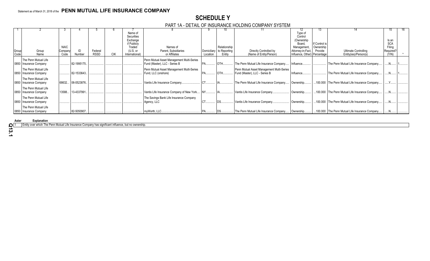# **SCHEDULE Y**

PART 1A - DETAIL OF INSURANCE HOLDING COMPANY SYSTEM

|               |                                                  |                                |                   |                        |     |                                                                                            |                                                        |                                | 10.                                    |                                                    | 12                                                                                                            | 13.                                   |                                                |                                                     |  |
|---------------|--------------------------------------------------|--------------------------------|-------------------|------------------------|-----|--------------------------------------------------------------------------------------------|--------------------------------------------------------|--------------------------------|----------------------------------------|----------------------------------------------------|---------------------------------------------------------------------------------------------------------------|---------------------------------------|------------------------------------------------|-----------------------------------------------------|--|
| Group<br>Code | Group<br>Name                                    | <b>NAIC</b><br>Company<br>Code | Number            | Federal<br><b>RSSD</b> | CIK | Name of<br>Securities<br>Exchange<br>if Publicly<br>Traded<br>$(U.S.$ or<br>International) | Names of<br>Parent, Subsidiaries<br>or Affiliates      | <b>Domiciliary</b><br>Location | Relationship<br>to Reporting<br>Entity | Directly Controlled by<br>(Name of Entity/Person)  | Type of<br>Control<br>(Ownership<br>Board,<br>Management<br>Attorney-in-Fact,<br>Influence, Other) Percentage | If Control is<br>Ownership<br>Provide | Ultimate Controlling<br>Entity(ies)/Person(s)  | Is an<br><b>SCA</b><br>Filing<br>Required?<br>(Y/N) |  |
|               | The Penn Mutual Life                             |                                |                   |                        |     |                                                                                            | Penn Mutual Asset Management Multi-Series              |                                |                                        |                                                    |                                                                                                               |                                       |                                                |                                                     |  |
|               | 0850   Insurance Company                         |                                | 82-1995175.       |                        |     |                                                                                            | Fund (Master), LLC - Series B                          |                                | <b>OTH</b>                             | The Penn Mutual Life Insurance Company             | Influence                                                                                                     |                                       | The Penn Mutual Life Insurance Company         |                                                     |  |
|               | The Penn Mutual Life                             |                                |                   |                        |     |                                                                                            | Penn Mutual Asset Management Multi-Series              |                                |                                        | Penn Mutual Asset Management Multi-Series          |                                                                                                               |                                       |                                                |                                                     |  |
|               | 0850   Insurance Company                         |                                | 82-1533643.       |                        |     |                                                                                            | Fund, LLC (onshore)                                    |                                | <b>OTH</b>                             | Fund (Master), LLC - Series B                      | Influence.                                                                                                    |                                       | The Penn Mutual Life Insurance Company         |                                                     |  |
|               | The Penn Mutual Life<br>0850 Insurance Company   |                                | 68632 06-0523876. |                        |     |                                                                                            | Vantis Life Insurance Company.                         |                                |                                        | The Penn Mutual Life Insurance Company             | Ownership                                                                                                     |                                       | 100.000 The Penn Mutual Life Insurance Company |                                                     |  |
|               | The Penn Mutual Life<br>0850 Insurance Company   |                                | 13588 13-4337991. |                        |     |                                                                                            | Vantis Life Insurance Company of New York              |                                |                                        | Vantis Life Insurance Company.                     | Ownership                                                                                                     |                                       | 100.000 The Penn Mutual Life Insurance Company |                                                     |  |
|               | The Penn Mutual Life<br>0850   Insurance Company |                                |                   |                        |     |                                                                                            | The Savings Bank Life Insurance Company<br>Agency, LLC |                                | DS <sub>1</sub>                        | Vantis Life Insurance Company                      | Ownership                                                                                                     |                                       | 100.000 The Penn Mutual Life Insurance Company | N                                                   |  |
|               | The Penn Mutual Life<br>0850   Insurance Company |                                | 82-5050907.       |                        |     |                                                                                            | myWorth, LLC.                                          |                                |                                        | The Penn Mutual Life Insurance Company   Ownership |                                                                                                               |                                       | 100.000 The Penn Mutual Life Insurance Company |                                                     |  |

**Aster Explanation** 

1 Entity over which The Penn Mutual Life Insurance Company has significant influence, but no ownership.

**Q13.1**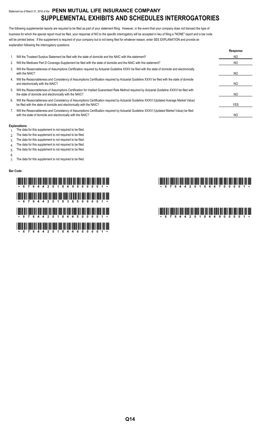# Statement as of March 31, 2018 of the **PENN MUTUAL LIFE INSURANCE COMPANY SUPPLEMENTAL EXHIBITS AND SCHEDULES INTERROGATORIES**

The following supplemental reports are required to be filed as part of your statement filing. However, in the event that your company does not transact the type of business for which the special report must be filed, your response of NO to the specific interrogatory will be accepted in lieu of filing a "NONE" report and a bar code will be printed below. If the supplement is required of your company but is not being filed for whatever reason, enter SEE EXPLANATION and provide an explanation following the interrogatory questions.

|    |                                                                                                                                                                                                                    | Response |
|----|--------------------------------------------------------------------------------------------------------------------------------------------------------------------------------------------------------------------|----------|
|    | Will the Trusteed Surplus Statement be filed with the state of domicile and the NAIC with this statement?                                                                                                          | NO.      |
| 2. | Will the Medicare Part D Coverage Supplement be filed with the state of domicile and the NAIC with this statement?                                                                                                 | NO.      |
| 3. | Will the Reasonableness of Assumptions Certification required by Actuarial Guideline XXXV be filed with the state of domicile and electronically<br>with the NAIC?                                                 | NO       |
| 4. | Will the Reasonableness and Consistency of Assumptions Certification required by Actuarial Guideline XXXV be filed with the state of domicile<br>and electronically with the NAIC?                                 | NO       |
| 5. | Will the Reasonableness of Assumptions Certification for Implied Guaranteed Rate Method required by Actuarial Guideline XXXVI be filed with<br>the state of domicile and electronically with the NAIC?             | NO.      |
| 6. | Will the Reasonableness and Consistency of Assumptions Certification required by Actuarial Guideline XXXVI (Updated Average Market Value)<br>be filed with the state of domicile and electronically with the NAIC? | YES      |
|    | Will the Reasonableness and Consistency of Assumptions Certification required by Actuarial Guideline XXXVI (Updated Market Value) be filed<br>with the state of domicile and electronically with the NAIC?         | NO       |

#### **Explanations:**

- 1. The data for this supplement is not required to be filed.
- 2. The data for this supplement is not required to be filed.
- 3. The data for this supplement is not required to be filed.
- 4. The data for this supplement is not required to be filed.
- 5. The data for this supplement is not required to be filed.
- 6.

7. The data for this supplement is not required to be filed.

### **Bar Code:**

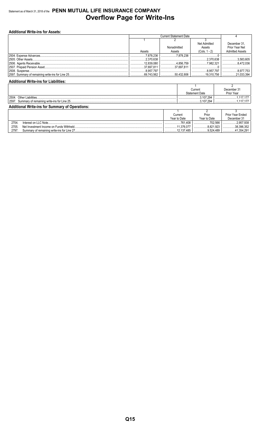# Statement as of March 31, 2018 of the PENN MUTUAL LIFE INSURANCE COMPANY **Overflow Page for Write-Ins**

| <b>Additional Write-ins for Assets:</b> |            |                               |                    |                        |  |  |  |  |  |  |  |
|-----------------------------------------|------------|-------------------------------|--------------------|------------------------|--|--|--|--|--|--|--|
|                                         |            | <b>Current Statement Date</b> |                    |                        |  |  |  |  |  |  |  |
|                                         |            |                               |                    |                        |  |  |  |  |  |  |  |
|                                         |            |                               | Net Admitted       | December 31,           |  |  |  |  |  |  |  |
|                                         |            | Nonadmitted                   | Assets             | Prior Year Net         |  |  |  |  |  |  |  |
|                                         | Assets     | Assets                        | $(Cols. 1 - 2)$    | <b>Admitted Assets</b> |  |  |  |  |  |  |  |
|                                         | .7.878.236 | 7878236                       |                    |                        |  |  |  |  |  |  |  |
|                                         | .2.370.638 |                               | $\ldots$ 2.370.638 | 3.583.605              |  |  |  |  |  |  |  |
|                                         | 12.839.080 | 4.856.759                     | 7.982.321          | 8.472.036              |  |  |  |  |  |  |  |
|                                         | 37,697.811 | 37.697.811                    |                    |                        |  |  |  |  |  |  |  |
|                                         | 8.957.797  |                               |                    | 8.977.753              |  |  |  |  |  |  |  |
|                                         |            |                               |                    | 21,033,394             |  |  |  |  |  |  |  |

# **Additional Write-ins for Liabilities:**

|                                                        |  |  | Current               |  | December 31 |  |  |
|--------------------------------------------------------|--|--|-----------------------|--|-------------|--|--|
|                                                        |  |  | <b>Statement Date</b> |  | Prior Year  |  |  |
| 2504                                                   |  |  | 3.107.294             |  |             |  |  |
| 2597                                                   |  |  | 3.107.294             |  |             |  |  |
| <b>Additional Write-ins for Summary of Operations:</b> |  |  |                       |  |             |  |  |
|                                                        |  |  |                       |  |             |  |  |

|       |                                            | Current       | Prior             | Prior Year Ended |
|-------|--------------------------------------------|---------------|-------------------|------------------|
|       |                                            | Year to Date  | Year to Date      | December 31      |
| 2704  | Interest on LLC Note                       | 1.408<br>761  | 702.566           | 4.957.938        |
| 2705. | Net Investment Income on Funds Withheld.   | 1.376.077<br> | 8.821.923<br>     | 38.396.352       |
| 2797  | Summary of remaining write-ins for Line 27 | .137.485      | $\dots$ 9.524.489 | 4.291            |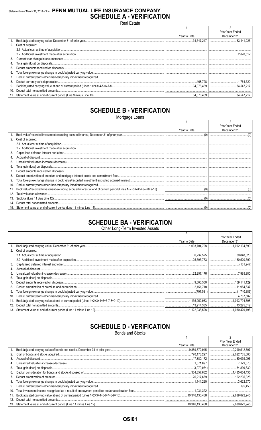# Statement as of March 31, 2018 of the PENN MUTUAL LIFE INSURANCE COMPANY **SCHEDULE A - VERIFICATION**

Real Estate

|                 |                      |              | Prior Year Ended |
|-----------------|----------------------|--------------|------------------|
|                 |                      | Year to Date | December 31      |
|                 |                      |              | 33,441,226       |
|                 | 2. Cost of acquired: |              |                  |
|                 |                      |              |                  |
|                 |                      |              |                  |
| 3.              |                      |              |                  |
| 4.              |                      |              |                  |
| 5.              |                      |              |                  |
| 6.              |                      |              |                  |
|                 |                      |              |                  |
| 8.              |                      |              |                  |
| 9.              |                      |              |                  |
| 10 <sub>1</sub> |                      |              |                  |
|                 |                      |              |                  |

# **SCHEDULE B - VERIFICATION**

Mortgage Loans

|     |                   |              | Prior Year Ended |
|-----|-------------------|--------------|------------------|
|     |                   | Year to Date | December 31      |
|     |                   |              |                  |
| 2.  | Cost of acquired: |              |                  |
|     |                   |              |                  |
|     |                   |              |                  |
| 3.  |                   |              |                  |
|     |                   |              |                  |
| 5.  |                   |              |                  |
| 6.  |                   |              |                  |
|     |                   |              |                  |
| 8.  |                   |              |                  |
| 9.  |                   |              |                  |
| 10. |                   |              |                  |
| 11. |                   |              |                  |
| 12. |                   |              |                  |
| 13. |                   |              |                  |
| 14. |                   |              |                  |
| 15. |                   |              |                  |

# **SCHEDULE BA - VERIFICATION**

Other Long-Term Invested Assets

|     |                   |              | Prior Year Ended |
|-----|-------------------|--------------|------------------|
|     |                   | Year to Date | December 31      |
|     |                   |              |                  |
| 2.  | Cost of acquired: |              |                  |
|     |                   |              |                  |
|     |                   |              |                  |
| 3.  |                   |              |                  |
| 4.  |                   |              |                  |
| 5.  |                   |              |                  |
| 6.  |                   |              |                  |
|     |                   |              |                  |
| 8.  |                   |              |                  |
| 9.  |                   |              |                  |
| 10. |                   |              |                  |
| 11. |                   |              |                  |
| 12. |                   |              |                  |
| 13. |                   |              |                  |

# **SCHEDULE D - VERIFICATION**

**Bonds and Stocks** 

|     |              | Prior Year Ended |
|-----|--------------|------------------|
|     | Year to Date | December 31      |
|     |              | 9,299,512,707    |
| 2.  |              |                  |
| 3.  |              |                  |
| 4.  |              |                  |
| 5.  |              |                  |
| 6.  |              |                  |
|     |              |                  |
| 8.  |              |                  |
| 9.  |              |                  |
| 10. |              |                  |
| 11. |              |                  |
| 12. |              |                  |
|     |              |                  |

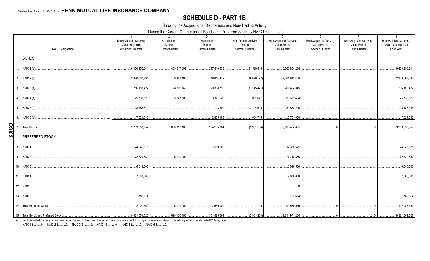# **SCHEDULE D - PART 1B**

Showing the Acquisitions, Dispositions and Non-Trading Activity

During the Current Quarter for all Bonds and Preferred Stock by NAIC Designation

|              | <b>NAIC Designation</b> | $\overline{1}$<br>Book/Adjusted Carrying<br>Value Beginning<br>of Current Quarter | 2<br>Acquisitions<br>During<br><b>Current Quarter</b> | 3 <sup>3</sup><br><b>Dispositions</b><br>During<br><b>Current Quarter</b> | $\overline{4}$<br>Non-Trading Activity<br>During<br><b>Current Quarter</b> | 5<br>Book/Adjusted Carrying<br>Value End of<br><b>First Quarter</b> | 6<br>Book/Adjusted Carrying<br>Value End of<br>Second Quarter | $7\overline{ }$<br>Book/Adjusted Carrying<br>Value End of<br><b>Third Quarter</b> | 8<br>Book/Adjusted Carrying<br>Value December 31<br>Prior Year |
|--------------|-------------------------|-----------------------------------------------------------------------------------|-------------------------------------------------------|---------------------------------------------------------------------------|----------------------------------------------------------------------------|---------------------------------------------------------------------|---------------------------------------------------------------|-----------------------------------------------------------------------------------|----------------------------------------------------------------|
|              | <b>BONDS</b>            |                                                                                   |                                                       |                                                                           |                                                                            |                                                                     |                                                               |                                                                                   |                                                                |
|              |                         | 6,430,956,841                                                                     | 489,217,304                                           | 217,840,353                                                               | 61,520,446                                                                 | 6,763,854,238                                                       |                                                               |                                                                                   | 6,430,956,841                                                  |
|              |                         | 2,380,667,294                                                                     | 169,887,160<br>.                                      | 49,844,419                                                                | (38,896,597)<br>.                                                          | .2,461,813,438                                                      |                                                               |                                                                                   | 2,380,667,294                                                  |
|              |                         | $\dots$ .286,183,422<br>.                                                         | , 28.765.142                                          | 20,308,798                                                                | (33, 145, 421)                                                             | 261,494,345                                                         |                                                               |                                                                                   | 286,183,422                                                    |
|              |                         | 75,738,523                                                                        | 5.147.500                                             | 3,317,646                                                                 | 3.091.027                                                                  | 80,659,404<br>.                                                     |                                                               |                                                                                   | 75,738,523                                                     |
|              |                         | 28,486,344                                                                        |                                                       | $\ldots$ .98,680                                                          | 3.444.546                                                                  | ,31,832,210                                                         |                                                               |                                                                                   | 28,486,344                                                     |
|              |                         | 7,521,533                                                                         |                                                       |                                                                           |                                                                            |                                                                     |                                                               |                                                                                   | 7,521,533                                                      |
| <b>QSI02</b> |                         | $\ldots$ 9,209,553,957                                                            |                                                       | 693,017,106 294,265,084                                                   |                                                                            |                                                                     |                                                               | $\overline{0}$ 0                                                                  | 9,209,553,957                                                  |
|              | PREFERRED STOCK         |                                                                                   |                                                       |                                                                           |                                                                            |                                                                     |                                                               |                                                                                   |                                                                |
|              |                         | 24,946,575<br>.                                                                   |                                                       |                                                                           |                                                                            | 17,386,575                                                          |                                                               |                                                                                   | 24,946,575                                                     |
|              |                         | 72,629,880                                                                        | 5,119,000                                             |                                                                           |                                                                            | 77,748,880<br>.                                                     |                                                               |                                                                                   | 72,629,880                                                     |
|              |                         |                                                                                   |                                                       |                                                                           |                                                                            | 6,048,500<br>.                                                      |                                                               |                                                                                   | 6,048,500                                                      |
|              |                         |                                                                                   |                                                       |                                                                           |                                                                            | , 7,600,000                                                         |                                                               |                                                                                   | 7,600,000                                                      |
|              |                         |                                                                                   |                                                       |                                                                           |                                                                            |                                                                     |                                                               |                                                                                   |                                                                |
|              |                         |                                                                                   |                                                       |                                                                           |                                                                            |                                                                     |                                                               |                                                                                   |                                                                |
|              |                         |                                                                                   |                                                       |                                                                           |                                                                            |                                                                     |                                                               |                                                                                   | 112,007,569                                                    |
|              |                         |                                                                                   |                                                       |                                                                           |                                                                            |                                                                     |                                                               |                                                                                   |                                                                |

(a) Book/Adjusted Carrying Value column for the end of the current reporting period includes the following amount of short-term and cash equivalent bonds by NAIC designation: NAIC 1 \$..........0; NAIC 2 \$..........0; NAIC 3 \$..........0; NAIC 4 \$..........0; NAIC 5 \$..........0; NAIC 6 \$..........0.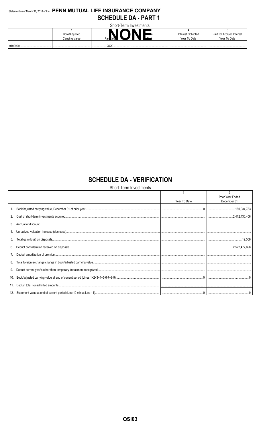# Statement as of March 31, 2018 of the PENN MUTUAL LIFE INSURANCE COMPANY **SCHEDULE DA - PART 1**

| Short-Term Investments |                                 |  |                      |                                           |                                           |
|------------------------|---------------------------------|--|----------------------|-------------------------------------------|-------------------------------------------|
|                        | Book/Adjusted<br>Carrying Value |  | <del>w rot</del> uch | <b>Interest Collected</b><br>Year To Date | Paid for Accrued Interest<br>Year To Date |
| 9199999<br>            |                                 |  |                      |                                           |                                           |

# **SCHEDULE DA - VERIFICATION**

Short-Term Investments

|     |              | Prior Year Ended |
|-----|--------------|------------------|
|     | Year To Date | December 31      |
|     |              |                  |
|     |              |                  |
| 3.  |              |                  |
|     |              |                  |
| 5.  |              |                  |
| 6.  |              |                  |
|     |              |                  |
| 8.  |              |                  |
| 9.  |              |                  |
| 10. |              |                  |
|     |              |                  |
|     |              |                  |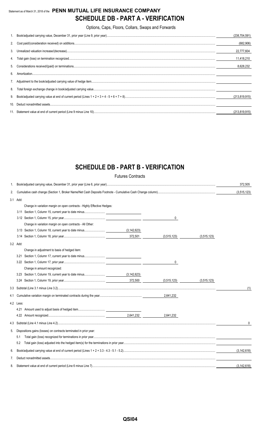# Statement as of March 31, 2018 of the **PENN MUTUAL LIFE INSURANCE COMPANY SCHEDULE DB - PART A - VERIFICATION**

Options, Caps, Floors, Collars, Swaps and Forwards

|    |                                                                                                                                                                                                                                                                                                                                          | (238, 704, 591) |
|----|------------------------------------------------------------------------------------------------------------------------------------------------------------------------------------------------------------------------------------------------------------------------------------------------------------------------------------------|-----------------|
|    |                                                                                                                                                                                                                                                                                                                                          | (682, 906)      |
|    |                                                                                                                                                                                                                                                                                                                                          | 22,777,604      |
|    |                                                                                                                                                                                                                                                                                                                                          | 11,418,210      |
|    |                                                                                                                                                                                                                                                                                                                                          | 8.628.232       |
| 6  | $\textbf{Amortization}.\textrm{}.\textrm{}.\textrm{}.\textrm{}.\textrm{}.\textrm{}.\textrm{}.\textrm{}.\textrm{}.\textrm{}.\textrm{}.\textrm{}.\textrm{}.\textrm{}.\textrm{}.\textrm{}.\textrm{}.\textrm{}.\textrm{}.\textrm{}.\textrm{}.\textrm{}.\textrm{}.\textrm{}.\textrm{}.\textrm{}.\textrm{}.\textrm{}.\textrm{}.\textrm{}.\tex$ |                 |
|    |                                                                                                                                                                                                                                                                                                                                          |                 |
| 8. |                                                                                                                                                                                                                                                                                                                                          |                 |
|    |                                                                                                                                                                                                                                                                                                                                          | (213, 819, 915) |
|    |                                                                                                                                                                                                                                                                                                                                          |                 |
|    |                                                                                                                                                                                                                                                                                                                                          | (213.819.915)   |

# **SCHEDULE DB - PART B - VERIFICATION**

|     |                                                                         | <b>Futures Contracts</b>                          |             |             |               |
|-----|-------------------------------------------------------------------------|---------------------------------------------------|-------------|-------------|---------------|
| 1.  |                                                                         |                                                   |             |             | 372,505       |
| 2.  |                                                                         |                                                   |             |             | (3,515,123)   |
|     | 3.1 Add:                                                                |                                                   |             |             |               |
|     | Change in variation margin on open contracts - Highly Effective Hedges: |                                                   |             |             |               |
|     |                                                                         |                                                   |             |             |               |
|     |                                                                         |                                                   | 0           |             |               |
|     | Change in variation margin on open contracts - All Other:               |                                                   |             |             |               |
|     | 3.13 Section 1, Column 18, current year to date minus                   | (3, 142, 623)                                     |             |             |               |
|     |                                                                         | 372,501                                           | (3,515,123) | (3,515,123) |               |
|     | 3.2 Add:                                                                |                                                   |             |             |               |
|     | Change in adjustment to basis of hedged item:                           |                                                   |             |             |               |
|     |                                                                         |                                                   |             |             |               |
|     |                                                                         |                                                   | 0           |             |               |
|     | Change in amount recognized:                                            |                                                   |             |             |               |
|     | 3.23 Section 1, Column 19, current year to date minus                   | (3, 142, 623)                                     |             |             |               |
|     |                                                                         | $\frac{1}{2}$ and $\frac{1}{2}$ and $\frac{1}{2}$ | (3,515,123) | (3,515,123) |               |
|     |                                                                         |                                                   |             |             | (1)           |
| 4.1 |                                                                         |                                                   | 2,641,232   |             |               |
|     | 4.2 Less:                                                               |                                                   |             |             |               |
|     |                                                                         |                                                   |             |             |               |
|     |                                                                         |                                                   | 2,641,232   |             |               |
|     |                                                                         |                                                   |             |             | $\mathbf{0}$  |
| 5.  | Dispositions gains (losses) on contracts terminated in prior year:      |                                                   |             |             |               |
|     | 5.1                                                                     |                                                   |             |             |               |
|     | 5.2                                                                     |                                                   |             |             |               |
| 6.  |                                                                         |                                                   |             |             | (3, 142, 618) |
| 7.  |                                                                         |                                                   |             |             |               |
| 8.  |                                                                         |                                                   |             |             | (3, 142, 618) |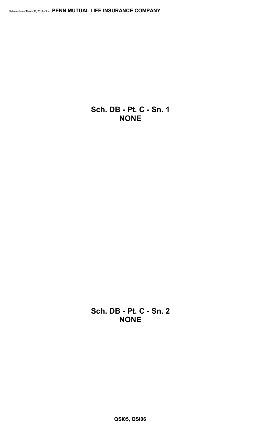**Sch. DB - Pt. C - Sn. 1 NONE**

**Sch. DB - Pt. C - Sn. 2 NONE**

**QSI05, QSI06**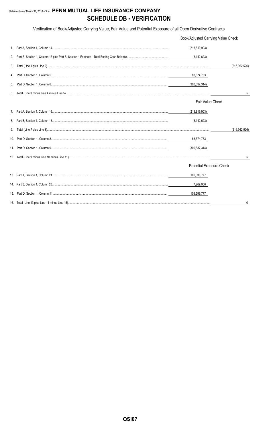# Statement as of March 31, 2018 of the PENN MUTUAL LIFE INSURANCE COMPANY **SCHEDULE DB - VERIFICATION**

Verification of Book/Adjusted Carrying Value, Fair Value and Potential Exposure of all Open Derivative Contracts

|    | Book/Adjusted Carrying Value Check |                 |  |
|----|------------------------------------|-----------------|--|
|    | (213, 819, 903)                    |                 |  |
| 2. | (3, 142, 623)                      |                 |  |
| 3. |                                    | (216, 962, 526) |  |
| 4. | 83,674,783                         |                 |  |
| 5. | (300, 637, 314)                    |                 |  |
| 6. |                                    | 5               |  |
|    | Fair Value Check                   |                 |  |
|    | (213, 819, 903)                    |                 |  |
|    | (3, 142, 623)                      |                 |  |
| 9. |                                    | (216, 962, 526) |  |
|    | 83,674,783                         |                 |  |
|    | (300, 637, 314)                    |                 |  |
|    |                                    | 5               |  |
|    | Potential Exposure Check           |                 |  |
|    | 102,330,777                        |                 |  |
|    | 7,269,000                          |                 |  |
|    | 109,599,777                        |                 |  |
|    |                                    |                 |  |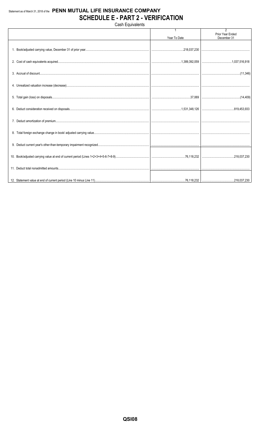# Statement as of March 31, 2018 of the PENN MUTUAL LIFE INSURANCE COMPANY **SCHEDULE E - PART 2 - VERIFICATION**

Cash Equivalents

|  |              | $\overline{2}$                  |
|--|--------------|---------------------------------|
|  | Year To Date | Prior Year Ended<br>December 31 |
|  |              |                                 |
|  |              |                                 |
|  |              |                                 |
|  |              |                                 |
|  |              |                                 |
|  |              |                                 |
|  |              |                                 |
|  |              |                                 |
|  |              |                                 |
|  |              |                                 |
|  |              |                                 |
|  |              |                                 |
|  |              |                                 |
|  |              |                                 |
|  |              |                                 |
|  |              |                                 |
|  |              |                                 |
|  |              |                                 |
|  |              |                                 |
|  |              |                                 |
|  |              |                                 |
|  |              |                                 |
|  |              |                                 |
|  |              |                                 |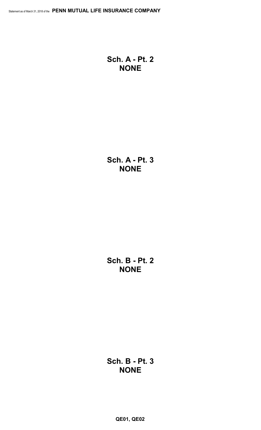**Sch. A - Pt. 2 NONE**

**Sch. A - Pt. 3 NONE**

**Sch. B - Pt. 2 NONE**

**Sch. B - Pt. 3 NONE**

**QE01, QE02**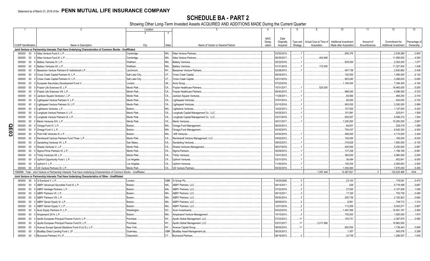SCHEDULE BA - PART 2<br>Showing Other Long-Term Invested Assets ACQUIRED AND ADDITIONS MADE During the Current Quarter

|   |                             |        | 2                                                                                                                            | Location       |           | $5\overline{)}$<br>$6^{\circ}$              |             | 8              | -9                     | 10                           | 11           | 12                    | 13            |
|---|-----------------------------|--------|------------------------------------------------------------------------------------------------------------------------------|----------------|-----------|---------------------------------------------|-------------|----------------|------------------------|------------------------------|--------------|-----------------------|---------------|
|   |                             |        |                                                                                                                              |                |           |                                             |             |                |                        |                              |              |                       |               |
|   |                             |        |                                                                                                                              |                |           | <b>NAIC</b>                                 | Date        |                |                        |                              |              |                       |               |
|   |                             |        |                                                                                                                              |                |           | Desig-                                      | Originally  | Type and       | Actual Cost at Time of | <b>Additional Investment</b> | Amount of    | Commitment for        | Percentage of |
|   | <b>CUSIP</b> Identification |        | Name or Description                                                                                                          | City           | State     | Name of Vendor or General Partner<br>nation | Acquired    | Strategy       | Acquisition            | Made after Acquisition       | Encumbrances | Additional Investment | Ownership     |
|   |                             |        |                                                                                                                              |                |           |                                             |             |                |                        |                              |              |                       |               |
|   |                             |        | Joint Venture or Partnership Interests That Have Underlying Characteristics of Common Stocks - Unaffiliated                  |                |           |                                             |             |                |                        |                              |              |                       |               |
|   | 000000                      | $00\,$ | 0 Atlas Venture Fund X. L.P.                                                                                                 | Cambridge      | MA.       | <b>Atlas Venture Partners</b>               | 03/20/2015. |                |                        | .806.376                     |              | .2,039,266            | .2.800        |
|   | 000000                      | 00     | 0 Atlas Venture Fund XI. L.P.                                                                                                | Cambridge      | MA.       | <b>Atlas Venture Partners</b>               | 06/30/2017  |                | 404.948                |                              |              | 11,595,052            | .4.000        |
|   | 000000                      | $00\,$ | 0 Battery Ventures XI, L.P.                                                                                                  | Waltham.       | MA.       | <b>Battery Ventures</b>                     | 02/22/2016  |                |                        | .805,000                     |              | .2,002,000            | .1.077        |
|   | 000000                      | $00\,$ | 0 Battery Ventures XII, L.P.                                                                                                 | Waltham.       | MA.       | <b>Battery Ventures</b>                     | 01/31/2018  |                | 172.500                |                              |              | 11,327,500            | .1.438        |
|   |                             |        |                                                                                                                              |                |           |                                             |             |                |                        |                              |              |                       |               |
|   | 000000                      | $00\,$ | 0 Bessemer Venture Partners IX Institutional L.P.                                                                            | Larchmont.     | NY.       | <b>Bessemer Venture Partners</b>            | 02/28/2015  |                |                        | 487,736                      |              | .2,830,962            | .0.438        |
|   | 000000                      | $00\,$ | 0 Cross Creek Capital Partners III, L.P.                                                                                     | Salt Lake City | UT        | Cross Creek Capital.                        | 08/29/2013. |                |                        | .150,000                     |              | .1,465,000            | .6.132        |
|   | 000000                      | $00\,$ | 0 Cross Creek Capital Partners IV, L.P.                                                                                      | Salt Lake City | UT.       | Cross Creek Capital.                        | 03/31/2016  |                |                        | .903,240                     |              | .3,266,630            | 5.600         |
|   | 000000                      | $00\,$ | 0 European Secondary Development Fund V.                                                                                     | London         | <b>UK</b> | Arcis Group                                 | 07/22/2016  |                |                        | 1,184,544                    |              | .7,394,400            | .4.164        |
|   | 000000                      | $00\,$ | 0 Frazier Life Sciences IX, L.P.                                                                                             | Menlo Park.    | CA.       | <b>Frazier Healthcare Partners</b>          | 10/31/2017  |                | 520.000                |                              |              | 19,480,000            | .5.000        |
|   | 000000                      | $00\,$ | 0 Frazier Life Sciences VIII, L.P.                                                                                           | Menlo Park     | CA.       | <b>Frazier Healthcare Partners</b>          | 09/30/2015  |                |                        | .966,000                     |              | .4,998,000            | .5.333        |
|   | 000000                      | $00\,$ | Jackson Square Ventures I, L.P.                                                                                              | Menlo Park     | CA.       | Jackson Square Ventures                     | 11/28/2011. |                |                        | .84,564                      |              | 466,254               | .2.416        |
|   |                             |        |                                                                                                                              | Menlo Park     |           |                                             |             |                |                        |                              |              |                       |               |
|   | 000000                      | $00\,$ | 0 Lightspeed Venture Partners X, L.P.                                                                                        |                | CA.       | Lightspeed Ventures                         | 07/07/2014  |                |                        | .90,000                      |              | .540,000              | .0.720        |
|   | 000000                      | $00\,$ | Lightspeed Venture Partners XI, L.P.                                                                                         | Menlo Park     | CA.       | Lightspeed Ventures                         | 03/10/2016  |                |                        | .900,000                     |              | .3,300,000            | .0.999        |
|   | 000000                      | $00\,$ | 0 Lightstone Ventures, L.P.                                                                                                  | Boston.        | MA.       | Lightstone Ventures                         | 10/22/2013  |                |                        | .157,500                     |              | 1,147,500             | .4.423        |
|   | 000000                      | $00\,$ | Longitude Venture Partners II, L.P.                                                                                          | Menlo Park.    | CA.       | Longitude Capital Management Co., LLC.      | 04/25/2013  |                |                        | 151,981                      |              | .525,811              | .1.558        |
|   | 000000                      | $00\,$ | 0 Longitude Venture Partners III, L.P.                                                                                       | Menlo Park     | CA.       | Longitude Capital Management Co., LLC.      | 03/31/2016  |                |                        | .650,057                     |              | .6,559,212            | 1.524         |
|   | 000000                      | $00\,$ | 0 Menlo Ventures XIV, L.P.                                                                                                   | Menlo Park     | CA.       | Menlo Ventures.                             | 05/31/2017  |                |                        | 1,200,000                    |              | 10,200,000            | .2.667        |
|   |                             |        |                                                                                                                              |                | MA.       |                                             |             |                |                        | .64,601                      |              |                       |               |
| O | 000000                      | $00\,$ | 0 Omega Fund IV, L.P.                                                                                                        | Boston.        |           | Omega Fund Management.                      | 06/20/2013  |                |                        |                              |              | .229,319              | .1.089        |
| 円 | 000000                      |        | 00 0 Omega Fund V, L.P.                                                                                                      | Boston.        | MA.       | Omega Fund Management.                      | 04/30/2015  |                |                        | .754.437                     |              | .6,542,340            | 4.000         |
| ω | 000000                      |        | 00 0 Point 406 Ventures III, L.P.                                                                                            | Boston.        | MA.       | 406 Ventures.                               | 04/30/2015  |                |                        | .468,000                     |              | .4,110,000            | .3.429        |
|   | 000000                      | $00\,$ | 0 Rembrandt Venture Partners Fund Three, L.P.                                                                                | Menlo Park     | CA.       | Rembrandt Venture Management, LLC.          | 04/02/2012  |                |                        | .150,000                     |              | .165,000              | 9.025         |
|   | 000000                      | $00\,$ | 0 Sanderling Ventures VII, L.P.                                                                                              | San Mateo      | CA.       | Sanderling Ventures                         | 09/03/2013. |                |                        | .316,829                     |              | 1,900,000             | .6.100        |
|   | 000000                      | $00\,$ | 0 Shasta Ventures V, L.P.                                                                                                    | Menlo Park     | CA.       | Shasta Ventures Management                  | 06/27/2016  |                |                        | .400,000                     |              | 5,200,000             | .2.667        |
|   | 000000                      | $00\,$ | 0 Sigma Prime Partners IX, L.P.                                                                                              | Menlo Park     | CA.       | Sigma Partners.                             | 05/29/2012  |                |                        | 137,228                      |              | 1,199,746             | .6.861        |
|   |                             |        |                                                                                                                              |                |           |                                             |             |                |                        |                              |              |                       |               |
|   | 000000                      | $00\,$ | 0 Trinity Ventures XII, L.P.                                                                                                 | Menlo Park.    | CA.       | <b>Trinity Ventures.</b>                    | 10/31/2015  |                |                        | .360,000                     |              | 4,980,000             | .2.000        |
|   | 000000                      |        | 00 0 Upfront Opportunity Fund I, L.P.                                                                                        | Los Angeles    | CA.       | <b>Upfront Ventures</b>                     | 03/31/2015  |                |                        | .36,494                      |              | .802,841              | .6.000        |
|   | 000000                      |        | 00 0 Upfront V, L.P.                                                                                                         | Los Angeles    | CA.       | <b>Upfront Ventures</b>                     | 11/30/2014. |                |                        | .193.034                     |              | .2,083,653            | .2.500        |
|   | 000000                      |        | 00 0 US Venture Partners XI, L.P.                                                                                            | Menlo Park     | CA.       | US Venture Partners                         | 05/20/2015  |                |                        | 1,050,000                    |              | 7,875,000             | 5.455         |
|   |                             |        | 1599999. Total - Joint Venture or Partnership Interests That Have Underlying Characteristics of Common Stocks - Unaffiliated |                |           |                                             |             |                | .1,097,448             | 12,467,621                   |              | 124,225,486           | .XXX          |
|   |                             |        | Joint Venture or Partnership Interests That Have Underlying Characteristics of Other - Unaffiliated                          |                |           |                                             |             |                |                        |                              |              |                       |               |
|   |                             |        |                                                                                                                              |                |           |                                             |             |                |                        |                              |              |                       |               |
|   |                             |        | 000000 00 0 3i Eurofund V. L.P.                                                                                              | London.        | GBR.      | 3i Group Plc.                               | 10/25/2006  |                |                        | .23.103                      |              | 176,091               | .0.475        |
|   | 000000                      | $00\,$ | 0 ABRY Advanced Securities Fund III, L.P.                                                                                    | Boston.        | MA.       | ABRY Partners, LLC.                         | 09/14/2011. | $\mathfrak{p}$ |                        | .526                         |              | .5,718,458            | .0.667        |
|   | 000000                      | $00\,$ | ABRY Heritage Partners, L.P.                                                                                                 | Boston.        | MA.       | ABRY Partners, LLC.                         | 07/22/2016  |                |                        | .27,500                      |              | .4,107,008            | .1.048        |
|   | 000000                      | $00\,$ | ABRY Partners VII, L.P.                                                                                                      | Boston.        | MA.       | ABRY Partners, LLC.                         | 08/10/2011. |                |                        | .17,320                      |              | 700,739               | .0.490        |
|   | 000000                      | $00\,$ | ABRY Partners VIII. L.P.                                                                                                     | Boston.        | MA.       | ABRY Partners, LLC.                         | 09/30/2014. |                |                        | .205,736                     |              | .2,155,823            | .0.684        |
|   | 000000                      | $00\,$ | 0 ABRY Senior Equity III, L.P                                                                                                | Boston.        | MA.       | <b>ABRY Partners, LLC</b>                   | 08/09/2010  |                |                        | .8,561                       |              | 748,712               | .1.314        |
|   |                             |        |                                                                                                                              |                | MA.       |                                             |             |                |                        |                              |              |                       |               |
|   | 000000                      | $00\,$ | ABRY Senior Equity V, L.P.                                                                                                   | Boston.        |           | ABRY Partners, LLC.                         | 12/01/2016  |                |                        | .113,259                     |              | .8,043,071            | .0.857        |
|   | 000000                      | $00\,$ | Acon Equity Partners IV, L.P.                                                                                                | Washington.    | DC        | Acon Investments.                           | 04/22/2016  |                |                        | 1,491,936                    |              | 15,491,187            | 3.460         |
|   | 000000                      | $00\,$ | Ampersand 2014, L.P.                                                                                                         | Boston.        | MA.       | Ampersand Venture Management                | 10/10/2014  |                |                        | .700,000                     |              | 1,900,000             | .1.873        |
|   | 000000                      | $00\,$ | Apollo European Principal Finance Fund II, L.P.                                                                              | Purchase       | <b>NY</b> | Apollo Global Management, LLC               | 07/23/2012  | 11             |                        | .105,731                     |              | .2,367,675            | .0.565        |
|   | 000000                      | $00\,$ | Apollo European Principal Finance Fund III, L.P.                                                                             | Purchase       | <b>NY</b> | Apollo Global Management, LLC.              | 03/31/2017  | 11             | 2,017,908              |                              |              | 18,982,092            |               |
|   | 000000                      | $00\,$ | 0 Avenue Europe Special Situations Fund III (U.S.), L.P.                                                                     | New York.      | <b>NY</b> | Avenue Capital Group.                       | 06/05/2015  | 11             |                        | .800,000                     |              | 1,728,443             | .0.800        |
|   | 000000                      |        | 00 0 BlueBay Direct Lending Fund I, LP.                                                                                      | Guernsev       | GBR.      | BlueBay Asset Management plc.               | 06/25/2013  |                |                        | .1,357                       |              | .545.576              | .0.288        |
|   |                             |        |                                                                                                                              |                |           |                                             |             |                |                        |                              |              |                       |               |
|   | 000000                      |        | 00 0 Brynwood Partners VI L.P.                                                                                               | Greenwich      |           | CT Brynwood Partners.                       | 06/18/2010  |                |                        | .32,709                      |              | 1,266,507             | 1.635         |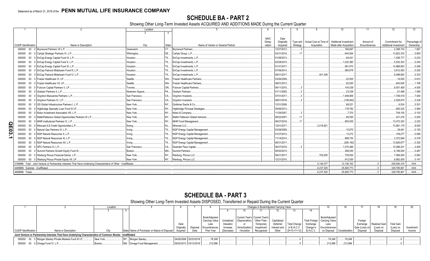# **SCHEDULE BA - PART 2**

Showing Other Long-Term Invested Assets ACQUIRED AND ADDITIONS MADE During the Current Quarter

|                                  |                                                                                                                      | Location           |           |                                    |             |                        | -8                   | q                      | 10 <sup>10</sup>                                | 11                        | 12                                         | 13                  |
|----------------------------------|----------------------------------------------------------------------------------------------------------------------|--------------------|-----------|------------------------------------|-------------|------------------------|----------------------|------------------------|-------------------------------------------------|---------------------------|--------------------------------------------|---------------------|
|                                  |                                                                                                                      |                    |           |                                    |             |                        |                      |                        |                                                 |                           |                                            |                     |
|                                  |                                                                                                                      |                    |           |                                    | <b>NAIC</b> | Date                   |                      |                        |                                                 |                           |                                            |                     |
| <b>CUSIP</b> Identification      | Name or Description                                                                                                  |                    |           | Name of Vendor or General Partner  | Desig-      | Originally             | Type and<br>Strategy | Actual Cost at Time of | Additional Investment<br>Made after Acquisition | Amount of<br>Encumbrances | Commitment for                             | Percentage o        |
|                                  | 000000 00 0 Brynwood Partners VII L.P.                                                                               | City<br>Greenwich. | State     | Brvnwood Partners.                 | nation      | Acquired<br>12/27/2013 |                      | Acquisition            | .166.667                                        |                           | <b>Additional Investment</b><br>.2,389,734 | Ownership<br>.1.667 |
| 000000                           | 00 0 Carlyle Strategic Partners IV, L.P.                                                                             | Wilminaton         | DE.       | Carlyle Group, L.P                 |             | 03/31/2016             |                      |                        | 644.564                                         |                           | .13.622.333                                | .0.800              |
| 000000                           | 00 0 EnCap Energy Capital Fund IX, L.P.                                                                              | Houston.           |           | EnCap Investments, L.P.            |             | 01/08/2013.            |                      |                        | 84.041                                          |                           | .1,538,777                                 | .0.233              |
| 000000                           | 00 0 EnCap Energy Capital Fund X, L.P.                                                                               | Houston.           | <b>TX</b> | EnCap Investments, L.P.            |             | 02/28/2015             |                      |                        | .1,022,380                                      |                           | .5,532,303                                 | .0.340              |
| 000000                           | 00 0 EnCap Energy Capital Fund XI, L.P.                                                                              | Houston.           | TX        | EnCap Investments, L.P.            |             | 01/31/2017             |                      |                        | 561.973                                         |                           | .14.868.853                                | .0.246              |
| 000000                           | 00 0 EnCap Flatrock Midstream Fund III, L.P.                                                                         | Houston.           | <b>TX</b> | EnCap Investments, L.P.            |             | 07/09/2014             |                      |                        | 580.679                                         |                           | .3,612,593                                 | .0.200              |
| 000000                           | 00 0 EnCap Flatrock Midstream Fund IV, L.P.                                                                          | Houston.           | <b>TX</b> | EnCap Investments, L.P.            |             | 08/31/2017             |                      | .401.348               |                                                 |                           | .9,598,652                                 | .0.333              |
| 000000                           | 00 0 Frazier Healthcare VI. LP.                                                                                      | Seattle.           | WA.       | <b>Frazier Healthcare Partners</b> |             | 03/26/2008.            |                      |                        | .22.500                                         |                           | .16,500                                    | .0.812              |
| 000000<br>$00\,$                 | Frazier Healthcare VII. LP.                                                                                          | Seattle.           | WA.       | <b>Frazier Healthcare Partners</b> |             | 08/01/2013.            |                      |                        | .82,500                                         |                           | 640,000                                    | .1.706              |
| 000000                           | 00 0 Fulcrum Capital Partners V, LP.                                                                                 | Toronto.           | ON        | <b>Fulcrum Capital Partners</b>    |             | 06/11/2015.            |                      |                        | 104,039                                         |                           | .6,501,458                                 | .4.000              |
| 000000<br>$00\,$                 | 0 Graham Partners II. L.P.                                                                                           | Newtown Sgaure.    | <b>PA</b> | Graham Partners.                   |             | 01/11/2005             |                      |                        | 23,339                                          |                           | 61.469                                     | .1.080              |
| 000000                           | 00 0 Gryphon Mezzanine Partners, L.P.                                                                                | San Francisco.     | CA.       | Gryphon Investors.                 |             | 07/01/2017             |                      |                        | 1,449,909                                       |                           | 1,709,519                                  | .7.000              |
| 000000                           | 00 0 Gryphon Partners IV, L.P.                                                                                       | San Francisco.     | CA        | Gryphon Investors                  |             | 09/01/2016             |                      |                        | (158, 842)                                      |                           | .2,528,675                                 | .2.238              |
| $00\,$<br>000000                 | 0 GS Global Infrastructure Partners I, L.P.                                                                          | New York.          | <b>NY</b> | Goldman Sachs & Co.                |             | 12/31/2006             |                      |                        | 68,521                                          |                           | .6,534                                     | 0.301               |
| 000000<br>$00\,$                 | Highbridge Specialty Loan Fund III LP                                                                                | New York.          | <b>NY</b> | Highbridge Principal Strategies.   |             | 05/06/2013.            |                      |                        | .178,782                                        |                           | 690.323                                    | .3.594              |
| 000000                           | 00 0 Kelso Investment Associates VIII. L.P.                                                                          | New York.          | <b>NV</b> | Kelso & Company                    |             | 11/29/2007             |                      |                        | .7,370                                          |                           | 748,150                                    | 0.103               |
| 000000                           | 00 0 MatlinPatterson Global Opportunities Partners III L.P.                                                          | New York.          |           | Matlin Patterson Global Advisors.  |             | 06/22/2007.            |                      |                        | .80.000                                         |                           | 241.416                                    | .0.200              |
| 000000                           | 00 0 MHR Institutional Partners IV, L.P.                                                                             | New York.          |           | <b>MHR Fund Management</b>         |             | 06/27/2016             |                      |                        | .850.000                                        |                           | .13.472.303                                | .2.222              |
| <u>ရ</u><br>000000               | 00 0 Miravast ILS Credit Opportunities L.P.                                                                          | Ewing              |           | Miravast LLC.                      |             | 12/01/2017             |                      | .2,018,821             |                                                 |                           | .13,981,179                                | 0.8.000             |
|                                  | 000000 00 0 Natural Gas Partners IX, L.P.                                                                            | Irving.            | <b>TX</b> | NGP Energy Capital Management.     |             | 03/28/2008             |                      |                        | .10.670                                         |                           | 38.461                                     | 0.125               |
| $\overline{3}$ .                 | 000000 00 0 NGP Natural Resources X. L.P.                                                                            | Irving.            | <b>TX</b> | NGP Energy Capital Management.     |             | 01/27/2012             |                      |                        | .13,272                                         |                           | 109,277                                    | .0.056              |
|                                  | 000000 00 0 NGP Natural Resources XI. L.P.                                                                           | Irvina.            | TX        | NGP Energy Capital Management.     |             | 11/14/2014             |                      |                        | .998.754                                        |                           | .3.372.846                                 | .0.378              |
| 000000                           | 00 0 NGP Natural Resources XII. L.P.                                                                                 | Irving.            |           | NGP Energy Capital Management.     |             | 08/31/2017.            |                      |                        | (260, 192)                                      |                           | .13,629,877                                | .0.302              |
| 000000                           | 00 0 SPC Partners VI. L.P.                                                                                           | San Francisco.     | CA        | Swander Pace Capital.              |             | 06/27/2016.            |                      |                        | 1,070,488                                       |                           | .10,098,201                                | .2.400              |
| 000000                           | 00 0 Summit Partners Growth Equity Fund IX.                                                                          | Boston.            | MA        | Summit Partners.                   |             | 09/30/2015.            |                      |                        | 368,000                                         |                           | .6.168.000                                 | .0.267              |
| 000000                           | 00 0 Warburg Pincus Financial Sector, L.P.                                                                           | New York.          |           | Warburg, Pincus LLC.               |             | 09/21/2017             |                      | .702.000               | 729,000                                         |                           | .7,569,000                                 | .0.563              |
|                                  | 000000 00 0 Warburg Pincus Private Equity XII, LP.                                                                   | New York           |           | Warburg, Pincus LLC.               |             | 12/21/2015.            |                      |                        | 912.000                                         |                           | .8.882.500                                 | 0.147               |
|                                  | 2199999. Total - Joint Venture or Partnership Interests That Have Underlying Characteristics of Other - Unaffiliated |                    |           |                                    |             |                        |                      | .5.140.077             | 13.138.152                                      |                           | .205.560.315                               | XXX.                |
| 4499999. Subtotal - Unaffiliated |                                                                                                                      |                    |           |                                    |             |                        |                      | .6,237,525             | .25,605,773                                     |                           | .329,785,801                               | XXX.                |
| 4699999. Totals.                 |                                                                                                                      |                    |           |                                    |             |                        |                      | .6.237.525             | 25,605,773                                      |                           | .329,785,801                               | XXX.                |

# **SCHEDULE BA - PART 3**

Showing Other Long-Term Invested Assets DISPOSED, Transferred or Repaid During the Current Quarter

|                             |                                                                                                             | Location |                                                        |                       |          |                |            |                                       | Changes in Book/Adjusted Carrying Value |              |                     |           |                                |         |                |               |                   |            |
|-----------------------------|-------------------------------------------------------------------------------------------------------------|----------|--------------------------------------------------------|-----------------------|----------|----------------|------------|---------------------------------------|-----------------------------------------|--------------|---------------------|-----------|--------------------------------|---------|----------------|---------------|-------------------|------------|
|                             |                                                                                                             |          |                                                        |                       |          |                |            |                                       |                                         |              |                     |           |                                |         |                |               |                   |            |
|                             |                                                                                                             |          |                                                        |                       |          |                |            |                                       |                                         |              |                     |           |                                |         |                |               |                   |            |
|                             |                                                                                                             |          |                                                        |                       |          | Book/Adiusted  |            | Current Year's Current Year's         |                                         |              |                     |           | Book/Adiusted                  |         |                |               |                   |            |
|                             |                                                                                                             |          |                                                        |                       |          | Carrying Value |            | Unrealized (Depreciation) Other-Than- |                                         | Capitalized  |                     |           | Total Foreign   Carrying Value |         | Foreign        |               |                   |            |
|                             |                                                                                                             |          |                                                        | Date                  |          | Less           | Valuation  |                                       | Temporary                               | Deferred     | <b>Total Change</b> | Exchange  | Less                           |         | Exchange       | Realized Gain | <b>Total Gain</b> |            |
|                             |                                                                                                             |          |                                                        | Original              | Disposal | Encumbrances.  | Increase   | (Amortization)                        | Impairment                              | Interest and | in $B.A.C.V.$       | Change in | Encumbrances                   |         | Gain (Loss) on | (Loss) oı     | (Loss) on         | Investment |
| <b>CUSIP Identification</b> | Name or Description                                                                                         |          | State Name of Purchaser or Nature of Disposal Acquired |                       | Date     | Prior Year     | (Decrease) | / Accretion                           | Recognized                              | Other        | $(9+10-11+12)$      | B./A.C.V. | on Disposal Consideration      |         | Disposal       | Disposal      | Disposal          | Income     |
|                             | Joint Venture or Partnership Interests That Have Underlying Characteristics of Common Stocks - Unaffiliated |          |                                                        |                       |          |                |            |                                       |                                         |              |                     |           |                                |         |                |               |                   |            |
|                             | 000000 00 0 Morgan Stanley Private Markets Fund III LP                                                      | New York | NY Morgan Stanley.                                     | 04/26/2006 02/23/2018 |          | 78.248         |            |                                       |                                         |              |                     |           | 78.248                         | 78.248  |                |               |                   |            |
|                             | 000000 00 0 Omega Fund IV, L.P                                                                              | Boston.  | MA. Omega Fund Management                              | 06/20/2013 03/13/2018 |          | .212,996       |            |                                       |                                         |              |                     |           | 212,996                        | 212,996 |                |               |                   |            |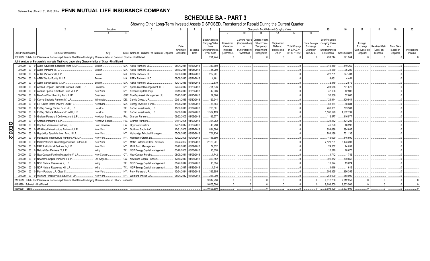SCHEDULE BA - PART 3<br>Showing Other Long-Term Invested Assets DISPOSED, Transferred or Repaid During the Current Quarter

|          |                             |              |                                                                                                                                                                                                                                     | Location               |                |                                                              |                          |                          |                       |            |                       |                       | Changes in Book/Adiusted Carrving Value |                     |                      | 15                      | 16                       | 17             | 18                   | 19                | 20         |
|----------|-----------------------------|--------------|-------------------------------------------------------------------------------------------------------------------------------------------------------------------------------------------------------------------------------------|------------------------|----------------|--------------------------------------------------------------|--------------------------|--------------------------|-----------------------|------------|-----------------------|-----------------------|-----------------------------------------|---------------------|----------------------|-------------------------|--------------------------|----------------|----------------------|-------------------|------------|
|          |                             |              |                                                                                                                                                                                                                                     | $\mathcal{E}$          | $\overline{4}$ |                                                              |                          |                          |                       | -9         | 10                    | 11                    | 12                                      | 13                  | 14                   |                         |                          |                |                      |                   |            |
|          |                             |              |                                                                                                                                                                                                                                     |                        |                |                                                              |                          |                          | Book/Adjusted         |            | <b>Current Year's</b> | <b>Current Year's</b> |                                         |                     |                      | Book/Adiusted           |                          |                |                      |                   |            |
|          |                             |              |                                                                                                                                                                                                                                     |                        |                |                                                              |                          |                          | <b>Carrying Value</b> | Unrealized | (Depreciation)        | Other-Than-           | Capitalized                             |                     | <b>Total Foreign</b> | Carrying Value          |                          | Foreign        |                      |                   |            |
|          |                             |              |                                                                                                                                                                                                                                     |                        |                |                                                              | Date                     |                          | Less                  | Valuation  | or                    | Temporary             | Deferred                                | <b>Total Change</b> | Exchange             | Less                    |                          | Exchange       | <b>Realized Gain</b> | <b>Total Gain</b> |            |
|          |                             |              |                                                                                                                                                                                                                                     |                        |                |                                                              | Originally               | Disposal                 | Encumbrances          | Increase   | (Amortization         | Impairment            | Interest and                            | in B./A.C.V.        | Change in            | Encumbrances            |                          | Gain (Loss) on | (Loss) on            | (Loss) on         | Investment |
|          | <b>CUSIP</b> Identification |              | Name or Description                                                                                                                                                                                                                 | City                   |                | State Name of Purchaser or Nature of Disposal                | Acquired                 | Date                     | Prior Year<br>291.244 | (Decrease) | / Accretion           | Recognized            | Other                                   | $(9+10-11+12)$      | B./A.C.V.            | on Disposal<br>.291.244 | Consideration<br>291.244 | Disposal       | Disposal             | Disposal          | Income     |
|          |                             |              | 1599999. Total - Joint Venture or Partnership Interests That Have Underlying Characteristics of Common Stocks - Unaffiliated<br>Joint Venture or Partnership Interests That Have Underlying Characteristics of Other - Unaffiliated |                        |                |                                                              |                          |                          |                       |            |                       |                       |                                         |                     |                      |                         |                          |                |                      |                   |            |
|          | 000000                      | $00\,$       | 0 ABRY Advanced Securities Fund II, L.P.                                                                                                                                                                                            | Boston.                |                | MA. ABRY Partners, LLC.                                      | 05/04/2011               | 03/23/2018               | .349,360              |            |                       |                       |                                         |                     |                      | .349,360                | 349,360                  |                |                      |                   |            |
|          | 000000                      | 00           | ABRY Partners VII. L.P.                                                                                                                                                                                                             | Boston.                | MA.            | <b>ABRY Partners, LLC.</b>                                   | 08/10/2011               | 01/05/2018               | .35,289               |            |                       |                       |                                         |                     |                      | 35,289                  | .35,289                  |                |                      |                   |            |
|          |                             | 00           | <b>ABRY Partners VIII. L.P.</b>                                                                                                                                                                                                     | Boston.                | MA.            | <b>ABRY Partners, LLC.</b>                                   | 09/30/2014               | 01/17/2018               | 227,701               |            |                       |                       |                                         |                     |                      | .227,701                | 227,701                  |                |                      |                   |            |
|          | 000000<br>000000            | $00\,$       | ABRY Senior Equity III, L.P.                                                                                                                                                                                                        | Boston.                | MA.            | <b>ABRY Partners, LLC.</b>                                   | 08/09/2010               | 03/21/2018               | 4,461                 |            |                       |                       |                                         |                     |                      | .4,461                  | .4,461                   |                |                      |                   |            |
|          | 000000                      | 00           | ABRY Senior Equity V, L.P.                                                                                                                                                                                                          | Boston.                | MA.            | <b>ABRY Partners, LLC.</b>                                   | 12/01/2016               | 03/27/2018               | 2,879                 |            |                       |                       |                                         |                     |                      | .2,879                  | 2,879                    |                |                      |                   |            |
|          | 000000                      | 00           | Apollo European Principal Finance Fund II, L.P.                                                                                                                                                                                     | Purchase               |                | Apollo Global Management, LLC.                               | 07/23/2012               | 03/23/2018               | .701,676              |            |                       |                       |                                         |                     |                      | 701,676                 | 701,676                  |                |                      |                   |            |
|          |                             | 00           | Avenue Special Situations Fund VI, L.P.                                                                                                                                                                                             | New York.              | NY             | Avenue Capital Group.                                        | 06/15/2010               | 03/28/2018               | .42,906               |            |                       |                       |                                         |                     |                      | .42,906                 | .42,906                  |                |                      |                   |            |
|          | 000000                      |              | BlueBay Direct Lending Fund I, LP.                                                                                                                                                                                                  | Guernsey               |                | GBR BlueBay Asset Management plc                             | 06/25/2013               | 02/15/2018               | .52,866               |            |                       |                       |                                         |                     |                      | .52,866                 | .52,866                  |                |                      |                   |            |
|          | 000000                      | 00           | Carlyle Strategic Partners IV, L.P.                                                                                                                                                                                                 |                        |                | DE Carlyle Group, L.P                                        | 03/31/2016               | 02/20/2018               | .129,944              |            |                       |                       |                                         |                     |                      | .129,944                | 129,944                  |                |                      |                   |            |
|          | 000000<br>000000            | 00<br>00     | EIF United States Power Fund IV, L.P.                                                                                                                                                                                               | Wilmington             |                |                                                              | 11/28/2011               | 02/01/2018               | .88,884               |            |                       |                       |                                         |                     |                      | .88,884                 | .88,884                  |                |                      |                   |            |
|          |                             |              | EnCap Energy Capital Fund VIII, L.P.                                                                                                                                                                                                | Needham                |                | MA. Energy Investors Funds<br>TX EnCap Investments, L.P.     | 11/30/2010               | 03/27/2018               | 763,301               |            |                       |                       |                                         |                     |                      | 763,301                 | 763,301                  |                |                      |                   |            |
|          | 000000                      | $00\,$       | EnCap Flatrock Midstream Fund III, L.P.                                                                                                                                                                                             | Houston.<br>Houston.   |                | TX EnCap Investments, L.P.                                   | 07/09/2014               | 02/22/2018               | 1,502,199             |            |                       |                       |                                         |                     |                      | 1,502,199               | 1,502,199                |                |                      |                   |            |
|          | 000000<br>000000            | 00<br>$00\,$ | Graham Partners II Co-Investment, L.P.                                                                                                                                                                                              | Newtown Sqaure         | PA.            | Graham Partners.                                             | 09/22/2005               | 01/09/2018               | 116,577               |            |                       |                       |                                         |                     |                      |                         | 116,577                  |                |                      |                   |            |
|          |                             | 00           | Graham Partners II. L.P                                                                                                                                                                                                             | Newtown Sqaure         | PA             | Graham Partners.                                             | 01/11/2005               | 01/09/2018               | .324,282              |            |                       |                       |                                         |                     |                      | 116,577<br>.324,282     | 324,282                  |                |                      |                   |            |
|          | 000000                      |              | Gryphon Mezzanine Partners, L.P.                                                                                                                                                                                                    | San Francisco.         |                | CA., Gryphon Investors.                                      | 07/01/2017               | 03/29/2018               | .46,298               |            |                       |                       |                                         |                     |                      | .46,298                 | .46,298                  |                |                      |                   |            |
| <u>ရ</u> | 000000                      | 00<br>$00\,$ | GS Global Infrastructure Partners I, L.P.                                                                                                                                                                                           | New York.              |                | NY Goldman Sachs & Co.                                       | 12/31/2006               | 03/22/2018               | .894,686              |            |                       |                       |                                         |                     |                      | .894,686                | .894,686                 |                |                      |                   |            |
| င္လ      | 000000                      |              |                                                                                                                                                                                                                                     |                        |                |                                                              |                          | 03/16/2018               |                       |            |                       |                       |                                         |                     |                      |                         |                          |                |                      |                   |            |
| N        | 000000                      | 00           | Highbridge Specialty Loan Fund III LP.<br>Macquarie Infrastructure Partners A/B, L.P                                                                                                                                                | New York.              |                | NY Highbridge Principal Strategies.                          | 05/06/2013<br>12/22/2006 | 02/07/2018               | 701,136<br>.146,690   |            |                       |                       |                                         |                     |                      | 701,136<br>146,690      | 701,136<br>.146,690      |                |                      |                   |            |
|          | 000000                      | 00           |                                                                                                                                                                                                                                     | New York.              |                | NY Macquarie Group, Ltd.                                     |                          |                          |                       |            |                       |                       |                                         |                     |                      |                         |                          |                |                      |                   |            |
|          | 000000                      | 00<br>00     | MatlinPatterson Global Opportunities Partners III L.P<br>MHR Institutional Partners IV, L.P.                                                                                                                                        | New York.<br>New York. |                | Matlin Patterson Global Advisors.<br>NY MHR Fund Management. | 06/22/2007               | 03/15/2018<br>03/09/2018 | .2,123,201<br>.74,852 |            |                       |                       |                                         |                     |                      | .2,123,201              | .2,123,201               |                |                      |                   |            |
|          | 000000                      |              |                                                                                                                                                                                                                                     |                        |                |                                                              | 06/27/2016               |                          |                       |            |                       |                       |                                         |                     |                      | .74,852                 | .74,852                  |                |                      |                   |            |
|          | 000000                      | 00           | Natural Gas Partners IX, L.P.                                                                                                                                                                                                       | Irving.<br>New Canaan. | TX             | NGP Energy Capital Management.                               | 03/28/2008               | 03/08/2018               | .10,670               |            |                       |                       |                                         |                     |                      | 10,670                  | 10.670                   |                |                      |                   |            |
|          | 000000                      | $00\,$       | New Canaan Funding Mezzanine V, L.P                                                                                                                                                                                                 |                        |                | CT. New Canaan Funding.                                      | 08/05/2011               | 01/05/2018               | 1,742                 |            |                       |                       |                                         |                     |                      | .1,742                  | .1.742                   |                |                      |                   |            |
|          | 000000                      | 00           | Newstone Capital Partners II, L.P                                                                                                                                                                                                   | Los Angeles.           |                | CA Newstone Capital Partners.                                | 12/10/2010               | 01/08/2018               | .300,852              |            |                       |                       |                                         |                     |                      | 300,852                 | .300,852                 |                |                      |                   |            |
|          | 000000                      | 00           | NGP Natural Resources X, L.P.                                                                                                                                                                                                       | Irving                 |                | TX NGP Energy Capital Management.                            | 01/27/2012               | 03/22/2018               | .13,824               |            |                       |                       |                                         |                     |                      | 13,824                  | 13,824                   |                |                      |                   |            |
|          | 000000                      | $00\,$       | NGP Natural Resources XII, L.P.                                                                                                                                                                                                     | Irving.                |                | TX NGP Energy Capital Management.                            | 08/31/2017               | 01/22/2018               | 1,616                 |            |                       |                       |                                         |                     |                      | .1,616                  | .1,616                   |                |                      |                   |            |
|          | 000000                      | $00\,$       | Perry Partners L.P. Class C.                                                                                                                                                                                                        | New York.              |                | NY Perry Partners L.P                                        | 12/24/2014               | 01/12/2018               | .396,355              |            |                       |                       |                                         |                     |                      | .396,355                | .396,355                 |                |                      |                   |            |
|          | 000000                      |              | 00 0 Warburg Pincus Private Equity XI, LP.                                                                                                                                                                                          | New York.              |                | NY Warburg, Pincus LLC                                       | 05/24/2012 03/01/2018    |                          | .258.009              |            |                       |                       |                                         |                     |                      | 258.009                 | 258.009                  |                |                      |                   |            |
|          |                             |              | 2199999. Total - Joint Venture or Partnership Interests That Have Underlying Characteristics of Other - Unaffiliated.                                                                                                               |                        |                |                                                              |                          |                          | 9.312.256             |            | $\cap$                | $\cap$<br>$\Omega$    |                                         |                     |                      | .9.312.256              | .9.312.256               |                |                      |                   |            |
|          |                             |              | 4499999. Subtotal - Unaffiliated.                                                                                                                                                                                                   |                        |                |                                                              |                          |                          | 9.603.500             |            | $\cap$                |                       |                                         |                     |                      | .9.603.500              | .9.603.500               |                |                      |                   |            |
|          | 4699999. Totals.            |              |                                                                                                                                                                                                                                     |                        |                |                                                              |                          |                          | 9,603,500             |            |                       |                       |                                         |                     |                      | .9,603,500              | .9,603,500               |                |                      |                   |            |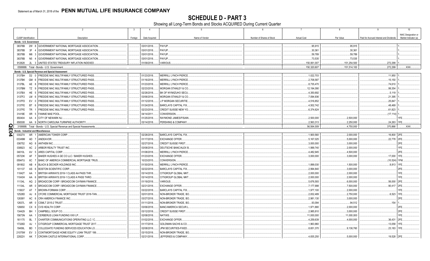**SCHEDULE D - PART 3**<br>Showing all Long-Term Bonds and Stocks ACQUIRED During Current Quarter

|    |                             |                  | $\overline{2}$<br>$\overline{\mathbf{3}}$                             | $\overline{4}$ | 5                               | -6                        | $\overline{7}$     | 8           | 9                                       |                      |
|----|-----------------------------|------------------|-----------------------------------------------------------------------|----------------|---------------------------------|---------------------------|--------------------|-------------|-----------------------------------------|----------------------|
|    |                             |                  |                                                                       |                |                                 |                           |                    |             |                                         | NAIC Designation or  |
|    | <b>CUSIP</b> Identification |                  | Description<br>Foreign                                                | Date Acquired  | Name of Vendor                  | Number of Shares of Stock | <b>Actual Cost</b> | Par Value   | Paid for Accrued Interest and Dividends | Market Indicator (a) |
|    | Bonds - U.S. Government     |                  |                                                                       |                |                                 |                           |                    |             |                                         |                      |
|    |                             |                  | 38378B 2W 8 GOVERNMENT NATIONAL MORTGAGE ASSOCIATION                  | 03/01/2018.    | PAYUP.                          |                           | .95,915            | .95,915     |                                         |                      |
|    | 38378B                      | 3F               | GOVERNMENT NATIONAL MORTGAGE ASSOCIATION<br>$\mathbf{A}$              | 03/01/2018     | PAYUP.                          |                           | .30,361            | .30,361     |                                         |                      |
|    | 38378B                      | M6               | GOVERNMENT NATIONAL MORTGAGE ASSOCIATION.                             | 03/01/2018.    | PAYUP.                          |                           | .59,789            | .59,789     |                                         |                      |
|    | 38378B                      | <b>N5</b>        | 4 GOVERNMENT NATIONAL MORTGAGE ASSOCIATION                            | 03/01/2018.    | PAYUP.                          |                           | .73,535            | .73,535     |                                         |                      |
|    | 912828                      |                  | 2L 3 UNITED STATES TREASURY INFLATION INDEXED.                        | 01/09/2018     | VARIOUS.                        |                           | 150,061,007        | 151,254,500 | .272,299                                |                      |
|    |                             |                  | 0599999. Total - Bonds - U.S. Government.                             |                |                                 |                           | 150,320,607        | 151,514,100 | .272,299                                | XXX.                 |
|    |                             |                  | Bonds - U.S. Special Revenue and Special Assessment                   |                |                                 |                           |                    |             |                                         |                      |
|    | 3137BH                      | D <sub>2</sub> 0 | FREDDIE MAC MULTIFAMILY STRUCTURED PASS.                              | 01/23/2018.    | MERRILL LYNCH PIERCE.           |                           | .1,022,703         |             | .11,950                                 |                      |
|    | 3137BK                      | GM               | FREDDIE MAC MULTIFAMILY STRUCTURED PASS.                              | 01/16/2018.    | MERRILL LYNCH PIERCE.           |                           | .2,708,587         |             | 15,150                                  |                      |
|    | 3137BL                      | AE               | FREDDIE MAC MULTIFAMILY STRUCTURED PASS.                              | 01/23/2018.    | MERRILL LYNCH PIERCE            |                           | .8,735,470         |             | 74,610                                  |                      |
|    | 3137BM                      | TZ               | FREDDIE MAC MULTIFAMILY STRUCTURED PASS.                              | 02/23/2018.    | MORGAN STANLEY & CO.            |                           | 12,194,090         |             | .99,354                                 |                      |
|    | 3137BX                      | <b>HE</b>        | FREDDIE MAC MULTIFAMILY STRUCTURED PASS.                              | 02/28/2018.    | BK OF NY/MIZUHO SECU.           |                           | .4,350,692         |             | 5,119                                   |                      |
|    | 3137F2                      | LM               | FREDDIE MAC MULTIFAMILY STRUCTURED PASS.                              | 03/06/2018.    | <b>MORGAN STANLEY &amp; CO.</b> |                           | .7,094,936         |             | .21,395                                 |                      |
|    | 3137FD                      | EV               | FREDDIE MAC MULTIFAMILY STRUCTURED PASS.                              | 01/12/2018.    | J.P MORGAN SECURITIE            |                           | .4,516,852         |             | .25,847                                 |                      |
|    | 3137FE                      | <b>BT</b>        | FREDDIE MAC MULTIFAMILY STRUCTURED PASS.                              | 01/24/2018.    | <b>BARCLAYS CAPITAL FIX.</b>    |                           | .4,502,742         |             | 48,469                                  |                      |
|    | 3137FE                      | <b>TR</b>        | FREDDIE MAC MULTIFAMILY STRUCTURED PASS.                              | 02/23/2018.    | CREDIT SUISSE NEW YO.           |                           | .6,374,624         |             | 61,823                                  |                      |
|    | 31419E                      | <b>XR</b>        | <b>FANNIE MAE POOL</b><br>- 5                                         | 04/14/2011     | CONVERSION.                     |                           |                    |             | (17, 114)                               |                      |
|    | 650404                      | AA               | 4 CITY OF NEWARK NJ.                                                  | 01/25/2018.    | RAYMOND JAMES/FISAIN            |                           | .2,500,000         | .2,500,000  |                                         |                      |
|    | 658308                      |                  | AA 9 NORTH CAROLINA TURNPIKE AUTHORITY                                | 03/14/2018.    | PERSHING & COMPANY.             |                           | 2,563,313          | .2,250,000  | .24,263                                 | 1FE.                 |
| Q  |                             |                  | 3199999. Total - Bonds - U.S. Special Revenue and Special Assessments |                |                                 |                           | .56,564,009        | 4,750,000   | .370,866                                | $\mathsf{L}$ XXX     |
| m  |                             |                  | <b>Bonds - Industrial and Miscellaneous</b>                           |                |                                 |                           |                    |             |                                         |                      |
| 54 | 03027X                      |                  | AR 1 AMERICAN TOWER CORP.                                             | 02/28/2018.    | <b>BARCLAYS CAPITAL FIX.</b>    |                           | .1,900,560         | .2,000,000  | .16,800 2FE.                            |                      |
|    | 03349M                      | AD <sub>7</sub>  | ANDEAVOR.                                                             | 01/17/2018.    | <b>EXCHANGE OFFER.</b>          |                           | .5,167,025         | 5,000,000   | 22,778                                  | 2FE.                 |
|    |                             | AG 8             | ANTHEM INC.                                                           |                |                                 |                           |                    |             |                                         | 2FE.                 |
|    | 036752                      |                  |                                                                       | 02/27/2018.    | <b>CREDIT SUISSE FIRST</b>      |                           | .3,000,000         | .3,000,000  |                                         |                      |
|    | 038923                      | AC.              | ARBOR REALTY TRUST INC.                                               | 03/08/2018.    | DEUTSCHE BANC/ALEX B            |                           | .1,999,740         | .2,000,000  |                                         | 1FE.                 |
|    | 04010L                      | AV               | ARES CAPITAL CORP.                                                    | 01/08/2018.    | MERRILL LYNCH PIERCE            |                           | .4,482,945         | .4,500,000  |                                         | 2FE.                 |
|    | 05723K                      | AF               | BAKER HUGHES A GE CO LLC / BAKER HUGHES.                              | 01/23/2018.    | <b>EXCHANGE OFFER</b>           |                           | .3,000,000         | .3,000,000  | 17,000                                  | 1FE.                 |
|    | 05947U                      | 6C               | BANC OF AMERICA COMMERCIAL MORTGAGE TRUS                              | 10/23/2015.    | CONVERSION.                     |                           |                    |             | (10,524)                                |                      |
|    | 091802                      | AB               | BLACK & DECKER HOLDINGS INC.                                          | 01/30/2018.    | MERRILL LYNCH PIERCE            |                           | 1,899,030          | .1,500,000  | .8,813                                  | 1FE.                 |
|    | 101137                      | AS               | <b>BOSTON SCIENTIFIC CORP.</b><br>- 6                                 | 02/22/2018.    | <b>BARCLAYS CAPITAL FIX</b>     |                           | .2,994,840         | .3,000,000  |                                         | 2FE.                 |
|    | 11042T                      | AA               | BRITISH AIRWAYS 2018-1 CLASS AA PASS THR.                             | 03/14/2018.    | CITIGROUP GLOBAL MKT            |                           | .2,000,000         | .2,000,000  |                                         | 1FE.                 |
|    | 11043H                      | AA               | BRITISH AIRWAYS 2018-1 CLASS A PASS THRO                              | 03/14/2018.    | CITIGROUP GLOBAL MKT            |                           | .2,000,000         | .2,000,000  |                                         | 1FE.                 |
|    | 11134L                      | AQ               | BROADCOM CORP / BROADCOM CAYMAN FINANCE                               | 01/19/2018.    | VARIOUS.                        |                           | .5,676,593         | .6,000,000  | .56,000                                 | 2FE.                 |
|    | 11134L                      | AR               | BROADCOM CORP / BROADCOM CAYMAN FINANCE                               | 02/21/2018.    | <b>EXCHANGE OFFER.</b>          |                           | 7,177,998          | 7,500,000   | .90,417                                 | 2FE                  |
|    | 115637                      | AT               | <b>BROWN-FORMAN CORP.</b>                                             | 03/22/2018.    | BARCLAYS CAPITAL FIX.           |                           | .1,977,100         | .2,000,000  |                                         | <b>IFE</b>           |
|    | 12528D                      | AJ               | CFCRE COMMERCIAL MORTGAGE TRUST 2018-TAN.                             | 02/01/2018.    | NON-BROKER TRADE, BO.           |                           | .2,832,489         | .2,750,000  | 6,523                                   | 1FE.                 |
|    | 12636Y                      | AC               | CRH AMERICA FINANCE INC.<br>- 6                                       | 03/27/2018.    | NON-BROKER TRADE, BO            |                           | .2,981,130         | .3,000,000  |                                         | 2FE                  |
|    | 12637L                      | AR               | CSMLT 2015-2 TRUST.<br>$\sqrt{ }$                                     | 01/11/2018.    | NON-BROKER TRADE, BO            |                           | .93,094            | 94,512      | .154                                    |                      |
|    | 126650                      | CX               | CVS HEALTH CORP.<br>- 6                                               | 03/06/2018.    | <b>BANC/AMERICA SECUR.I</b>     |                           | .1,971,880         | .2,000,000  |                                         | 2FE.                 |
|    | 134429                      | <b>BH</b>        | CAMPBELL SOUP CO                                                      | 03/12/2018.    | CREDIT SUISSE FIRST             |                           | .2,985,810         | .3,000,000  |                                         | 2FE.                 |
|    | 15673N                      | AA               | CERBERUS LOAN FUNDING XXII LP                                         | 02/08/2018.    | NATIXIS.                        |                           | 11,000,000         | 11,000,000  |                                         | 1FE.                 |
|    | 161175                      | <b>BL</b>        | CHARTER COMMUNICATIONS OPERATING LLC / C                              | 01/02/2018.    | <b>EXCHANGE OFFER.</b>          |                           | 4,259,639          | .4,000,000  | .36,431                                 | 2FE.                 |
|    | 17326D                      | AJ               | CITIGROUP COMMERCIAL MORTGAGE TRUST 2017                              | 01/17/2018.    | GOLDMAN SACHS & CO.             |                           | .1,963,960         |             | 13,058                                  | 1FE.                 |
|    | 19458L                      | <b>BD</b>        | COLLEGIATE FUNDING SERVICES EDUCATION LO.                             | 02/08/2018.    | JPM SECURITIES-FIXED            |                           | .8,651,370         | .9,136,760  | 23,183                                  |                      |
|    | 21075W                      | EV               | CONTIMORTGAGE HOME EQUITY LOAN TRUST 199.                             | 03/15/2018.    | NON-BROKER TRADE, BO            |                           |                    |             |                                         |                      |
|    | 22822V                      |                  | AK 7 CROWN CASTLE INTERNATIONAL CORP.                                 | 02/21/2018     | JEFFERIES & COMPANY.            |                           | 4,835,250          | .5,000,000  | .19,528 2FE.                            |                      |
|    |                             |                  |                                                                       |                |                                 |                           |                    |             |                                         |                      |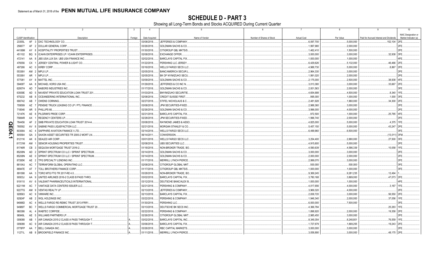SCHEDULE D - PART 3<br>Showing all Long-Term Bonds and Stocks ACQUIRED During Current Quarter

|              |                             |                | $\overline{2}$                                 |         | $\overline{4}$ | -5                             |                           |                    | 8          | -9                                      |                                             |
|--------------|-----------------------------|----------------|------------------------------------------------|---------|----------------|--------------------------------|---------------------------|--------------------|------------|-----------------------------------------|---------------------------------------------|
|              | <b>CUSIP</b> Identification |                | Description                                    | Foreign | Date Acquired  | Name of Vendor                 | Number of Shares of Stock | <b>Actual Cost</b> | Par Value  | Paid for Accrued Interest and Dividends | NAIC Designation or<br>Market Indicator (a) |
|              | 23355L                      |                | AF 3 DXC TECHNOLOGY CO.                        |         | 03/08/2018.    | JEFFERIES & COMPANY            |                           | .6,097,700         | .5,000,000 | 152,104                                 | 12FE                                        |
|              | 256677                      | AF             | 2 DOLLAR GENERAL CORP.                         |         | 03/26/2018.    | <b>GOLDMAN SACHS &amp; CO.</b> |                           | .1,997,980         | .2,000,000 |                                         |                                             |
|              | 44106M                      | AY             | 8   HOSPITALITY PROPERTIES TRUST               |         | 01/30/2018.    | CITIGROUP GBL MKTS/S.          |                           | .1,462,410         | 1,500,000  |                                         | 2FE                                         |
|              | 451102                      | BQ             | 9   ICAHN ENTERPRISES LP / ICAHN ENTERPRISES   |         | 02/08/2018.    | EXCHANGE OFFER.                |                           | .3,000,000         | .3,000,000 | .32,938                                 | 3FF                                         |
|              | 472141                      | AA             | 8 JBS USA LUX SA / JBS USA FINANCE INC.        |         | 02/02/2018.    | <b>BARCLAYS CAPITAL FIX.</b>   |                           | .1,000,000         | 1,000,000  |                                         |                                             |
|              | 476556                      | CX             | 1 JERSEY CENTRAL POWER & LIGHT CO.             |         | 01/22/2018.    | PERSHING LLC JERSEY            |                           | .6,429,626         | 5,132,000  | .46.466 2FE                             |                                             |
|              | 497266                      |                | AC 0 KIRBY CORP.                               |         | 03/16/2018.    | <b>WELLS FARGO SECS LLC</b>    |                           | .4,988,730         | .5,000,000 | .8,867 2FE                              |                                             |
|              | 55336V                      |                | AM 2 MPLX LP.                                  |         | 02/05/2018.    | <b>BANC/AMERICA SECUR.I</b>    |                           | .2,964,330         | .3,000,000 |                                         | 2FE                                         |
|              | 55336V                      |                | AR 1 MPLX LP.                                  |         | 02/05/2018.    | BK OF NY/MIZUHO SECU           |                           | .1,991,020         | .2,000,000 |                                         | 2FE                                         |
|              |                             |                | AY 8   MATTEL INC.                             |         |                |                                |                           |                    |            |                                         | 4FE                                         |
|              | 577081                      |                |                                                |         | 03/09/2018.    | GOLDMAN SACHS & CO.            |                           | .2,175,000         | .2,500,000 | .38,938                                 |                                             |
|              | 59408T                      |                | AA 8 MICHAEL KORS USA INC.                     |         | 01/29/2018.    | JEFFERIES & CO INC N.          |                           | .3,013,380         | .3,000,000 | .33,667                                 | 2FE                                         |
|              | 62957H                      | AD.            | NABORS INDUSTRIES INC                          |         | 01/17/2018.    | <b>GOLDMAN SACHS &amp; CO</b>  |                           | .2,001,563         | .2,000,000 | .8.340 1FE.                             | 3FF                                         |
|              | 63939E                      | AD             | 5 NAVIENT PRIVATE EDUCATION LOAN TRUST 201     |         | 01/03/2018.    | BNY/MIZUHO SECURITIE.          |                           | .4,654,688         | .4,500,000 |                                         |                                             |
|              | 675232                      | AB             | 8 OCEANEERING INTERNATIONAL INC.               |         | 02/08/2018.    | CREDIT SUISSE FIRST            |                           | .995.000           | .1,000,000 | .1,000 3FE                              |                                             |
|              | 690742                      | AB             | <b>OWENS CORNING</b>                           |         | 02/27/2018.    | STIFEL NICHOLAUS & C           |                           | .2,481,928         | .1,960,000 | .34,300 2FE                             |                                             |
|              | 709599                      | AZ             | 7 PENSKE TRUCK LEASING CO LP / PTL FINANCE     |         | 03/08/2018.    | <b>JPM SECURITIES-FIXED</b>    |                           | .2,988,360         | .3,000,000 |                                         | 2FE                                         |
|              | 718546                      |                | AR 5 PHILLIPS 66.                              |         | 02/26/2018.    | <b>GOLDMAN SACHS &amp; CO.</b> |                           | .3,996,000         | .4,000,000 |                                         | 2FE                                         |
|              | 72147K                      |                | AE 8 PILGRIM'S PRIDE CORP                      |         | 02/21/2018.    | <b>BARCLAYS CAPITAL FIX</b>    |                           | 972,500            | .1,000,000 | .25,785                                 | 14FE                                        |
|              | 75884R                      | AX             | 1   REGENCY CENTERS LP.                        |         | 02/28/2018.    | JPM SECURITIES-FIXED           |                           | .1,996,740         | .2,000,000 |                                         | 2FF                                         |
| O            | 784456                      | AF             | 2 SMB PRIVATE EDUCATION LOAN TRUST 2014-A      |         | 03/08/2018.    | RAYMOND JAMES & ASSO           |                           | .4,825,000         | 5,000,000  | .4,375 1FE                              |                                             |
| Ш            | 785592                      | AV             | 8 SABINE PASS LIQUEFACTION LLC.                |         | 02/21/2018.    | <b>MORGAN STANLEY &amp; CO</b> |                           | .5,457,150         | 5,000,000  | .43.247 2FE                             |                                             |
| $\mathbf{a}$ | 80306A                      | AC             | SAPPHIRE AVIATION FINANCE I LTD.               |         | 03/14/2018.    | <b>WELLS FARGO SECS LLC</b>    |                           | .6,499,960         | .6,500,000 |                                         | 3FF                                         |
|              | 805564                      |                | GA 3 SAXON ASSET SECURITIES TR 2000-2 MORT LN. |         | 06/14/2011     | CONVERSION.                    |                           |                    |            | (13,011) 3FM.                           |                                             |
|              | 81211K                      | AK             | 6 SEALED AIR CORP                              |         | 03/01/2018.    | <b>WELLS FARGO SECS LLC</b>    |                           | .3,254,400         | .2,880,000 | .27,500                                 | 3FE                                         |
|              | 81721M                      | AM             | <b>SENIOR HOUSING PROPERTIES TRUST</b>         |         | 02/08/2018.    | UBS SECURITIES LLC.            |                           | .4,915,600         | .5,000,000 |                                         | 2FE                                         |
|              | 81746R                      | CB             | SEQUOIA MORTGAGE TRUST 2016-2.                 |         | 01/18/2018.    | NON-BROKER TRADE, BO           |                           | .4,590,639         | .4,586,339 | .10,058                                 | 1FE.                                        |
|              | 85208N                      | AD             | 2 SPRINT SPECTRUM CO LLC / SPRINT SPECTRUM     |         | 03/14/2018.    | <b>GOLDMAN SACHS &amp; CO.</b> |                           | .3,000,000         | .3,000,000 |                                         | 2FE.                                        |
|              | 85208N                      | AE             | SPRINT SPECTRUM CO LLC / SPRINT SPECTRUM       |         | 03/14/2018.    | <b>GOLDMAN SACHS &amp; CO.</b> |                           | .2.000.000         | .2,000,000 |                                         | 2FE.                                        |
|              | 87265K                      | AE             | 2   TPG SPECIALTY LENDING INC.                 |         | 01/17/2018.    | MERRILL LYNCH PIERCE           |                           | .2,999,070         | .3,000,000 |                                         | 2FE.                                        |
|              | 88104U                      | AC             | <b>TERRAFORM GLOBAL OPERATING LLC.</b>         |         | 02/08/2018.    | CITIGROUP GLOBAL MKT           |                           | .500,000           | .500,000   |                                         | 3FF                                         |
|              | 88947E                      | AT             | 7   TOLL BROTHERS FINANCE CORP                 |         | 01/17/2018.    | CITIGROUP GBL MKTS/S.          |                           | .1,000,000         | .1,000,000 |                                         | 3FF                                         |
|              | 891098                      | AA             | 3   TORO MTG FTG TR 2017-RE 4.0                |         | 03/28/2018.    | NON-BROKER TRADE, BO           |                           | .9,369,245         | .9,281,235 | .12,494                                 |                                             |
|              | 90933J                      | AA             | 9 UNITED AIRLINES 2016-2 CLASS B PASS THRO.    |         | 03/02/2018.    | <b>BARCLAYS CAPITAL FIX.</b>   |                           | .3,780,168         | .3,869,000 | .47,073 2FE                             |                                             |
|              | 91911X                      | AV             | 6   VALEANT PHARMACEUTICALS INTERNATIONAL      |         | 03/12/2018.    | DEUTSCHE BANC/ALEX B           |                           | .1,000,000         | .1,000,000 |                                         |                                             |
|              | 92211M                      | AC.            | VANTAGE DATA CENTERS ISSUER LLC.               |         | 02/21/2018.    | PERSHING & COMPANY             |                           | .4,017,656         | .4,000,000 | .3.167                                  | 11FF                                        |
|              | 92277G                      | AM             | 9 VENTAS REALTY LP.                            |         | 02/13/2018.    | <b>JEFFERIES &amp; COMPANY</b> |                           | .3,969,320         | .4,000,000 |                                         |                                             |
|              | 928563                      |                | AC 9 VMWARE INC.                               |         | 02/13/2018.    | <b>BARCLAYS CAPITAL FIX.</b>   |                           | .2,838,720         | .3,000,000 | .56,550                                 | 2FE                                         |
|              | 92924F                      | AB             | 2 WGL HOLDINGS INC.                            |         | 03/22/2018.    | PERSHING & COMPANY             |                           | .1,946,340         | .2,000,000 | .37,056 1FE                             |                                             |
|              | 94988D                      | AC             | 4   WELLS FARGO RE-REMIC TRUST 2013-FRR1       |         | 01/30/2018.    | PERSHING LLC.                  |                           | .6,000,000         | .7,500,000 |                                         | 3FE                                         |
|              | 94989T                      | BC             | 7   WELLS FARGO COMMERCIAL MORTGAGE TRUST 20   |         | 03/13/2018.    | DEUTSCHE BK SECS INC           |                           | .4,366,784         |            | .25,283                                 | 1FE                                         |
|              | 960386                      | AL<br>$\Delta$ | <b>WABTEC CORP/DE.</b>                         |         | 02/22/2018.    | PERSHING & COMPANY.            |                           | .1,898,920         | .2,000,000 | .19,358                                 | 12FE                                        |
|              | 96949L                      | AE             | 5   WILLIAMS PARTNERS LP.                      |         | 02/26/2018.    | CITIGROUP GLOBAL MKT           |                           | .2,985,450         | .3,000,000 |                                         | 2FE                                         |
|              | 009088                      | AB             | AIR CANADA 2015-2 CLASS A PASS THROUGH T       |         | 03/02/2018.    | <b>BARCLAYS CAPITAL INC</b>    |                           | .8,349,354         | .8,248,801 | .76,559                                 | 1FF                                         |
|              | 009088                      | AC             | 9 AIR CANADA 2015-2 CLASS B PASS THROUGH T     |         | 03/06/2018     | <b>BARCLAYS CAPITAL FIX</b>    |                           | .1,727,679         | 1,669,255  | .19,243 2FE                             |                                             |
|              | 0778FP                      | AA             | 7 BELL CANADA INC.                             |         | 03/26/2018.    | RBC CAPITAL MARKETS.           |                           | .3,000,000         | .3,000,000 |                                         | 2FE                                         |
|              | 11271L                      |                | AB 8   BROOKFIELD FINANCE INC.                 |         | 01/11/2018.    | <b>MERRILL LYNCH PIERCE</b>    |                           | .3.058.890         | .3.000.000 | .48.175 2FE                             |                                             |
|              |                             |                |                                                |         |                |                                |                           |                    |            |                                         |                                             |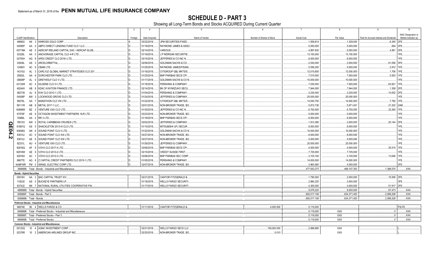**SCHEDULE D - PART 3**<br>Showing all Long-Term Bonds and Stocks ACQUIRED During Current Quarter

|        | $\overline{1}$                   | $\overline{2}$                                                    | - 3     | $\overline{4}$ | 5                               | 6                         | $\overline{7}$     | 8            | 9                                       | 10                   |
|--------|----------------------------------|-------------------------------------------------------------------|---------|----------------|---------------------------------|---------------------------|--------------------|--------------|-----------------------------------------|----------------------|
|        |                                  |                                                                   |         |                |                                 |                           |                    |              |                                         | NAIC Designation or  |
|        | CUSIP Identification             | Description                                                       | Foreign | Date Acquired  | Name of Vendor                  | Number of Shares of Stock | <b>Actual Cost</b> | Par Value    | Paid for Accrued Interest and Dividends | Market Indicator (a) |
|        | 496902                           | AK 3 KINROSS GOLD CORP.                                           |         | 03/22/2018.    | JPM SECURITIES-FIXED            |                           | .1.508.814         | .1.329.000   | .6.345 2FE                              |                      |
|        | 00085P                           | AA<br>ABPCI DIRECT LENDING FUND CLO I LLC.                        |         | 01/19/2018.    | RAYMOND JAMES & ASSO            |                           | .5,050,000         | .5,000,000   | .564                                    |                      |
|        | 00774M                           | AERCAP IRELAND CAPITAL DAC / AERCAP GLOB.<br>AE                   |         | 02/14/2018.    | VARIOUS.                        |                           | 4,897,830          | .5,000,000   | .4,951                                  |                      |
|        | 03328L                           | ANCHORAGE CAPITAL CLO 4-R LTD<br>AA                               |         | 01/19/2018.    | <b>J.P MORGAN SECURITIE</b>     |                           | .13,100,000        | .13,100,000  |                                         |                      |
|        | 03755H                           | AG<br>APEX CREDIT CLO 2018-I LTD.                                 | D       | 03/14/2018.    | JEFFERIES & CO INC N.           |                           | .6,000,000         | .6,000,000   |                                         | 1FE.                 |
|        | 03938L                           | ARCELORMITTAL.<br>AS<br>$\mathbf{R}$                              |         | 02/06/2018.    | GOLDMAN SACHS & CO.             |                           | .2,530,000         | .2,000,000   | .61,056 3FE                             |                      |
|        | 12480V                           | AC 9 CBAM LTD.                                                    |         | 01/25/2018.    | RAYMOND JAMES/FISAIN            |                           | .5,056,250         | .5,000,000   | .2,912 1FE                              |                      |
|        | 14310U                           | <b>AL</b><br>3 CARLYLE GLOBAL MARKET STRATEGIES CLO 201           |         | 01/16/2018.    | CITIGROUP GBL MKTS/S.           |                           | .12,015,600        | .12,000,000  | .1,706                                  |                      |
|        | 25820L                           | AA<br><b>DORCHESTER PARK CLO LTD.</b>                             |         | 01/25/2018.    | BNP PARIBAS SECS CP/            |                           | .7,010,500         | 7,000,000    | .5,503                                  |                      |
|        | 39808P                           | AL<br><b>GREYWOLF CLO V LTD</b><br>$\Omega$                       |         | 01/17/2018.    | <b>GOLDMAN SACHS &amp; CO N</b> |                           | .10,000,000        | .10,000,000  |                                         |                      |
|        | 43132W                           | AC<br>HILDENE CLO IV LTD.                                         |         | 01/18/2018.    | PERSHING & COMPANY              |                           | .7,035,000         | 7,000,000    | .63,921                                 | 1FF                  |
|        | 48244X                           | <b>KDAC AVIATION FINANCE LTD</b><br>AB<br>$\mathbf{R}$            |         | 02/14/2018.    | BK OF NY/MIZUHO SECU            |                           | .7,944,000         | 7,944,000    | .1,308                                  |                      |
|        | 482739                           | KVK CLO 2013-1 LTD.<br>AJ<br><b>8</b>                             |         | 01/04/2018.    | PERSHING & COMPANY.             |                           | .3,230,000         | 3,230,000    | .10,052                                 | 2FF                  |
|        | 54008P                           | LOCKWOOD GROVE CLO LTD<br>AW<br>$\mathbf{3}$                      |         | 01/24/2018.    | JEFFERIES & COMPANY             |                           | .25,000,000        | .25.000.000  |                                         | 1FF                  |
|        | 56576L                           | MARATHON CLO VIII LTD.<br>AA                                      | D       | 01/22/2018.    | CITIGROUP GBL MKTS/S.           |                           | .14,550,750        | .14.500.000  | 7.792                                   | 1FF                  |
|        | 59111R                           | METAL 2017-1 LLC.<br>AB<br><b>8</b>                               |         | 02/01/2018.    | NON-BROKER TRADE. BO            |                           | .5,812,736         | .5,871,451   | .21,202                                 | 2AM                  |
|        | 60689W                           | <b>BZ</b><br>VENTURE XXX CLO LTD.<br>$\mathbf{3}$                 |         | 01/30/2018.    | JEFFERIES & CO INC N.           |                           | .6,700,000         | .6,700,000   | .32,260                                 |                      |
|        | 67576F                           | OCTAGON INVESTMENT PARTNERS 18-R LTD.<br>AE 9                     |         | 03/23/2018.    | NON-BROKER TRADE, BO            |                           | .5,000,000         | .5,000,000   |                                         |                      |
|        | 74988L                           | AA<br>2 RR 3 LTD.                                                 |         | 01/18/2018.    | <b>BNP PARIBAS SECS CP/</b>     |                           | .6,500,000         | .6,500,000   |                                         | <b>IFF</b>           |
|        | 780153                           | ROYAL CARIBBEAN CRUISES LTD.<br>AW                                |         | 03/02/2018.    | JEFFERIES & COMPANY             |                           | .1,912,380         | .2,000,000   | .20,144                                 | 2FE                  |
| Q<br>m | 81881Q                           | SHACKLETON 2013-III CLO LTD.<br>AS<br>-5                          |         | 01/10/2018.    | MITSUBISHI UFJ SECUR            |                           | .8,000,000         | .8,000,000   |                                         |                      |
|        | 83608G                           | AN<br>SOUND POINT CLO II LTD.                                     |         | 01/22/2018     | GOLDMAN SACHS & CO N            |                           | 10,000,000         | .10,000,000  |                                         | IFE.                 |
| 24.2   | 83610J                           | AC<br>0 SOUND POINT CLO XIX LTD.                                  |         | 03/27/2018.    | NON-BROKER TRADE, BO.           |                           | .8,000,000         | .8,000,000   |                                         | <b>FF</b>            |
|        | 83610J                           | AE 6<br>SOUND POINT CLO XIX LTD.                                  |         | 03/27/2018.    | NON-BROKER TRADE, BO.           |                           | .5,000,000         | .5,000,000   |                                         | IFF.                 |
|        | 92331L                           | AU<br>4 VENTURE XXII CLO LTD                                      |         | 01/26/2018.    | <b>JEFFERIES &amp; COMPANY</b>  |                           | .25,000,000        | .25,000,000  |                                         | <b>IFF</b>           |
|        | 92916Q                           | VOYA CLO 2017-4 LTD.<br>AF<br>9                                   |         | 03/06/2018.    | <b>BNP PARIBAS SECS CP/</b>     |                           | .4,000,000         | .4,000,000   | .35.515                                 | 1FF                  |
|        | 92916W                           | AE 9 VOYA CLO 2013-2 LTD.                                         |         | 03/15/2018.    | <b>CREDIT SUISSE FIRST</b>      |                           | .7,725,000         | .7,725,000   |                                         |                      |
|        | 92916X                           | AC<br>1 VOYA CLO 2013-3 LTD.                                      |         | 03/06/2018.    | <b>BNP PARIBAS SEC CORP.</b>    |                           |                    | .3,100,000   | .13.646                                 | 1FF                  |
|        |                                  | AG 8 Z CAPITAL CREDIT PARTNERS CLO 2015-1 LTD.                    |         |                |                                 |                           | .3,103,100         |              |                                         | IFE.                 |
|        | 98877E                           |                                                                   |         | 01/05/2018.    | PERSHING & COMPANY.             |                           | .14,000,000        | .14,000,000  |                                         |                      |
|        |                                  | NABFWR FM 0 ISRAEL ELECTRIC CORP LTD                              |         | 02/07/2018.    | NON-BROKER TRADE, BO.           |                           | 3,963,560          | .4.000.000   |                                         | 2FE.                 |
|        |                                  | 3899999. Total - Bonds - Industrial and Miscellaneous             |         |                |                                 |                           | .477,053,273       | 469.107.353  | 1,388,570                               | XXX                  |
|        | <b>Bonds - Hybrid Securities</b> |                                                                   |         |                |                                 |                           |                    |              |                                         |                      |
|        | 05518V                           | AA 3 BAC CAPITAL TRUST XIV.                                       |         | 02/21/2018.    | CANTOR FITZGERALD &             |                           | .1,795,000         | .2,000,000   | .15,556 2FE                             |                      |
|        | 118230                           | AS 0 BUCKEYE PARTNERS LP                                          |         | 01/18/2018.    | <b>WELLS FARGO SECURITI</b>     |                           | .2,984,220         | .3,000,000   |                                         | 3FF                  |
|        |                                  | 637432 NK 7 NATIONAL RURAL UTILITIES COOPERATIVE FIN              |         | 01/17/2018.    | <b>WELLS FARGO SECURITI</b>     |                           | .4,300,000         | .4.000.000   | 51,917 2FE.                             |                      |
|        |                                  | 4899999. Total - Bonds - Hybrid Securities                        |         |                |                                 |                           | .9.079.220         | .9.000.000   | .67.473                                 | .XXX.                |
|        |                                  | 8399997. Total - Bonds - Part 3.                                  |         |                |                                 |                           | .693,017,109       | 634.371.453  | .2,099,208                              | .XXX.                |
|        |                                  | 8399999. Total - Bonds.                                           |         |                |                                 |                           | .693,017,109       | .634,371,453 | .2,099,208                              | .XXX.                |
|        |                                  | <b>Preferred Stocks - Industrial and Miscellaneous</b>            |         |                |                                 |                           |                    |              |                                         |                      |
|        | 949746                           | 80 4 WELLS FARGO & CO.                                            |         | 01/11/2018.    | <b>CANTOR FITZGERALD &amp;</b>  | 4.000.000                 | 5.119.000          |              |                                         | P2LFE.               |
|        |                                  | 8499999. Total - Preferred Stocks - Industrial and Miscellaneous. |         |                |                                 |                           | .5,119,000         | <b>XXX</b>   | $\Omega$                                | XXX                  |
|        |                                  | 8999997. Total - Preferred Stocks - Part 3                        |         |                |                                 |                           | .5.119.000         | <b>XXX</b>   | $0-1$                                   | .XXX.                |
|        |                                  | 8999999. Total - Preferred Stocks                                 |         |                |                                 |                           | .5.119.000         | <b>XXX</b>   | $0$ .                                   | XXX.                 |
|        |                                  | <b>Common Stocks - Industrial and Miscellaneous</b>               |         |                |                                 |                           |                    |              |                                         |                      |
|        | 00123Q                           | 10<br>4 AGNC INVESTMENT CORP.                                     |         | 02/21/2018.    | WELLS FARGO SECS LLC.           | 159,000.000               | .2,999,995         | XXX          |                                         |                      |
|        | 02376R                           | 10 2 AMERICAN AIRLINES GROUP INC                                  |         | 02/20/2018.    | NON-BROKER TRADE, BO.           | .0.010                    |                    | XXX          |                                         |                      |
|        |                                  |                                                                   |         |                |                                 |                           |                    |              |                                         |                      |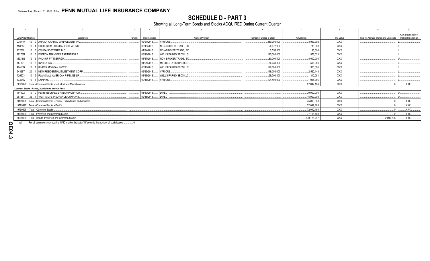# **SCHEDULE D - PART 3**

Showing all Long-Term Bonds and Stocks ACQUIRED During Current Quarter

|                                |                                                                                                                                                                                                                                    |         |               |                              |                           |                    |            |                                         | 10                            |
|--------------------------------|------------------------------------------------------------------------------------------------------------------------------------------------------------------------------------------------------------------------------------|---------|---------------|------------------------------|---------------------------|--------------------|------------|-----------------------------------------|-------------------------------|
|                                |                                                                                                                                                                                                                                    |         |               |                              |                           |                    |            |                                         | NAIC Designation or           |
| <b>CUSIP</b> Identification    | Description                                                                                                                                                                                                                        | Foreian | Date Acquired | Name of Vendor               | Number of Shares of Stock | <b>Actual Cost</b> | Par Value  | Paid for Accrued Interest and Dividends | Market Indicator (a)          |
| 035710                         | 40 9 ANNALY CAPITAL MANAGEMENT INC.                                                                                                                                                                                                |         | 02/21/2018    | VARIOUS                      | 380,000.000               | .3.997.992         | <b>XXX</b> |                                         |                               |
| 19459J                         | 10 4 COLLEGIUM PHARMACEUTICAL INC                                                                                                                                                                                                  |         | 03/13/2018    | NON-BROKER TRADE, BO.        | .26.672.000               | .718.080           | XXX        |                                         |                               |
| 22266L                         | 10 6 COUPA SOFTWARE INC                                                                                                                                                                                                            |         | 01/24/2018    | . I NON-BROKER TRADE. BO     | 2.555.000                 | .95.506            | <b>XXX</b> |                                         |                               |
| 29278N                         | 10 3 ENERGY TRANSFER PARTNERS LP                                                                                                                                                                                                   |         | 03/16/2018    | <b>WELLS FARGO SECS LLC.</b> | 115,000.000               | .1,978,023         | XXX        |                                         |                               |
| 31338@                         | 10 6 FHLN OF PITTSBURGH                                                                                                                                                                                                            |         | 01/17/2018    | NON-BROKER TRADE, BO.        | 80,000.000                | .8,000,000         | XXX        |                                         |                               |
| 451731                         | 10 3 GNYTA INC                                                                                                                                                                                                                     |         | 01/05/2018    | <b>NERRILL LYNCH PIERCE</b>  | 56,030.000                | .1,506,086         | XXX        |                                         |                               |
| 49456B                         | 10 1 KINDER MORGAN INC/DE                                                                                                                                                                                                          |         | 03/16/2018    | <b>WELLS FARGO SECS LLC</b>  | 120,000.000               | .1,960,896         | XXX        |                                         |                               |
| 64828T                         | 20 1 NEW RESIDENTIAL INVESTMENT CORP.                                                                                                                                                                                              |         | 02/15/2018    | VARIOUS.                     | 149,000.000               | 2.520.143          | <b>XXX</b> |                                         |                               |
| 726503                         | 10 5 PLAINS ALL AMERICAN PIPELINE LP                                                                                                                                                                                               |         | 03/16/2018    | <b>WELLS FARGO SECS LLC</b>  | 59,700.000                | .1,310,081         | XXX        |                                         |                               |
| 83304A 10 6 SNAP INC           |                                                                                                                                                                                                                                    |         | 02/16/2018.   | VARIOUS                      | .124,494.000              | .1,955,386         | <b>XXX</b> |                                         |                               |
|                                | 9099999. Total - Common Stocks - Industrial and Miscellaneous.                                                                                                                                                                     |         |               |                              |                           | .27.042.188        | <b>XXX</b> |                                         | XXX                           |
|                                | <b>Common Stocks - Parent. Subsidiaries and Affiliates</b>                                                                                                                                                                         |         |               |                              |                           |                    |            |                                         |                               |
|                                | 707432 10 0 PENN INSURANCE AND ANNUITY CO.                                                                                                                                                                                         |         | 01/30/2018    | DIRECT.                      |                           | .30,000,000        | <b>XXX</b> |                                         |                               |
| 987654                         | 32 4 VANTIS LIFE INSURANCE COMPANY.                                                                                                                                                                                                |         | 02/15/2018.   | DIRECT.                      |                           | 15,000,000         | <b>XXX</b> |                                         |                               |
|                                | 9199999. Total - Common Stocks - Parent, Subsidiaries and Affiliates                                                                                                                                                               |         |               |                              |                           | .45,000,000        | <b>XXX</b> |                                         | $\ldots$ XXX $\ldots$         |
|                                | 9799997. Total - Common Stocks - Part 3                                                                                                                                                                                            |         |               |                              |                           | .72.042.188        | <b>XXX</b> |                                         | $\mathsf{L}$ XXX $\mathsf{L}$ |
| 9799999. Total - Common Stocks |                                                                                                                                                                                                                                    |         |               |                              |                           | .72,042,188        | <b>XXX</b> |                                         | .XXX.                         |
|                                | 9899999. Total - Preferred and Common Stocks.                                                                                                                                                                                      |         |               |                              |                           | 77,161,188         | <b>XXX</b> |                                         | XXX                           |
|                                | 9999999. Total - Bonds, Preferred and Common Stocks                                                                                                                                                                                |         |               |                              |                           | .770.178.297       | <b>XXX</b> | .2,099,208                              | $\ldots$ XXX $\ldots$         |
|                                | $\mathcal{L}$ , and the contract of the contract of the contract of the contract of the contract of the contract of the contract of the contract of the contract of the contract of the contract of the contract of the contract o |         |               |                              |                           |                    |            |                                         |                               |

 $(a)$ For all common stock bearing NAIC market indicator "U" provide the number of such issues:.....................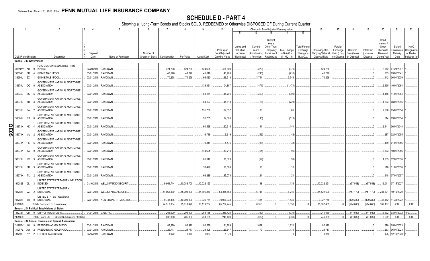# **SCHEDULE D - PART 4**

Showing all Long-Term Bonds and Stocks SOLD, REDEEMED or Otherwise DISPOSED OF During Current Quarter

|             |                                  |           |                                                                                                                                                                         |                                                                                          | $\overline{5}$                   |                                              |                                | -8                             |                                          | 10                                            |                                                         | 12                                                            | Change in Book/Adjusted Carrying Value                                         |                                                     |                                                                         | 16                                                                              | 17                                 | 18                       | 19                                         | 20                                                                  | 21                                                   | 22                                                       |
|-------------|----------------------------------|-----------|-------------------------------------------------------------------------------------------------------------------------------------------------------------------------|------------------------------------------------------------------------------------------|----------------------------------|----------------------------------------------|--------------------------------|--------------------------------|------------------------------------------|-----------------------------------------------|---------------------------------------------------------|---------------------------------------------------------------|--------------------------------------------------------------------------------|-----------------------------------------------------|-------------------------------------------------------------------------|---------------------------------------------------------------------------------|------------------------------------|--------------------------|--------------------------------------------|---------------------------------------------------------------------|------------------------------------------------------|----------------------------------------------------------|
|             | <b>CUSIP Identification</b>      |           | Description                                                                                                                                                             | Disposal<br>Date                                                                         | Name of Purchaser                | Number of<br>Shares of Stock   Consideration |                                | Par Value                      | <b>Actual Cost</b>                       | Prior Year<br>Book/Adjusted<br>Carrying Value | 11<br>Unrealized<br>Valuation<br>Increase<br>(Decrease) | Current<br>Year's<br>Amortization <sup>®</sup><br>/ Accretion | 13<br>Current<br>Year's<br>Other-Than<br>Temporary<br>Impairment<br>Recognized | <b>Total Change</b><br>in B./A.C.V.<br>$(11+12-13)$ | 15<br><b>Total Foreign</b><br>Exchange<br>Change in<br><b>B./A.C.V.</b> | Book/Adjusted<br>Carrying Value at<br>Disposal Date   on Disposal   on Disposal | Foreign<br>Exchange<br>Gain (Loss) | Realized<br>Gain (Loss)  | <b>Total Gain</b><br>(Loss) on<br>Disposal | Bond<br>Interest /<br>Stock<br>Dividends<br>Received<br>During Year | Stated<br>Contractual<br>Maturity<br>Date            | <b>NAIC</b><br>Designation<br>or Market<br>Indicator (a) |
|             |                                  |           | Bonds - U.S. Government                                                                                                                                                 |                                                                                          |                                  |                                              |                                |                                |                                          |                                               |                                                         |                                                               |                                                                                |                                                     |                                                                         |                                                                                 |                                    |                          |                                            |                                                                     |                                                      |                                                          |
|             | 36194S<br>36296U ZX<br>38375U QQ | <b>PD</b> | FDIC GUARANTEED NOTES TRUST<br>30250W AB 9 2010-S2<br><b>GINNIE MAE I POOL</b><br><b>GINNIE MAE I POOL</b><br>GOVERNMENT NATIONAL MORTGAGE<br><b>ASSOCIATION</b><br>- 6 | 03/29/2018. PAYDOWN<br>03/01/2018. PAYDOWN<br>03/01/2018. PAYDOWN<br>03/01/2018. PAYDOWN |                                  |                                              | .424,238<br>.40,276<br>.70,258 | .424,238<br>.40,276<br>.70,258 | 424,608<br>.41,019<br>.66,020<br>133,361 | .424,608<br>40,986<br>.66,513<br>.104,887     |                                                         | (370)<br>(710)<br>.3,744<br>(1,471)                           |                                                                                | (370)<br>(710)<br>.3,744<br>(1,471)                 |                                                                         | .424,238<br>40,276<br>70,258                                                    |                                    |                          | $\Omega$                                   | .2,542<br>.203<br>.442<br>.2,935                                    | 07/29/2047<br>09/01/2041<br>06/01/2039<br>10/01/2064 |                                                          |
|             | 38375U                           | SC        | <b>GOVERNMENT NATIONAL MORTGAGE</b><br><b>ASSOCIATION</b>                                                                                                               | 03/01/2018. PAYDOWN                                                                      |                                  |                                              |                                |                                | .63,184                                  | 48,795                                        |                                                         | (309)                                                         |                                                                                | (309)                                               |                                                                         |                                                                                 |                                    |                          |                                            | .1,165                                                              | 11/01/2064                                           |                                                          |
|             | 38378B ZR                        |           | GOVERNMENT NATIONAL MORTGAGE<br><b>ASSOCIATION</b><br>- 3<br>GOVERNMENT NATIONAL MORTGAGE                                                                               | 03/01/2018. PAYDOWN                                                                      |                                  |                                              |                                |                                | .64,197                                  | 48,618                                        |                                                         | (723)                                                         |                                                                                | (723)                                               |                                                                         |                                                                                 |                                    |                          |                                            | .1,203                                                              | 08/01/2046.                                          |                                                          |
|             | 38378K 6A                        |           | <b>ASSOCIATION</b><br>- 2<br><b>GOVERNMENT NATIONAL MORTGAGE</b>                                                                                                        | 03/01/2018. PAYDOWN                                                                      |                                  |                                              |                                |                                | 155,780                                  | .64,357                                       |                                                         | .86                                                           |                                                                                | .86                                                 |                                                                         |                                                                                 |                                    |                          |                                            | .2,608                                                              | 05/01/2054                                           |                                                          |
|             | 38378N<br>38378N                 | NJ<br>XK  | <b>ASSOCIATION</b><br>GOVERNMENT NATIONAL MORTGAGE<br><b>ASSOCIATION</b>                                                                                                | 03/01/2018. PAYDOWN<br>03/01/2018. PAYDOWN                                               |                                  |                                              |                                |                                | .26,755<br>.60,598                       | .14,606<br>.20,916                            |                                                         | (113)<br>.141                                                 |                                                                                | (113)<br>.141                                       |                                                                         |                                                                                 |                                    |                          |                                            | .514<br>.2,441                                                      | 09/01/2054<br>06/01/2048                             |                                                          |
| <b>QE05</b> | 38378X                           | <b>MU</b> | GOVERNMENT NATIONAL MORTGAGE<br><b>ASSOCIATION</b>                                                                                                                      | 03/01/2018. PAYDOWN                                                                      |                                  |                                              |                                |                                | 16,749                                   | .9,619                                        |                                                         | (42)                                                          |                                                                                | (42)                                                |                                                                         |                                                                                 |                                    |                          |                                            | .287                                                                | 02/01/2055                                           |                                                          |
|             | 38378X PE 5                      |           | GOVERNMENT NATIONAL MORTGAGE<br><b>ASSOCIATION</b>                                                                                                                      | 03/01/2018. PAYDOWN                                                                      |                                  |                                              |                                |                                | .9,814                                   | 5.476                                         |                                                         | (33)                                                          |                                                                                | (33)                                                |                                                                         |                                                                                 |                                    |                          |                                            | .179                                                                | 01/01/2056.                                          |                                                          |
|             | 38378X TX 9                      |           | GOVERNMENT NATIONAL MORTGAGE<br><b>ASSOCIATION</b><br>GOVERNMENT NATIONAL MORTGAGE                                                                                      | 03/01/2018. PAYDOWN                                                                      |                                  |                                              |                                |                                | 144,625                                  | .80,714                                       |                                                         | (95)                                                          |                                                                                | (95)                                                |                                                                         |                                                                                 |                                    |                          |                                            | .2,603                                                              | 10/01/2056                                           |                                                          |
|             | 38379K JC 3                      |           | <b>ASSOCIATION</b><br>GOVERNMENT NATIONAL MORTGAGE                                                                                                                      | 03/01/2018. PAYDOWN.                                                                     |                                  |                                              |                                |                                | .61,012                                  | .38,323                                       |                                                         | (99)                                                          |                                                                                | (99)                                                |                                                                         |                                                                                 |                                    |                          |                                            | 1,233                                                               | 12/01/2056                                           |                                                          |
|             | 38379K PR 3<br>38379K TL 2       |           | <b>ASSOCIATION</b><br>GOVERNMENT NATIONAL MORTGAGE<br><b>ASSOCIATION</b>                                                                                                | 03/01/2018. PAYDOWN<br>03/01/2018. PAYDOWN                                               |                                  |                                              |                                |                                | 30,426<br>.66,289                        | 16,568<br>.35,073                             |                                                         | 10<br>.21                                                     |                                                                                | 10<br>$\cdot$                                       |                                                                         |                                                                                 |                                    |                          |                                            | .510<br>.948                                                        | 11/01/2056.<br>07/01/2057                            |                                                          |
|             | 912828 2L 3                      |           | UNITED STATES TREASURY INFLATION<br><b>INDEXED</b>                                                                                                                      |                                                                                          | 01/16/2018. WELLS FARGO SECURIT  |                                              | 9,964,744                      | 10,083,700                     | 10,022,153                               |                                               |                                                         | 138                                                           |                                                                                | .138                                                |                                                                         | .10,022,291                                                                     |                                    | (57, 548)                | (57, 548)                                  | .19,011                                                             | 07/15/2027                                           |                                                          |
|             | 912828 2Z 2                      |           | <b>JNITED STATES TREASURY</b><br>NOTE/BOND<br>UNITED STATES TREASURY                                                                                                    |                                                                                          | 02/07/2018. WELLS FARGO SECS LLC |                                              | 54,065,430                     | .55,000,000                    | .54,806,836                              | 54,815,853                                    |                                                         | 6.746                                                         |                                                                                | .6.746                                              |                                                                         | .54.822.600                                                                     |                                    | (757, 170)               | (757, 170)                                 | .284,821                                                            | 10/15/2020                                           |                                                          |
|             | 912828<br>0599999                |           | M8 0 NOTE/BOND<br>Total - Bonds - U.S. Government                                                                                                                       |                                                                                          | 02/07/2018. NON-BROKER TRADE, BO |                                              | 9,748,438<br>74,313,384        | 10,000,000<br>75,618,472       | 9,925,781<br>76,119,207                  | .9,926,333<br>65,762,245                      | $\Omega$                                                | .1,435<br>.8,356                                              | $\Omega$                                                                       | .1,435<br>.8,356                                    | $\Omega$                                                                | .9,927,768<br>75,307,431                                                        | $\Omega$                           | (179, 330)<br>(994, 048) | (179, 330)<br>(994,048)                    | .38,462<br>.362,107                                                 | 11/30/2022.<br>XXX                                   | XXX                                                      |
|             |                                  |           | Bonds - U.S. Political Subdivisions of States                                                                                                                           |                                                                                          |                                  |                                              |                                |                                |                                          |                                               |                                                         |                                                               |                                                                                |                                                     |                                                                         |                                                                                 |                                    |                          |                                            |                                                                     |                                                      |                                                          |
|             | 442331                           |           | QM 9 CITY OF HOUSTON TX.                                                                                                                                                | 01/01/2018. CALL 100.                                                                    |                                  |                                              | .205,000                       | .205,000                       | 251,168                                  | 246.428                                       |                                                         | (339)                                                         |                                                                                | (339)                                               |                                                                         | .246,089                                                                        |                                    | (41.089)                 | (41,089)                                   | .6,592                                                              | 03/01/2032.                                          | 1FE.                                                     |
|             | 2499999                          |           | Total - Bonds - U.S. Political Subdivisions of States                                                                                                                   |                                                                                          |                                  |                                              | .205,000                       | .205,000                       | .251,168                                 | 246,428                                       | $\Omega$                                                | (339)                                                         | $\sqrt{ }$                                                                     | (339)                                               | 0                                                                       | 246,089                                                                         | 0                                  | (41,089)                 | (41,089)                                   | .6,592                                                              | <b>XXX</b>                                           | <b>XXX</b>                                               |
|             |                                  |           | Bonds - U.S. Special Revenue and Special Assessment                                                                                                                     |                                                                                          |                                  |                                              |                                |                                |                                          |                                               |                                                         |                                                               |                                                                                |                                                     |                                                                         |                                                                                 |                                    |                          |                                            |                                                                     |                                                      |                                                          |
|             | 3128PK                           | WJ<br>AW  | 9 FREDDIE MAC GOLD POOL<br>FREDDIE MAC GOLD POOL<br>$\overline{2}$                                                                                                      | 03/01/2018. PAYDOWN                                                                      |                                  |                                              | .82,920                        | .82,920                        | .80,536                                  | 81,299<br>.29.547                             |                                                         | .1,621<br>.170                                                |                                                                                | .1,621<br>.170                                      |                                                                         | .82,920                                                                         |                                    |                          | .0                                         |                                                                     | .670 05/01/2023.                                     |                                                          |
|             | 3128PL<br>312903                 | KY        | 2 FREDDIE MAC REMICS                                                                                                                                                    | 03/01/2018.<br>03/15/2018. PAYDOWN                                                       | PAYDOWN                          |                                              | .29,717<br>1,970               | .29,717<br>1,970               | 29,506<br>1,963                          | 1,970                                         |                                                         |                                                               |                                                                                |                                                     |                                                                         | 29,717<br>1,970                                                                 |                                    |                          |                                            | .263<br>(25)                                                        | 06/01/2023<br>12/16/2020                             |                                                          |
|             |                                  |           |                                                                                                                                                                         |                                                                                          |                                  |                                              |                                |                                |                                          |                                               |                                                         |                                                               |                                                                                |                                                     |                                                                         |                                                                                 |                                    |                          |                                            |                                                                     |                                                      |                                                          |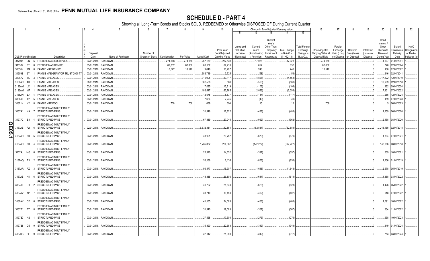|       |                             |           |                                                                              |                  | 5                    |                              |               | 8         | 9                  | 10                                            |                                                   |                                                   |                                                                           | Change in Book/Adjusted Carrying Value              |                                                                   | 16                                                  | 17                                 | 18                                                 | 19                                         | 20                                                                  | 21                                        | 22                                                     |
|-------|-----------------------------|-----------|------------------------------------------------------------------------------|------------------|----------------------|------------------------------|---------------|-----------|--------------------|-----------------------------------------------|---------------------------------------------------|---------------------------------------------------|---------------------------------------------------------------------------|-----------------------------------------------------|-------------------------------------------------------------------|-----------------------------------------------------|------------------------------------|----------------------------------------------------|--------------------------------------------|---------------------------------------------------------------------|-------------------------------------------|--------------------------------------------------------|
|       |                             |           |                                                                              |                  |                      |                              |               |           |                    |                                               | 11                                                | 12                                                | 13                                                                        | 14                                                  | 15                                                                |                                                     |                                    |                                                    |                                            |                                                                     |                                           |                                                        |
|       | <b>CUSIP</b> Identification |           | Description                                                                  | Disposal<br>Date | Name of Purchaser    | Number of<br>Shares of Stock | Consideration | Par Value | <b>Actual Cost</b> | Prior Year<br>Book/Adjusted<br>Carrying Value | Unrealized<br>Valuation<br>Increase<br>(Decrease) | Current<br>Year's<br>Amortization)<br>/ Accretion | Current<br>Year's<br>Other-Than-<br>Temporary<br>Impairment<br>Recognized | <b>Total Change</b><br>in B./A.C.V.<br>$(11+12-13)$ | <b>Total Foreign</b><br>Exchange<br>Change in<br><b>B./A.C.V.</b> | Book/Adjusted<br>Carrying Value at<br>Disposal Date | Foreign<br>Exchange<br>Gain (Loss) | Realized<br>Gain (Loss)<br>on Disposal on Disposal | <b>Total Gain</b><br>(Loss) on<br>Disposal | Bond<br>Interest /<br>Stock<br>Dividends<br>Received<br>During Year | Stated<br>Contractual<br>Maturity<br>Date | <b>NAIC</b><br>Designation<br>or Market<br>ndicator (a |
|       | 312945                      | DN        | FREDDIE MAC GOLD POOL<br>- 5                                                 | 03/01/2018.      | PAYDOWN.             |                              | 274,168       | .274,168  | 257,139            | .257,139                                      |                                                   |                                                   |                                                                           | .17,028                                             |                                                                   | 274,168                                             |                                    |                                                    |                                            | .1,507                                                              |                                           |                                                        |
|       |                             |           |                                                                              |                  |                      |                              |               |           |                    |                                               |                                                   | 17,028                                            |                                                                           |                                                     |                                                                   |                                                     |                                    |                                                    |                                            |                                                                     | 01/01/204                                 |                                                        |
|       | 3133T4 FT                   |           | FREDDIE MAC REMICS.                                                          | 03/01/2018       | <b>AYDOWN</b>        |                              | 62,862        | .62,862   | .60,102            | .62,210                                       |                                                   | .652                                              |                                                                           | .652                                                |                                                                   | 62,862                                              |                                    |                                                    |                                            | .728                                                                | 02/01/2024                                |                                                        |
|       | 31358N                      | W4        | ANNIE MAE REMICS.                                                            | 03/01/2018       | <b>PAYDOWN</b>       |                              | 10,542        | 10,542    | .9,646             | 10,297                                        |                                                   | .246                                              |                                                                           | .246                                                |                                                                   | 10,542                                              |                                    |                                                    |                                            | 108                                                                 | 07/01/2022                                |                                                        |
|       | 31359S                      | 6Y        | FANNIE MAE GRANTOR TRUST 2001-T7                                             | 03/01/2018       | PAYDOWN.             |                              |               |           | 386,749            | .3,725                                        |                                                   | (58)                                              |                                                                           | (58)                                                |                                                                   |                                                     |                                    |                                                    |                                            | .946                                                                | 02/01/2041                                |                                                        |
|       | 3136A7                      | ML        | <b>FANNIE MAE-ACES</b><br>-3                                                 | 03/01/2018.      | PAYDOWN              |                              |               |           | .316,908           | .53,117                                       |                                                   | (4, 568)                                          |                                                                           | (4,568)                                             |                                                                   |                                                     |                                    |                                                    |                                            | .17,622                                                             | 12/01/2019                                |                                                        |
|       | 3136AC                      | 4H        | <b>FANNIE MAE-ACES</b>                                                       | 02/01/2018.      | PAYDOWN.             |                              |               |           | 362,508            | 560                                           |                                                   | (560)                                             |                                                                           | (560)                                               |                                                                   |                                                     |                                    |                                                    |                                            | .18.969                                                             | 02/01/2018.                               |                                                        |
|       | 3136AM                      | LC        | <b>FANNIE MAE-ACES</b>                                                       | 03/01/2018.      | PAYDOWN.             |                              |               |           | .17,095            | 12,219                                        |                                                   | (106)                                             |                                                                           | (106)                                               |                                                                   |                                                     |                                    |                                                    |                                            | .332                                                                | 09/01/2024                                |                                                        |
|       | 3136AM                      | M7        | <b>FANNIE MAE-ACES</b>                                                       | 03/01/2018.      | PAYDOWN.             |                              |               |           | 106,547            | .62,765                                       |                                                   | (2,056)                                           |                                                                           | (2,056)                                             |                                                                   |                                                     |                                    |                                                    |                                            | .7,901                                                              | 07/01/2022                                |                                                        |
|       | 3136AN                      | LJ        | <b>FANNIE MAE-ACES</b>                                                       | 03/01/2018       | PAYDOWN.             |                              |               |           | 12,075             | 8,837                                         |                                                   | (117)                                             |                                                                           | (117)                                               |                                                                   |                                                     |                                    |                                                    |                                            | .255                                                                | 12/01/2024                                |                                                        |
|       | 3136AT                      | X2        | <b>FANNIE MAE-ACES</b><br>-5                                                 | 03/01/2018       | PAYDOWN.             |                              |               |           | .7,664             | .7,245                                        |                                                   | (49)                                              |                                                                           | (49)                                                |                                                                   |                                                     |                                    |                                                    |                                            | 159                                                                 | 07/01/2028                                |                                                        |
|       | 31371N V2                   |           | <b>FANNIE MAE POOL</b><br>- 8                                                | 03/01/2018.      | PAYDOWN.             |                              | .708          | .708      | .689               | .694                                          |                                                   | .15                                               |                                                                           | .15                                                 |                                                                   | .708                                                |                                    |                                                    |                                            |                                                                     | 06/01/2023                                |                                                        |
|       | 3137A1 NA                   |           | FREDDIE MAC MULTIFAMILY<br><b>STRUCTURED PASS</b>                            | 03/01/2018.      | PAYDOWN              |                              |               |           | .31,946            | 12.822                                        |                                                   | (488)                                             |                                                                           | (488)                                               |                                                                   |                                                     |                                    |                                                    |                                            | 1.259                                                               | 06/01/2020                                |                                                        |
|       | 3137A2 B3                   |           | FREDDIE MAC MULTIFAMILY<br><b>STRUCTURED PASS</b>                            |                  | 03/01/2018. PAYDOWN. |                              |               |           | 67,389             | .27.245                                       |                                                   | (962)                                             |                                                                           | (962)                                               |                                                                   |                                                     |                                    |                                                    |                                            |                                                                     | .2.458 08/01/2020                         |                                                        |
| Q     | 3137AB                      | <b>FW</b> | FREDDIE MAC MULTIFAMILY<br><b>STRUCTURED PASS</b><br>- 6                     |                  | 02/01/2018. PAYDOWN. |                              |               |           | .6,532,381         | .52,884                                       |                                                   | (52,884)                                          |                                                                           | (52,884)                                            |                                                                   |                                                     |                                    |                                                    |                                            | .248,455                                                            | 02/01/2018.                               |                                                        |
| E05.1 | 3137AH                      | 6D        | FREDDIE MAC MULTIFAMILY<br>STRUCTURED PASS<br>- 5                            |                  | 03/01/2018. PAYDOWN. |                              |               |           | 43,991             | 23,752                                        |                                                   | (679)                                             |                                                                           | (679)                                               |                                                                   |                                                     |                                    |                                                    |                                            | .1,394                                                              | 07/01/2021                                |                                                        |
|       | 3137AH 6R                   |           | FREDDIE MAC MULTIFAMILY<br><b>STRUCTURED PASS</b><br>FREDDIE MAC MULTIFAMILY | 03/01/2018.      | PAYDOWN.             |                              |               |           | 1,785,352          | .224,367                                      |                                                   | (172,227)                                         |                                                                           | (172, 227)                                          |                                                                   |                                                     |                                    |                                                    |                                            | .142,366                                                            | 08/01/2018.                               |                                                        |
|       | 3137AJ MG                   |           | <b>STRUCTURED PASS</b><br>FREDDIE MAC MULTIFAMILY                            | 03/01/2018.      | PAYDOWN.             |                              |               |           | .25,920            | 14,652                                        |                                                   | (397)                                             |                                                                           | (397)                                               |                                                                   |                                                     |                                    |                                                    |                                            | .809                                                                | 10/01/2021                                |                                                        |
|       | 3137AQ T3                   |           | STRUCTURED PASS<br>$\overline{\phantom{a}}$<br>FREDDIE MAC MULTIFAMILY       | 03/01/2018.      | PAYDOWN.             |                              |               |           | .26,136            | .6,135                                        |                                                   | (858)                                             |                                                                           | (858)                                               |                                                                   |                                                     |                                    |                                                    |                                            | 1,236                                                               | 01/01/2019.                               |                                                        |
|       | 3137AR PZ                   |           | STRUCTURED PASS<br>- 3<br>FREDDIE MAC MULTIFAMILY                            |                  | 03/01/2018. PAYDOWN. |                              |               |           | 56,477             | 15,907                                        |                                                   | (1,648)                                           |                                                                           | (1,648)                                             |                                                                   |                                                     |                                    |                                                    |                                            | .2,578                                                              | 05/01/2019.                               |                                                        |
|       | 3137AS NK                   |           | <b>STRUCTURED PASS</b><br>FREDDIE MAC MULTIFAMILY                            | 03/01/2018.      | PAYDOWN              |                              |               |           | 48,385             | .26,806                                       |                                                   | (614)                                             |                                                                           | (614)                                               |                                                                   |                                                     |                                    |                                                    |                                            | 1,388                                                               | 03/01/2022                                |                                                        |
|       | 3137AT RX                   |           | <b>STRUCTURED PASS</b><br>- 2<br>FREDDIE MAC MULTIFAMILY                     |                  | 03/01/2018. PAYDOWN. |                              |               |           | 41,702             | .28,633                                       |                                                   | (623)                                             |                                                                           | (623)                                               |                                                                   |                                                     |                                    |                                                    |                                            | 1,426                                                               | 05/01/2022                                |                                                        |
|       | 3137AV XP                   |           | STRUCTURED PASS<br>FREDDIE MAC MULTIFAMILY                                   | 03/01/2018.      | PAYDOWN.             |                              |               |           | .33,710            | 19,453                                        |                                                   | (402)                                             |                                                                           | (402)                                               |                                                                   |                                                     |                                    |                                                    |                                            | .918                                                                | 07/01/2022                                |                                                        |
|       | 3137AY CF                   |           | <b>STRUCTURED PASS</b><br>- 6<br>FREDDIE MAC MULTIFAMILY                     |                  | 03/01/2018. PAYDOWN  |                              |               |           | .41,135            | 24,083                                        |                                                   | (468)                                             |                                                                           | (468)                                               |                                                                   |                                                     |                                    |                                                    |                                            | 1,091                                                               | 10/01/2022                                |                                                        |
|       | 3137B1 BT                   |           | <b>STRUCTURED PASS</b><br>-8<br>FREDDIE MAC MULTIFAMILY                      |                  | 03/01/2018. PAYDOWN. |                              |               |           | .31,940            | .19,083                                       |                                                   | (367)                                             |                                                                           | (367)                                               |                                                                   |                                                     |                                    |                                                    |                                            | .834                                                                | 11/01/2022                                |                                                        |
|       | 3137B7 N2                   |           | <b>STRUCTURED PASS</b><br>FREDDIE MAC MULTIFAMILY                            |                  | 03/01/2018. PAYDOWN. |                              |               |           | .27,558            | .17,500                                       |                                                   | (276)                                             |                                                                           | (276)                                               |                                                                   |                                                     |                                    |                                                    |                                            | .638                                                                | 10/01/2023                                |                                                        |
|       | 3137B8 G5                   |           | <b>STRUCTURED PASS</b><br>FREDDIE MAC MULTIFAMILY                            | 03/01/2018.      | PAYDOWN              |                              |               |           | 35,390             | .22.683                                       |                                                   | (349)                                             |                                                                           | (349)                                               |                                                                   |                                                     |                                    |                                                    |                                            |                                                                     | 849 01/01/2024                            |                                                        |
|       | 3137BB BE                   |           | <b>STRUCTURED PASS</b><br><b>q</b>                                           |                  | 03/01/2018. PAYDOWN. |                              |               |           | 32.112             | 21.089                                        |                                                   | (312)                                             |                                                                           | (312)                                               |                                                                   |                                                     |                                    |                                                    |                                            |                                                                     | .753 03/01/2024.                          |                                                        |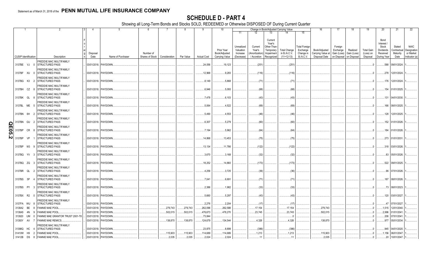|                           |                             |           | 2                                                       | 4                |                      |                              |               |           |                    | 10                                            |                                                   |                                                | Change in Book/Adjusted Carrying Value                                                                                           |                                                            | 16                                                  | 17                                                | 18                                    | 19                                         | 20                                                                  | 21                                        | 22                                                       |
|---------------------------|-----------------------------|-----------|---------------------------------------------------------|------------------|----------------------|------------------------------|---------------|-----------|--------------------|-----------------------------------------------|---------------------------------------------------|------------------------------------------------|----------------------------------------------------------------------------------------------------------------------------------|------------------------------------------------------------|-----------------------------------------------------|---------------------------------------------------|---------------------------------------|--------------------------------------------|---------------------------------------------------------------------|-------------------------------------------|----------------------------------------------------------|
|                           |                             |           |                                                         |                  |                      |                              |               |           |                    |                                               | 11                                                | 12                                             | 13<br>14                                                                                                                         | 15                                                         |                                                     |                                                   |                                       |                                            |                                                                     |                                           |                                                          |
|                           | <b>CUSIP</b> Identification |           | Description                                             | Disposal<br>Date | Name of Purchaser    | Number of<br>Shares of Stock | Consideration | Par Value | <b>Actual Cost</b> | Prior Year<br>Book/Adjusted<br>Carrying Value | Unrealized<br>Valuation<br>Increase<br>(Decrease) | Current<br>Year's<br>Amortization<br>Accretion | Current<br>Year's<br>Other-Than-<br>Temporary<br><b>Total Change</b><br>in B./A.C.V.<br>Impairment<br>$(11+12-13)$<br>Recognized | <b>Total Foreign</b><br>Exchange<br>Change in<br>B./A.C.V. | Book/Adjusted<br>Carrying Value at<br>Disposal Date | Foreign<br>Exchange<br>Gain (Loss)<br>on Disposal | Realized<br>Gain (Loss)<br>on Disposa | <b>Total Gain</b><br>(Loss) on<br>Disposal | Bond<br>Interest /<br>Stock<br>Dividends<br>Received<br>During Year | Stated<br>Contractual<br>Maturity<br>Date | <b>NAIC</b><br>Designation<br>or Market<br>Indicator (a) |
|                           |                             |           | FREDDIE MAC MULTIFAMILY                                 |                  |                      |                              |               |           |                    |                                               |                                                   |                                                |                                                                                                                                  |                                                            |                                                     |                                                   |                                       |                                            |                                                                     |                                           |                                                          |
|                           | 3137BE VJ                   | - C       | <b>STRUCTURED PASS</b>                                  |                  | 03/01/2018. PAYDOWN. |                              |               |           | .24,056            | .19,123                                       |                                                   | (251)                                          | (251)                                                                                                                            |                                                            |                                                     |                                                   |                                       |                                            |                                                                     | .588 09/01/2024.                          |                                                          |
|                           | 3137BF XU                   | - 0       | FREDDIE MAC MULTIFAMILY<br><b>STRUCTURED PASS</b>       |                  | 03/01/2018. PAYDOWN  |                              |               |           | 12,968             | .9,283                                        |                                                   | (116)                                          | (116)                                                                                                                            |                                                            |                                                     |                                                   |                                       |                                            | .278                                                                | 12/01/2024                                |                                                          |
|                           | 3137BG K3                   | - 2       | <b>REDDIE MAC MULTIFAMILY</b><br><b>STRUCTURED PASS</b> |                  | 03/01/2018. PAYDOWN  |                              |               |           | .8,149             | .5,868                                        |                                                   | (71)                                           | (71)                                                                                                                             |                                                            |                                                     |                                                   |                                       |                                            |                                                                     | 176 12/01/2024.                           |                                                          |
|                           | 3137BH CZ                   | -8        | FREDDIE MAC MULTIFAMILY<br><b>STRUCTURED PASS</b>       |                  | 03/01/2018. PAYDOWN  |                              |               |           | .6,946             | .5,093                                        |                                                   | (68)                                           | (.68)                                                                                                                            |                                                            |                                                     |                                                   |                                       |                                            | 154                                                                 | 01/01/2025.                               |                                                          |
|                           | 3137BK GL                   |           | FREDDIE MAC MULTIFAMILY<br><b>STRUCTURED PASS</b>       |                  | 03/01/2018. PAYDOWN  |                              |               |           | .7,478             | .6.103                                        |                                                   | (43)                                           | (43)                                                                                                                             |                                                            |                                                     |                                                   |                                       |                                            | .131                                                                | 04/01/2030.                               |                                                          |
|                           | 3137BL ME                   | - 5       | FREDDIE MAC MULTIFAMILY<br><b>STRUCTURED PASS</b>       |                  | 03/01/2018. PAYDOWN  |                              |               |           | .5,064             | 4.522                                         |                                                   | (69)                                           | (69)                                                                                                                             |                                                            |                                                     |                                                   |                                       |                                            |                                                                     | 166 08/01/2025.                           |                                                          |
|                           | 3137BN 6H                   |           | FREDDIE MAC MULTIFAMILY<br><b>STRUCTURED PASS</b>       |                  | 03/01/2018. PAYDOWN  |                              |               |           | .5,490             | 4,553                                         |                                                   | (46)                                           | (46)                                                                                                                             |                                                            |                                                     |                                                   |                                       |                                            |                                                                     | 128 12/01/2025.                           |                                                          |
|                           | 3137BN                      | GU        | FREDDIE MAC MULTIFAMILY<br>STRUCTURED PASS              |                  | 03/01/2018. PAYDOWN  |                              |               |           | .6,307             | .5,279                                        |                                                   | (60)                                           | (60)                                                                                                                             |                                                            |                                                     |                                                   |                                       |                                            |                                                                     | 152 01/01/2026.                           |                                                          |
| <u>ဂ</u> ္ဂ<br>$\ddot{a}$ | 3137BP                      | CR        | FREDDIE MAC MULTIFAMILY<br><b>STRUCTURED PASS</b>       |                  | 03/01/2018. PAYDOWN  |                              |               |           | .7,194             | .5,962                                        |                                                   | (64)                                           | (64)                                                                                                                             |                                                            |                                                     |                                                   |                                       |                                            | 184                                                                 | 01/01/2026.                               |                                                          |
| N                         | 3137BP                      | <b>VP</b> | FREDDIE MAC MULTIFAMILY<br><b>STRUCTURED PASS</b>       |                  | 03/01/2018. PAYDOWN  |                              |               |           | .14,868            | .13,453                                       |                                                   | (75)                                           | (75)                                                                                                                             |                                                            |                                                     |                                                   |                                       |                                            |                                                                     | .273 01/01/2031                           |                                                          |
|                           | 3137BP W3 9                 |           | FREDDIE MAC MULTIFAMILY<br><b>STRUCTURED PASS</b>       |                  | 03/01/2018. PAYDOWN  |                              |               |           | .13,134            | .11,786                                       |                                                   | (122)                                          | (122)                                                                                                                            |                                                            |                                                     |                                                   |                                       |                                            |                                                                     | .318 03/01/2026.                          |                                                          |
|                           | 3137BQ YV                   | - 3       | <b>REDDIE MAC MULTIFAMILY</b><br><b>STRUCTURED PASS</b> |                  | 03/01/2018. PAYDOWN  |                              |               |           | .3,670             | .3,168                                        |                                                   | (32)                                           | (32)                                                                                                                             |                                                            |                                                     |                                                   |                                       |                                            | .83                                                                 | 05/01/2026.                               |                                                          |
|                           | 3137BQ ZQ                   | -3        | FREDDIE MAC MULTIFAMILY<br><b>STRUCTURED PASS</b>       |                  | 03/01/2018. PAYDOWN  |                              |               |           | 18,252             | .14,860                                       |                                                   | (173)                                          | (173)                                                                                                                            |                                                            |                                                     |                                                   |                                       |                                            | .522                                                                | 09/01/2025.                               |                                                          |
|                           | 3137BR QL 2                 |           | FREDDIE MAC MULTIFAMILY<br><b>STRUCTURED PASS</b>       |                  | 03/01/2018. PAYDOWN  |                              |               |           | .4,256             | .3,725                                        |                                                   | (36)                                           | (36)                                                                                                                             |                                                            |                                                     |                                                   |                                       |                                            | .96                                                                 | 07/01/2026.                               |                                                          |
|                           | 3137BS 5P                   |           | FREDDIE MAC MULTIFAMILY<br>STRUCTURED PASS              |                  | 03/01/2018. PAYDOWN  |                              |               |           | .7,041             | .6,691                                        |                                                   | (71)                                           | (71)                                                                                                                             |                                                            |                                                     |                                                   |                                       |                                            |                                                                     | .187 08/01/2026.                          |                                                          |
|                           | 3137BS PY                   | -3        | FREDDIE MAC MULTIFAMILY<br><b>STRUCTURED PASS</b>       |                  | 03/01/2018. PAYDOWN  |                              |               |           | 2,386              | 1.982                                         |                                                   | (33)                                           | (33)                                                                                                                             |                                                            |                                                     |                                                   |                                       |                                            | .73                                                                 | 08/01/2023.                               |                                                          |
|                           | 3137BX R2                   |           | <b>REDDIE MAC MULTIFAMILY</b><br><b>STRUCTURED PASS</b> |                  | 03/01/2018. PAYDOWN  |                              |               |           | .5,660             | .5,297                                        |                                                   | (43)                                           | (43)                                                                                                                             |                                                            |                                                     |                                                   |                                       |                                            |                                                                     | .120 03/01/2027.                          |                                                          |
|                           | 3137FA WU                   | - 8       | FREDDIE MAC MULTIFAMILY<br><b>STRUCTURED PASS</b>       |                  | 03/01/2018. PAYDOWN  |                              |               |           | .2,276             | 0.2,204                                       |                                                   | (17)                                           | (17)                                                                                                                             |                                                            |                                                     |                                                   |                                       | 0.1                                        | .47                                                                 | 07/01/2027                                |                                                          |
|                           | 3138A2                      | BE<br>-8  | <b>FANNIE MAE POOL</b>                                  |                  | 03/01/2018. PAYDOWN  |                              | .279,743      | .279,743  | .262,096           | .262,588                                      |                                                   | .17,154                                        | .17,154                                                                                                                          |                                                            | 279,743                                             |                                                   |                                       | 0                                          | 1,515                                                               | 12/01/2040.                               |                                                          |
|                           | 3138A5                      | 4N        | FANNIE MAE POOL.                                        | 03/01/2018.      | PAYDOWN              |                              | .502,015      | .502,015  | .476,673           | .478,270                                      |                                                   | 23,745                                         | .23,745                                                                                                                          |                                                            | .502,015                                            |                                                   |                                       | .0                                         | .2,996                                                              | 01/01/2041                                |                                                          |
|                           | 313920                      | UM        | FANNIE MAE GRANTOR TRUST 2001-T8                        | 03/01/2018.      | PAYDOWN              |                              |               |           | .73,844            |                                               |                                                   |                                                |                                                                                                                                  |                                                            |                                                     |                                                   |                                       | - 0                                        | .206                                                                | 07/01/2041                                |                                                          |
|                           | 31393Y                      | AV        | <b>FANNIE MAE REMICS.</b>                               |                  | 03/01/2018. PAYDOWN  |                              | .138,870      | .138,870  | .124,679           | .134,544                                      |                                                   | .4,326                                         | .4,326                                                                                                                           |                                                            | .138,870                                            |                                                   |                                       |                                            | .977                                                                | 05/01/2034                                |                                                          |
|                           | 31398Q                      | HC        | FREDDIE MAC MULTIFAMILY<br><b>STRUCTURED PASS</b>       |                  | 03/01/2018. PAYDOWN  |                              |               |           | .23,875            | .8,899                                        |                                                   | (386)                                          | (386)                                                                                                                            |                                                            |                                                     |                                                   |                                       | - 0                                        | .945                                                                | 04/01/2020                                |                                                          |
|                           | 31410W                      | H9        | <b>FANNIE MAE POOL</b>                                  |                  | 03/01/2018. PAYDOWN  |                              | .115,903      | .115,903  | 114,689            | .114,689                                      |                                                   | 1,213                                          | .1,213                                                                                                                           |                                                            | .115,903                                            |                                                   |                                       | $\Omega$                                   | 1,156                                                               | 06/01/2047                                |                                                          |
|                           | 31412B DS                   | -8        | <b>FANNIE MAE POOL</b>                                  |                  | 03/01/2018. PAYDOWN  |                              | .2,035        | .2,035    | .2,024             | .2,024                                        |                                                   | .11                                            | 11                                                                                                                               |                                                            | .2.035                                              |                                                   |                                       |                                            | .20                                                                 | 10/01/2047                                |                                                          |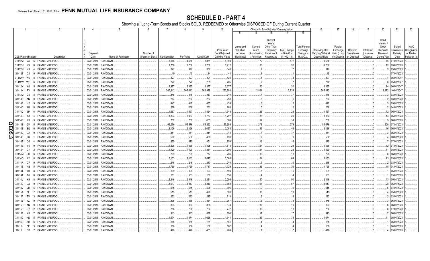|   |                             |                |                                  |             | 5                    | -6              |               | 8         | -9                 | 10 <sup>°</sup>             |                       |                         |                                  | Change in Book/Adjusted Carrying Value |                       | 16                                 | 17                      | 18                      | 19                             | 20                          | 21                     | 22                       |
|---|-----------------------------|----------------|----------------------------------|-------------|----------------------|-----------------|---------------|-----------|--------------------|-----------------------------|-----------------------|-------------------------|----------------------------------|----------------------------------------|-----------------------|------------------------------------|-------------------------|-------------------------|--------------------------------|-----------------------------|------------------------|--------------------------|
|   |                             |                |                                  |             |                      |                 |               |           |                    |                             | 11                    | 12                      | 13                               | 14                                     | 15                    |                                    |                         |                         |                                |                             |                        |                          |
|   |                             |                |                                  |             |                      |                 |               |           |                    |                             | Unrealized            | Current                 | Current<br>Year's<br>Other-Than- |                                        | <b>Total Foreign</b>  |                                    | Foreign                 |                         |                                | Bond<br>Interest /<br>Stock | Stated                 | <b>NAIC</b>              |
|   |                             |                |                                  | Disposal    |                      | Number of       |               |           |                    | Prior Year<br>Book/Adjusted | Valuation<br>Increase | Year's<br>Amortization) | Temporary<br>Impairment          | <b>Total Change</b><br>in B./A.C.V.    | Exchange<br>Change in | Book/Adjusted<br>Carrying Value at | Exchange<br>Gain (Loss) | Realized<br>Gain (Loss  | <b>Total Gain</b><br>(Loss) on | Dividends<br>Received       | Contractua<br>Maturity | Designation<br>or Market |
|   | <b>CUSIP</b> Identification |                | Description                      | Date        | Name of Purchaser    | Shares of Stock | Consideration | Par Value | <b>Actual Cost</b> | Carrying Value              | (Decrease)            | / Accretion             | Recognized                       | $(11+12-13)$                           | <b>B./A.C.V.</b>      | Disposal Date                      |                         | on Disposal on Disposal | Disposal                       | During Year                 | Date                   | Indicator (a             |
|   | 31412M 2X 5                 |                | <b>FANNIE MAE POOL</b>           |             | 03/01/2018. PAYDOWN. |                 | .8,566        | .8,566    | 8,331              | .8,394                      |                       | .172                    |                                  | 172                                    |                       | .8,566                             |                         |                         |                                | 45                          | 07/01/2023             |                          |
|   | 31412M K9                   |                | <b>FANNIE MAE POOL</b><br>-8     | 03/01/2018. | PAYDOWN.             |                 | .1,750        | .1,750    | .1,702             | .1,712                      |                       | 38                      |                                  | .38                                    |                       | .1,750                             |                         |                         |                                | .12                         | 03/01/2023             |                          |
|   | 31412M VJ                   |                | ANNIE MAE POOL                   | 03/01/2018. | PAYDOWN.             |                 | .347          | .347      | 337                | .340                        |                       |                         |                                  |                                        |                       | 347                                |                         |                         |                                |                             | 05/01/2023             |                          |
|   | 31412T                      | CJ             | <b>FANNIE MAE POOL</b><br>$\cap$ | 03/01/2018. | PAYDOWN.             |                 | . 45          | .45       | . . 44             | .44                         |                       |                         |                                  |                                        |                       | 45                                 |                         |                         |                                |                             | 07/01/2023             |                          |
|   | 31412W WB                   |                | <b>ANNIE MAE POOL</b>            | 03/01/2018  | PAYDOWN.             |                 | .427          | .427      | .424               | .424                        |                       |                         |                                  |                                        |                       | .427                               |                         |                         |                                |                             | 05/01/2047             |                          |
|   | 31412W WC                   |                | <b>ANNIE MAE POOL</b>            | 03/01/2018. | PAYDOWN.             |                 | .772          | .772      | 765                | .765                        |                       |                         |                                  |                                        |                       | 772                                |                         |                         |                                |                             | 05/01/2047             |                          |
|   | 31412X K4                   |                | <b>FANNIE MAE POOL</b>           | 03/01/2018. | PAYDOWN.             |                 | .2,397        | .2,397    | .2,377             | .2,377                      |                       | .20                     |                                  | .20                                    |                       | .2,397                             |                         |                         |                                |                             | 06/01/2047             |                          |
|   | 31413K RV                   |                | <b>FANNIE MAE POOL</b><br>- 5    | 03/01/2018. | PAYDOWN              |                 | .265,812      | 265,812   | 262,988            | 262,988                     |                       | .2,824                  |                                  | .2,824                                 |                       | .265,812                           |                         |                         |                                | .3.972                      | 10/01/2047             |                          |
|   | 31413M                      | G6             | <b>FANNIE MAE POOL</b>           | 03/01/2018. | PAYDOWN.             |                 | .346          | .346      | 337                | .340                        |                       |                         |                                  |                                        |                       | .346                               |                         |                         |                                |                             | 03/01/2023.            |                          |
|   | 31414B AN                   |                | <b>ANNIE MAE POOL</b>            | 03/01/2018. | PAYDOWN.             |                 | .264          | .264      | .257               | .258                        |                       |                         |                                  |                                        |                       | .264                               |                         |                         |                                |                             | 03/01/2023             |                          |
|   | 31414B                      | H <sub>2</sub> | <b>FANNIE MAE POOL</b><br>- Q    | 03/01/2018. | PAYDOWN.             |                 | .447          | .447      | .435               | .439                        |                       | 8                       |                                  |                                        |                       | .447                               |                         |                         |                                |                             | 05/01/2023             |                          |
|   | 31414C 4H                   |                | <b>ANNIE MAE POOL</b>            | 03/01/2018. | PAYDOWN.             |                 | .268          | .268      | 261                | 263                         |                       |                         |                                  |                                        |                       | .268                               |                         |                         |                                |                             | 04/01/2023             |                          |
|   | 31414D                      | 6P             | <b>FANNIE MAE POOL</b><br>- 6    | 03/01/2018. | PAYDOWN.             |                 | .1,567        | .1,567    | .1,524             | .1,540                      |                       | .28                     |                                  | .28                                    |                       | .1,567                             |                         |                         |                                | .12                         | 06/01/2023             |                          |
|   | 31414D                      | X8             | <b>FANNIE MAE POOL</b>           | 03/01/2018  | PAYDOWN.             |                 | .1,833        | .1,833    | .1,783             | .1,797                      |                       | 36                      |                                  | .36                                    |                       | .1,833                             |                         |                         |                                |                             | 05/01/2023             |                          |
|   | 31414D                      | Z <sub>3</sub> | ANNIE MAE POOL                   | 03/01/2018  | PAYDOWN.             |                 | .702          | 702       | 683                | .689                        |                       | 14                      |                                  | .14                                    |                       | .702                               |                         |                         |                                |                             | 06/01/2023             |                          |
| O | 31414E                      | 2V             | <b>ANNIE MAE POOL</b>            | 03/01/2018  | PAYDOWN.             |                 | 55,576        | 55,576    | 55,252             | .55,298                     |                       | .278                    |                                  | .278                                   |                       | .55,576                            |                         |                         |                                | .500                        | 07/01/2023             |                          |
| m | 31414E                      | BQ             | <b>ANNIE MAE POOL</b>            | 03/01/2018. | PAYDOWN.             |                 | .2,126        | .2,126    | .2,067             | .2,080                      |                       | .46                     |                                  | .46                                    |                       | .2,126                             |                         |                         |                                |                             | 06/01/2023             |                          |
| ဌ | 31414E                      | DA             | <b>FANNIE MAE POOL</b>           | 03/01/2018. | PAYDOWN.             |                 | .351          | .351      | 341                | .344                        |                       |                         |                                  |                                        |                       | 351                                |                         |                         |                                |                             | 06/01/2023             |                          |
| ω | 31414E                      | JB             | <b>FANNIE MAE POOL</b>           | 03/01/2018. | PAYDOWN.             |                 | .502          | .502      | .488               | .493                        |                       |                         |                                  | -9                                     |                       | .502                               |                         |                         |                                |                             | 06/01/2023             |                          |
|   | 31414E                      | Q6             | <b>FANNIE MAE POOL</b>           | 03/01/2018. | PAYDOWN.             |                 | .875          | .875      | 851                | .859                        |                       | .16                     |                                  | .16                                    |                       | .875                               |                         |                         |                                |                             | 07/01/2023             |                          |
|   | 31414E V5                   |                | <b>ANNIE MAE POOL</b>            | 03/01/2018. | PAYDOWN.             |                 | 1,538         | 1,538     | .1,495             | .1,513                      |                       | .24                     |                                  | .24                                    |                       | 1,538                              |                         |                         |                                |                             | 07/01/2023             |                          |
|   | 31414F                      | GF             | <b>FANNIE MAE POOL</b><br>- 2    | 03/01/2018. | PAYDOWN.             |                 | .1,420        | .1,420    | .1,381             | .1,395                      |                       | .24                     |                                  | . 24                                   |                       | .1,420                             |                         |                         |                                |                             | 08/01/2023             |                          |
|   | 31414M                      | DH             | <b>ANNIE MAE POOL</b>            | 03/01/2018  | <b>AYDOWN</b>        |                 | .799          | 799       | 777                | 786                         |                       | .13                     |                                  | .13                                    |                       | 799                                |                         |                         |                                |                             | 06/01/2023             |                          |
|   | 31414Q                      | X2             | <b>FANNIE MAE POOL</b>           | 03/01/2018  | PAYDOWN.             |                 | .3,133        | 3,133     | .3,047             | .3,068                      |                       | .64                     |                                  | .64                                    |                       | .3,133                             |                         |                         |                                | .23                         | 03/01/2023.            |                          |
|   | 31414R CF                   |                | <b>ANNIE MAE POOL</b>            | 03/01/2018  | PAYDOWN.             |                 | .246          | .246      | 240                | 240                         |                       | 6                       |                                  |                                        |                       | .246                               |                         |                         |                                |                             | 03/01/2023             |                          |
|   | 31414S NB                   |                | <b>ANNIE MAE POOL</b>            | 03/01/2018  | PAYDOWN.             |                 | 1,765         | .1,765    | .1,717             | .1,729                      |                       | .36                     |                                  | .36                                    |                       | .1,765                             |                         |                         |                                |                             | 04/01/2023             |                          |
|   | 31414T 7H                   |                | <b>FANNIE MAE POOL</b>           | 03/01/2018. | PAYDOWN.             |                 | .199          | .199      | 193                | .194                        |                       |                         |                                  |                                        |                       | .199                               |                         |                         |                                |                             | 05/01/2023             |                          |
|   | 31414T                      | T6             | <b>FANNIE MAE POOL</b><br>-8     | 03/01/2018. | PAYDOWN.             |                 | .161          | .161      | .157               | .158                        |                       |                         |                                  |                                        |                       | 161                                |                         |                         |                                |                             | 05/01/2023             |                          |
|   | 31414U                      | K9             | <b>FANNIE MAE POOL</b>           | 03/01/2018. | PAYDOWN.             |                 | .2,346        | .2,346    | .2,281             | .2,296                      |                       | .50                     |                                  | .50                                    |                       | .2,346                             |                         |                         |                                | 13                          | 05/01/2023             |                          |
|   | 31414U LQ                   |                | <b>ANNIE MAE POOL</b>            | 03/01/2018. | PAYDOWN.             |                 | .3,917        | .3,917    | .3,810             | .3,850                      |                       | 67                      |                                  | .67                                    |                       | .3,917                             |                         |                         |                                | .28                         | 05/01/2023             |                          |
|   | 31414V                      | DM             | <b>FANNIE MAE POOL</b><br>-5     | 03/01/2018. | PAYDOWN.             |                 | .615          | .615      | .598               | .606                        |                       | 9                       |                                  | 9                                      |                       | .615                               |                         |                         |                                |                             | 04/01/2023             |                          |
|   | 31415A 5E                   |                | <b>FANNIE MAE POOL</b>           | 03/01/2018  | PAYDOWN.             |                 | .513          | .513      | .499               | .503                        |                       | .10                     |                                  | .10                                    |                       | 513                                |                         |                         |                                |                             | 05/01/2023             |                          |
|   | 31415A                      | <b>TV</b>      | <b>FANNIE MAE POOL</b>           | 03/01/2018  | PAYDOWN.             |                 | .222          | .222      | .215               | .218                        |                       | . . 3                   |                                  |                                        |                       | .222                               |                         |                         |                                |                             | 03/01/2023             |                          |
|   | 31415B                      | 4Z             | ANNIE MAE POOL                   | 03/01/2018  | PAYDOWN.             |                 | .375          | .375      | 364                | .367                        |                       | . . 8                   |                                  |                                        |                       | 375                                |                         |                         |                                |                             | 06/01/2023             |                          |
|   | 31415B                      | AN             | <b>FANNIE MAE POOL</b>           | 03/01/2018  | PAYDOWN.             |                 | .893          | .893      | .868               | .874                        |                       | .19                     |                                  | .19                                    |                       | .893                               |                         |                         |                                |                             | 06/01/2023             |                          |
|   | 31415B DY                   |                | <b>ANNIE MAE POOL</b>            | 03/01/2018  | PAYDOWN.             |                 | .786          | .786      | 764                | .772                        |                       | .13                     |                                  | .13                                    |                       | .786                               |                         |                         |                                |                             | 07/01/2023             |                          |
|   | 31415B                      | K5             | <b>FANNIE MAE POOL</b>           | 03/01/2018. | PAYDOWN.             |                 | .913          | .913      | .888               | .896                        |                       | .17                     |                                  | .17                                    |                       | .913                               |                         |                         |                                |                             | 06/01/2023             |                          |
|   | 31415C ND                   |                | <b>FANNIE MAE POOL</b><br>-5     | 03/01/2018. | PAYDOWN.             |                 | 1,674         | .1,674    | .1,628             | .1,641                      |                       | .33                     |                                  | .33                                    |                       | 1,674                              |                         |                         |                                |                             | 05/01/2023             |                          |
|   | 31415C NH                   |                | <b>FANNIE MAE POOL</b>           | 03/01/2018. | PAYDOWN              |                 | 165           | .165      | .161               | .161                        |                       |                         |                                  |                                        |                       | .165                               |                         |                         |                                |                             | 05/01/2023             |                          |
|   | 31415L                      | 5E             | <b>FANNIE MAE POOL</b>           | 03/01/2018. | PAYDOWN.             |                 | 166           | .166      | 162                | 162                         |                       |                         |                                  |                                        |                       | 166                                |                         |                         |                                |                             | 06/01/2023             |                          |
|   | 31415L GB                   |                | <b>FANNIE MAE POOL</b>           | 03/01/2018. | PAYDOWN.             |                 | 476           | 476       | 463                | 469                         |                       |                         |                                  |                                        |                       | .476                               |                         |                         |                                |                             | 05/01/2023             |                          |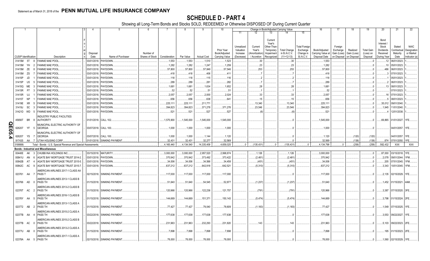|               |                             | -1        |                | $\overline{2}$                                                                        | $\overline{4}$   | -5                             | 6               | $\overline{7}$   | 8               | 9                  | 10                          |                               |                             |                                                     | Change in Book/Adjusted Carrying Value    |                                        | 16                                 | 17                                     | 18             | 19                    | 20                                     | 21                          | 22                                      |
|---------------|-----------------------------|-----------|----------------|---------------------------------------------------------------------------------------|------------------|--------------------------------|-----------------|------------------|-----------------|--------------------|-----------------------------|-------------------------------|-----------------------------|-----------------------------------------------------|-------------------------------------------|----------------------------------------|------------------------------------|----------------------------------------|----------------|-----------------------|----------------------------------------|-----------------------------|-----------------------------------------|
|               |                             |           |                |                                                                                       |                  |                                | Number of       |                  |                 |                    | Prior Year<br>Book/Adjusted | 11<br>Unrealized<br>Valuation | 12<br>Current<br>Year's     | 13<br>Current<br>Year's<br>Other-Than-<br>Temporary | 14<br><b>Total Change</b><br>in B./A.C.V. | 15<br><b>Total Foreign</b><br>Exchange | Book/Adjusted                      | Foreign<br>Exchange                    | Realized       | <b>Total Gain</b>     | Bond<br>Interest<br>Stock<br>Dividends | Stated<br>Contractual       | <b>NAIC</b><br>Designation<br>or Market |
|               | <b>CUSIP</b> Identification |           |                | Description                                                                           | Disposal<br>Date | Name of Purchaser              | Shares of Stock | Consideration    | Par Value       | <b>Actual Cost</b> | Carrying Value              | Increase<br>(Decrease)        | Amortization<br>/ Accretion | Impairment<br>Recognized                            | $(11+12-13)$                              | Change in<br><b>B./A.C.V.</b>          | Carrying Value at<br>Disposal Date | Gain (Loss)<br>on Disposal on Disposal | Gain (Loss)    | (Loss) on<br>Disposal | Received<br>During Year                | Maturity<br>Date            | Indicator (a)                           |
|               | 31415M 5T                   |           | - 8            | <b>FANNIE MAE POOL</b>                                                                |                  | 03/01/2018. PAYDOWN.           |                 | .1,553           | .1,553          | .1,510             | .1,523                      |                               | .30                         |                                                     | .30                                       |                                        | .1,553                             |                                        |                | 0                     |                                        | .12 06/01/2023              |                                         |
|               | 31415M YH                   |           | $\overline{2}$ | <b>FANNIE MAE POOL</b>                                                                |                  | 03/01/2018. PAYDOWN            |                 | .1,282           | .1,282          | .1,247             | .1,259                      |                               | .23                         |                                                     | 23                                        |                                        | .1,282                             |                                        |                | $\ldots 0$            | .10                                    | 05/01/2023                  |                                         |
|               | 31415M                      | ZE        | -8             | <b>FANNIE MAE POOL</b>                                                                |                  | 03/01/2018. PAYDOWN            |                 | .57,800          | .57,800         | .57,849            | .57,546                     |                               | .253                        |                                                     | .253                                      |                                        | .57,800                            |                                        |                | . 0                   | 486                                    | 06/01/2023                  |                                         |
|               | 31415M ZS                   |           |                | FANNIE MAE POOL                                                                       |                  | 03/01/2018. PAYDOWN.           |                 | .418             | .418            | 406                | .411                        |                               |                             |                                                     |                                           |                                        | .418                               |                                        |                |                       |                                        | 07/01/2023                  |                                         |
|               | 31415P                      | JD        |                | <b>FANNIE MAE POOL</b>                                                                |                  | 03/01/2018. PAYDOWN.           |                 | .118             | 118             | 115                | .116                        |                               |                             |                                                     |                                           |                                        | .118                               |                                        |                |                       |                                        | 05/01/2023                  |                                         |
|               | 31415P                      | U5        |                | FANNIE MAE POOL                                                                       |                  | 03/01/2018. PAYDOWN.           |                 | .289             | .289            | .281               | .282                        |                               |                             |                                                     |                                           |                                        | .289                               |                                        |                |                       |                                        | 06/01/2023                  |                                         |
|               | 31415Q                      | ME        |                | <b>FANNIE MAE POOL</b>                                                                |                  | 03/01/2018. PAYDOWN.           |                 | .1,681           | 1,681           | .1,634             | .1,652                      |                               | .28                         |                                                     | .28                                       |                                        | 1,681                              |                                        |                |                       | 13                                     | 08/01/2023.                 |                                         |
|               | 31415R                      | <b>P7</b> | -3             | FANNIE MAE POOL                                                                       |                  | 03/01/2018. PAYDOWN            |                 | .52              | .52             | 51                 | 51                          |                               |                             |                                                     |                                           |                                        | .52                                |                                        |                |                       |                                        | 07/01/2023                  |                                         |
|               | 31415R                      | - UJ      |                | <b>FANNIE MAE POOL</b>                                                                | 03/01/2018.      | PAYDOWN.                       |                 | .2,057           | .2,057          | .2,000             | .2,024                      |                               | 33                          |                                                     | .33                                       |                                        | .2,057                             |                                        |                |                       | .16                                    | 07/01/2023                  |                                         |
|               | 31415T<br>31419E XR         | <b>NP</b> |                | <b>FANNIE MAE POOL</b><br><b>FANNIE MAE POOL</b>                                      | 03/01/2018.      | 03/01/2018. PAYDOWN<br>PAYDOWN |                 | .656<br>.225,111 | .656<br>225,111 | 638<br>211,771     | 641                         |                               | .15<br>.13,340              |                                                     | 15<br>.13,340                             |                                        | 656<br>.225,111                    |                                        |                | - 0                   | .35,012                                | 08/01/2023<br>09/01/2040    |                                         |
|               | 31419J                      | <b>SC</b> | -3             | FANNIE MAE POOL                                                                       |                  | 03/01/2018. PAYDOWN.           |                 | .394,823         | 394,823         | .371,278           | .371,278                    |                               | .23,546                     |                                                     | .23,546                                   |                                        | .394,823                           |                                        |                |                       | .1,945                                 | 11/01/2040                  |                                         |
|               | 31421D WD                   |           | - 5            | <b>FANNIE MAE POOL</b>                                                                |                  | 03/01/2018. PAYDOWN.           |                 | .521             | .521            | 527                | .527                        |                               | (6)                         |                                                     | (6)                                       |                                        | .521                               |                                        |                |                       |                                        | 12/01/2038.                 |                                         |
|               | 45656T                      | BR I      |                | NDUSTRY PUBLIC FACILITIES<br>AUTHORITY                                                |                  | 01/01/2018. CALL 102           |                 | .1,575,900       | .1,545,000      | 1,545,000          | .1,545,000                  |                               |                             |                                                     |                                           |                                        | 1,545,000                          |                                        |                |                       | 69,865                                 | 01/01/2027.                 | I 1FE.                                  |
| <b>QE05.4</b> | 626207                      | YF 5      |                | MUNICIPAL ELECTRIC AUTHORITY OF<br><b>GEORGIA</b>                                     |                  | 03/07/2018. CALL 100           |                 | .1,000           | .1,000          | .1,000             | .1,000                      |                               |                             |                                                     |                                           |                                        | .1,000                             |                                        |                |                       |                                        | 04/01/2057.                 | 1FE.                                    |
|               | 626207                      |           | $\overline{7}$ | MUNICIPAL ELECTRIC AUTHORITY OF<br><b>GEORGIA</b>                                     |                  | 03/07/2018. CALL 100.          |                 | .1,000           | .1,000          |                    | .1,120                      |                               |                             |                                                     |                                           |                                        | .1,120                             |                                        |                |                       |                                        | 04/01/2057.                 | 1FE.                                    |
|               | 917435                      | YS<br>AA  |                | 7 UTAH HOUSING CORP.                                                                  |                  | 01/01/2018. SINKING PAYMENT    |                 | .32.431          | .32,431         | .1,144<br>.32,277  | .32,569                     |                               |                             |                                                     |                                           |                                        | .32.569                            |                                        | (120)<br>(138) | (120)<br>(138)        |                                        | .874 07/01/2050.            | 1FE.                                    |
|               | 3199999.                    |           |                | Total - Bonds - U.S. Special Revenue and Special Assessments                          |                  |                                |                 | 4,165,440        | .4,134,540      | 14,335,409         | 4,659,025                   | $\Omega$                      | (135, 431)                  |                                                     | (135, 431)                                |                                        | 4,134,798                          |                                        | (258)          | (258)                 | .582,432                               | <b>XXX</b>                  | <b>XXX</b>                              |
|               |                             |           |                | <b>Bonds - Industrial and Miscellaneous</b>                                           |                  |                                |                 |                  |                 |                    |                             |                               |                             |                                                     |                                           |                                        |                                    |                                        |                |                       |                                        |                             |                                         |
|               | 00440E AK                   |           | $\mathbf{3}$   | CHUBB INA HOLDINGS INC.                                                               |                  | 03/15/2018. MATURITY           |                 | .3,000,000       | .3,000,000      | .2,957,520         | .2,998,874                  |                               | .1,126                      |                                                     | .1,126                                    |                                        | .3,000,000                         |                                        |                | $\ldots$ 0            |                                        | .87,000 03/15/2018. 1FE.    |                                         |
|               | 00841U                      | AN        | - 6            | AGATE BAY MORTGAGE TRUST 2014-2                                                       |                  | 03/01/2018. PAYDOWN.           |                 | .370,942         | .370,942        | .373,492           | .373,422                    |                               | (2,481)                     |                                                     | (2,481)                                   |                                        | .370,942                           |                                        |                | $\ldots 0$            | .2,078                                 | 09/01/2044. 1FM.            |                                         |
|               | 00842B                      | AT        |                | AGATE BAY MORTGAGE TRUST 2015-5                                                       |                  | 03/01/2018. PAYDOWN.           |                 | 34,006           | .34,006         | .34,566            | .34,458                     |                               | (451                        |                                                     | (451)                                     |                                        | .34,006                            |                                        |                |                       | .205                                   | 07/01/2045.                 |                                         |
|               | 00842C AC                   |           |                | AGATE BAY MORTGAGE TRUST 2015-7                                                       |                  | 03/01/2018. PAYDOWN.           |                 | .637,212         | .637,212        | 642,918            | .642,521                    |                               | (5,310)                     |                                                     | (5,310)                                   |                                        | .637,212                           |                                        |                |                       |                                        | .3,343   10/01/2045.   1FM. |                                         |
|               | 023761 AA                   |           |                | AMERICAN AIRLINES 2017-1 CLASS AA<br>PASS <sub>T</sub>                                |                  | 02/15/2018. SINKING PAYMENT    |                 | 117,000          | .117,000        | 117,000            | .117,000                    |                               |                             |                                                     |                                           |                                        | .117,000                           |                                        |                |                       |                                        | 2,135 02/15/2029. 1FE.      |                                         |
|               | 023766 AD                   |           | - 0            | AMERICAN AIRLINES 2013-1 CLASS B<br>PASS TH                                           |                  | 01/15/2018. SINKING PAYMENT    |                 | 51,640           | .51,640         | .54,545            | .52,877                     |                               | (1,237)                     |                                                     | (1, 237)                                  |                                        | .51,640                            |                                        |                |                       |                                        | .1,452 01/15/2021. 4AM.     |                                         |
|               | 02376T AC                   |           | - 2            | MERICAN AIRLINES 2013-2 CLASS B<br>PASS TH                                            |                  | 01/15/2018. SINKING PAYMENT    |                 | .120,966         | 120,966         | 122,236            | .121,757                    |                               | .(791                       |                                                     | (791                                      |                                        | 120,966                            |                                        |                |                       | .3,387                                 | 07/15/2020. 3FE.            |                                         |
|               | 02376Y AA                   |           | - 5            | MERICAN AIRLINES 2016-1 CLASS B<br>PASS TH<br><b>\MERICAN AIRLINES 2013-1 CLASS A</b> |                  | 01/15/2018. SINKING PAYMENT    |                 | .144,669         | 144,669         | 151,371            | .150,143                    |                               | (5, 474)                    |                                                     | (5,474)                                   |                                        | .144,669                           |                                        |                |                       |                                        | .3,798   01/15/2024. 2FE.   |                                         |
|               | 023772 AB                   |           | - 2            | PASS TH<br>AMERICAN AIRLINES 2015-2 CLASS A                                           |                  | 01/15/2018. SINKING PAYMENT    |                 | .77,427          | .77,427         | 79,040             | .78,609                     |                               | (1, 183)                    |                                                     | (1, 183)                                  |                                        | .77,427                            |                                        |                | - 0                   | 1.549                                  | 07/15/2025. 1FE.            |                                         |
|               | 02377B AA                   |           |                | PASS TH<br>MERICAN AIRLINES 2015-2 CLASS B                                            |                  | 03/22/2018. SINKING PAYMENT    |                 | .177,638         | .177,638        | .177,638           | .177,638                    |                               |                             |                                                     | - 0                                       |                                        | .177,638                           |                                        |                | 0                     | .3,553                                 | 09/22/2027. 1FE.            |                                         |
|               | 02377B AC                   |           | - 0            | PASS TH<br>MERICAN AIRLINES 2013-2 CLASS A                                            |                  | 03/22/2018. SINKING PAYMENT    |                 | .231,963         | .231,963        | 232,293            | .231,820                    |                               | 143                         |                                                     | 143                                       |                                        | 231,963                            |                                        |                |                       |                                        | .5,103 09/22/2023. 2FE.     |                                         |
|               | 02377U AB                   |           |                | PASS TH<br>AMERICAN AIRLINES 2017-1 CLASS A                                           |                  | 01/15/2018. SINKING PAYMENT    |                 | .7,898           | .7,898          | .7,898             | .7,898                      |                               |                             |                                                     |                                           |                                        | .7,898                             |                                        |                |                       |                                        | .195 01/15/2023. 2FE.       |                                         |
|               | 02378A AA 5                 |           |                | PASS TH                                                                               |                  | 02/15/2018. SINKING PAYMENT    |                 | .78,000          | .78.000         | .78,000            | .78.000                     |                               |                             |                                                     |                                           |                                        | .78.000                            |                                        |                | .0                    |                                        | .1,560 02/15/2029. 1FE.     |                                         |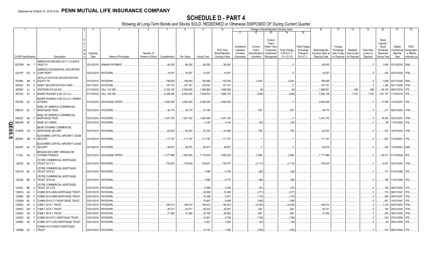|       |                             |           |                | 2                                                  | 4           | 5                           | - 6             |               | -8         | -9                 | 10                          |                                     |                                   |                                                            | Change in Book/Adjusted Carrying Value |                                               | 16                                 | 17                                 | 18                      | 19                             | 20                                                          | 21                                | 22                                      |
|-------|-----------------------------|-----------|----------------|----------------------------------------------------|-------------|-----------------------------|-----------------|---------------|------------|--------------------|-----------------------------|-------------------------------------|-----------------------------------|------------------------------------------------------------|----------------------------------------|-----------------------------------------------|------------------------------------|------------------------------------|-------------------------|--------------------------------|-------------------------------------------------------------|-----------------------------------|-----------------------------------------|
|       |                             |           |                |                                                    |             |                             |                 |               |            |                    |                             | 11                                  | 12                                | 13                                                         | 14                                     | 15                                            |                                    |                                    |                         |                                |                                                             |                                   |                                         |
|       |                             |           |                |                                                    | Disposal    |                             | Number of       |               |            |                    | Prior Year<br>Book/Adjusted | Unrealized<br>Valuation<br>Increase | Current<br>Year's<br>Amortizatior | Current<br>Year's<br>Other-Than<br>Temporary<br>Impairment | <b>Total Change</b><br>in B./A.C.V.    | <b>Total Foreign</b><br>Exchange<br>Change in | Book/Adjusted<br>Carrying Value at | Foreign<br>Exchange<br>Gain (Loss) | Realized<br>Gain (Loss) | <b>Total Gain</b><br>(Loss) on | Bond<br>Interest /<br><b>Stock</b><br>Dividends<br>Received | Stated<br>Contractual<br>Maturity | <b>NAIC</b><br>Designation<br>or Market |
|       | <b>CUSIP</b> Identification |           |                | Description                                        | Date        | Name of Purchaser           | Shares of Stock | Consideration | Par Value  | <b>Actual Cost</b> | Carrying Value              | (Decrease)                          | Accretion                         | Recognized                                                 | $(11+12-13)$                           | <b>B./A.C.V.</b>                              | Disposal Date                      | on Disposal on Disposal            |                         | Disposal                       | During Year                                                 | Date                              | Indicator (a)                           |
|       | 02378W AA                   |           |                | AMERICAN AIRLINES 2017-1 CLASS B<br>PASS TH        |             | 02/15/2018. SINKING PAYMENT |                 | .66,250       | .66,250    | .66,250            | .66,250                     |                                     |                                   |                                                            |                                        |                                               | 66,250                             |                                    |                         | $0$ .                          |                                                             | .1,640 02/15/2025. 2AM            |                                         |
|       | 03215P EQ                   |           |                | AMRESCO RESIDENTIAL SECURITIES<br><b>CORP MORT</b> |             | 02/01/2018. PAYDOWN.        |                 | .19,257       | .19,257    | .19,257            | .19,257                     |                                     |                                   |                                                            |                                        |                                               | 19,257                             |                                    |                         | $0$ .                          | .234                                                        | 02/01/2028. 1FM.                  |                                         |
|       | 03766K AB                   |           | -9             | APOLLO AVIATION SECURITIZATION<br><b>EQUITY TR</b> |             | 03/15/2018. PAYDOWN.        |                 | .196.565      | 196.565    | 192,566            | 193.535                     |                                     | .3.029                            |                                                            | .3,029                                 |                                               | 196,565                            |                                    |                         | $0_{\cdots}$                   | .1,606                                                      | 03/17/2036.                       | 2AM                                     |
|       | 045424                      | EX        | - 2            | ASSET SECURITIZATION CORP                          | 03/11/2018. | PAYDOWN.                    |                 | .107,151      | .107,151   | 105,544            | 107,151                     |                                     |                                   |                                                            |                                        |                                               | .107,151                           |                                    |                         | $\Omega$ .                     | .1,354                                                      | 04/11/2029                        |                                         |
|       | 055482                      | AJ        | -2             | <b>WESTERN ATLAS INC.</b>                          | 01/10/2018. | CALL 101.605.               |                 | .2,032,100    | .2,000,000 | 1,990,860          | 1,999,506                   |                                     | (6)                               |                                                            | (6)                                    |                                               | .1,999,501                         |                                    | .499                    | .499                           | .45,100                                                     | 06/01/2018.                       |                                         |
|       | 057224                      | AY        |                | BAKER HUGHES A GE CO LLC.                          | 01/10/2018. | CALL 104.368.               |                 | 8,349,440     | .8,000,000 | .7,935,520         | .7,992,375                  |                                     | (248)                             |                                                            | (248)                                  |                                               | .7,992,128                         |                                    | 7,872                   | .7,872                         | .441,107                                                    | 11/15/2018. 1FE                   |                                         |
|       | 05723K AC                   |           |                | BAKER HUGHES A GE CO LLC / BAKER<br><b>HUGHES</b>  |             | 01/23/2018. EXCHANGE OFFER  |                 | .3,000,000    | .3,000,000 | .3,000,000         | .3,000,000                  |                                     |                                   |                                                            |                                        |                                               | .3,000,000                         |                                    |                         | $\Omega$                       | 17,000                                                      | 12/15/2047. 1FE.                  |                                         |
|       |                             |           |                | <b>BANC OF AMERICA COMMERCIAL</b>                  |             |                             |                 |               |            |                    |                             |                                     | .525                              |                                                            | .525                                   |                                               |                                    |                                    |                         |                                |                                                             |                                   | 1FM.                                    |
|       | 05947U 6C                   |           |                | MORTGAGE TRUS<br><b>BANC OF AMERICA COMMERCIAL</b> | 03/01/2018. | PAYDOWN.                    |                 | .48,770       | .48,770    | .47,185            |                             |                                     |                                   |                                                            |                                        |                                               | 48,770                             |                                    |                         |                                | .217                                                        | 09/01/2045.                       |                                         |
|       | 05952C                      | AG        |                | <b>MORTGAGE TRUS</b>                               | 03/01/2018. | PAYDOWN                     |                 | .1,541,702    | .1,541,702 | 1,094,458          | 1,541,702                   |                                     |                                   |                                                            |                                        |                                               | 1,541,702                          |                                    |                         | $0_{\cdots}$                   | .18,343                                                     | 02/01/2051                        | <b>IFM</b>                              |
|       | 06540R                      | AF        |                | <b>BANK 2017-BNK9.</b>                             | 03/01/2018. | PAYDOWN.                    |                 |               |            | .4,183             | .4,144                      |                                     | (35)                              |                                                            | (35)                                   |                                               |                                    |                                    |                         | $\Omega$                       | .94                                                         | 11/01/2054.                       | 1FE                                     |
| QE05. | 07387B                      | CR.       | - 2            | BEAR STEARNS COMMERCIAL<br>MORTGAGE SECURIT        |             | 03/01/2018. PAYDOWN.        |                 | .62,043       | .62,043    | .57,234            | .61,936                     |                                     | 106                               |                                                            | .106                                   |                                               | .62,043                            |                                    |                         | $\Omega$                       | .537                                                        | 10/01/2042. 1FM.                  |                                         |
|       |                             |           |                |                                                    |             |                             |                 |               |            |                    |                             |                                     |                                   |                                                            |                                        |                                               |                                    |                                    |                         |                                |                                                             |                                   |                                         |
| ັບາ   | 09228Y                      | AB        |                | BLACKBIRD CAPITAL AIRCRAFT LEASE<br><b>SECURIT</b> |             | 03/15/2018. PAYDOWN.        |                 | .117,187      | .117,187   | .117,187           | .117,187                    |                                     |                                   |                                                            |                                        |                                               | 117,187                            |                                    |                         | $0$ .                          | .823                                                        | 12/16/2041                        | 1FE                                     |
|       | 09228Y AC                   |           |                | BLACKBIRD CAPITAL AIRCRAFT LEASE<br><b>SECURIT</b> | 03/15/2018. | PAYDOWN.                    |                 | .46.875       | .46,875    | .46,873            | .46,873                     |                                     |                                   |                                                            |                                        |                                               | .46,875                            |                                    |                         | $\Omega$                       | .444                                                        | 12/16/2041                        | 2AM                                     |
|       | 11134L AQ                   |           | $\overline{2}$ | BROADCOM CORP / BROADCOM<br><b>CAYMAN FINANCE</b>  |             | 02/21/2018. EXCHANGE OFFER  |                 | 7,177,998     | 7,500,000  | .7,175,918         | 1,499,325                   |                                     | 2.080                             |                                                            | .2,080                                 |                                               | .7.177.998                         |                                    |                         | $\Omega$                       | .90.417                                                     | 01/15/2028. 2FE                   |                                         |
|       | 12527E AD                   |           |                | CFCRE COMMERCIAL MORTGAGE<br><b>TRUST 2011-C1</b>  |             | 03/01/2018. PAYDOWN.        |                 | .725,635      | .725,635   | 736,521            | .728,747                    |                                     | (3, 113)                          |                                                            | (3, 113)                               |                                               | .725,635                           |                                    |                         | $\Omega$                       | 4.047                                                       | 04/01/2044.                       | 1FM                                     |
|       | 12531W BC                   |           |                | CFCRE COMMERCIAL MORTGAGE<br><b>TRUST 2016-C3</b>  |             | 03/01/2018. PAYDOWN.        |                 |               |            | .7,586             | .6.185                      |                                     | (62)                              |                                                            | (62)                                   |                                               |                                    |                                    |                         | $\Omega$                       | .171                                                        | 01/01/2048. 1FE                   |                                         |
|       | 12532A BD                   |           |                | CFCRE COMMERCIAL MORTGAGE<br><b>TRUST 2016-C6</b>  |             | 03/01/2018. PAYDOWN.        |                 |               |            | .7,695             | .6.747                      |                                     | (68)                              |                                                            | (68)                                   |                                               |                                    |                                    |                         | $\Omega$                       | 185                                                         | 11/01/2049. 1FE                   |                                         |
|       | 12532C BE                   |           |                | CFCRE COMMERCIAL MORTGAGE<br><b>TRUST 2017-C8</b>  | 03/01/2018. | PAYDOWN.                    |                 |               |            | .5,098             | .4,760                      |                                     | (.47)                             |                                                            | (47)                                   |                                               |                                    |                                    |                         | 0.1                            | .128                                                        | 06/01/2050.                       | 1FF                                     |
|       | 12591Q                      | AS        |                | COMM 2014-UBS4 MORTGAGE TRUST                      | 03/01/2018  | PAYDOWN.                    |                 |               |            | .30,506            | .18,546                     |                                     | (317)                             |                                                            | (317)                                  |                                               |                                    |                                    |                         | .0                             | .774                                                        | 08/01/2047                        |                                         |
|       | 12592K                      | BD        |                | COMM 2014-UBS5 MORTGAGE TRUST                      | 03/01/2018. | PAYDOWN.                    |                 |               |            | 10,348             | .6,031                      |                                     | (115)                             |                                                            | (115)                                  |                                               |                                    |                                    |                         | 0                              | .265                                                        | 09/01/2047                        |                                         |
|       | 12592M                      | <b>BL</b> |                | COMM 2014-LC17 MORTGAGE TRUST                      | 03/01/2018. | PAYDOWN.                    |                 |               |            | .16,987            | .9,499                      |                                     | (190)                             |                                                            | (190)                                  |                                               |                                    |                                    |                         | - 0                            | 451                                                         | 10/01/2047                        |                                         |
|       | 12592U                      | AQ        | -5             | CSMLT 2015-1 TRUST                                 | 03/01/2018. | PAYDOWN.                    |                 | .180,514      | 180,514    | 184,914            | 184,914                     |                                     | (4,400)                           |                                                            | (4,400)                                |                                               | 180,514                            |                                    |                         | $\Omega$ .                     | 1,316                                                       | 05/01/2045.                       |                                         |
|       | 12592U                      | AW        | - 2            | CSMLT 2015-1 TRUST                                 | 03/01/2018  | PAYDOWN.                    |                 | .29,721       | .29,721    | .29,332            | .29,381                     |                                     | .340                              |                                                            | 340                                    |                                               | 29,721                             |                                    |                         | $\cdot$ 0                      | 193                                                         | 05/01/2045.                       |                                         |
|       | 12592U                      | AX.       |                | CSMLT 2015-1 TRUST.                                | 03/01/2018  | PAYDOWN.                    |                 | .31,464       | .31,464    | .30,766            | .30,822                     |                                     | .642                              |                                                            | 642                                    |                                               | .31,464                            |                                    |                         | $\cdot$ 0                      | .204                                                        | 05/01/2045.                       |                                         |
|       | 12593G                      | AG        |                | COMM 2015-PC1 MORTGAGE TRUST                       | 03/01/2018  | PAYDOWN.                    |                 |               |            | .12,851            | .8,795                      |                                     | (136)                             |                                                            | (136)                                  |                                               |                                    |                                    |                         | 0                              | .342                                                        | 07/01/2050                        |                                         |
|       | 12595E AE                   |           |                | COMM 2017-COR2 MORTGAGE TRUST                      | 03/01/2018. | PAYDOWN.                    |                 |               |            | .3,621             | .3,500                      |                                     | (30)                              |                                                            | (30)                                   |                                               |                                    |                                    |                         |                                | .82                                                         | 09/01/2050.                       |                                         |
|       |                             |           |                |                                                    |             |                             |                 |               |            |                    |                             |                                     |                                   |                                                            |                                        |                                               |                                    |                                    |                         |                                |                                                             |                                   |                                         |
|       | 12626B AF 1                 |           |                | COMM 2013-CCRE10 MORTGAGE<br><b>TRUST</b>          |             | 03/01/2018. PAYDOWN.        |                 |               |            | .14.120            | 7.362                       |                                     | (159)                             |                                                            | (159)                                  |                                               |                                    |                                    |                         | $\Omega$                       |                                                             | .418 08/01/2046.                  | 1FF                                     |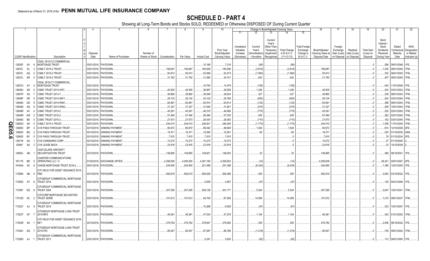|          |                             |           | 2                                                       | $\overline{4}$      | 5                      | - 6             |               | - 8       | -9                 | 10                          |                                     |                                   | Change in Book/Adjusted Carrying Value                      |                                     |                                               | 16                                 | 17                                 | 18                      | 19                             | 20                                                   | 21                                | 22                                      |
|----------|-----------------------------|-----------|---------------------------------------------------------|---------------------|------------------------|-----------------|---------------|-----------|--------------------|-----------------------------|-------------------------------------|-----------------------------------|-------------------------------------------------------------|-------------------------------------|-----------------------------------------------|------------------------------------|------------------------------------|-------------------------|--------------------------------|------------------------------------------------------|-----------------------------------|-----------------------------------------|
|          |                             |           |                                                         |                     |                        |                 |               |           |                    |                             | 11                                  | 12                                | 13                                                          |                                     | 15                                            |                                    |                                    |                         |                                |                                                      |                                   |                                         |
|          |                             |           |                                                         | Disposal            |                        | Number of       |               |           |                    | Prior Year<br>Book/Adjusted | Unrealized<br>Valuation<br>Increase | Current<br>Year's<br>Amortization | Current<br>Year's<br>Other-Than-<br>Temporary<br>Impairment | <b>Total Change</b><br>in B./A.C.V. | <b>Total Foreign</b><br>Exchange<br>Change in | Book/Adjusted<br>Carrying Value at | Foreign<br>Exchange<br>Gain (Loss) | Realized<br>Gain (Loss) | <b>Total Gain</b><br>(Loss) on | Bond<br>Interest /<br>Stock<br>Dividends<br>Received | Stated<br>Contractual<br>Maturity | <b>NAIC</b><br>Designation<br>or Market |
|          | <b>CUSIP Identification</b> |           | Description                                             | Date                | Name of Purchaser      | Shares of Stock | Consideration | Par Value | <b>Actual Cost</b> | Carrying Value              | (Decrease)                          | / Accretion                       | Recognized                                                  | $(11+12-13)$                        | <b>B./A.C.V.</b>                              | Disposal Date                      | on Disposal                        | on Disposal             | Disposal                       | During Year                                          | Date                              | Indicator (a)                           |
|          |                             |           | CSAIL 2015-C3 COMMERCIAL                                |                     |                        |                 |               |           |                    |                             |                                     |                                   |                                                             |                                     |                                               |                                    |                                    |                         |                                |                                                      |                                   |                                         |
|          | 12635F AV                   |           | <b>MORTGAGE TRUST</b><br>- 6                            |                     | 03/01/2018. PAYDOWN.   |                 |               |           | .10,168            | .7,216                      |                                     | (95)                              |                                                             | (95)                                |                                               |                                    |                                    |                         |                                |                                                      | .269   08/01/2048.   1FE.         |                                         |
|          | 12637L                      | <b>AL</b> | CSMLT 2015-2 TRUST                                      | 03/01/2018.         | PAYDOWN                |                 | .156,687      | 156,687   | 160,506            | 160,506                     |                                     | (3,819)                           |                                                             | (3,819)                             |                                               | .156,687                           |                                    |                         |                                | 1,032                                                | 08/01/2045.                       | 1FM                                     |
|          | 12637L                      | AQ        | CSMLT 2015-2 TRUST                                      | 03/01/2018.         | PAYDOWN.               |                 | .50,913       | .50,913   | .52,568            | .52,473                     |                                     | (1,560)                           |                                                             | (1,560)                             |                                               | .50,913                            |                                    |                         |                                | .332                                                 | 08/01/2045.                       |                                         |
|          | 12637L AR                   |           | CSMLT 2015-2 TRUST<br>$\Omega$                          |                     | 03/01/2018. PAYDOWN.   |                 | .31,762       | .31,762   | .31,060            | .30,741                     |                                     | .642                              |                                                             | .642                                |                                               | .31,762                            |                                    |                         |                                | .207                                                 | 08/01/2045. 1FM.                  |                                         |
|          | 12637U                      | AY        | CSAIL 2016-C7 COMMERCIAL<br><b>MORTGAGE TRUST</b><br>-5 | 03/01/2018.         | <b>PAYDOWN</b>         |                 |               |           | .16,764            | .14,479                     |                                     | (150)                             |                                                             |                                     |                                               |                                    |                                    |                         |                                | .444                                                 | 11/01/2049.                       |                                         |
|          | 12646U                      | AD        | CSMC TRUST 2013-IVR1                                    | 03/01/2018          | PAYDOWN.               |                 | .40,505       | .40,505   | .38,997            | .39,258                     |                                     | 1,246                             |                                                             | (150)<br>.1,246                     |                                               | .40,505                            |                                    |                         | $\cdot$ 0                      | .234                                                 | 03/01/2043.                       | 1FM                                     |
|          | 12647P                      | AS        | <b>CSMC TRUST 2013-7.</b>                               | 03/01/2018          | PAYDOWN.               |                 | .39,960       | .39,960   | .39,548            | .39,634                     |                                     | .327                              |                                                             | .327                                |                                               | .39,960                            |                                    |                         |                                | .239                                                 | 08/01/2043.                       | 1FM.                                    |
|          | 12648F                      | AR        | CSMC TRUST 2014-SAF1                                    | 03/01/2018          | PAYDOWN.               |                 | .29,134       | .29,134   | .30,102            | .29,786                     |                                     | (652)                             |                                                             | (652)                               |                                               | .29,134                            |                                    |                         |                                | 204                                                  | 03/01/2044.                       | 1FM                                     |
|          | 12648X                      | DD        | <b>CSMC TRUST 2014-WIN1</b>                             | 03/01/2018          | PAYDOWN.               |                 | .60,691       | .60,691   | .60,914            | .60,814                     |                                     | (123)                             |                                                             | (123)                               |                                               | .60,691                            |                                    |                         |                                | .398                                                 | 09/01/2044.                       |                                         |
|          | 12649D                      | AQ        | CSMC TRUST 2014-WIN2                                    | 03/01/2018          | PAYDOWN                |                 | .31,327       | .31,327   | .31,645            | .31,601                     |                                     | (274)                             |                                                             | (274)                               |                                               | .31,327                            |                                    |                         | . 0                            | .209                                                 | 10/01/2044.                       | 1FM                                     |
|          | 12649R                      | AV        | CSMC TRUST 2015-2.                                      | 03/01/2018          | PAYDOWN.               |                 | .45,291       | .45,291   | .46,315            | .46,066                     |                                     | (775)                             |                                                             | (775)                               |                                               | .45,291                            |                                    |                         |                                | .222                                                 | 02/01/2045.                       |                                         |
|          | 12649R                      | AW        | <b>CSMC TRUST 2015-2</b>                                | 03/01/2018.         | PAYDOWN                |                 | .57,490       | .57,490   | .56,949            | .57,035                     |                                     | .455                              |                                                             | .455                                |                                               | .57,490                            |                                    |                         | $\cdot$ 0                      | .282                                                 | 02/01/2045.                       |                                         |
|          | 12649X                      | BD        | CSMC TRUST 2015-3.                                      | 03/01/2018          | PAYDOWN                |                 | .27,673       | .27,673   | .28,434            | .28,383                     |                                     | (710)                             |                                                             | (710)                               |                                               | .27,673                            |                                    |                         |                                | 182                                                  | 03/01/2045.                       |                                         |
| O        | 12650U                      | AH        | CSMLT 2015-3 TRUST                                      | 03/01/2018          | PAYDOWN.               |                 | .244,515      | .244,515  | .246,501           | .246,284                    |                                     | (1,770)                           |                                                             | (1,770)                             |                                               | .244,515                           |                                    |                         |                                | 1,558                                                | 11/01/2045.                       |                                         |
| m        | 126650                      | <b>BP</b> | CVS PASS-THROUGH TRUST                                  | 03/10/2018          | <b>SINKING PAYMENT</b> |                 | .90,672       | .90,672   | .88,042            | .88,848                     |                                     | .1,824                            |                                                             | .1,824                              |                                               | .90,672                            |                                    |                         | . 0                            | .914                                                 | 12/10/2028.                       |                                         |
| ဌ        | 126650                      | BQ        | CVS PASS-THROUGH TRUST                                  | 03/10/2018          | <b>SINKING PAYMENT</b> |                 | .19,371       | 19,371    | .19,260            | .19,291                     |                                     | .80                               |                                                             | .80                                 |                                               | 19,371                             |                                    |                         | 0                              | .225                                                 | 01/10/2030.                       | 2AM                                     |
| $\sigma$ | 126650                      | BY        | CVS PASS-THROUGH TRUST                                  | 03/10/2018          | SINKING PAYMENT        |                 | .7,915        | .7,915    | .7,915             | .7,915                      |                                     |                                   |                                                             |                                     |                                               | .7,915                             |                                    |                         |                                | .78                                                  | 01/10/2034                        |                                         |
|          | 12677#                      | AA        | <b>CVS CAREMARK CORP.</b>                               | 02/15/2018          | <b>SINKING PAYMENT</b> |                 | .15,272       | .15,272   | .15,272            | .15,272                     |                                     |                                   |                                                             | .0                                  |                                               | 15,272                             |                                    |                         | - 0                            | .37                                                  | 01/15/2040.                       |                                         |
|          | 12695*                      | AA<br>-3  | CVS LEASE BACK.                                         | 03/10/2018          | SINKING PAYMENT        |                 | .23,918       | .23,918   | .23,918            | .23,918                     |                                     |                                   |                                                             |                                     |                                               | .23,918                            |                                    |                         |                                | .23                                                  | 10/10/2038.                       |                                         |
|          |                             |           | CASTLELAKE AIRCRAFT                                     |                     |                        |                 |               |           |                    |                             |                                     |                                   |                                                             |                                     |                                               |                                    |                                    |                         |                                |                                                      |                                   |                                         |
|          | 14855J                      | AB        | SECURITIZATION TRUST                                    |                     | 03/15/2018. PAYDOWN.   |                 | .149,965      | 149,965   | 149,921            | .149,933                    |                                     | .32                               |                                                             | .32                                 |                                               | 149,965                            |                                    |                         |                                | .368                                                 | 08/15/2041.                       |                                         |
|          |                             |           | CHARTER COMMUNICATIONS                                  |                     |                        |                 |               |           |                    |                             |                                     |                                   |                                                             |                                     |                                               |                                    |                                    |                         |                                |                                                      |                                   |                                         |
|          | 161175 BD                   |           | OPERATING LLC / C<br>-5                                 | 01/02/2018.         | <b>EXCHANGE OFFER</b>  |                 | 4,259,639     | 4,000,000 | 4,261,160          | 4,259,653                   |                                     | (14)                              |                                                             | (14)                                |                                               | 4,259,639                          |                                    |                         | - 0                            | .36,431                                              | 05/01/2047.                       | 2FE                                     |
|          | 16164A AC                   |           | CHASE MORTGAGE TRUST 2016-2.                            | 03/01/2018.         | PAYDOWN.               |                 | 244,955       | .244,955  | .251,498           | 251,389                     |                                     | (6, 434)                          |                                                             | (6, 434)                            |                                               | .244,955                           |                                    |                         |                                | .1,365                                               | 12/01/2045. 1FE.                  |                                         |
|          | 17290K AB 4                 |           | CITI HELD FOR ASSET ISSUANCE 2015-<br>PM <sub>2</sub>   |                     |                        |                 |               |           |                    |                             |                                     |                                   |                                                             |                                     |                                               |                                    |                                    |                         |                                |                                                      |                                   |                                         |
|          |                             |           |                                                         | 03/15/2018.         | PAYDOWN                |                 | .592,819      | .592,819  | .590,028           | .592,469                    |                                     | .350                              |                                                             | .350                                |                                               | .592,819                           |                                    |                         |                                | .3,853                                               | 03/15/2022. 1FE                   |                                         |
|          | 17290X AY                   | - 6       | CITIGROUP COMMERCIAL MORTGAGE<br><b>TRUST 2016</b>      |                     | 03/01/2018. PAYDOWN.   |                 |               |           | .5,559             | 4,567                       |                                     | (47)                              |                                                             | (47)                                |                                               |                                    |                                    |                         |                                | 135                                                  | 04/01/2049. 1FE.                  |                                         |
|          |                             |           | CITIGROUP COMMERCIAL MORTGAGE                           |                     |                        |                 |               |           |                    |                             |                                     |                                   |                                                             |                                     |                                               |                                    |                                    |                         |                                |                                                      |                                   |                                         |
|          | 173067 EQ                   | - 8       | <b>TRUST 2004</b>                                       | 03/01/2018. PAYDOWN |                        |                 | .307,295      | .307,295  | .258,128           | .301,771                    |                                     | .5,524                            |                                                             | .5,524                              |                                               | .307,295                           |                                    |                         |                                | .2,647                                               | 10/01/2041. 1FM.                  |                                         |
|          |                             |           | CITICORP MORTGAGE SECURITIES                            |                     |                        |                 |               |           |                    |                             |                                     |                                   |                                                             |                                     |                                               |                                    |                                    |                         |                                |                                                      |                                   |                                         |
|          | 17312D AC                   |           | <b>TRUST SERIE</b>                                      |                     | 03/01/2018. PAYDOWN.   |                 | .101,612      | 101,612   | .94,700            | .87,556                     |                                     | 14,056                            |                                                             | .14,056                             |                                               | .101,612                           |                                    |                         |                                | .1,015                                               | 09/01/2037.                       | 1FM.                                    |
|          |                             |           | CITIGROUP COMMERCIAL MORTGAGE                           |                     |                        |                 |               |           |                    |                             |                                     |                                   |                                                             |                                     |                                               |                                    |                                    |                         |                                |                                                      |                                   |                                         |
|          | 17322Y AJ                   | - q       | <b>TRUST 2014</b>                                       |                     | 03/01/2018. PAYDOWN.   |                 |               |           | .10,268            | .6,828                      |                                     | (81)                              |                                                             | (81                                 |                                               |                                    |                                    |                         | $.0 \cdot$                     | .233                                                 | 10/01/2047. 1FE.                  |                                         |
|          | 17323T AF                   |           | CITIGROUP MORTGAGE LOAN TRUST<br>2015-RP2               | 03/01/2018. PAYDOWN |                        |                 | .48,381       | .48,381   | .47,034            | .47,278                     |                                     | .1,104                            |                                                             | .1,104                              |                                               | .48,381                            |                                    |                         |                                |                                                      | .342   01/01/2053.   1FM.         |                                         |
|          | 17324R AA                   |           | CITI HELD FOR ASSET ISSUANCE 2016-<br>MF <sub>1</sub>   | 03/15/2018. PAYDOWN |                        |                 | .379,782      | .379,782  | .378,847           | .379,482                    |                                     | .300                              |                                                             | .300                                |                                               | .379,782                           |                                    |                         |                                | .2,836                                               | 08/15/2022. 1FE.                  |                                         |
|          |                             |           | CITIGROUP MORTGAGE LOAN TRUST                           |                     |                        |                 |               |           |                    |                             |                                     |                                   |                                                             |                                     |                                               |                                    |                                    |                         |                                |                                                      |                                   |                                         |
|          | 17324V AQ                   |           | 2015-PS1                                                | 03/01/2018.         | <b>PAYDOWN</b>         |                 | .85,547       | .85,547   | .87,087            | .86,766                     |                                     | (1, 219)                          |                                                             | (1,219)                             |                                               | .85,547                            |                                    |                         |                                |                                                      | .745 09/01/2042. 1FM.             |                                         |
|          | 17326D AJ                   | - 1       | CITIGROUP COMMERCIAL MORTGAGE<br><b>TRUST 2017</b>      |                     | 03/01/2018. PAYDOWN.   |                 |               |           | .5,241             | .3,635                      |                                     | (52)                              |                                                             | (52)                                |                                               |                                    |                                    |                         | $\Omega$                       |                                                      | .112 09/01/2050.                  | 1FE.                                    |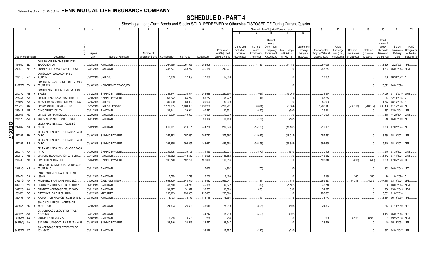|        |                             |      |                | 2                                                  | 4                     | 5                                 | - 6                             |            | -8         | -9                 | 10             |                         |                   | Change in Book/Adjusted Carrying Value       |                     |                                  | 16                | 17                  | 18          | 19                | 20                                     | 21                           | 22                         |
|--------|-----------------------------|------|----------------|----------------------------------------------------|-----------------------|-----------------------------------|---------------------------------|------------|------------|--------------------|----------------|-------------------------|-------------------|----------------------------------------------|---------------------|----------------------------------|-------------------|---------------------|-------------|-------------------|----------------------------------------|------------------------------|----------------------------|
|        |                             |      |                |                                                    |                       |                                   |                                 |            |            |                    |                | 11                      |                   | 13                                           |                     | 15                               |                   |                     |             |                   |                                        |                              |                            |
|        |                             |      |                |                                                    |                       |                                   |                                 |            |            |                    | Prior Year     | Unrealized<br>Valuation | Current<br>Year's | Current<br>Year's<br>Other-Than<br>Temporary | <b>Total Change</b> | <b>Total Foreign</b><br>Exchange | Book/Adjusted     | Foreign<br>Exchange | Realized    | <b>Total Gain</b> | Bond<br>Interest<br>Stock<br>Dividends | Stated<br>Contractua         | <b>NAIC</b><br>Designation |
|        |                             |      |                |                                                    | Disposal              |                                   | Number of                       |            |            |                    | Book/Adjusted  | Increase                | Amortization      | Impairment                                   | in B./A.C.V.        | Change in                        | Carrying Value at | Gain (Loss)         | Gain (Loss) | (Loss) on         | Received                               | Maturity                     | or Market                  |
|        | <b>CUSIP</b> Identification |      |                | Description                                        | Date                  | Name of Purchaser                 | Shares of Stock   Consideration |            | Par Value  | <b>Actual Cost</b> | Carrying Value | (Decrease)              | / Accretion       | Recognized                                   | $(11+12-13)$        | B./A.C.V.                        | Disposal Date     | on Disposal         | on Disposal | Disposal          | During Year                            | Date                         | Indicator (a)              |
|        |                             |      |                | COLLEGIATE FUNDING SERVICES                        |                       |                                   |                                 |            |            |                    |                |                         |                   |                                              |                     |                                  |                   |                     |             |                   |                                        |                              |                            |
|        | 19458L BD                   |      |                | EDUCATION LO                                       | 03/28/2018.           | PAYDOWN.                          |                                 | .267,095   | .267,095   | .252,906           |                |                         | 14,189            |                                              | .14,189             |                                  | 267,095           |                     |             | - 0               | .1,326                                 | 12/28/2037                   | 1FE.                       |
|        | 20047P AP                   |      | $\overline{2}$ | COMM 2005-LP5 MORTGAGE TRUST                       |                       | 03/01/2018. PAYDOWN               |                                 | .243,277   | .243,277   | .220,166           | .243,277       |                         |                   |                                              |                     |                                  | .243,277          |                     |             |                   | 1,894                                  | 05/01/2043. 1FM.             |                            |
|        |                             |      |                | CONSOLIDATED EDISON IN 8.71                        |                       |                                   |                                 |            |            |                    |                |                         |                   |                                              |                     |                                  |                   |                     |             |                   |                                        |                              |                            |
|        | 209115 A*                   |      | - 5            | 30JUN22                                            | 01/02/2018. CALL 100. |                                   |                                 | .17,389    | .17,389    | .17,389            | 17,389         |                         |                   |                                              |                     |                                  | .17,389           |                     |             |                   |                                        | 766 06/30/2022.              |                            |
|        |                             |      |                | CONTIMORTGAGE HOME EQUITY LOAN                     |                       |                                   |                                 |            |            |                    |                |                         |                   |                                              |                     |                                  |                   |                     |             |                   |                                        |                              |                            |
|        | 21075W EV                   |      | - 3            | TRUST 199                                          |                       | 03/16/2018. NON-BROKER TRADE, BO. |                                 |            |            |                    |                |                         |                   |                                              |                     |                                  |                   |                     |             |                   |                                        | .20,375 04/01/2028           |                            |
|        |                             |      |                | CONTINENTAL AIRLINES 2010-1 CLASS                  |                       |                                   |                                 |            |            |                    |                |                         |                   |                                              |                     |                                  |                   |                     |             |                   |                                        |                              |                            |
|        | 21079V AB                   |      | -9             | <b>B PASS</b>                                      |                       | 01/12/2018. SINKING PAYMENT       |                                 | .234,544   | .234,544   | .241,519           | .237,605       |                         | (3,061)           |                                              | (3,061)             |                                  | .234,544          |                     |             |                   |                                        | .7,036 01/12/2019. 3AM       |                            |
|        | 22536#                      | AA   |                | CREDIT LEASE-BACK PASS-THRU TR.                    | 03/10/2018.           | <b>SINKING PAYMENT</b>            |                                 | .65,272    | .65,272    | .65,272            | .65,272        |                         |                   |                                              |                     |                                  | .65,272           |                     |             |                   | .72                                    | 12/10/2035.                  |                            |
|        | 228027                      | AA   |                | VESSEL MANAGEMENT SERVICES INC                     | 02/15/2018.           | <b>CALL 100.</b>                  |                                 | .80,000    | .80,000    | .80,000            | .80,000        |                         |                   |                                              |                     |                                  | .80,000           |                     |             |                   | .1,373                                 | 08/15/2036.                  |                            |
|        | 22822R                      | AR.  |                | CROWN CASTLE TOWERS LLC.                           | 01/15/2018.           | CALL 105.4132967                  |                                 | .5,270,665 | .5,000,000 | 5,498,200          | 5,266,721      |                         | (6,604)           |                                              | (6,604)             |                                  | .5,260,117        |                     | (260, 117)  | .(260, 117)       | .296,136                               | 01/15/2020. 1FE              |                            |
|        | 22944P                      | AE   |                | CSMC TRUST 2013-TH1.                               | 03/01/2018            | <b>PAYDOWN</b>                    |                                 | .39,941    | .39,941    | .40,583            | .40,531        |                         | (590)             |                                              | (590)               |                                  | .39,94'           |                     |             |                   | .287                                   | 02/01/2043. 1FE              |                            |
|        | 233046                      | AE   |                | DB MASTER FINANCE LLC.                             | 02/20/2018            | PAYDOWN.                          |                                 | .10,000    | .10,000    | .10,000            | .10,000        |                         |                   |                                              | . 0                 |                                  | .10,000           |                     |             | .0                | .118                                   | 11/20/2047. 2AM              |                            |
|        | 23312L                      | AW   |                | DBJPM 16-C1 MORTGAGE TRUST.                        | 03/01/2018.           | PAYDOWN.                          |                                 |            |            | .20,102            | 16,459         |                         | (187)             |                                              | (187)               |                                  |                   |                     |             |                   | .518                                   | 05/01/2049. 1FE              |                            |
| QE05.7 |                             |      |                | DELTA AIR LINES 2002-1 CLASS G-1                   |                       |                                   |                                 |            |            |                    |                |                         |                   |                                              |                     |                                  |                   |                     |             |                   |                                        |                              |                            |
|        | 247367                      | AX 3 |                | <b>PASS TH</b>                                     | 01/02/2018.           | PAYDOWN.                          |                                 | .219,191   | 219,191    | .244,786           | .234,373       |                         | (15, 182)         |                                              | (15, 182)           |                                  | .219.19'          |                     |             |                   | .7,363                                 | 07/02/2024. 1FE.             |                            |
|        | 247367                      | BH   |                | DELTA AIR LINES 2007-1 CLASS A PASS<br><b>THRO</b> |                       | 02/10/2018. SINKING PAYMENT       |                                 | .257,582   | 257,582    | .294,743           | .275,597       |                         | (18,015)          |                                              | (18, 015)           |                                  | .257,582          |                     |             |                   |                                        | 8,785   08/10/2022.   1FE    |                            |
|        |                             |      |                |                                                    |                       |                                   |                                 |            |            |                    |                |                         |                   |                                              |                     |                                  |                   |                     |             |                   |                                        |                              |                            |
|        | 247367 BJ                   |      | -3             | DELTA AIR LINES 2007-1 CLASS B PASS<br>THRO        |                       | 02/10/2018. SINKING PAYMENT       |                                 | .392,695   | .392,695   | .443,642           | .429,553       |                         | (36, 858)         |                                              | (36, 858)           |                                  | .392,695          |                     |             |                   |                                        | .15,749   08/10/2022.   2FE. |                            |
|        |                             |      |                | DELTA AIR LINES 2015-1 CLASS B PASS                |                       |                                   |                                 |            |            |                    |                |                         |                   |                                              |                     |                                  |                   |                     |             |                   |                                        |                              |                            |
|        | 24737A AA                   |      | -5             | THRO                                               | 01/30/2018.           | SINKING PAYMENT                   |                                 | .30,105    | .30,105    | .31,159            | .30,975        |                         | (870)             |                                              | (870)               |                                  | .30,105           |                     |             | .0                | .640                                   | 07/30/2023. 3AM.             |                            |
|        | 25264V                      | AB   | -5             | DIAMOND HEAD AVIATION 2015 LTD.                    | 03/14/2018.           | PAYDOWN.                          |                                 | .148,552   | .148,552   | 148,528            | .148,552       |                         |                   |                                              |                     |                                  | .148,552          |                     |             | $0 \ldots$        |                                        | .1,442 07/14/2028. 2AM       |                            |
|        | 290408 AB                   |      |                | ELWOOD ENERGY LLC.                                 | 01/05/2018.           | <b>SINKING PAYMENT</b>            |                                 | .192,720   | 192,720    | 193,603            | .193,313       |                         |                   |                                              |                     |                                  | .193,313          |                     | (593)       | (593)             | .7,862                                 | 07/05/2026. 3FE              |                            |
|        |                             |      |                | CITIGROUP COMMERCIAL MORTGAGE                      |                       |                                   |                                 |            |            |                    |                |                         |                   |                                              |                     |                                  |                   |                     |             |                   |                                        |                              |                            |
|        | 29429C AJ                   |      |                | <b>TRUST 2016</b>                                  |                       | 03/01/2018. PAYDOWN.              |                                 |            |            | .5,878             | .4,902         |                         | (55)              |                                              | (55)                |                                  |                   |                     |             | $\Omega$          |                                        | .139 04/01/2049. 1FE.        |                            |
|        |                             |      |                | <b>FMAC LOAN RECEIVABLES TRUST</b>                 |                       |                                   |                                 |            |            |                    |                |                         |                   |                                              |                     |                                  |                   |                     |             |                   |                                        |                              |                            |
|        | 302471 CA                   |      |                | 1998-B                                             | 03/01/2018.           | PAYDOWN.                          |                                 | .2,729     | .2,729     | .2,236             | .2,190         |                         |                   |                                              |                     |                                  | 2,190             |                     | .540        | 540               | .28                                    | 11/01/2020.                  |                            |
|        | 30257G                      | AA   |                | FPL ENERGY NATIONAL WIND LLC                       | 01/30/2018            | CALL 108.4181909.                 |                                 | .693.920   | .640,040   | .514,432           | .565,047       |                         | 781               |                                              | 781                 |                                  | .565,827          |                     | .74.213     | .74,213           | .67,838                                | 03/10/2024.                  |                            |
|        | 33767C                      | AV   |                | FIRSTKEY MORTGAGE TRUST 2015-1                     | 03/01/2018            | PAYDOWN.                          |                                 | .43,740    | .43,740    | .45,089            | 44,872         |                         | (1, 132)          |                                              | (1, 132)            |                                  | .43,740           |                     |             |                   | .288                                   | 03/01/2045. 1FM              |                            |
|        | 33767C                      | AW   |                | FIRSTKEY MORTGAGE TRUST 2015-1.                    | 03/01/2018.           | PAYDOWN.                          |                                 | .31,377    | .31,377    | .30,505            | .30,524        |                         | .853              |                                              | .853                |                                  | .31,37            |                     |             |                   | .206                                   | 03/01/2045. 1FM              |                            |
|        | 33903*                      | DC   |                | FLEET NATL BK 7.17 02JAN18.                        | 01/02/2018            | <b>MATURITY</b>                   |                                 | .293,863   | .293,863   | .293,863           | .293,863       |                         |                   |                                              |                     |                                  | .293,863          |                     |             |                   | 10,535                                 | 01/02/2018.                  |                            |
|        | 35040T                      | AA   |                | FOUNDATION FINANCE TRUST 2016-1                    | 03/15/2018.           | PAYDOWN.                          |                                 | .178,773   | 178,773    | 178,749            | .178,758       |                         | .15               |                                              | 15                  |                                  | .178,773          |                     |             |                   | 1,184                                  | 06/15/2035. 1FE              |                            |
|        | 36186X AD                   |      | - 9            | GMAC COMMERCIAL MORTGAGE<br>ASSET CORP             |                       | 03/10/2018. PAYDOWN.              |                                 | .24,503    | .24,503    | .25,019            | .25,010        |                         | (508)             |                                              | (508)               |                                  | .24,503           |                     |             |                   |                                        | .212 07/10/2050. 1FE.        |                            |
|        |                             |      |                | GS MORTGAGE SECURITIES TRUST                       |                       |                                   |                                 |            |            |                    |                |                         |                   |                                              |                     |                                  |                   |                     |             |                   |                                        |                              |                            |
|        | 36192K AW                   |      |                | 2012-GCJ7                                          |                       | 03/01/2018. PAYDOWN.              |                                 |            |            | .24,742            | .15,210        |                         | (302)             |                                              | (302)               |                                  |                   |                     |             | $\cdot$ 0         |                                        | 1,154 05/01/2045. 1FE        |                            |
|        | 36244W AA                   |      |                | GSAMP TRUST 2006-S5.                               | 03/26/2018            | PAYDOWN.                          |                                 | .6,556     | .6,556     | .236               | 236            |                         |                   |                                              |                     |                                  | .236              |                     | .6,320      | .6,320            |                                        | 09/25/2036.                  |                            |
|        | 36249@ AA                   |      |                | GSA GTH I U S GOVT LEA 4.56 15MAY38                |                       | 03/15/2018. SINKING PAYMENT       |                                 | .38,546    | .38,546    | .38,547            | .38,547        |                         |                   |                                              |                     |                                  | .38,546           |                     |             |                   |                                        | .49 05/15/2038. 1FE          |                            |
|        | 36252W AZ                   |      | $\overline{1}$ | <b>GS MORTGAGE SECURITIES TRUST</b><br>2014-GC20   |                       | 03/01/2018. PAYDOWN               |                                 |            |            | .26,148            | 15.757         |                         | (210)             |                                              | (210)               |                                  |                   |                     |             |                   |                                        | .617 04/01/2047. 1FE         |                            |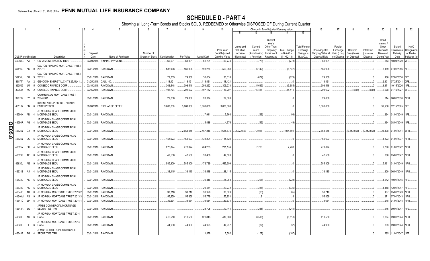|        |                             |      |          | 2                                                                            |                  | -5                                                  | -6                           |                     |                     | -9                  | 10                                            |                                                   |                                                  | Change in Book/Adjusted Carrying Value                                    |                                                     |                                                                   | 16                                                  | 17                                                | 18                                     | 19                                         | 20                                                                | 21                                        | 22                                                |
|--------|-----------------------------|------|----------|------------------------------------------------------------------------------|------------------|-----------------------------------------------------|------------------------------|---------------------|---------------------|---------------------|-----------------------------------------------|---------------------------------------------------|--------------------------------------------------|---------------------------------------------------------------------------|-----------------------------------------------------|-------------------------------------------------------------------|-----------------------------------------------------|---------------------------------------------------|----------------------------------------|--------------------------------------------|-------------------------------------------------------------------|-------------------------------------------|---------------------------------------------------|
|        |                             |      |          |                                                                              |                  |                                                     |                              |                     |                     |                     |                                               | 11                                                | 12                                               | 13                                                                        |                                                     | 15                                                                |                                                     |                                                   |                                        |                                            |                                                                   |                                           |                                                   |
|        | <b>CUSIP Identification</b> |      |          | Description                                                                  | Disposal<br>Date | Name of Purchaser                                   | Number of<br>Shares of Stock | Consideration       | Par Value           | <b>Actual Cost</b>  | Prior Year<br>Book/Adjusted<br>Carrying Value | Unrealized<br>Valuation<br>Increase<br>(Decrease) | Current<br>Year's<br>Amortization<br>/ Accretion | Current<br>Year's<br>Other-Than-<br>Temporary<br>Impairment<br>Recognized | <b>Total Change</b><br>in B./A.C.V.<br>$(11+12-13)$ | <b>Total Foreign</b><br>Exchange<br>Change in<br><b>B./A.C.V.</b> | Book/Adjusted<br>Carrying Value at<br>Disposal Date | Foreign<br>Exchange<br>Gain (Loss)<br>on Disposal | Realized<br>Gain (Loss)<br>on Disposal | <b>Total Gain</b><br>(Loss) on<br>Disposal | Bond<br>Interest<br>Stock<br>Dividends<br>Received<br>During Year | Stated<br>Contractual<br>Maturity<br>Date | NAIC<br>Designation<br>or Market<br>Indicator (a) |
|        |                             |      |          |                                                                              |                  |                                                     |                              |                     |                     |                     |                                               |                                                   |                                                  |                                                                           |                                                     |                                                                   |                                                     |                                                   |                                        |                                            |                                                                   |                                           |                                                   |
|        | 36298G AA<br>36416U AG      |      | - 0      | <b>GSPA MONETIZATION TRUST.</b><br>GALTON FUNDING MORTGAGE TRUST<br>2017-1   |                  | 03/09/2018. SINKING PAYMENT<br>03/01/2018. PAYDOWN. |                              | .60,001<br>.586,908 | .60,001<br>.586,908 | .61,201<br>.593,254 | .60,774<br>.593,050                           |                                                   | .(773)<br>(6, 142)                               |                                                                           | (773)<br>(6, 142)                                   |                                                                   | .60,001<br>.586,908                                 |                                                   |                                        |                                            | .643<br>.3,189                                                    | 10/09/2029.<br>07/01/2056. 1FE            | 2FE.                                              |
|        | 36416U                      | BG   | <b>Q</b> | GALTON FUNDING MORTGAGE TRUST<br>2017-1                                      | 03/01/2018.      | PAYDOWN                                             |                              | .29,339             | .29,339             | .30,054             | .30,018                                       |                                                   | (679)                                            |                                                                           |                                                     |                                                                   | .29,339                                             |                                                   |                                        |                                            | .186                                                              | 07/01/2056.                               | 1FE                                               |
|        |                             |      |          |                                                                              |                  |                                                     |                              |                     |                     |                     |                                               |                                                   |                                                  |                                                                           | (679)                                               |                                                                   |                                                     |                                                   |                                        |                                            |                                                                   |                                           |                                                   |
|        | 36877*                      | AA   |          | GENCONN ENERGY LLC 4.73 25JUL41                                              | 01/25/2018       | <b>CALL 100</b>                                     |                              | .118,421            | 118,421             | .118,421            | .118,421                                      |                                                   |                                                  |                                                                           |                                                     |                                                                   | .118,421                                            |                                                   |                                        |                                            | .2,801                                                            | 07/25/2041                                | 2FE                                               |
|        | 393505                      | JM   |          | CONSECO FINANCE CORP.                                                        | 03/15/2018.      | PAYDOWN.                                            |                              | .303,548            | .303,548            | .291,252            | .309,233                                      |                                                   | (5,685)                                          |                                                                           | (5,685)                                             |                                                                   | .303,548                                            |                                                   |                                        |                                            | .3,871                                                            | 10/15/2026.                               |                                                   |
|        | 393505 NC                   |      |          | CONSECO FINANCE CORP.                                                        |                  | 03/15/2018. PAYDOWN.                                |                              | .196,774            | .201,622            | .197,132            | .186,207                                      |                                                   | .15,416                                          |                                                                           | .15,416                                             |                                                                   | .201,622                                            |                                                   | (4,848)                                | (4, 848)                                   | .2,978                                                            | 07/15/2027. 6FE                           |                                                   |
|        | 396789 FY 0                 |      |          | COMMERCIAL MORTGAGE TRUST<br>2004-GG1<br><b>ICAHN ENTERPRISES LP / ICAHN</b> |                  | 03/01/2018. PAYDOWN.                                |                              | .29,868             | 29,868              | 28,374              | .29,868                                       |                                                   |                                                  |                                                                           |                                                     |                                                                   | .29,868                                             |                                                   |                                        |                                            | 314                                                               | 06/01/2036. 1FM.                          |                                                   |
|        | 451102 BN                   |      |          | <b>ENTERPRISES</b>                                                           | 02/08/2018.      | <b>EXCHANGE OFFER</b>                               |                              | .3,000,000          | .3,000,000          | .3,000,000          | .3,000,000                                    |                                                   |                                                  |                                                                           |                                                     |                                                                   | .3,000,000                                          |                                                   |                                        |                                            | .32,938                                                           | 12/15/2025. 3FE                           |                                                   |
|        | 46590K AN                   |      |          | JP MORGAN CHASE COMMERCIAL<br>MORTGAGE SECU                                  |                  | 03/01/2018. PAYDOWN.                                |                              |                     |                     | .7,91'              | .5,760                                        |                                                   | (93)                                             |                                                                           | (93)                                                |                                                                   |                                                     |                                                   |                                        |                                            | 234                                                               | 01/01/2049. 1FE.                          |                                                   |
|        | 46590R                      | AG   |          | JP MORGAN CHASE COMMERCIAL<br>MORTGAGE SECU                                  |                  | 03/01/2018. PAYDOWN.                                |                              |                     |                     | .5,488              | 4,676                                         |                                                   | (49)                                             |                                                                           | (49)                                                |                                                                   |                                                     |                                                   |                                        |                                            | .134                                                              | 08/01/2049.                               | 1FF                                               |
| QE05.8 | 46625Y                      | CX 9 |          | JP MORGAN CHASE COMMERCIAL<br><b>MORTGAGE SECU</b>                           |                  | 03/01/2018. PAYDOWN.                                |                              |                     | 2.653.566           | .2,467,816          | 1,618,675                                     | .1,022,863                                        | .12,028                                          |                                                                           | 1,034,891                                           |                                                                   | .2,653,566                                          |                                                   | (2,653,566)                            | (2,653,566)                                |                                                                   | 24,108   07/01/2041.   6FM.               |                                                   |
|        | 46625Y DG 5                 |      |          | JP MORGAN CHASE COMMERCIAL<br><b>MORTGAGE SECU</b>                           |                  | 03/01/2018. PAYDOWN                                 |                              | .155,623            | 155,623             | 138,894             | .155,623                                      |                                                   |                                                  |                                                                           |                                                     |                                                                   | 155,623                                             |                                                   |                                        |                                            | 1,323                                                             | 01/01/2037. 1FM.                          |                                                   |
|        | 46625Y FK                   |      |          | JP MORGAN CHASE COMMERCIAL<br>MORTGAGE SECU                                  |                  | 03/01/2018. PAYDOWN                                 |                              | 278,874             | .278,874            | .264,233            | 271,174                                       |                                                   | .7,700                                           |                                                                           | .7,700                                              |                                                                   | .278,874                                            |                                                   |                                        |                                            |                                                                   | .2,700 01/01/2042. 1FM.                   |                                                   |
|        | 46629P                      | AE   | -8       | JP MORGAN CHASE COMMERCIAL<br>MORTGAGE SECU                                  |                  | 03/01/2018. PAYDOWN.                                |                              | .42,508             | .42,508             | .33,466             | .42,508                                       |                                                   |                                                  |                                                                           |                                                     |                                                                   | .42,508                                             |                                                   |                                        |                                            | .388                                                              | 05/01/2047. 1FM.                          |                                                   |
|        | 46630J AE 9                 |      |          | JP MORGAN CHASE COMMERCIAL<br>MORTGAGE SECU                                  |                  | 03/01/2018. PAYDOWN.                                |                              | .585,309            | .585,309            | 472,729             | .585,309                                      |                                                   |                                                  |                                                                           |                                                     |                                                                   | .585,309                                            |                                                   |                                        |                                            | .5,461                                                            | 01/01/2049. 1FM.                          |                                                   |
|        | 46631B AJ                   |      |          | JP MORGAN CHASE COMMERCIAL<br><b>MORTGAGE SECU</b>                           |                  | 03/01/2018. PAYDOWN                                 |                              | .38,115             | .38,115             | .38,448             | .38,115                                       |                                                   |                                                  |                                                                           |                                                     |                                                                   | .38,115                                             |                                                   |                                        |                                            | .300                                                              | 06/01/2049. 1FM.                          |                                                   |
|        | 46638U AE                   |      | - 6      | JP MORGAN CHASE COMMERCIAL<br>MORTGAGE SECU                                  |                  | 03/01/2018. PAYDOWN.                                |                              |                     |                     | .30,446             | .18,083                                       |                                                   | (228)                                            |                                                                           | (228)                                               |                                                                   |                                                     |                                                   |                                        |                                            |                                                                   | .1,242 10/01/2045. 1FE.                   |                                                   |
|        | 46639E                      | AG   |          | JP MORGAN CHASE COMMERCIAL<br>MORTGAGE SECU                                  | 03/01/2018.      | PAYDOWN.                                            |                              |                     |                     | .29,531             | .19,232                                       |                                                   | (336)                                            |                                                                           | (336)                                               |                                                                   |                                                     |                                                   |                                        |                                            | 1,168                                                             | 12/01/2047.                               | 1FE                                               |
|        | 46640B                      | AK   |          | JP MORGAN MORTGAGE TRUST 2013-2                                              | 03/01/2018.      | PAYDOWN.                                            |                              | .30,718             | .30.718             | .30,926             | .30,803                                       |                                                   | (85)                                             |                                                                           | (85)                                                |                                                                   | .30,718                                             |                                                   |                                        |                                            | 187                                                               | 05/01/2043.                               | 1FM.                                              |
|        | 46640M                      | AS   |          | JP MORGAN MORTGAGE TRUST 2013-3                                              | 03/01/2018       | PAYDOWN.                                            |                              | .55,859             | .55,859             | .55,779             | .55,851                                       |                                                   | . 8                                              |                                                                           | .8                                                  |                                                                   | .55,859                                             |                                                   |                                        |                                            | .371                                                              | 07/01/2043.                               |                                                   |
|        | 46641C BP                   |      |          | JP MORGAN MORTGAGE TRUST 2014-1                                              | 03/01/2018.      | PAYDOWN.                                            |                              | .39,634             | .39,634             | .39,634             | .39,634                                       |                                                   |                                                  |                                                                           |                                                     |                                                                   | .39,634                                             |                                                   |                                        |                                            | .248                                                              | 01/01/2044. 1FM.                          |                                                   |
|        | 46643A BG                   |      |          | JPMBB COMMERCIAL MORTGAGE<br>SECURITIES TRU                                  | 03/01/2018.      | PAYDOWN.                                            |                              |                     |                     | .23,705             | .13,141                                       |                                                   | (241)                                            |                                                                           | (241)                                               |                                                                   |                                                     |                                                   |                                        |                                            | .645                                                              | 09/01/2047. 1FE.                          |                                                   |
|        | 46643D AS 6                 |      |          | JP MORGAN MORTGAGE TRUST 2014-<br>OAK4                                       |                  | 03/01/2018. PAYDOWN                                 |                              | .410,550            | .410,550            | 420,843             | .419,069                                      |                                                   | (8, 518)                                         |                                                                           | (8,518)                                             |                                                                   | .410,550                                            |                                                   |                                        |                                            | .2,884                                                            | 09/01/2044. 1FM.                          |                                                   |
|        | 46643D BE 6                 |      |          | JP MORGAN MORTGAGE TRUST 2014-<br>OAK4                                       |                  | 03/01/2018. PAYDOWN                                 |                              | .44,900             | .44.900             | .44,993             | .44,937                                       |                                                   | (37)                                             |                                                                           | (37)                                                |                                                                   | .44,900                                             |                                                   |                                        |                                            | .303                                                              | 09/01/2044.                               | 1FM.                                              |
|        | 46643P BG                   |      |          | JPMBB COMMERCIAL MORTGAGE<br><b>SECURITIES TRU</b>                           |                  | 03/01/2018. PAYDOWN.                                |                              |                     |                     | 11,878              | .7,582                                        |                                                   | (107)                                            |                                                                           | (107)                                               |                                                                   |                                                     |                                                   |                                        | 0.                                         |                                                                   | 285 11/01/2047. 1FE.                      |                                                   |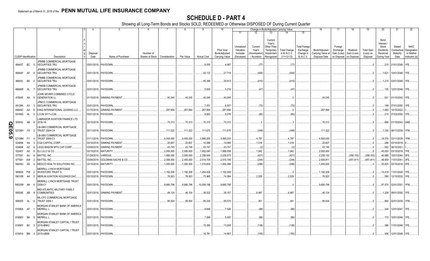|        |                             |    |              | 2                                                     |                  |                               | 6                                            |            |            |                    | 10                                            |                                                   |                                                  |                                                                          | Change in Book/Adjusted Carrying Value              |                                                                   | 16                                                  | 17                                                            | 18                      | 19                                         | 20                                                                  | 21                                        | 22                                                       |
|--------|-----------------------------|----|--------------|-------------------------------------------------------|------------------|-------------------------------|----------------------------------------------|------------|------------|--------------------|-----------------------------------------------|---------------------------------------------------|--------------------------------------------------|--------------------------------------------------------------------------|-----------------------------------------------------|-------------------------------------------------------------------|-----------------------------------------------------|---------------------------------------------------------------|-------------------------|--------------------------------------------|---------------------------------------------------------------------|-------------------------------------------|----------------------------------------------------------|
|        |                             |    |              |                                                       |                  |                               |                                              |            |            |                    |                                               | 11                                                | 12                                               | 13                                                                       | 14                                                  | 15                                                                |                                                     |                                                               |                         |                                            |                                                                     |                                           |                                                          |
|        | <b>CUSIP Identification</b> |    |              | Description                                           | Disposal<br>Date | Name of Purchaser             | Number of<br>Shares of Stock   Consideration |            | Par Value  | <b>Actual Cost</b> | Prior Year<br>Book/Adjusted<br>Carrying Value | Unrealized<br>Valuation<br>Increase<br>(Decrease) | Current<br>Year's<br>Amortization<br>/ Accretion | Current<br>Year's<br>Other-Than<br>Temporary<br>Impairment<br>Recognized | <b>Total Change</b><br>in B./A.C.V.<br>$(11+12-13)$ | <b>Total Foreign</b><br>Exchange<br>Change in<br><b>B./A.C.V.</b> | Book/Adjusted<br>Carrying Value at<br>Disposal Date | Foreign<br>Exchange<br>Gain (Loss)<br>on Disposal on Disposal | Realized<br>Gain (Loss) | <b>Total Gain</b><br>(Loss) on<br>Disposal | Bond<br>Interest /<br>Stock<br>Dividends<br>Received<br>During Year | Stated<br>Contractual<br>Maturity<br>Date | <b>NAIC</b><br>Designation<br>or Market<br>Indicator (a) |
|        |                             |    |              | JPMBB COMMERCIAL MORTGAGE                             |                  |                               |                                              |            |            |                    |                                               |                                                   |                                                  |                                                                          |                                                     |                                                                   |                                                     |                                                               |                         |                                            |                                                                     |                                           |                                                          |
|        | 46643T BC 5                 |    |              | SECURITIES TRU                                        |                  | 03/01/2018. PAYDOWN           |                                              |            |            | .8,050             | .4,987                                        |                                                   | (77)                                             |                                                                          | (77)                                                |                                                                   |                                                     |                                                               |                         |                                            |                                                                     | .210 01/01/2048. 1FE                      |                                                          |
|        | 46644F AF 8                 |    |              | JPMBB COMMERCIAL MORTGAGE<br>SECURITIES TRU           | 03/01/2018.      | PAYDOWN.                      |                                              |            |            | .42,137            | .27,719                                       |                                                   | (454)                                            |                                                                          | (454                                                |                                                                   |                                                     |                                                               |                         | $\Omega$                                   | .1,621                                                              | 10/01/2048. 1FE.                          |                                                          |
|        | 46645L BA                   |    |              | JPMBB COMMERCIAL MORTGAGE<br>SECURITIES TRU           | 03/01/2018.      | PAYDOWN.                      |                                              |            |            | .45,399            | .35,913                                       |                                                   | (410)                                            |                                                                          | (410)                                               |                                                                   |                                                     |                                                               |                         | $0_{\cdots}$                               |                                                                     | .1,215   03/01/2049.   1FE.               |                                                          |
|        | 46646R AL                   |    |              | JPMDB COMMERCIAL MORTGAGE<br><b>SECURITIES TRU</b>    | 03/01/2018.      | PAYDOWN.                      |                                              |            |            | .5,930             | .5,218                                        |                                                   | (47)                                             |                                                                          | (47)                                                |                                                                   |                                                     |                                                               |                         |                                            | 135                                                                 | 12/01/2049. 1FE                           |                                                          |
|        | 478045 AA                   |    | -5           | JOHN SEVIER COMBINED CYCLE<br><b>GENERATION LL</b>    |                  | 01/15/2018. SINKING PAYMENT   |                                              | .40,245    | .40,245    | .40,245            | 40,245                                        |                                                   |                                                  |                                                                          |                                                     |                                                                   | 40,245                                              |                                                               |                         | - 0                                        | .931                                                                | 01/15/2042. 1FE                           |                                                          |
|        | 48128K AV                   |    | $\mathbf{3}$ | JPMCC COMMERCIAL MORTGAGE<br>SECURITIES TRU           |                  | 03/01/2018. PAYDOWN.          |                                              |            |            | .7,051             | .6,507                                        |                                                   | (72)                                             |                                                                          | (72)                                                |                                                                   |                                                     |                                                               |                         | . .0                                       |                                                                     | 199 07/01/2050.                           |                                                          |
|        | 49549C                      | AA | -6           | KING INTERNATIONAL LEASING LLC                        | 01/15/2018.      | <b>SINKING PAYMENT</b>        |                                              | .287,994   | .287,994   | .287,994           | .287,994                                      |                                                   |                                                  |                                                                          |                                                     |                                                                   | 287,994                                             |                                                               |                         | .0                                         | 1,983                                                               | 10/15/2022                                |                                                          |
|        | 50190D                      | AL |              | LCCM 2017-LC26.                                       | 03/01/2018.      | PAYDOWN.                      |                                              |            |            | .8,663             | .8,076                                        |                                                   | (80)                                             |                                                                          | (80)                                                |                                                                   |                                                     |                                                               |                         |                                            | .215                                                                | 07/03/2050. 1FE                           |                                                          |
|        | 50543L                      | AB | -8           | <b>LABRADOR AVIATION FINANCE LTD</b><br>2016-1A       |                  | 03/15/2018. PAYDOWN           |                                              | .70,313    | .70,313    | .70,310            | .70,310                                       |                                                   |                                                  |                                                                          |                                                     |                                                                   | 70,313                                              |                                                               |                         |                                            |                                                                     | .666 01/15/2042. 2AM.                     |                                                          |
|        |                             |    |              | LB-UBS COMMERCIAL MORTGAGE                            |                  |                               |                                              |            |            |                    |                                               |                                                   |                                                  |                                                                          |                                                     |                                                                   |                                                     |                                                               |                         |                                            |                                                                     |                                           |                                                          |
| QE05.9 | 52108H                      | F8 | - 2          | <b>TRUST 2004-C4</b>                                  |                  | 03/11/2018. PAYDOWN           |                                              | .111,322   | .111,322   | .111,670           | .111,670                                      |                                                   | (348)                                            |                                                                          | (348)                                               |                                                                   | .111,322                                            |                                                               |                         | $0$ .                                      |                                                                     | .1,330 06/11/2036. 1FM.                   |                                                          |
|        | 52108M                      | FY |              | LB-UBS COMMERCIAL MORTGAGE<br><b>TRUST 2006-C3</b>    |                  | 01/11/2018. PAYDOWN.          |                                              | .4,000,000 | .4,000,000 | 3,995,000          | 3,995,203                                     |                                                   | .4,797                                           |                                                                          | .4,797                                              |                                                                   | .4,000,000                                          |                                                               |                         | 0                                          | 18,576                                                              | 03/11/2039.                               |                                                          |
|        | 52465#                      | AA |              | CGA CAPITAL CORP.                                     | 03/10/2018.      | <b>SINKING PAYMENT</b>        |                                              | .20,607    | .20,607    | .10,098            | .19,089                                       |                                                   | .1,518                                           |                                                                          | .1,518                                              |                                                                   | .20,607                                             |                                                               |                         | .0                                         | .288                                                                | 03/10/2019                                |                                                          |
|        | 52465#                      | AZ | -8           | LEGG MASON MTG CAP CORP.                              | 03/08/2018.      | SINKING PAYMENT               |                                              | .43,745    | .43,745    | .43,747            | .43,747                                       |                                                   | $\ldots$ (2)                                     |                                                                          | $\cdot$ (2)                                         |                                                                   | .43,745                                             |                                                               |                         | .0                                         | .552                                                                | 06/10/2021                                |                                                          |
|        | 532457                      | AX | ĥ            | ELI LILLY & CO.                                       | 03/15/2018       | <b>MATURITY</b>               |                                              | .2,000,000 | .2,000,000 | 1,902,040          | 1,998,058                                     |                                                   | .1,942                                           |                                                                          | .1,942                                              |                                                                   | .2,000,000                                          |                                                               |                         |                                            | .45,000                                                             | 03/15/2018. 1                             |                                                          |
|        | 577081                      | AU | - 6          | <b>MATTEL INC</b>                                     | 01/29/2018       | <b>VARIOUS</b>                |                                              | 1,880,000  | .2,000,000 | .2,258,000         | .2,238,573                                    |                                                   | (421)                                            |                                                                          | (421)                                               |                                                                   | .2,238,153                                          |                                                               | (358, 153)              | (358, 153)                                 | .40,989                                                             | 10/01/2040.                               |                                                          |
|        | 577081                      | AW |              | <b>MATTEL INC.</b>                                    | 03/09/2018       | <b>GOLDMAN SACHS &amp; CO</b> |                                              | 2,058,000  | .2,450,000 | 2,514,705          | .2,510,155                                    |                                                   | (244)                                            |                                                                          | (244)                                               |                                                                   | .2,509,911                                          |                                                               | (451,911)               | (451, 911)                                 | 48,959                                                              | 11/01/2041.                               | 3FE                                                      |
|        | 58405U                      | AD |              | MEDCO HEALTH SOLUTIONS INC.<br>MERRILL LYNCH MORTGAGE | 03/15/2018.      | <b>MATURITY</b>               |                                              | .1,000,000 | .1,000,000 | .1,010,600         | 1,000,296                                     |                                                   | (296)                                            |                                                                          | (296)                                               |                                                                   | 1,000,000                                           |                                                               |                         |                                            | .35,625                                                             | 03/15/2018. 2FE                           |                                                          |
|        | 589929                      | PW |              | <b>INVESTORS TRUST S</b>                              | 03/01/2018.      | PAYDOWN                       |                                              | .1,192,208 | 1,192,208  | 1,254,426          | 1,192,208                                     |                                                   |                                                  |                                                                          |                                                     |                                                                   | .1,192,208                                          |                                                               |                         | $0$ .                                      | 13,418                                                              | 11/01/2026. 1FE                           |                                                          |
|        | 59010R AA                   |    |              | MERLIN AVIATION HOLDINGS DAC.                         | 03/15/2018.      | PAYDOWN.                      |                                              | .76,923    | .76,923    | .73,965            | 74,394                                        |                                                   | .2,529                                           |                                                                          | .2,529                                              |                                                                   | 76,923                                              |                                                               |                         | $\Omega$                                   | .590                                                                | 12/15/2032. 1FE                           |                                                          |
|        | 59025W AN 6                 |    |              | MERRILL LYNCH MORTGAGE TRUST<br>2008-C1               |                  | 03/01/2018. PAYDOWN.          |                                              | .9,680,798 | .9,680,798 | 10,058,198         | 9,680,798                                     |                                                   |                                                  |                                                                          |                                                     |                                                                   | .9,680,798                                          |                                                               |                         | $\Omega$                                   | .97,574                                                             | 02/01/2051.                               | . 1FM.                                                   |
|        | 59524E AB                   |    |              | MID-ATLANTIC MILITARY FAMILY<br><b>COMMUNITIES</b>    |                  | 02/01/2018. SINKING PAYMENT   |                                              | .46,124    | .46,124    | .38,522            | .39,157                                       |                                                   | 6,967                                            |                                                                          | .6,967                                              |                                                                   | .46,124                                             |                                                               |                         |                                            | .1,208                                                              | 08/01/2050. 1FE                           |                                                          |
|        | 606935 AL                   |    |              | ML-CFC COMMERCIAL MORTGAGE<br><b>TRUST 2006-1</b>     |                  | 03/01/2018. PAYDOWN.          |                                              | .95,934    | .95,934    | .95,335            | .95,574                                       |                                                   | .361                                             |                                                                          | .361                                                |                                                                   | .95,934                                             |                                                               |                         |                                            | .992                                                                | 02/01/2039. 1FM.                          |                                                          |
|        | 61690A AF                   |    |              | MORGAN STANLEY BANK OF AMERICA<br><b>MERRILL L</b>    |                  | 03/01/2018. PAYDOWN.          |                                              |            |            | .9,948             | .7,526                                        |                                                   | (88)                                             |                                                                          | (88)                                                |                                                                   |                                                     |                                                               |                         |                                            | .244                                                                | 12/01/2047. 1FE.                          |                                                          |
|        | 61690V BA                   |    |              | MORGAN STANLEY BANK OF AMERICA<br><b>MERRILL L</b>    | 03/01/2018.      | PAYDOWN.                      |                                              |            |            | .7,069             | .5,403                                        |                                                   | (66)                                             |                                                                          | (66)                                                |                                                                   |                                                     |                                                               |                         |                                            | .172                                                                | 10/01/2048. 1FE.                          |                                                          |
|        | 61690Y BV                   |    |              | MORGAN STANLEY CAPITAL I TRUST<br>2016-BNK2           | 03/01/2018.      | PAYDOWN.                      |                                              |            |            | 15,280             | 13,208                                        |                                                   | (136)                                            |                                                                          | (136)                                               |                                                                   |                                                     |                                                               |                         |                                            | .386                                                                | 11/01/2049. 1FE                           |                                                          |
|        | 61691A BM                   |    | 4            | MORGAN STANLEY CAPITAL I TRUST<br>2015-UBS8           |                  | 03/01/2018. PAYDOWN.          |                                              |            |            | 18,781             | 14,667                                        |                                                   | (155)                                            |                                                                          | (155)                                               |                                                                   |                                                     |                                                               |                         | $0_{\cdots}$                               | .456                                                                | 12/01/2048.                               |                                                          |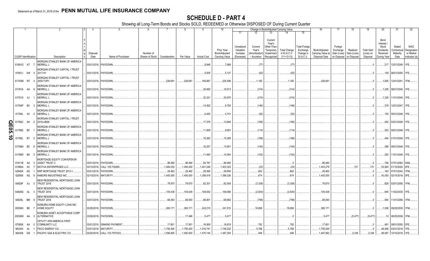|                     |                             |           |     |                                                    |                  |                              |                                              |            |           |                    | 10                                            |                                                   |                                                  | Change in Book/Adjusted Carrying Value                                                                                          |                                                                   | 16                                                  | -17                                               | 18                                     | 19                                         | 20                                                                | 21                                        | 22                                                       |
|---------------------|-----------------------------|-----------|-----|----------------------------------------------------|------------------|------------------------------|----------------------------------------------|------------|-----------|--------------------|-----------------------------------------------|---------------------------------------------------|--------------------------------------------------|---------------------------------------------------------------------------------------------------------------------------------|-------------------------------------------------------------------|-----------------------------------------------------|---------------------------------------------------|----------------------------------------|--------------------------------------------|-------------------------------------------------------------------|-------------------------------------------|----------------------------------------------------------|
|                     |                             |           |     |                                                    |                  |                              |                                              |            |           |                    |                                               | 11                                                | 12                                               | 13<br>14                                                                                                                        | 15                                                                |                                                     |                                                   |                                        |                                            |                                                                   |                                           |                                                          |
|                     | <b>CUSIP Identification</b> |           |     | Description                                        | Disposal<br>Date | Name of Purchaser            | Number of<br>Shares of Stock   Consideration |            | Par Value | <b>Actual Cost</b> | Prior Year<br>Book/Adjusted<br>Carrying Value | Unrealized<br>Valuation<br>Increase<br>(Decrease) | Current<br>Year's<br>Amortization<br>/ Accretion | Current<br>Year's<br>Other-Than<br>Temporary<br><b>Total Change</b><br>in B./A.C.V.<br>Impairment<br>$(11+12-13)$<br>Recognized | <b>Total Foreigr</b><br>Exchange<br>Change in<br><b>B./A.C.V.</b> | Book/Adjusted<br>Carrying Value at<br>Disposal Date | Foreign<br>Exchange<br>Gain (Loss)<br>on Disposal | Realized<br>Gain (Loss)<br>on Disposal | <b>Total Gain</b><br>(Loss) on<br>Disposal | Bond<br>Interest<br>Stock<br>Dividends<br>Received<br>During Year | Stated<br>Contractual<br>Maturity<br>Date | <b>NAIC</b><br>Designation<br>or Market<br>Indicator (a) |
|                     |                             |           |     | MORGAN STANLEY BANK OF AMERICA                     |                  |                              |                                              |            |           |                    |                                               |                                                   |                                                  |                                                                                                                                 |                                                                   |                                                     |                                                   |                                        |                                            |                                                                   |                                           |                                                          |
|                     | 61691G AT 7                 |           |     | <b>MERRILL L</b>                                   |                  | 03/01/2018. PAYDOWN          |                                              |            |           | .8,948             | .7,889                                        |                                                   | (77)                                             |                                                                                                                                 | (77)                                                              |                                                     |                                                   |                                        |                                            | .217                                                              | 12/01/2049. 1FE                           |                                                          |
|                     | 61691J AW 4                 |           |     | MORGAN STANLEY CAPITAL I TRUST<br>2017-H1          |                  | 03/01/2018. PAYDOWN.         |                                              |            |           | .5,505             | .5.127                                        |                                                   | (52)                                             |                                                                                                                                 | (52)                                                              |                                                     |                                                   |                                        |                                            |                                                                   | .139 06/01/2050. 1FE.                     |                                                          |
|                     | 61745M W7 4                 |           |     | MORGAN STANLEY CAPITAL I TRUST<br>2005-TOP1        |                  | 03/01/2018. PAYDOWN.         |                                              | .226,691   | 226,691   | 190,987            | .225,499                                      |                                                   | .1,192                                           |                                                                                                                                 | .1,192                                                            | .226.69                                             |                                                   |                                        |                                            |                                                                   | .1,605   12/01/2041.   1FM                |                                                          |
|                     | 61761A AA 6                 |           |     | MORGAN STANLEY BANK OF AMERICA<br><b>MERRILL L</b> |                  | 03/01/2018. PAYDOWN.         |                                              |            |           | .29,950            | .18,513                                       |                                                   | (314)                                            |                                                                                                                                 | (314)                                                             |                                                     |                                                   |                                        |                                            |                                                                   | 1,205 08/01/2045. 1FE.                    |                                                          |
|                     | 61761D AJ                   |           |     | MORGAN STANLEY BANK OF AMERICA<br><b>MERRILL L</b> |                  | 03/01/2018. PAYDOWN.         |                                              |            |           | .32,321            | .20,876                                       |                                                   | (310)                                            |                                                                                                                                 | (310)                                                             |                                                     |                                                   |                                        |                                            |                                                                   | .1,326 11/01/2045. 1FE.                   |                                                          |
|                     | 61764P BV                   |           |     | MORGAN STANLEY BANK OF AMERICA<br><b>MERRILL L</b> |                  | 03/01/2018. PAYDOWN.         |                                              |            |           | 14,502             | .8,793                                        |                                                   | (146)                                            |                                                                                                                                 | (146)                                                             |                                                     |                                                   |                                        |                                            |                                                                   | .379   12/01/2047.   1FE.                 |                                                          |
|                     | 61765L AV 2                 |           |     | MORGAN STANLEY BANK OF AMERICA<br><b>MERRILL L</b> |                  | 03/01/2018. PAYDOWN.         |                                              |            |           | .6,450             | .4,741                                        |                                                   | (52)                                             |                                                                                                                                 | (52)                                                              |                                                     |                                                   |                                        |                                            |                                                                   | .155 05/01/2048. 1FE.                     |                                                          |
| O                   | 61766C AH                   |           | - 2 | MORGAN STANLEY CAPITAL I TRUST<br>2016-UBS9        |                  | 03/01/2018. PAYDOWN.         |                                              |            |           | .17,376            | 13,846                                        |                                                   | (165)                                            |                                                                                                                                 | (165)                                                             |                                                     |                                                   |                                        |                                            |                                                                   | .452   03/01/2049.   1FE.                 |                                                          |
| m<br>$\overline{5}$ | 61766E BF                   |           |     | MORGAN STANLEY BANK OF AMERICA<br><b>MERRILL L</b> |                  | 03/01/2018. PAYDOWN.         |                                              |            |           | .11,809            | .9,681                                        |                                                   | (114)                                            |                                                                                                                                 | (114)                                                             |                                                     |                                                   |                                        |                                            |                                                                   | .302 05/01/2049. 1FE.                     |                                                          |
| $\vec{0}$           | 61766L                      | <b>BT</b> | - 5 | MORGAN STANLEY BANK OF AMERICA<br><b>MERRILL L</b> |                  | 03/01/2018. PAYDOWN.         |                                              |            |           | 19,262             | 15,299                                        |                                                   | (168)                                            |                                                                                                                                 | (168)                                                             |                                                     |                                                   |                                        |                                            |                                                                   | .494 01/01/2049. 1FE.                     |                                                          |
|                     | 61766N BC                   |           | - 8 | MORGAN STANLEY BANK OF AMERICA<br><b>MERRILL L</b> |                  | 03/01/2018. PAYDOWN.         |                                              |            |           | .16,207            | 13,901                                        |                                                   | (140)                                            |                                                                                                                                 | (140)                                                             |                                                     |                                                   |                                        |                                            |                                                                   | .388 09/01/2049. 1FE.                     |                                                          |
|                     | 61766R BA                   |           | - 3 | MORGAN STANLEY BANK OF AMERICA<br><b>MERRILL L</b> |                  | 03/01/2018. PAYDOWN.         |                                              |            |           | .11,560            | .10,054                                       |                                                   | (102)                                            |                                                                                                                                 | (102)                                                             |                                                     |                                                   |                                        |                                            |                                                                   | .292 11/01/2049. 1FE.                     |                                                          |
|                     | 61911B AA                   |           |     | MORTGAGE EQUITY CONVERSION<br><b>ASSET TRUST 2</b> | 03/01/2018.      | PAYDOWN.                     |                                              | .96,490    | .96,490   | .94,787            | .96,490                                       |                                                   |                                                  |                                                                                                                                 | 0                                                                 | .96,490                                             |                                                   |                                        | 0                                          | .746                                                              | 07/01/2060. 5AM.                          |                                                          |
|                     | 61980A                      | AC        |     | MOTIVA ENTERPRISES LLC                             | 03/15/2018.      | CALL 105.700265              |                                              | 1,484,032  | 1,404,000 | 1,401,248          | 1,403,303                                     |                                                   | (. (23)                                          |                                                                                                                                 | (23)                                                              | .1,403,279                                          |                                                   | 721                                    | 721                                        | .53,820                                                           | 01/15/2020. 2FE                           |                                                          |
|                     | 62942K AG                   |           |     | NRP MORTGAGE TRUST 2013-1                          | 03/01/2018.      | PAYDOWN.                     |                                              | .29,462    | .29,462   | .28,490            | 28,659                                        |                                                   | .802                                             |                                                                                                                                 | .802                                                              | 29,462                                              |                                                   |                                        | $\Omega$                                   | 163                                                               | 07/01/2043. 1FM                           |                                                          |
|                     | 629568 AQ                   |           |     | NABORS INDUSTRIES INC.                             | 02/15/2018.      | MATURITY.                    |                                              | .1,400,000 | 1,400,000 | 1,359,918          | 1,399,326                                     |                                                   | .674                                             |                                                                                                                                 | 674                                                               | 1,400,000                                           |                                                   |                                        |                                            | 43,050                                                            | 02/15/2018. 3FE                           |                                                          |
|                     | 64829F AJ                   |           |     | NEW RESIDENTIAL MORTGAGE LOAN<br><b>TRUST 2016</b> |                  | 03/01/2018. PAYDOWN.         |                                              | 78,670     | .78,670   | .82,301            | .82,008                                       |                                                   | (3,338)                                          |                                                                                                                                 | (3, 338)                                                          | 78,670                                              |                                                   |                                        |                                            | .628                                                              | 03/01/2056. 1FM.                          |                                                          |
|                     | 64829G AL 3                 |           |     | NEW RESIDENTIAL MORTGAGE LOAN<br><b>TRUST 2016</b> |                  | 03/01/2018. PAYDOWN.         |                                              | .105,436   | 105,436   | 108,552            | .108,066                                      |                                                   | (2,630)                                          |                                                                                                                                 | (2,630)                                                           | .105,436                                            |                                                   |                                        |                                            | 845                                                               | 11/02/2035. 1FE.                          |                                                          |
|                     | 64829L BM 9                 |           |     | NEW RESIDENTIAL MORTGAGE LOAN<br><b>TRUST 2016</b> |                  | 03/01/2018. PAYDOWN.         |                                              | .68,093    | .68.093   | .68,901            | .68,892                                       |                                                   | (799)                                            |                                                                                                                                 | (799)                                                             | .68,093                                             |                                                   |                                        |                                            | .594                                                              | 11/01/2056. 1FM.                          |                                                          |
|                     | 65536H BE                   |           |     | NOMURA HOME EQUITY LOAN INC<br><b>HOME EQUITY</b>  | 03/26/2018.      | PAYDOWN.                     |                                              | .360,171   | .360,171  | .242,215           | .341,515                                      |                                                   | .18,656                                          |                                                                                                                                 | 18,656                                                            | .360, 17'                                           |                                                   |                                        | - 0                                        |                                                                   | .1,508 09/25/2035. 1FM.                   |                                                          |
|                     | 65536W AA 3                 |           |     | NOMURA ASSET ACCEPTANCE CORP<br><b>ALTERNATIVE</b> |                  | 03/26/2018. PAYDOWN.         |                                              |            | .17.496   | .5,477             | .5,477                                        |                                                   |                                                  |                                                                                                                                 |                                                                   | .5,477                                              |                                                   | (5, 477)                               | (5,477)                                    |                                                                   | .10   08/25/2036.   1FM.                  |                                                          |
|                     |                             |           |     | OFFUTT AFB AMERICA FIRST                           |                  |                              |                                              |            |           |                    |                                               |                                                   |                                                  |                                                                                                                                 |                                                                   |                                                     |                                                   |                                        |                                            |                                                                   |                                           |                                                          |
|                     | 67085K AA                   |           | - 0 | <b>COMMUNITY LLC</b>                               |                  | 03/01/2018. SINKING PAYMENT  |                                              | .17,601    | .17,601   | .16,809            | .16,819                                       |                                                   | 782                                              |                                                                                                                                 | 782                                                               | .17,60'                                             |                                                   |                                        | - 0                                        | .481                                                              | 09/01/2050. 2FE                           |                                                          |
|                     | 693304                      | AL        |     | PECO ENERGY CO.                                    |                  | 03/01/2018. MATURITY.        |                                              | .1,755,000 | 1,755,000 | 1,516,741          | 1,749,232                                     |                                                   | .5,768                                           |                                                                                                                                 | .5,768                                                            | .1,755,000                                          |                                                   |                                        |                                            | 46,946                                                            | 03/01/2018. 1FE                           |                                                          |
|                     | 694308 GN                   |           |     | <b>PACIFIC GAS &amp; ELECTRIC CO.</b>              |                  | 02/20/2018. CALL 103.7870323 |                                              | 1,556,805  | 1,500,000 | 1,475,145          | 1,497,205                                     |                                                   | .456                                             |                                                                                                                                 | .456                                                              | 1,497,662                                           |                                                   | .2,338                                 | .2,338                                     | .99,087                                                           | 10/15/2018. 1FE                           |                                                          |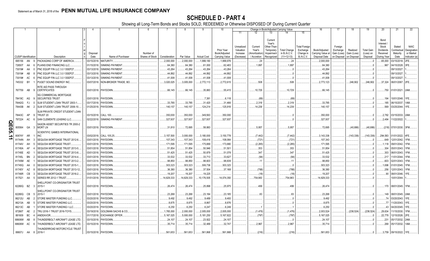|                             |          |      |                                                   | 4                | -5                            |                              |               |            |                    | 10                                            |                                                   |                                                    |                                                                          | Change in Book/Adjusted Carrying Value              |                                                                   | -16                                                 | 17                                                            | 18                      | 19                                         | 20                                                                | 21                                        | 22                                                       |
|-----------------------------|----------|------|---------------------------------------------------|------------------|-------------------------------|------------------------------|---------------|------------|--------------------|-----------------------------------------------|---------------------------------------------------|----------------------------------------------------|--------------------------------------------------------------------------|-----------------------------------------------------|-------------------------------------------------------------------|-----------------------------------------------------|---------------------------------------------------------------|-------------------------|--------------------------------------------|-------------------------------------------------------------------|-------------------------------------------|----------------------------------------------------------|
|                             |          |      |                                                   |                  |                               |                              |               |            |                    |                                               | 11                                                | 12                                                 | 13                                                                       | 14                                                  | 15                                                                |                                                     |                                                               |                         |                                            |                                                                   |                                           |                                                          |
| <b>CUSIP</b> Identification |          |      | Description                                       | Disposal<br>Date | Name of Purchaser             | Number of<br>Shares of Stock | Consideration | Par Value  | <b>Actual Cost</b> | Prior Year<br>Book/Adjusted<br>Carrying Value | Unrealized<br>Valuation<br>Increase<br>(Decrease) | Current<br>Year's<br>(Amortization)<br>/ Accretion | Current<br>Year's<br>Other-Than<br>Temporary<br>Impairment<br>Recognized | <b>Total Change</b><br>in B./A.C.V.<br>$(11+12-13)$ | <b>Total Foreign</b><br>Exchange<br>Change in<br><b>B./A.C.V.</b> | Book/Adjusted<br>Carrying Value at<br>Disposal Date | Foreign<br>Exchange<br>Gain (Loss)<br>on Disposal on Disposal | Realized<br>Gain (Loss) | <b>Total Gain</b><br>(Loss) on<br>Disposal | Bond<br>Interest<br>Stock<br>Dividends<br>Received<br>During Year | Stated<br>Contractual<br>Maturity<br>Date | <b>NAIC</b><br>Designation<br>or Market<br>Indicator (a) |
| 695156                      | AN       | - q  | PACKAGING CORP OF AMERICA                         | 03/15/2018.      | MATURITY.                     |                              | .2,000,000    | .2,000,000 | 1,999,180          | 1,999,976                                     |                                                   | $^{1.24}$                                          |                                                                          | .24                                                 |                                                                   | .2,000,000                                          |                                                               |                         |                                            | 65,000                                                            | 03/15/2018.                               | 2FE.                                                     |
| 72650T                      | AA       |      | PLAINS END FINANCING LLC.                         | 01/15/2018       | SINKING PAYMENT               |                              | .64,380       | .64,380    | .61,000            | .62,483                                       |                                                   | .1,897                                             |                                                                          | .1,897                                              |                                                                   | .64,380                                             |                                                               |                         |                                            | .967                                                              | 04/15/2028.                               |                                                          |
| 73019#                      | AA       |      | PNC EQUIP FIN LLC 3.0 13SEP27                     | 03/13/2018.      | <b>SINKING PAYMENT</b>        |                              | .43,264       | .43,264    | .43,264            | .43,264                                       |                                                   |                                                    |                                                                          |                                                     |                                                                   | .43,264                                             |                                                               |                         |                                            |                                                                   | 09/13/2027                                |                                                          |
| 73019#                      | AB       |      | PNC EQUIP FIN LLC 3.0 13SEP27                     | 03/13/2018.      | <b>SINKING PAYMENT</b>        |                              | .44,892       | .44,892    | .44,892            | .44,892                                       |                                                   |                                                    |                                                                          |                                                     |                                                                   | .44,892                                             |                                                               |                         |                                            |                                                                   | 09/13/2027                                |                                                          |
| 73019#                      | AC       |      | PNC EQUIP FIN LLC 3.0 13SEP27                     | 03/13/2018       | SINKING PAYMENT               |                              | .41,008       | .41,008    | .41,008            | .41,008                                       |                                                   |                                                    |                                                                          |                                                     |                                                                   | .41,008                                             |                                                               |                         |                                            |                                                                   | 09/13/2027                                |                                                          |
| 745332                      | BY       |      | PUGET SOUND ENERGY INC.                           | 03/07/2018.      | NON-BROKER TRADE, BO          |                              | .3,020,025    | .3,005,000 | .2,772,113         | 2,772,615                                     |                                                   | 508                                                |                                                                          | .508                                                |                                                                   | 2,773,123                                           |                                                               | 246,902                 | .246,902                                   | .37,324                                                           | 06/01/2067. 2FE.                          |                                                          |
|                             |          |      | RITE AID PASS THROUGH                             |                  |                               |                              |               |            |                    |                                               |                                                   |                                                    |                                                                          |                                                     |                                                                   |                                                     |                                                               |                         |                                            |                                                                   |                                           |                                                          |
| 767759 AB                   |          | - q  | <b>CERTIFICATES</b>                               |                  | 03/01/2018. PAYDOWN.          |                              | .66,145       | .66,145    | .35,883            | .55,415                                       |                                                   | .10,729                                            |                                                                          | .10,729                                             |                                                                   | .66,145                                             |                                                               |                         |                                            |                                                                   | .750 01/01/2021. 2AM.                     |                                                          |
|                             |          |      | <b>SG COMMERCIAL MORTGAGE</b>                     |                  |                               |                              |               |            |                    |                                               |                                                   |                                                    |                                                                          |                                                     |                                                                   |                                                     |                                                               |                         |                                            |                                                                   |                                           |                                                          |
| 78419C AG                   |          |      | <b>SECURITIES TRUST</b>                           |                  | 03/01/2018. PAYDOWN           |                              |               |            | .7,381             | .6,118                                        |                                                   | (69)                                               |                                                                          | (69)                                                |                                                                   |                                                     |                                                               |                         |                                            |                                                                   | 194 10/01/2048.                           | 1FE.                                                     |
| 78442G                      | FJ       |      | SLM STUDENT LOAN TRUST 2003-1                     | 03/17/2018.      | PAYDOWN.                      |                              | .33,785       | .33.785    | 31,420             | .31,466                                       |                                                   | .2,319                                             |                                                                          | .2,319                                              |                                                                   | .33,785                                             |                                                               |                         |                                            | 185                                                               | 06/15/2037.                               | 1AM.                                                     |
| 78443B                      | AK       |      | SLM STUDENT LOAN TRUST 2006-10.                   | 01/25/2018.      | PAYDOWN                       |                              | .140,157      | 140,157    | 124,214            | 125,918                                       |                                                   | .14,239                                            |                                                                          | .14,239                                             |                                                                   | .140,157                                            |                                                               |                         |                                            |                                                                   | 569 03/25/2044. 1FE.                      |                                                          |
|                             |          |      | SLM PRIVATE CREDIT STUDENT LOAN                   |                  |                               |                              |               |            |                    |                                               |                                                   |                                                    |                                                                          |                                                     |                                                                   |                                                     |                                                               |                         |                                            |                                                                   |                                           |                                                          |
| 78443C                      | AP       |      | TRUST 20                                          |                  | 03/15/2018. CALL 100.         |                              | 350,000       | .350,000   | .349,563           | 350,000                                       |                                                   |                                                    |                                                                          |                                                     |                                                                   | .350,000                                            |                                                               |                         |                                            | .2,782                                                            | 03/15/2033. 2AM.                          |                                                          |
| 797224                      | AC       | - 6  | SAN CLEMENTE LEASING LLC.                         | 02/22/2018.      | <b>SINKING PAYMENT</b>        |                              | .327.937      | .327.937   | .327,937           | .327.937                                      |                                                   |                                                    |                                                                          |                                                     |                                                                   | .327,937                                            |                                                               |                         |                                            | .2.484                                                            | 11/22/2022.                               |                                                          |
| QE05.<br>805564             |          | GA 3 | SAXON ASSET SECURITIES TR 2000-2<br><b>MORTLN</b> |                  | 03/01/2018. PAYDOWN.          |                              | .31,810       | .72,695    | .58,883            |                                               |                                                   | .5,957                                             |                                                                          | .5,957                                              |                                                                   | .72,695                                             |                                                               | (40,886)                | (40,886)                                   |                                                                   | .(218) 07/01/2030. 3FM.                   |                                                          |
|                             |          |      | <b>SCIENTIFIC GAMES INTERNATIONAL</b>             |                  |                               |                              |               |            |                    |                                               |                                                   |                                                    |                                                                          |                                                     |                                                                   |                                                     |                                                               |                         |                                            |                                                                   |                                           |                                                          |
| 80874Y AR<br>∸              |          |      | <b>INC</b>                                        |                  | 03/02/2018. CALL 105.25       |                              | .3,157,500    | .3,000,000 | .3,180,000         | .3,150,778                                    |                                                   | (7, 442)                                           |                                                                          | (7, 442)                                            |                                                                   | 3,143,336                                           |                                                               | (143, 336)              | (143, 336)                                 |                                                                   | .294,583 01/01/2022. 4FE.                 |                                                          |
| د<br>81744N                 | AH       |      | SEQUOIA MORTGAGE TRUST 2012-6.                    |                  | 03/01/2018. PAYDOWN.          |                              | .107,343      | 107,343    | 108,416            | .108,064                                      |                                                   | (721)                                              |                                                                          | (721)                                               |                                                                   | .107,343                                            |                                                               |                         |                                            | .649                                                              | 12/01/2042. 1FM.                          |                                                          |
| 81744V                      | AH       |      | SEQUOIA MORTGAGE TRUST.                           | 03/01/2018.      | PAYDOWN.                      |                              | .171,595      | 171.595    | 175,889            | .173,880                                      |                                                   | (2, 285)                                           |                                                                          | (2,285)                                             |                                                                   | .171,595                                            |                                                               |                         |                                            | .1.118                                                            | 09/01/2042. 1FM.                          |                                                          |
| 81745A                      | AF       |      | SEQUOIA MORTGAGE TRUST 2013-5.                    | 03/01/2018.      | PAYDOWN.                      |                              | .51,854       | .51,854    | .50,946            | .51,501                                       |                                                   | .353                                               |                                                                          | .353                                                |                                                                   | .51,854                                             |                                                               |                         |                                            | .304                                                              | 05/01/2043.                               | 1FM.                                                     |
| 81745E AD                   |          |      | SEQUOIA MORTGAGE TRUST 2013-8.                    | 03/01/2018.      | PAYDOWN.                      |                              | .51,425       | .51,425    | 50,879             | 51,078                                        |                                                   | 347                                                |                                                                          | 347                                                 |                                                                   | .51,425                                             |                                                               |                         |                                            | .303                                                              | 06/01/2043.                               | 1FM.                                                     |
| 81745L                      | BN       |      | SEQUOIA MORTGAGE TRUST 2014-4.                    | 03/01/2018.      | PAYDOWN.                      |                              | .33,532       | .33,532    | .33,713            | .33,627                                       |                                                   | (94)                                               |                                                                          | (94)                                                |                                                                   | .33,532                                             |                                                               |                         | $\ldots 0$                                 |                                                                   | .217 11/01/2044.                          | 1FM.                                                     |
| 81745M                      | AE       |      | SEQUOIA MORTGAGE TRUST 2013-2.                    | 03/01/2018       | PAYDOWN                       |                              | .98,850       | .98.850    | .98,603            | .98,839                                       |                                                   | .11                                                |                                                                          |                                                     |                                                                   | .98,850                                             |                                                               |                         |                                            | .603                                                              | 02/01/2043.                               | 1FM.                                                     |
| 81745Q                      | AA       |      | SEQUOIA MORTGAGE TRUST 2015-1.                    | 03/01/2018.      | PAYDOWN.                      |                              | .303,323      | 303,323    | 306,736            | .303,323                                      |                                                   |                                                    |                                                                          | - 0                                                 |                                                                   | .303,323                                            |                                                               |                         |                                            | 1,696                                                             | 01/01/2045.                               | 1FM.                                                     |
| 81745Y AZ                   |          |      | SEQUOIA MORTGAGE TRUST 2013-12.                   | 03/01/2018       | PAYDOWN.                      |                              | .36,380       | .36,380    | .37,504            | .37,168                                       |                                                   | (788)                                              |                                                                          | (788)                                               |                                                                   | .36,380                                             |                                                               |                         |                                            | .256                                                              | 12/01/2043.                               | 1FM.                                                     |
| 81746R CB                   |          |      | SEQUOIA MORTGAGE TRUST 2016-2.                    | 03/01/2018.      | PAYDOWN                       |                              | .19,207       | .19,207    | .19,225            |                                               |                                                   | (18)                                               |                                                                          | (18)                                                |                                                                   | .19,207                                             |                                                               |                         |                                            | .90                                                               | 08/01/2046.                               |                                                          |
| 817521 AA                   |          | -5   | SERIES RR 2012-1 TRUST.                           |                  | 01/01/2018. PAYDOWN.          |                              | .14,829,333   | 14,829,333 | .10,176,505        | 14,074,350                                    |                                                   | 754,983                                            |                                                                          | 754,983                                             |                                                                   | 14,829,333                                          |                                                               |                         |                                            |                                                                   | 10/01/2044                                |                                                          |
|                             |          |      | SHELLPOINT CO-ORIGINATOR TRUST                    |                  |                               |                              |               |            |                    |                                               |                                                   |                                                    |                                                                          |                                                     |                                                                   |                                                     |                                                               |                         |                                            |                                                                   |                                           |                                                          |
| 82280Q BZ                   |          | - 3  | 2015-1                                            |                  | 03/01/2018. PAYDOWN.          |                              | .26,474       | .26,474    | 25,898             | .25,975                                       |                                                   | 499                                                |                                                                          | .499                                                |                                                                   | .26,474                                             |                                                               |                         |                                            |                                                                   | .170 08/01/2045. 1FM.                     |                                                          |
| 82280Q CB                   |          |      | SHELLPOINT CO-ORIGINATOR TRUST<br>2015-1          | 03/01/2018.      | PAYDOWN.                      |                              | .23,268       | .23,268    |                    |                                               |                                                   | 83                                                 |                                                                          | .83                                                 |                                                                   |                                                     |                                                               |                         |                                            |                                                                   | 149 08/01/2045. 2AM.                      |                                                          |
| 86212U                      |          |      | STORE MASTER FUNDING LLC.                         | 03/20/2018       | PAYDOWN.                      |                              | .9,492        | .9,492     | 23,184<br>.9,489   | .23,185<br>.9,493                             |                                                   |                                                    |                                                                          |                                                     |                                                                   | .23,268<br>.9,492                                   |                                                               |                         |                                            | .74                                                               | 03/20/2043.                               | 1FF                                                      |
| 86213A                      | AB<br>AB |      | STORE MASTER FUNDING LLC.                         | 03/20/2018       | PAYDOWN.                      |                              | .8,875        | .8,875     | .8,867             | .8,876                                        |                                                   |                                                    |                                                                          |                                                     |                                                                   | .8,875                                              |                                                               |                         |                                            | 77                                                                | 11/20/2043.                               | 1FF                                                      |
| 86213C                      | AB       |      | STORE MASTER FUNDING I LLC.                       | 03/20/2018.      | PAYDOWN.                      |                              | .6,250        | .6,250     | .6,247             | .6,249                                        |                                                   |                                                    |                                                                          |                                                     |                                                                   | .6,250                                              |                                                               |                         |                                            | .43                                                               | 04/20/2045.                               |                                                          |
| 87266T                      | AE       |      | TRU 2016-1 TRUST 2016-TOYS.                       | 03/19/2018.      | <b>GOLDMAN SACHS &amp; CO</b> |                              | 1,765,000     | .2,000,000 | .2,005,000         | .2,005,000                                    |                                                   | (1,476)                                            |                                                                          | (1,476)                                             |                                                                   | .2,003,524                                          |                                                               | (238,524)               | (238, 524)                                 | .29,634                                                           | 11/15/2030.                               | 1FM.                                                     |
| 881609                      | BC       |      | <b>INDEAVOR</b>                                   | 01/17/2018.      | <b>EXCHANGE OFFER</b>         |                              | .5,167,025    | .5,000,000 | .5,181,250         | 5,167,822                                     |                                                   | (797)                                              |                                                                          | (797)                                               |                                                                   | .5,167,025                                          |                                                               |                         |                                            | .22,778                                                           | 12/15/2026.                               | 2FE.                                                     |
| 88606W                      | AB       |      | THUNDERBOLT AIRCRAFT LEASE LTD                    | 03/15/2018       | PAYDOWN.                      |                              | .24,107       | .24,107    | .23,922            | .24,107                                       |                                                   |                                                    |                                                                          |                                                     |                                                                   | .24,107                                             |                                                               |                         |                                            | .231                                                              | 05/17/2032. 2AM.                          |                                                          |
| 88606W AC                   |          |      | <b>HUNDERBOLT AIRCRAFT LEASE LTD</b>              | 03/15/2018.      | PAYDOWN.                      |                              | .35,714       | .35,714    | .32,489            | .32,747                                       |                                                   | .2,967                                             |                                                                          | .2,967                                              |                                                                   | .35,714                                             |                                                               |                         |                                            | .268                                                              | 05/17/2032. 1AM.                          |                                                          |
|                             |          |      | THUNDERROAD MOTORCYCLE TRUST                      |                  |                               |                              |               |            |                    |                                               |                                                   |                                                    |                                                                          |                                                     |                                                                   |                                                     |                                                               |                         |                                            |                                                                   |                                           |                                                          |
| 88607J AA 8                 |          |      | 2016-1                                            |                  | 03/15/2018. PAYDOWN.          |                              | .561.653      | 561.653    | 561.868            | .561.868                                      |                                                   | (216)                                              |                                                                          | (216)                                               |                                                                   | .561.653                                            |                                                               |                         |                                            |                                                                   | .3,759 09/15/2022. 1FE.                   |                                                          |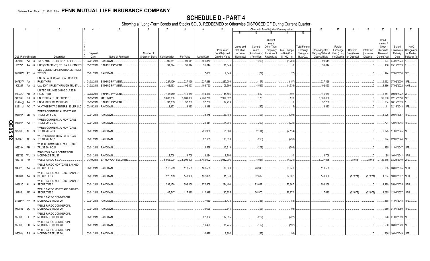|       |           |                             | 2                                                                                    | $\overline{4}$<br>l 3 | -5                                                       | - 6                          | 7                    | 8                    | 9                    | 10                                                          |                                                   |                                                   |                                                                          | Change in Book/Adjusted Carrying Value              |                                                                   | 16                                                  | 17                                                            | 18                      | 19                                         | 20                                                                       | 21                                         | 22                                                       |
|-------|-----------|-----------------------------|--------------------------------------------------------------------------------------|-----------------------|----------------------------------------------------------|------------------------------|----------------------|----------------------|----------------------|-------------------------------------------------------------|---------------------------------------------------|---------------------------------------------------|--------------------------------------------------------------------------|-----------------------------------------------------|-------------------------------------------------------------------|-----------------------------------------------------|---------------------------------------------------------------|-------------------------|--------------------------------------------|--------------------------------------------------------------------------|--------------------------------------------|----------------------------------------------------------|
|       |           |                             |                                                                                      |                       |                                                          |                              |                      |                      |                      |                                                             | 11                                                | 12                                                | 13                                                                       | 14                                                  | 15                                                                |                                                     |                                                               |                         |                                            |                                                                          |                                            |                                                          |
|       |           | <b>CUSIP</b> Identification | Description                                                                          | Disposal<br>Date      | Name of Purchaser                                        | Number of<br>Shares of Stock | Consideration        | Par Value            | <b>Actual Cost</b>   | <b>Prior Year</b><br>Book/Adjusted<br><b>Carrying Value</b> | Unrealized<br>Valuation<br>Increase<br>(Decrease) | Current<br>Year's<br>Amortization)<br>/ Accretion | Current<br>Year's<br>Other-Than<br>Temporary<br>Impairment<br>Recognized | <b>Total Change</b><br>in B./A.C.V.<br>$(11+12-13)$ | <b>Total Foreign</b><br>Exchange<br>Change in<br><b>B./A.C.V.</b> | Book/Adjusted<br>Carrying Value at<br>Disposal Date | Foreign<br>Exchange<br>Gain (Loss)<br>on Disposal on Disposal | Realized<br>Gain (Loss) | <b>Total Gain</b><br>(Loss) on<br>Disposal | Bond<br>Interest<br>Stock<br><b>Dividends</b><br>Received<br>During Year | Stated<br>Contractua<br>Maturity<br>Date   | <b>NAIC</b><br>Designation<br>or Market<br>Indicator (a) |
|       |           | 891098 AA 3                 | TORO MTG FTG TR 2017-RE 4.0.                                                         |                       | 03/01/2018. PAYDOWN.                                     |                              | .99,611              | .99,611              | 100,870              |                                                             |                                                   | (1,259)                                           |                                                                          | (1,259)                                             |                                                                   | .99,611                                             |                                                               |                         |                                            | .524                                                                     | 04/01/2074                                 |                                                          |
|       | 90272* AA |                             | UHC (SENIOR NT) CTL PA 3.5 15MAY33<br>$\Omega$                                       |                       | 03/17/2018. SINKING PAYMENT                              |                              | .31,844              | .31,844              | 31,844               | .31,844                                                     |                                                   |                                                   |                                                                          |                                                     |                                                                   | .31,844                                             |                                                               |                         |                                            | 186                                                                      | 05/15/2033.                                |                                                          |
|       |           |                             |                                                                                      |                       |                                                          |                              |                      |                      |                      |                                                             |                                                   |                                                   |                                                                          |                                                     |                                                                   |                                                     |                                                               |                         |                                            |                                                                          |                                            |                                                          |
|       | 90276W AT |                             | <b>JBS COMMERCIAL MORTGAGE TRUST</b><br>2017-C7                                      |                       | 03/01/2018. PAYDOWN.                                     |                              |                      |                      | .7,657               | .7,649                                                      |                                                   | (77)                                              |                                                                          | (77)                                                |                                                                   |                                                     |                                                               |                         |                                            |                                                                          | 194 12/01/2050. 1FE.                       |                                                          |
|       | 90783W AA |                             | JNION PACIFIC RAILROAD CO 2006<br>PASS THRO                                          | 01/02/2018.           | <b>SINKING PAYMENT</b>                                   |                              | 227,129              | .227,129             | .227,286             | .227,286                                                    |                                                   | (157)                                             |                                                                          | (157)                                               |                                                                   | .227,129                                            |                                                               |                         |                                            | .6.662                                                                   | 07/02/2030.                                | 1FE.                                                     |
|       |           |                             |                                                                                      |                       |                                                          |                              |                      |                      |                      |                                                             |                                                   |                                                   |                                                                          |                                                     |                                                                   |                                                     |                                                               |                         |                                            |                                                                          |                                            |                                                          |
|       | 909287 AA | - 2                         | UAL 2007-1 PASS THROUGH TRUST                                                        |                       | 01/02/2018. SINKING PAYMENT                              |                              | .102,063             | 102,063              | 109,790              | 106.599                                                     |                                                   | (4,536)                                           |                                                                          | (4, 536)                                            |                                                                   | .102,063                                            |                                                               |                         |                                            | .3.386                                                                   | 07/02/2022. 4AM.                           |                                                          |
|       |           |                             | JNITED AIRLINES 2014-2 CLASS B                                                       |                       |                                                          |                              |                      |                      |                      |                                                             |                                                   |                                                   |                                                                          |                                                     |                                                                   |                                                     |                                                               |                         |                                            |                                                                          |                                            |                                                          |
|       | 90932Q    | AB                          | PASS THRO                                                                            |                       | 03/03/2018. SINKING PAYMENT                              |                              | 145,059              | 145,059              | .144,466             | .144.466                                                    |                                                   | .592                                              |                                                                          | .592                                                |                                                                   | .145,059                                            |                                                               |                         |                                            | .3,354                                                                   | 09/03/2022. 2FE.                           |                                                          |
|       | 91324P    | - BJ                        | UNITEDHEALTH GROUP INC.                                                              | 02/15/2018.           | MATURITY.                                                |                              | .3,000,000           | .3.000.000           | .2,988,770           | 2,999,822                                                   |                                                   | 178                                               |                                                                          | 178                                                 |                                                                   | .3,000,000                                          |                                                               |                         |                                            | .90,000                                                                  | 02/15/2018. 1FE.                           |                                                          |
|       | 91474@ AA |                             | UNIVERSITY OF MICHIGAN.                                                              | 03/15/2018.           | <b>SINKING PAYMENT</b>                                   |                              | .37,739              | .37,739              | .37,739              | .37,739                                                     |                                                   |                                                   |                                                                          |                                                     |                                                                   | .37,739                                             |                                                               |                         |                                            | .234                                                                     | 06/15/2039.                                |                                                          |
|       | 92211M AC |                             | VANTAGE DATA CENTERS ISSUER LLC                                                      |                       | 03/15/2018. PAYDOWN.                                     |                              | .3,333               | .3,333               | .3,348               |                                                             |                                                   | (15)                                              |                                                                          | (15)                                                |                                                                   | .3,333                                              |                                                               |                         |                                            | 11                                                                       | 02/16/2043. 1FE.                           |                                                          |
|       | 92890K BD |                             | <b><i>NFRBS COMMERCIAL MORTGAGE</i></b><br>TRUST 2014-C22<br>- 6                     |                       | 03/01/2018. PAYDOWN.                                     |                              |                      |                      | .33,175              | .26,193                                                     |                                                   | (393)                                             |                                                                          | (393)                                               |                                                                   |                                                     |                                                               |                         |                                            |                                                                          | .1,025   09/01/2057.   1FE.                |                                                          |
|       | 92890N    | AA                          | <b><i>NFRBS COMMERCIAL MORTGAGE</i></b><br>TRUST 2012-C10                            |                       | 03/01/2018. PAYDOWN.                                     |                              |                      |                      | .22,411              | .14,395                                                     |                                                   | (229)                                             |                                                                          | (229)                                               |                                                                   |                                                     |                                                               |                         |                                            |                                                                          | .724 12/01/2045. 1FE                       |                                                          |
| QE05. | 92930R    | AF                          | <b><i>NFRBS COMMERCIAL MORTGAGE</i></b><br>TRUST 2012-C9                             |                       | 03/01/2018. PAYDOWN.                                     |                              |                      |                      | .226,986             | 125,863                                                     |                                                   | (2, 114)                                          |                                                                          | (2, 114)                                            |                                                                   |                                                     |                                                               |                         |                                            |                                                                          | .6,875   11/01/2045. 1FE.                  |                                                          |
| N     | 92935J    | <b>AE</b>                   | <b><i>NF-RBS COMMERCIAL MORTGAGE</i></b><br><b>TRUST 2011-C2</b><br>- 5              |                       | 03/01/2018. PAYDOWN                                      |                              |                      |                      | .22,135              | .13,830                                                     |                                                   | (293)                                             |                                                                          | (293)                                               |                                                                   |                                                     |                                                               |                         |                                            | .894                                                                     | 02/01/2044. 1FE.                           |                                                          |
|       | 92939K AH |                             | <b><i>NFRBS COMMERCIAL MORTGAGE</i></b><br>TRUST 2014-C24                            |                       | 03/01/2018. PAYDOWN.                                     |                              |                      |                      | .18,568              | .13,313                                                     |                                                   | (202)                                             |                                                                          | (202)                                               |                                                                   |                                                     |                                                               |                         |                                            |                                                                          | .495   11/01/2047.   1FE.                  |                                                          |
|       | 949746 PM | 929766 WU 3                 | <b><i>NACHOVIA BANK COMMERCIAL</i></b><br><b>MORTGAGE TRUST</b><br>WELLS FARGO & CO. |                       | 03/01/2018. PAYDOWN.<br>01/10/2018. J.P MORGAN SECURITIE |                              | .8,708<br>.5,066,000 | .8,708<br>.5,000,000 | .8,234<br>.5,485,002 | .8,708<br>5,032,906                                         |                                                   | (4,921)                                           |                                                                          | (4,921)                                             |                                                                   | .8,708<br>.5,027,985                                |                                                               | .38,015                 | .38,015                                    | .88                                                                      | 10/01/2041.<br>.129,675   03/29/2049. 2FE. | 1FM.                                                     |
|       | 94982D AA |                             | <b><i>NELLS FARGO MORTGAGE BACKED</i></b><br><b>SECURITIES 2</b>                     |                       | 03/01/2018. PAYDOWN.                                     |                              | 118,569              | 118,569              | 108,508              | .89,620                                                     |                                                   | 28,948                                            |                                                                          | .28,948                                             |                                                                   | .118,569                                            |                                                               |                         |                                            |                                                                          | .655   08/01/2035.   1FM.                  |                                                          |
|       | 949834 AA |                             | <b>NELLS FARGO MORTGAGE BACKED</b><br><b>SECURITIES 2</b>                            |                       | 03/01/2018. PAYDOWN                                      |                              | .126,709             | 143,980              | 132,095              | 111,378                                                     |                                                   | .32,602                                           |                                                                          | .32,602                                             |                                                                   | .143,980                                            |                                                               | (17, 271)               | (17, 271)                                  | .1,234                                                                   | 10/01/2037. 1FM.                           |                                                          |
|       | 94983D    | AL 9                        | <b>VELLS FARGO MORTGAGE BACKED</b><br><b>SECURITIES 2</b>                            |                       | 03/01/2018. PAYDOWN.                                     |                              | 298.158              | .298.158             | 270,508              | .224,490                                                    |                                                   | 73,667                                            |                                                                          | .73,667                                             |                                                                   | .298.158                                            |                                                               |                         |                                            |                                                                          | .1.499 05/01/2035. 1FM.                    |                                                          |
|       | 94986L AK |                             | <b><i>NELLS FARGO MORTGAGE BACKED</i></b><br><b>SECURITIES 2</b>                     |                       | 03/01/2018. PAYDOWN                                      |                              | .85.547              | 117.625              | .110,919             | .90.655                                                     |                                                   | 26,970                                            |                                                                          | .26.970                                             |                                                                   | .117,625                                            |                                                               | (32,078)                | (32,078)                                   |                                                                          | .1,095   12/04/2037.   1FM.                |                                                          |
|       | 94989W AV | - q                         | <b><i>NELLS FARGO COMMERCIAL</i></b><br>MORTGAGE TRUST 20                            |                       | 03/01/2018. PAYDOWN                                      |                              |                      |                      | .7,069               | .5,435                                                      |                                                   | (58)                                              |                                                                          | (58)                                                |                                                                   |                                                     |                                                               |                         |                                            |                                                                          | 168 11/01/2048. 1FE.                       |                                                          |
|       | 94989Y BC |                             | <b><i>NELLS FARGO COMMERCIAL</i></b><br>MORTGAGE TRUST 20                            |                       | 03/01/2018. PAYDOWN                                      |                              |                      |                      | .9,626               | .7,644                                                      |                                                   | (93)                                              |                                                                          | (93)                                                |                                                                   |                                                     |                                                               |                         |                                            |                                                                          | .250 01/01/2059. 1FE                       |                                                          |
|       |           | 95000C BE 2                 | <b><i>NELLS FARGO COMMERCIAL</i></b><br>MORTGAGE TRUST 20                            |                       | 03/01/2018. PAYDOWN.                                     |                              |                      |                      | .22,352              | .17,355                                                     |                                                   | (227)                                             |                                                                          | (227)                                               |                                                                   |                                                     |                                                               |                         |                                            |                                                                          | .626 01/01/2059. 1FE.                      |                                                          |
|       |           | 95000D BG 5                 | <b><i>NELLS FARGO COMMERCIAL</i></b><br>MORTGAGE TRUST 20                            |                       | 03/01/2018. PAYDOWN                                      |                              |                      |                      | 19,490               | .15,745                                                     |                                                   | (192)                                             |                                                                          | (192)                                               |                                                                   |                                                     |                                                               |                         |                                            |                                                                          | .530 06/01/2049. 1FE.                      |                                                          |
|       |           | 95000H BJ 0                 | <b>WELLS FARGO COMMERCIAL</b><br>MORTGAGE TRUST 20                                   |                       | 03/01/2018. PAYDOWN.                                     |                              |                      |                      | 10.426               | .8.892                                                      |                                                   | (93)                                              |                                                                          | (93)                                                |                                                                   |                                                     |                                                               |                         |                                            |                                                                          | 260 10/01/2049. 1FE.                       |                                                          |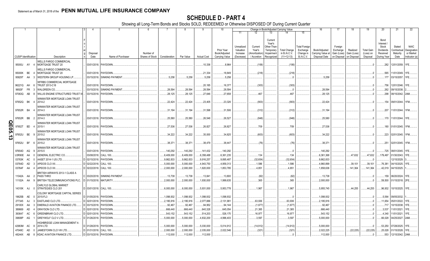|        |                             |           |                |                                         |                         |                               |                 |               |            |                    | 10                          |                                     |                                    |                                                            | Change in Book/Adjusted Carrying Value |                                               | 16                                 | 17                                 |                         | 19                             | 20                                                   | 21                                | 22                                      |
|--------|-----------------------------|-----------|----------------|-----------------------------------------|-------------------------|-------------------------------|-----------------|---------------|------------|--------------------|-----------------------------|-------------------------------------|------------------------------------|------------------------------------------------------------|----------------------------------------|-----------------------------------------------|------------------------------------|------------------------------------|-------------------------|--------------------------------|------------------------------------------------------|-----------------------------------|-----------------------------------------|
|        |                             |           |                |                                         |                         |                               |                 |               |            |                    |                             | 11                                  | 12                                 | 13                                                         | 14                                     | 15                                            |                                    |                                    |                         |                                |                                                      |                                   |                                         |
|        |                             |           |                |                                         | Disposal                |                               | Number of       |               |            |                    | Prior Year<br>Book/Adjusted | Unrealized<br>Valuation<br>Increase | Current<br>Year's<br>Amortization) | Current<br>Year's<br>Other-Than<br>Temporary<br>Impairment | <b>Total Change</b><br>in B./A.C.V.    | <b>Total Foreign</b><br>Exchange<br>Change in | Book/Adjusted<br>Carrying Value at | Foreign<br>Exchange<br>Gain (Loss) | Realized<br>Gain (Loss) | <b>Total Gain</b><br>(Loss) on | Bond<br>Interest /<br>Stock<br>Dividends<br>Received | Stated<br>Contractual<br>Maturity | <b>NAIC</b><br>Designation<br>or Market |
|        | <b>CUSIP</b> Identification |           |                | Description                             | Date                    | Name of Purchaser             | Shares of Stock | Consideration | Par Value  | <b>Actual Cost</b> | Carrying Value              | (Decrease)                          | / Accretion                        | Recognized                                                 | $(11+12-13)$                           | <b>B./A.C.V.</b>                              | Disposal Date                      | on Disposal                        | on Disposal             | Disposal                       | During Year                                          | Date                              | Indicator (a)                           |
|        |                             |           |                | WELLS FARGO COMMERCIAL                  |                         |                               |                 |               |            |                    |                             |                                     |                                    |                                                            |                                        |                                               |                                    |                                    |                         |                                |                                                      |                                   |                                         |
|        | 95000J AY 4                 |           |                | MORTGAGE TRUST 20                       |                         | 03/01/2018. PAYDOWN.          |                 |               |            | .10,336            | .8,964                      |                                     | (106)                              |                                                            | (106)                                  |                                               |                                    |                                    |                         |                                | .282                                                 | 12/01/2059.                       | 1FE.                                    |
|        |                             |           |                | WELLS FARGO COMMERCIAL                  |                         |                               |                 |               |            |                    |                             |                                     |                                    |                                                            |                                        |                                               |                                    |                                    |                         |                                |                                                      |                                   |                                         |
|        | 95000K BE                   |           |                | MORTGAGE TRUST 20                       |                         | 03/01/2018. PAYDOWN           |                 |               |            | .21,334            | 18,849                      |                                     | (218)                              |                                                            | (218)                                  |                                               |                                    |                                    |                         |                                | .565                                                 | 11/01/2049.                       | 1FE.                                    |
|        | 95829T                      | AA        | - 3            | WESTERN GROUP HOUSING LP.               |                         | 03/15/2018. SINKING PAYMENT   |                 | .5,258        | 5,258      | .5,258             | .5,258                      |                                     |                                    |                                                            |                                        |                                               | .5,258                             |                                    |                         | .C                             | 177                                                  | 03/15/2057.                       | 1FE.                                    |
|        |                             |           |                | <b><i>NFRBS COMMERCIAL MORTGAGE</i></b> |                         |                               |                 |               |            |                    |                             |                                     |                                    |                                                            |                                        |                                               |                                    |                                    |                         |                                |                                                      |                                   |                                         |
|        | 96221Q AH                   |           |                | TRUST 2013-C18                          |                         | 03/01/2018. PAYDOWN.          |                 |               |            | .20,185            | .16,377                     |                                     | (303)                              |                                                            | (303)                                  |                                               |                                    |                                    |                         |                                | .756                                                 | 12/01/2046.                       | 1FE.                                    |
|        | 96928*                      | <b>FR</b> |                | <b>WALGREEN CO.</b>                     | 03/15/2018.             | <b>SINKING PAYMENT</b>        |                 | .28,594       | .28.594    | .28,594            | .28,594                     |                                     |                                    |                                                            |                                        |                                               | 28,594                             |                                    |                         |                                | .262                                                 | 09/15/2038.                       |                                         |
|        | 97063Q                      | AB        |                | WILLIS ENGINE STRUCTURED TRUST          |                         | 03/15/2018. PAYDOWN           |                 | .28,125       | .28,125    | .27,646            | .27,658                     |                                     | .467                               |                                                            | .467                                   |                                               | .28,125                            |                                    |                         |                                | .298                                                 | 08/15/2042. 2AM.                  |                                         |
|        |                             |           |                | WINWATER MORTGAGE LOAN TRUST            |                         |                               |                 |               |            |                    |                             |                                     |                                    |                                                            |                                        |                                               |                                    |                                    |                         |                                |                                                      |                                   |                                         |
|        | 97652Q BK                   |           |                | 2014-2                                  | 03/01/2018. PAYDOWN     |                               |                 | .22,424       | .22,424    | .23,405            | .23,326                     |                                     | (903)                              |                                                            | (903)                                  |                                               | .22,424                            |                                    |                         |                                | .154                                                 | 09/01/2044.                       | 1FM.                                    |
|        |                             |           |                | WINWATER MORTGAGE LOAN TRUST            |                         |                               |                 |               |            |                    |                             |                                     |                                    |                                                            |                                        |                                               |                                    |                                    |                         |                                |                                                      |                                   |                                         |
|        | 97652R BA                   |           |                | 2014-3                                  | 03/01/2018. PAYDOWN     |                               |                 | 31,194        | 31,194     | .31,598            | .31,506                     |                                     | (312)                              |                                                            | (312)                                  |                                               | .31,194                            |                                    |                         |                                | .207                                                 | 11/01/2044.                       | 1FM.                                    |
|        |                             |           |                | WINWATER MORTGAGE LOAN TRUST            |                         |                               |                 |               |            |                    |                             |                                     |                                    |                                                            |                                        |                                               |                                    |                                    |                         |                                |                                                      |                                   |                                         |
|        | 97652R BB                   |           |                | 2014-3                                  |                         | 03/01/2018. PAYDOWN           |                 | .25,580       | .25,580    | .26,548            | .26,527                     |                                     | (948)                              |                                                            | (948)                                  |                                               | 25,580                             |                                    |                         |                                | .170                                                 | 11/01/2044.                       | 1FE.                                    |
|        |                             |           |                | WINWATER MORTGAGE LOAN TRUST            |                         |                               |                 |               |            |                    |                             |                                     |                                    |                                                            |                                        |                                               |                                    |                                    |                         |                                |                                                      |                                   |                                         |
|        | 97652T                      | <b>BD</b> |                | 2015-1                                  |                         | 03/01/2018. PAYDOWN.          |                 | .27,536       | .27,536    | .26,827            | .26,827                     |                                     | .709                               |                                                            | .709                                   |                                               | 27,536                             |                                    |                         |                                | .180                                                 | 01/01/2045.                       | 1FM.                                    |
|        |                             |           |                | WINWATER MORTGAGE LOAN TRUST            |                         |                               |                 |               |            |                    |                             |                                     |                                    |                                                            |                                        |                                               |                                    |                                    |                         |                                |                                                      |                                   |                                         |
| QE05.1 | 97652U                      | BE        |                | 2015-2                                  | 03/01/2018. PAYDOWN     |                               |                 | .34,222       | .34,222    | .35,000            | .34,825                     |                                     | (603)                              |                                                            | (603)                                  |                                               | .34,222                            |                                    |                         |                                | .223                                                 | 02/01/2045.                       | 1FM.                                    |
| ω      |                             |           |                | WINWATER MORTGAGE LOAN TRUST            |                         |                               |                 |               |            |                    |                             |                                     |                                    |                                                            |                                        |                                               |                                    |                                    |                         |                                |                                                      |                                   |                                         |
|        | 97652U BF                   |           | - 6            | 2015-2                                  |                         | 03/01/2018. PAYDOWN.          |                 | .38,371       | .38,371    | .38,479            | .38,447                     |                                     | (76)                               |                                                            | (76)                                   |                                               | .38,37'                            |                                    |                         |                                | .251                                                 | 02/01/2045.                       | 1FM.                                    |
|        |                             |           |                | WINWATER MORTGAGE LOAN TRUST            |                         |                               |                 |               |            |                    |                             |                                     |                                    |                                                            |                                        |                                               |                                    |                                    |                         |                                |                                                      |                                   |                                         |
|        | 97654D                      | AQ        | - 9            | 2015-5                                  | 03/01/2018. PAYDOWN     |                               |                 | 140,292       | 140,292    | 141,432            | .140,292                    |                                     |                                    |                                                            |                                        |                                               | .140,292                           |                                    |                         | . .0                           | 725                                                  | 08/01/2045.                       |                                         |
|        | <b>U3R90E</b>               | AA        |                | GENERAL ELECTRIC CO.                    | 03/08/2018.             | <b>CALL 100</b>               |                 | .6,409,000    | .6,409,000 | .6,358,488         | .6,361,235                  |                                     | .134                               |                                                            | .134                                   |                                               | .6,361,368                         |                                    | 47,632                  | .47,632                        | .179,497                                             | 01/30/2043.                       |                                         |
|        | 03763K                      | AC        |                | AASET 2014-1 US LTD                     | 02/15/2018.             | PAYDOWN                       |                 | .9,862,833    | .9,862,833 | .9,916,257         | .9,895,487                  |                                     | (32, 654)                          |                                                            | (32, 654)                              |                                               | .9,862,833                         |                                    |                         |                                |                                                      | 12/15/2029                        |                                         |
|        | 03764D                      | AD        |                | APIDOS CLO XII                          | 02/22/2018.             | <b>CALL 100</b>               |                 | 5,000,000     | .5,000,000 | .4,943,750         | 4,959,313                   |                                     | .1,586                             |                                                            | .1,586                                 |                                               | .4,960,899                         |                                    | 39,101                  | .39,101                        | .76,381                                              | 04/15/2025.                       |                                         |
|        | 03764F AA                   |           |                | APIDOS CLO XII                          | 02/22/2018. CALL 100    |                               |                 | .2,000,000    | .2,000,000 | 1,820,000          | 1,853,785                   |                                     | .4,851                             |                                                            | .4,851                                 |                                               | .1,858,636                         |                                    | 141,364                 | .141,364                       | .42,019                                              | 04/15/2025.                       |                                         |
|        |                             |           |                | BRITISH AIRWAYS 2013-1 CLASS A          |                         |                               |                 |               |            |                    |                             |                                     |                                    |                                                            |                                        |                                               |                                    |                                    |                         |                                |                                                      |                                   |                                         |
|        | 11042A AA                   |           | $\overline{2}$ | <b>PASS THRO</b>                        |                         | C 03/20/2018. SINKING PAYMENT |                 | .13,738       | 13,738     | 13,841             | .13,800                     |                                     | (62)                               |                                                            | (62)                                   |                                               | 13,738                             |                                    |                         |                                | .159                                                 | 06/20/2024.                       | 1FE.                                    |
|        | 11102A AA                   |           |                | BRITISH TELECOMMUNICATIONS PLC          | 01/15/2018. MATURITY    |                               |                 | .2,000,000    | .2,000,000 | .1,930,000         | 1,999,635                   |                                     | .365                               |                                                            | .365                                   |                                               | .2,000,000                         |                                    |                         | $\Omega$                       | .59,500                                              | 01/15/2018. 2FE.                  |                                         |
|        |                             |           |                | CARLYLE GLOBAL MARKET                   |                         |                               |                 |               |            |                    |                             |                                     |                                    |                                                            |                                        |                                               |                                    |                                    |                         |                                |                                                      |                                   |                                         |
|        | 14310K AJ                   |           |                | STRATEGIES CLO 201                      | D 03/01/2018. CALL 100. |                               |                 | .6,000,000    | .6,000,000 | .5,931,000         | 5,953,778                   |                                     | .1,967                             |                                                            | .1,967                                 |                                               | .5,955,745                         |                                    | .44.255                 | .44,255                        | .96,932                                              | 10/15/2025. 1FE.                  |                                         |
|        |                             |           |                | COLONY MORTGAGE CAPITAL SERIES          |                         |                               |                 |               |            |                    |                             |                                     |                                    |                                                            |                                        |                                               |                                    |                                    |                         |                                |                                                      |                                   |                                         |
|        | 19625B AE                   |           | $\Omega$       | 2015-FL3                                | D 01/05/2018. PAYDOWN   |                               |                 | .1,098,932    | .1,098,932 | .1,098,932         | 1,098,932                   |                                     |                                    |                                                            |                                        |                                               | .1,098,932                         |                                    |                         | .0                             | 5,564                                                | 09/05/2032.                       |                                         |
|        | 277345                      | AJ        |                | EASTLAND CLO LTD.                       | 02/01/2018. PAYDOWN     |                               |                 | 2,195,916     | .2,195,916 | .2,077,886         | .2,131,981                  |                                     | 63,936                             |                                                            | .63,936                                |                                               | .2,195,916                         |                                    |                         |                                | 11,654                                               | 05/01/2022.                       |                                         |
|        | 29100X                      | AA        | -3             | EMERALD AVIATION FINANCE LTD.           | D 03/15/2018. PAYDOWN   |                               |                 | 92,467        | .92,467    | .94,952            | .94,144                     |                                     | (1,677)                            |                                                            | (1,677)                                |                                               | .92,467                            |                                    |                         |                                | .717                                                 | 10/15/2038.                       |                                         |
|        | 389669                      | AD        |                | GRAYSON CLO LTD.                        | 02/01/2018. PAYDOWN     |                               |                 | .666,440      | .666,440   | .640,328           | .645,054                    |                                     | 21,385                             |                                                            | 21,385                                 |                                               | .666,440                           |                                    |                         |                                | 3,537                                                | 11/01/2021.                       | 1FE.                                    |
|        | 393647                      | AC        |                | <b>GREENBRIAR CLO LTD</b>               | 02/01/2018. PAYDOWN     |                               |                 | .543,152      | 543,152    | .514,203           | .526,175                    |                                     | .16,977                            |                                                            | 16,977                                 |                                               | .543,152                           |                                    |                         |                                | .4,340                                               | 11/01/2021.                       | 1FE.                                    |
|        | 39808P                      | AG        |                | GREYWOLF CLO V LTD                      | 01/26/2018. PAYDOWN.    |                               |                 | .5,000,000    | .5,000,000 | .4,832,200         | 4,996,403                   |                                     | .3,597                             |                                                            | .3,597                                 |                                               | .5,000,000                         |                                    |                         |                                | .66,028                                              | 04/25/2027. 2AM.                  |                                         |
|        |                             |           |                | HIGHBRIDGE LOAN MANAGEMENT 4-           |                         |                               |                 |               |            |                    |                             |                                     |                                    |                                                            |                                        |                                               |                                    |                                    |                         |                                |                                                      |                                   |                                         |
|        | 42983M                      | AC        |                | 2014 LTD                                | D 01/28/2018. PAYDOWN   |                               |                 | 5,000,000     | .5,000,000 | .5,030,000         | .5,014,912                  |                                     | (14,912)                           |                                                            | (14, 912)                              |                                               | .5,000,000                         |                                    |                         | .0                             | .53,250                                              | 07/28/2025.                       | 1FE                                     |
|        | 47048C                      | AD        |                | JAMESTOWN CLO VIII LTD.                 | D 01/31/2018. CALL 100  |                               |                 | .2,000,000    | .2,000,000 | .2,035,000         | .2,022,546                  |                                     | (321)                              |                                                            | (321)                                  |                                               | .2,022,225                         |                                    | (22, 225)               | (22, 225)                      | .25,028                                              | 01/15/2028.                       |                                         |
|        | 48244X AB                   |           | -8             | <b>KDAC AVIATION FINANCE LTD</b>        | D 03/15/2018. PAYDOWN   |                               |                 | .112,000      | 112,000    | .112,000           |                             |                                     |                                    |                                                            |                                        |                                               | .112,000                           |                                    |                         |                                | .553                                                 | 12/15/2042. 2AM                   |                                         |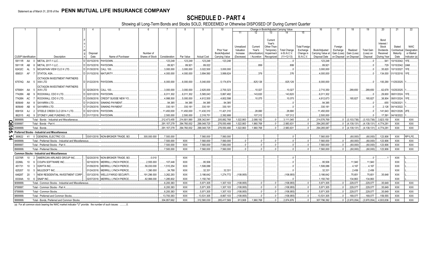# **SCHEDULE D - PART 4**

Showing all Long-Term Bonds and Stocks SOLD, REDEEMED or Otherwise DISPOSED OF During Current Quarter

| 13 <sup>13</sup><br>14<br>15<br>11<br>Current<br>Bond<br>Year's<br>Interest<br>Unrealized<br>Other-Than-<br><b>Total Foreign</b><br>Stock<br>Current<br>Foreign                                                                                                                                                          | <b>NAIC</b><br>Stated<br>Designation<br>Contractual<br>or Market<br>Maturity<br>Date<br>Indicator (a)<br>10/15/2042.<br>1FE |
|--------------------------------------------------------------------------------------------------------------------------------------------------------------------------------------------------------------------------------------------------------------------------------------------------------------------------|-----------------------------------------------------------------------------------------------------------------------------|
|                                                                                                                                                                                                                                                                                                                          |                                                                                                                             |
|                                                                                                                                                                                                                                                                                                                          |                                                                                                                             |
|                                                                                                                                                                                                                                                                                                                          |                                                                                                                             |
|                                                                                                                                                                                                                                                                                                                          |                                                                                                                             |
| Prior Year<br>Valuation<br>Year's<br>Temporary<br><b>Total Change</b><br>Exchange<br>Book/Adjusted<br>Realized<br><b>Total Gain</b><br>Dividends<br>Exchange                                                                                                                                                             |                                                                                                                             |
| in B./A.C.V.<br>Number of<br>Book/Adiusted<br>Change in<br>Carrying Value at<br>Gain (Loss)<br>Increase<br>Amortization<br>Impairment<br>Gain (Loss)<br>(Loss) on<br>Received<br>Disposal                                                                                                                                |                                                                                                                             |
| Disposal Date<br>$(11+12-13)$<br><b>B./A.C.V.</b><br><b>CUSIP</b> Identification<br>Date<br>Name of Purchaser<br>Shares of Stock   Consideration<br>Par Value<br><b>Actual Cost</b><br>Carrying Value<br>/ Accretion<br>on Disposal<br>on Disposal<br>Disposal<br>During Year<br>Description<br>(Decrease)<br>Recognized |                                                                                                                             |
| <b>METAL 2017-1 LLC.</b><br>03/15/2018. PAYDOWN.<br>.123,248<br>.123,248<br>.123,248<br>123,248<br>59111R AA<br>123,248<br>.941                                                                                                                                                                                          |                                                                                                                             |
| <b>METAL 2017-1 LLC.</b><br>03/15/2018. PAYDOWN<br>.89,921<br>.89,921<br>.89,022<br>.899<br>899<br>.89,921<br>.729<br>59111R<br>AB                                                                                                                                                                                       | 10/15/2042.<br>12AM                                                                                                         |
| 01/30/2018.<br>.3.000.000<br>.3,000,000<br>.3,022,500<br>.3,000,000<br>.3,000,000<br>.35.620<br>62432C<br><b>MOUNTAIN VIEW CLO X LTD.</b><br><b>CALL 100.</b>                                                                                                                                                            | 10/13/2027.<br>1FE                                                                                                          |
| .376<br>.376<br>.4,000,000<br>.4,000,000<br>.3,894,560<br>.134,000<br><b>STATOIL ASA.</b><br>01/15/2018. MATURITY<br>.4,000,000<br>.3,999,624<br>656531<br>AF                                                                                                                                                            | 01/15/2018. 1FE                                                                                                             |
| OCTAGON INVESTMENT PARTNERS                                                                                                                                                                                                                                                                                              |                                                                                                                             |
| 0.6000.000<br>.5,040,000<br>.5,174,874<br>.825.126<br>825.126<br>.6,000,000<br>XXII LTD<br>D 01/22/2018. PAYDOWN.<br>.6,000,000<br>.100,290<br>67574Q AA 5                                                                                                                                                               | 11/25/2025.                                                                                                                 |
| OCTAGON INVESTMENT PARTNERS<br>2,710,350<br>D 02/28/2018. CALL 100.                                                                                                                                                                                                                                                      |                                                                                                                             |
| .3,000,000<br>.3,000,000<br>2,625,000<br>.2,700,323<br>.10,027<br>10,027<br>289,650<br>.289,650<br>.62,678<br>XVII LTD<br>67590H AA<br>-5                                                                                                                                                                                | 10/25/2025.                                                                                                                 |
| .143,820<br>143,820<br>.6,011,302<br>ROCKWALL CDO II LTD.<br>02/01/2018. PAYDOWN.<br>.6,011,302<br>.6,011,302<br>5,565,043<br>.5,867,482<br>.29,600<br>77426N<br>AB                                                                                                                                                      | 08/01/2024.<br>l 1FE.                                                                                                       |
| .10,075<br>10,075<br>.4,812,673<br><b>CREDIT SUISSE NEW YO</b><br>4,998,500<br>.5,000,000<br>.4,612,500<br>4,802,598<br>185,827<br>.185,827<br>.38,904<br>ROCKWALL CDO II LTD.<br>03/08/2018.<br>77426N<br>AC                                                                                                            | 08/01/2024.<br>1FF                                                                                                          |
| 94,385<br>01/29/2018. SINKING PAYMENT<br>.94.385<br>.94,385<br>.94,385<br>.94,385<br>SAYARRA LTD.<br>.655<br>805649<br>AA                                                                                                                                                                                                | 10/29/2021                                                                                                                  |
| 330,181<br>01/29/2018. SINKING PAYMENT<br>330,181<br>.330,181<br>.330,181<br>330,181<br>SAYARRA LTD.<br>.2,126<br>805649<br>AB                                                                                                                                                                                           | 04/14/2022.                                                                                                                 |
| .28,690<br>.28.690<br>.11,450,000<br>STEELE CREEK CLO 2014-1 LTD<br>D   02/21/2018.   PAYDOWN.<br>11,450,000<br>.11,450,000<br>11,430,310<br>11,421,310<br>.141.643<br>85815X                                                                                                                                            | 08/21/2026. 2FE                                                                                                             |
| 107.312<br>107.312<br>.2,500,000<br>STONEY LANE FUNDING LTD.<br>D 01/17/2018. PAYDOWN.<br>.2,500,000<br>.2,500,000<br>2,318,751<br>2.392.688<br>.17.591<br>862015                                                                                                                                                        | 04/18/2022.                                                                                                                 |
| 214,801,990<br>208,342,941<br>205.882.768<br>.1.022.863<br>2.088.182<br>.3.111.045<br>214,576,769<br>(3, 103, 736)<br>(3, 103, 736)<br>3.823.150<br>3899999<br>Total - Bonds - Industrial and Miscellaneous<br>.212.473.455                                                                                              | <b>XXX</b><br>XXX                                                                                                           |
| 299.048.725<br>276.550.466<br>.2.983.631<br>.4.774.281<br>.291.157.279<br>294.760.002<br>1.022.863<br>1.960.768<br>.294.265.087<br>(4.139.131)<br>(4, 139, 131)<br>8399997<br>Total - Bonds - Part 4.                                                                                                                    | XXX<br><b>XXX</b>                                                                                                           |
| 291,157,279<br>294,760,002<br>299.048.725<br>276.550.466<br>.1.022.863<br>.2.983.631<br>294,265,087<br>$.0$ $(4, 139, 131)$<br>.(4, 139, 131)<br>.4,774,281<br>8399999.<br>Total - Bonds.<br>.1.960.768                                                                                                                  | <b>XXX</b><br><b>XXX</b>                                                                                                    |
| <b>Preferred Stocks - Industrial and Miscellaneous</b>                                                                                                                                                                                                                                                                   |                                                                                                                             |
| 03/01/2018. NON-BROKER TRADE, BO.<br>123.906<br>0 GENERAL ELECTRIC CO<br>.300.000.000<br>7.500.000<br>7.560.000<br>7.560.000<br>.7.560.000<br>(60.000)<br>(60.000)<br>369622                                                                                                                                             | <b>XXX</b><br>RP1LFE                                                                                                        |
| (60,000)<br>7,500,000<br><b>XXX</b><br>7,560,000<br>.7,560,000<br>.7,560,000<br>(60,000)<br>.123,906<br>8499999<br>Total - Preferred Stocks - Industrial and Miscellaneous.                                                                                                                                              | XXX<br>XXX                                                                                                                  |
| .7,500,000<br><b>XXX</b><br>7.560.000<br>.7.560.000<br>.7.560.000<br>(60.000)<br>(60.000)<br>123.906<br>Total - Preferred Stocks - Part 4<br>8999997                                                                                                                                                                     | <b>XXX</b><br><b>XXX</b>                                                                                                    |
| , 7,500,000<br><b>XXX</b><br>7.560.000<br>7.560.000<br>7,560,000<br>(60.000)<br>(60,000)<br>.123,906<br><b>Total - Preferred Stocks</b><br>8999999                                                                                                                                                                       | <b>XXX</b><br>XXX                                                                                                           |
| <b>Common Stocks - Industrial and Miscellaneous</b>                                                                                                                                                                                                                                                                      |                                                                                                                             |
| <b>AMERICAN AIRLINES GROUP INC.</b><br>02/20/2018. NON-BROKER TRADE, BO<br>.0.010<br><b>XXX</b><br>02376R                                                                                                                                                                                                                | <b>XXX</b>                                                                                                                  |
| COUPA SOFTWARE INC.<br>2,555.000<br>.95,506<br>.95,506<br>.11.940<br>22266L<br>02/18/2018.<br>MERRILL LYNCH PIERCE.<br>.107,446<br><b>XXX</b><br>.11,940                                                                                                                                                                 | <b>XXX</b>                                                                                                                  |
| .56,030.000<br>1,510,254<br>.1,506,086<br>1,506,086<br>.4,167<br>.4,167<br><b>IGNYTA INC.</b><br>01/09/2018.<br>MERRILL LYNCH PIERCE.<br><b>XXX</b><br>451731<br>10                                                                                                                                                      | <b>XXX</b>                                                                                                                  |
| .32,331<br>.32,331<br>32,331<br>MULESOFT INC.<br>MERRILL LYNCH PIERCE.<br>1,390.000<br>.34,788<br><b>XXX</b><br>.2.456<br>.2,456<br>01/24/2018.<br>625207                                                                                                                                                                | <b>XXX</b>                                                                                                                  |
| 191,296.000<br>(108,955)<br>(108, 955)<br>3,186,642<br>3,262,293<br>,3,186,642<br>75,651<br>75,651<br>.35,648<br>20<br>NEW RESIDENTIAL INVESTMENT CORP<br><b>WELLS FARGO SECURITI</b><br><b>XXX</b><br>1,274,772<br>64828T<br>03/13/2018.                                                                                | <b>XXX</b>                                                                                                                  |
| .82.996.000<br>.1.285.602<br>1.150.740<br>.1.150.740<br>.134.863<br>134.863<br>83304A<br>6 SNAP INC<br>02/07/2018. MERRILL LYNCH PIERCE.<br>XXX<br>10                                                                                                                                                                    | <b>XXX</b>                                                                                                                  |
| 6,200,383<br>5,971,305<br>5,971,305<br>229,077<br>229,077<br>35,649<br><b>XXX</b><br>.1,307,103<br>(108, 955)<br>(108, 955)<br>9099999<br>Total - Common Stocks - Industrial and Miscellaneous.                                                                                                                          | XXX<br><b>XXX</b>                                                                                                           |
| 229,077<br>.229,077<br>9799997<br>.6,200,383<br><b>XXX</b><br>5,971,305<br>1,307,103<br>(108, 955)<br>(108.955)<br>.5,971,305<br>.35,649<br>Total - Common Stocks - Part 4.                                                                                                                                              | XXX<br>XXX                                                                                                                  |
| 5,971,305<br>5,971,305<br>229,077<br>229,077<br>.35,649<br>9799999<br>.6.200.383<br><b>XXX</b><br>.1,307,103<br>(108, 955)<br>(108.955)<br>Total - Common Stocks.<br>$\bigcap$<br>$\Omega$                                                                                                                               | XXX<br><b>XXX</b>                                                                                                           |
| .159.555<br>13,700,383<br><b>XXX</b><br>.13,531,305<br>.8,867,103<br>(108.955)<br>(108.955)<br>.13.531.305<br>169.077<br>169.077<br>9899999<br>Total - Preferred and Common Stocks                                                                                                                                       | <b>XXX</b><br><b>XXX</b>                                                                                                    |
| 312,580,030<br>.2.874.676<br>.307,796,392<br>(3,970,054)<br>.4,933,836<br>.304,857,662<br><b>XXX</b><br>285,417,569<br>.913,908<br>.1,960,768<br>$.0$ $(.3,970,054)$<br>9999999<br>Total - Bonds, Preferred and Common Stocks.                                                                                           | <b>XXX</b><br><b>XXX</b>                                                                                                    |

(a) For all common stock bearing the NAIC market indicator "U" provide: the number of such issues: ..........0.

**Q E 0 5.14**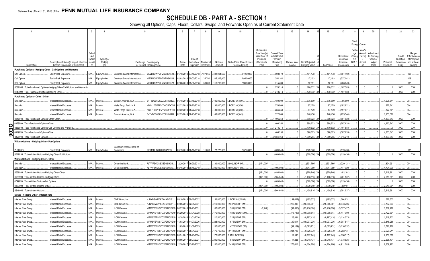# **SCHEDULE DB - PART A - SECTION 1**

|                  |                                           | $\overline{1}$                                      | $\overline{2}$                                                            | 3              | $\overline{4}$        |                                                                    | 6                                              | $\overline{7}$         | 8         | -9                         | 10                                    | 11                               | 12                                     | 13                     | 14                           | 16                           | 17                             | 18              | 19                 | 20                        | 21                       | 22                      | 23                           |
|------------------|-------------------------------------------|-----------------------------------------------------|---------------------------------------------------------------------------|----------------|-----------------------|--------------------------------------------------------------------|------------------------------------------------|------------------------|-----------|----------------------------|---------------------------------------|----------------------------------|----------------------------------------|------------------------|------------------------------|------------------------------|--------------------------------|-----------------|--------------------|---------------------------|--------------------------|-------------------------|------------------------------|
|                  |                                           |                                                     |                                                                           |                |                       |                                                                    |                                                |                        |           |                            |                                       |                                  |                                        |                        |                              |                              |                                |                 |                    |                           |                          |                         |                              |
|                  |                                           |                                                     |                                                                           |                |                       |                                                                    |                                                |                        |           |                            |                                       |                                  |                                        |                        |                              |                              |                                | Total           |                    |                           |                          |                         |                              |
|                  |                                           |                                                     |                                                                           |                |                       |                                                                    |                                                |                        |           |                            |                                       |                                  |                                        |                        |                              |                              |                                | Foreig          | Curren             |                           |                          |                         |                              |
|                  |                                           |                                                     |                                                                           |                |                       |                                                                    |                                                |                        |           |                            |                                       | Cumulative                       |                                        |                        |                              |                              |                                | Excha           | Year's             |                           |                          |                         |                              |
|                  |                                           |                                                     |                                                                           | Sched<br>ule / |                       |                                                                    |                                                |                        |           |                            |                                       | Prior Year(s)<br>Initial Cost of | <b>Current Year</b><br>Initial Cost of |                        |                              |                              | Unrealized                     | nge<br>Chang    | Amorti)<br>zation) | Adjustment<br>to Carrying |                          | Credit                  | Hedge<br>Effectiveness       |
|                  |                                           |                                                     | Description of Item(s) Hedged, Used for Identifi                          | Exhibit        | Type(s) of<br>Risk(s) | Exchange, Counterparty                                             | Trade                                          | Date of<br>Maturity or | Number of | Notional                   | Strike Price, Rate of Index           | Premium<br>(Received)            | Premium<br>(Received)                  | <b>Current Year</b>    | Book/Adjusted                |                              | Valuation<br>Increase          | e in<br>B./A.C. | Accreti            | Value of<br>Hedged        | Potential                | Quality of<br>Reference | at Inception<br>and at Year- |
|                  |                                           | Description                                         | Income Generation or Replicated                                           |                | (a)                   | or Central Clearinghouse                                           | Date                                           | Expiration             | Contracts | Amount                     | Received (Paid)                       | Paid                             | Paid                                   | Income                 | Carrying Value               | Fair Value                   | (Decrease)                     | $\mathcal{U}$   | <sub>on</sub>      | Items                     | Exposure                 | Entity                  | end (b)                      |
|                  |                                           |                                                     | Purchased Options - Hedging Other - Call Options and Warrants             |                |                       |                                                                    |                                                |                        |           |                            |                                       |                                  |                                        |                        |                              |                              |                                |                 |                    |                           |                          |                         |                              |
|                  | Call Option.                              |                                                     | Equity Risk Exposure                                                      | $N/A$          | Equity/Index.         | W22LROWP2IHZNBB6K528.<br>Goldman Sachs International               |                                                | 01/18/2018 07/18/2018  | .107,066  | .331,904,600               | .3,100.0000                           |                                  | 608,670                                |                        | 101,178                      | .101,178                     | (507,492)                      |                 |                    |                           |                          |                         | 008                          |
|                  | Call Option                               |                                                     | Equity Risk Exposure                                                      | N/A.           | Equity/Index.         | W22LROWP2IHZNBB6K528.<br>Goldman Sachs International               | 02/02/201                                      | 05/03/2018             | .35,700   | 105,315,000                | 2,950.0000                            |                                  | 354,144                                |                        | .17,103                      | .17,103                      | (337,041)                      |                 |                    |                           |                          |                         | 008                          |
|                  | Call Option.                              |                                                     | Equity Risk Exposure                                                      | N/A.           | Equity/Index.         | W22LROWP2IHZNBB6K528<br>Goldman Sachs International                |                                                | 02/08/2018 05/08/2018  | .38.000   | 110,200,000                | .2,900.0000                           |                                  | 315.400                                |                        | .52.351                      | .52.351                      | (263.049)                      |                 |                    |                           |                          |                         | 800                          |
|                  |                                           |                                                     | 0089999. Total-Purchased Options-Hedging Other-Call Options and Warrants. |                |                       |                                                                    |                                                |                        |           |                            |                                       |                                  | 1,278,214                              | $\Omega$<br>$\sqrt{ }$ | 170.632                      | .170,632                     | (1.107.583)                    |                 |                    |                           | $\sqrt{ }$               | <b>XXX</b>              | <b>XXX</b>                   |
|                  |                                           | 149999. Total-Purchased Options-Hedging Other.      |                                                                           |                |                       |                                                                    |                                                |                        |           |                            |                                       |                                  | 1.278.214                              |                        | 170.632                      | .170.632                     | (1.107.583)                    |                 |                    |                           |                          | <b>XXX</b>              | <b>XXX</b>                   |
|                  |                                           | Purchased Options - Other - Other                   | Interest Rate Exposure                                                    | N/A            | nterest               | B4TYDEB6GKMZO031MB27<br>Bank of America, N.A                       | 01/18/2018 07/18/2018                          |                        |           | 100,000,000                | LIBOR 3M/(3.00)                       |                                  | .480,000                               |                        | 575,809                      | .575,809                     | .95,809                        |                 |                    |                           | .1,605,641               |                         | 004                          |
|                  | Swaption.<br>Swaption.                    |                                                     | Interest Rate Exposure.                                                   | N/A            | nterest.              | <b>Nells Fargo Bank, N.A.</b><br>KB1H1DSPRFMYMCUFXT09.             | 02/22/2018                                     | 08/22/2018             |           | 30,000,000                 | LIBOR 3M/(3.50).                      |                                  | 270,000                                |                        | .87,179                      | 87,179                       | (182,821)                      |                 |                    |                           | .827,341                 |                         | 004.                         |
|                  | Swaption.                                 |                                                     | Interest Rate Exposure                                                    | N/A            | nterest               | KB1H1DSPRFMYMCUFXT09.<br>Nells Fargo Bank, N.A                     | 02/22/201                                      | 8 08/22/2018           |           | 30,000,000                 | LIBOR 3M/(3.50).                      |                                  | .284,250                               |                        | .87.179                      | 87,179                       | (197,071)                      |                 |                    |                           | .827.341                 |                         | 004.                         |
|                  | Swaption.                                 |                                                     | nterest Rate Exposure                                                     | N/A.           | nterest               | B4TYDEB6GKMZO031MB27.<br>lank of America, N.A.                     |                                                | 08/23/2018 08/23/201   |           | 40.000.000                 | LIBOR 3M/(3.45).                      |                                  | .372.000                               |                        | 148.456                      | 148,456                      | (223.544)                      |                 |                    |                           | 1.103.320                |                         | 004                          |
|                  |                                           | 349999. Total-Purchased Options-Other-Other.        |                                                                           |                |                       |                                                                    |                                                |                        |           |                            |                                       |                                  | 1.406.250                              |                        | 898.623                      | .898.623                     | (507.628)                      |                 |                    |                           | 4.363.643                | <b>XXX</b>              | <b>XXX</b>                   |
|                  |                                           | 359999. Total-Purchased Options-Other.              |                                                                           |                |                       |                                                                    |                                                |                        |           |                            |                                       |                                  | 1.406.250                              | $\Omega$               | 898.623                      | .898.623                     | (507.628)                      |                 |                    |                           | .4,363,643               | <b>XXX</b>              | <b>XXX</b>                   |
| Q                |                                           |                                                     | 369999. Total-Purchased Options-Call Options and Warrants.                |                |                       |                                                                    |                                                |                        |           |                            |                                       |                                  | 1,278,214                              | $\sqrt{ }$             | 170,632                      | .170,632                     | (1, 107, 583)                  |                 |                    |                           |                          | XXX                     | XXX                          |
| $\overline{508}$ |                                           | 419999. Total-Purchased Options-Other.              |                                                                           |                |                       |                                                                    |                                                |                        |           |                            |                                       |                                  | .1.406.250                             | $\Omega$               | 898.623                      | .898.623                     | (507.628).                     |                 |                    |                           | .4.363.643               | <b>XXX</b>              | XXX                          |
|                  |                                           | 0429999. Total-Purchased Options                    |                                                                           |                |                       |                                                                    |                                                |                        |           |                            |                                       |                                  | 2.684.464                              | $\Omega$               | 1.069.255                    | 1.069.255                    | (1.615.210                     |                 |                    |                           | 4.363.643                | XXX                     | <b>XXX</b>                   |
|                  |                                           | Written Options - Hedging Other - Put Options       |                                                                           |                |                       |                                                                    |                                                |                        |           |                            |                                       |                                  |                                        |                        |                              |                              |                                |                 |                    |                           |                          |                         |                              |
|                  |                                           |                                                     |                                                                           |                |                       | Canadian Imperial Bank of                                          |                                                |                        |           |                            |                                       |                                  |                                        |                        |                              |                              |                                |                 |                    |                           |                          |                         |                              |
|                  | Put Option.                               |                                                     | Equity Risk Exposure                                                      | $N/A$          | Equity/Index          | 2IGI19DL77OX0HC3ZE78.<br>Commerce                                  |                                                | 03/19/2018 06/18/2018  | 11.000    | 27,775,000                 | .2,525.0000                           |                                  | (409.640)<br>(409.640)                 |                        | (529, 076)<br>(529, 076)     | (529, 076)<br>(529, 076)     | (119, 436)<br>(119, 436)       |                 |                    |                           |                          | <b>XXX</b>              | 008<br><b>XXX</b>            |
|                  |                                           | Written Options - Hedging Other - Other             | 0519999. Total-Written Options-Hedging Other-Put Options.                 |                |                       |                                                                    |                                                |                        |           |                            |                                       |                                  |                                        |                        |                              |                              |                                |                 |                    |                           |                          |                         |                              |
|                  | Swaption.                                 |                                                     | nterest Rate Exposure                                                     | N/A.           | nterest               | eutsche Bank<br>7LTWFZYICNSX8D621K86.                              | 12/20/201                                      | 06/20/2018             |           | .30,000,000                | 2.90/(LIBOR 3M)                       | (471,000)                        |                                        |                        | (531,760).                   | (531,760)                    | (229, 121)                     |                 |                    |                           | .824,991                 |                         | 004.                         |
|                  | Swaption.                                 |                                                     | terest Rate Exposure                                                      | N/A.           | <b>nterest</b>        | eutsche Bank<br>7LTWFZYICNSX8D621K86.                              |                                                | 03/15/2018 06/15/201   |           |                            | 200,000,000 2.80/(LIBOR 3M)           |                                  | (495,000)                              |                        | (347.980)                    | (347, 980)                   | 147.020                        |                 |                    |                           | 1,794,970                |                         | 004.                         |
|                  |                                           | 0559999. Total-Written Options-Hedging Other-Other. |                                                                           |                |                       |                                                                    |                                                |                        |           |                            |                                       | (471.000                         | (495.000)                              |                        | (879.740)                    | (879.740)                    | (82.101)                       |                 |                    |                           | .2.619.961               | <b>XXX</b>              | <b>XXX</b>                   |
|                  |                                           | 0569999. Total-Written Options-Hedging Other        |                                                                           |                |                       |                                                                    |                                                |                        |           |                            |                                       | (471.000)                        | (904.640)                              |                        | (1.408.816)                  | .1.408.816                   | (201.537)                      |                 |                    |                           | .2.619.961               | <b>XXX</b>              | <b>XXX</b>                   |
|                  |                                           | 1799999. Total-Written Options-Put Options.         |                                                                           |                |                       |                                                                    |                                                |                        |           |                            |                                       |                                  | (409, 640)                             | $\Omega$               | (529.076)                    | (529, 076)                   | (119, 436)                     |                 |                    |                           |                          | <b>XXX</b>              | XXX                          |
|                  |                                           | 0839999. Total-Written Options-Other.               |                                                                           |                |                       |                                                                    |                                                |                        |           |                            |                                       | (471,000                         | (495,000)                              | $\Omega$               | (879, 740)                   | (879,740                     | (82, 101)                      |                 |                    |                           | .2,619,961               | XXX                     | XXX                          |
|                  |                                           | 0849999. Total-Written Options.                     |                                                                           |                |                       |                                                                    |                                                |                        |           |                            |                                       | (471,000)                        | .004.640                               | $\Omega$               | (1.408.816)                  | (1.408.816                   | (201.537)                      |                 |                    |                           | .2.619.961               | <b>XXX</b>              | <b>XXX</b>                   |
|                  |                                           | Swaps - Hedging Other - Interest Rate               |                                                                           |                |                       |                                                                    |                                                |                        |           |                            |                                       |                                  |                                        |                        |                              |                              |                                |                 |                    |                           |                          |                         |                              |
|                  | Interest Rate Swap.                       |                                                     | Interest Rate Exposure                                                    | N/A            | nterest.              | CME Group Inc<br>KJNXBSWZVIKEX4NFOL81.                             | 09/10/2013 09/10/2022                          |                        |           | 50,000,000                 | LIBOR 3M/(2.934)                      |                                  |                                        | (159, 417)             | (485, 333)                   | (485, 333)                   | .1,064,631                     |                 |                    |                           | .527,335                 |                         | 004.                         |
|                  | Interest Rate Swap.                       |                                                     | Interest Rate Exposure                                                    | N/A            | nterest.              | KJNXBSWZVIKEX4NFOL81.<br>CME Group Inc<br>WAM6YERMS7OXFZUOY219     |                                                | 02/05/2016 02/09/2031  |           | 210,000,000                | 2.037/(LIBOR 3M)                      |                                  |                                        | 215,805                | (18,865,081)                 | (18,865,081                  | (8,073,706)                    |                 |                    |                           | 3,767,033                |                         | 004.<br>004.                 |
|                  | nterest Rate Swap.<br>Interest Rate Swap. |                                                     | Interest Rate Exposure<br>Interest Rate Exposure                          | N/A<br>N/A.    | nterest<br>nterest    | <b>LCH Clearnet</b><br><b>LCH Clearnet</b><br>WAM6YERMS7OXFZUOY219 | 06/27/2016 06/23/2031<br>06/29/2016 07/01/2028 |                        |           | 100,000,000<br>170,000,000 | 1.585/(LIBOR 3M)<br>1.4835/(LIBOR 3M) | (2,248)                          |                                        | (31,853)<br>(78, 745)  | (13,916,176)<br>(19,998,844) | (13,916,176)<br>(19,998,844) | (3, 577, 427)<br>(5, 147, 900) |                 |                    |                           | .1,819,228<br>.2,722,691 |                         | 004.                         |
|                  | Interest Rate Swap.                       |                                                     | Interest Rate Exposure                                                    | N/A.           | nterest.              | <b>LCH Clearnet</b><br>WAM6YERMS7OXFZUOY219                        | 10/28/2016 11/01/2026                          |                        |           | 110,500,000                | 1.725/(LIBOR 3M)                      |                                  |                                        | 25,884                 | (8,787,418)                  | (8,787,418)                  | (3, 114, 573)                  |                 |                    |                           | .1,619,732               |                         | 004.                         |
|                  | Interest Rate Swap.                       |                                                     | Interest Rate Exposure                                                    | N/A            | nterest.              | <b>LCH Clearne</b><br>WAM6YERMS7OXFZUOY219                         | 11/03/2016                                     | 11/07/2026             |           | 228,000,000                | 1.675/(LIBOR 3M)                      |                                  |                                        | .30,614                | (19,037,236)                 | (19,037,236)                 | (6,387,847)                    |                 |                    |                           | .3,345,266               |                         | 004.                         |
|                  | Interest Rate Swap.                       |                                                     | Interest Rate Exposure                                                    | N/A            | :terest               | <b>CH Clearnet</b><br>WAM6YERMS7OXFZUOY219                         | 1/03/201                                       | 11/07/2023             |           | 150,000,000                | 1.4725/(LIBOR 3M)                     |                                  |                                        | (54,109)               | (9,675,751)                  | (9,675,751)                  | (3, 110, 052)                  |                 |                    |                           | 1,776,126                |                         | 004.                         |
|                  | Interest Rate Swap.                       |                                                     | Interest Rate Exposure                                                    | N/A            | nterest.              | <b>LCH Clearnet</b><br>WAM6YERMS7OXFZUOY219                        | 08/23/201                                      | 08/31/2027             |           | 170,700,000                | 2.112/(LIBOR 3M)                      |                                  |                                        | 204,727                | (9,326,670)                  | .(9,326,670                  | (5,283,131)                    |                 |                    |                           | .2,620,21                |                         | 004.                         |
|                  | nterest Rate Swap.                        |                                                     | Interest Rate Exposure                                                    | N/A            | nterest.              | <b>CH Clearnet</b><br>WAM6YERMS7OXFZUOY219                         | 08/31/20                                       | 08/23/202              |           | 170,000,000                | 1.91/(LIBOR 3M)                       |                                  |                                        | 112,590                | (8, 102, 945)                | (8, 102, 945)                | (4,050,517)                    |                 |                    |                           | 2,150,809                |                         | 004.                         |
|                  | nterest Rate Swap.                        |                                                     | Interest Rate Exposure.                                                   | N/A            | nterest               | WAM6YERMS7OXFZUOY219<br><b>LCH Clearnet</b>                        | 09/05/20                                       | 09/07/2024             |           | 200,000,000                | 1.885/(LIBOR 3M)                      |                                  |                                        | 117,228                | (9,918,174                   | .(9,918,174                  | (4,778,625)                    |                 |                    |                           | .2,538,47                |                         | 004.                         |
|                  | nterest Rate Swap.                        |                                                     | Interest Rate Exposure                                                    | N/A.           | nterest               | <b>CH Clearnet</b><br>WAM6YERMS7OXFZUOY219                         | 12/20/20                                       | 12/22/2021             |           | 150.000.000                | 2.456/(LIBOR 3M)                      |                                  |                                        | 275.41                 | (4.104.280)                  | (4.104.280)                  | (4.911.285)                    |                 |                    |                           | 2.339.982                |                         | 004                          |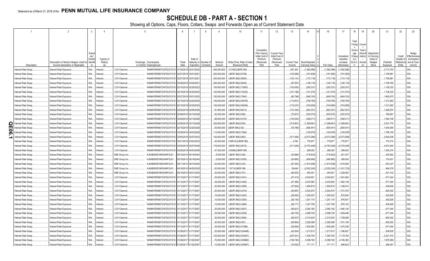# **SCHEDULE DB - PART A - SECTION 1**

|         |                                          |                                                                            |                  |                      |                                                                                        |                       |                          |                                              | -9                          | 10                                             | 11                                                       | 12                                                | 13                     | 14                              | 16                        | 17                          | 18                            | 19                         | 20                                   | 21                    | 22                  | 23                                     |
|---------|------------------------------------------|----------------------------------------------------------------------------|------------------|----------------------|----------------------------------------------------------------------------------------|-----------------------|--------------------------|----------------------------------------------|-----------------------------|------------------------------------------------|----------------------------------------------------------|---------------------------------------------------|------------------------|---------------------------------|---------------------------|-----------------------------|-------------------------------|----------------------------|--------------------------------------|-----------------------|---------------------|----------------------------------------|
|         |                                          |                                                                            |                  |                      |                                                                                        |                       |                          |                                              |                             |                                                |                                                          |                                                   |                        |                                 |                           |                             | Total<br>Foreig               | Currer                     |                                      |                       |                     |                                        |
|         |                                          |                                                                            | Schec<br>Exhibit | Type(s) of           |                                                                                        |                       | Date of                  |                                              |                             |                                                | Cumulative<br>Prior Year(s)<br>Initial Cost o<br>Premium | <b>Current Year</b><br>Initial Cost of<br>Premium |                        |                                 |                           | Unrealized<br>Valuation     | Excha<br>nge<br>Chang<br>e in | Year's<br>(Amort<br>zation | Adjustmen<br>to Carrying<br>Value of |                       | Credit<br>Quality c | Hedge<br>Effectiveness<br>at Inception |
|         | Description                              | Description of Item(s) Hedged, Used for<br>Income Generation or Replicated | Identif          | Risk(s)              | Exchange, Counterparty<br>or Central Clearinghouse                                     | Trade<br>Date         |                          | Maturity or Number o<br>Expiration Contracts | Notional<br>Amount          | Strike Price, Rate of Index<br>Received (Paid) | (Received)<br>Paid                                       | (Received)<br>Paid                                | Current Year<br>Income | Book/Adjusted<br>Carrying Value | Fair Value                | Increase<br>(Decrease       | B./A.C.<br>$\vee$             | Accret<br>on               | Hedged<br>Items                      | Potential<br>Exposure | Reference<br>Entity | and at Year-<br>end (b)                |
|         | nterest Rate Swap.                       | Interest Rate Exposure.                                                    | N/A              | nterest.             | WAM6YERMS7OXFZUOY219<br>LCH Clearnet.                                                  | 01/30/2018 02/01/2020 |                          |                                              | 400,000,000                 | 2.3195/(LIBOR 3M)                              |                                                          |                                                   | 391,340                | (1,562,586)                     | (1, 562, 586)             | 1,562,586                   |                               |                            |                                      | 2,713,740             |                     |                                        |
|         | Interest Rate Swap.                      | Interest Rate Exposure                                                     | N/A              | nterest.             | LCH Clearnet.<br>WAM6YERMS7OXFZUOY219 02/27/2018 03/01/2021                            |                       |                          |                                              | .200,000,000                | LIBOR 3M/(2.6728)                              |                                                          |                                                   | (103, 686)             | .(191,829)                      | (191,829)                 | (191,829).                  |                               |                            |                                      | .1,708,961            |                     | 004.                                   |
|         | nterest Rate Swap.                       | Interest Rate Exposure                                                     | N/A              | nterest.             | WAM6YERMS7OXFZUOY219 02/27/2018 03/01/2021<br><b>LCH Clearnet</b>                      |                       |                          |                                              | .200,000,000                | LIBOR 3M/(2.6693)                              |                                                          |                                                   | (103,141               | (172, 118)                      | .(172,118)                | (172, 118)                  |                               |                            |                                      | 1,708,961             |                     | 004.                                   |
|         | Interest Rate Swap.                      | Interest Rate Exposure                                                     | N/A              | nterest.             | WAM6YERMS7OXFZUOY219<br><b>LCH Clearnet</b>                                            | 02/28/2018 03/02/2021 |                          |                                              | .200,000,000                | LIBOR 3M/(2.6645)                              |                                                          |                                                   | .(97,097               | (146, 119)                      | (146,119                  | (146, 119)                  |                               |                            |                                      | 1,709,762             |                     | 004.                                   |
|         | Interest Rate Swap.                      | Interest Rate Exposure.                                                    | N/A              | nterest.             | <b>LCH Clearnet</b><br>WAM6YERMS7OXFZUOY219                                            | 02/15/201             | 8 02/20/2023             |                                              | 100,000,000                 | LIBOR 3M/(2.73583)                             |                                                          |                                                   | (103,930).             | (205, 331)                      | (205,331                  | (205, 331)                  |                               |                            |                                      | 1,106,333             |                     | 004.                                   |
|         | Interest Rate Swap.                      | Interest Rate Exposure.                                                    | N/A              | nterest.             | <b>LCH Clearnet</b><br>WAM6YERMS7OXFZUOY219                                            | 02/16/2018 02/20/2023 |                          |                                              | 100,000,000                 | LIBOR 3M/(2.72232)                             |                                                          |                                                   | (101,188)              | (141,274).                      | .(141,274)                | (141, 274)                  |                               |                            |                                      | 1,106,333             |                     | 004.                                   |
|         | Interest Rate Swap.                      | Interest Rate Exposure                                                     | N/A              | nterest.             | WAM6YERMS7OXFZUOY219<br><b>LCH Clearnet</b>                                            | 02/27/201             | 03/01/2023               |                                              | 150,000,000                 | LIBOR 3M/(2.7845)                              |                                                          |                                                   | (90, 796)              | (649, 743)                      | (649,743                  | (649, 743)                  |                               |                            |                                      | 1,663,673             |                     | 004.                                   |
|         | Interest Rate Swap.                      | Interest Rate Exposure.                                                    | N/A              | nterest.             | WAM6YERMS7OXFZUOY219 02/15/2018 02/20/2025<br><b>LCH Clearnet</b>                      |                       |                          |                                              | 100,000,000                 | LIBOR 3M/(2.83479)                             |                                                          |                                                   | (114,651               | (708, 765)                      | (708, 765)                | (708, 765)                  |                               |                            |                                      | .1,313,262            |                     | 004.                                   |
|         | Interest Rate Swap.                      | Interest Rate Exposure.                                                    | N/A              | nterest.             | <b>LCH Clearnet</b><br>WAM6YERMS7OXFZUOY219                                            | 02/15/201             | 02/20/2025               |                                              | 100,000,000                 | LIBOR 3M/(2.84029)                             |                                                          |                                                   | (115, 247)             | (743, 609)                      | .(743,609)                | (743,609)                   |                               |                            |                                      | .1,313,262            |                     | 004.                                   |
|         | Interest Rate Swap.                      | Interest Rate Exposure.                                                    | N/A              | nterest.             | <b>LCH Clearnet</b><br>WAM6YERMS7OXFZUOY219                                            | 02/02/201             | 02/06/2028               |                                              | .81,900,000                 | LIBOR 3M/(2.8613)                              |                                                          |                                                   | (137,430)              | (652, 351)                      | (652,351                  | (652, 351)                  |                               |                            |                                      | 1,285,874             |                     | 004.                                   |
|         | nterest Rate Swap.<br>nterest Rate Swap. | Interest Rate Exposure.                                                    | N/A<br>N/A       | nterest.             | WAM6YERMS7OXFZUOY219<br><b>LCH Clearnet</b><br><b>LCH Clearnet</b>                     | 02/08/20              | 02/12/2028               |                                              | .50,000,000                 | LIBOR 3M/(2.892).<br>LIBOR 3M/(2.8153)         |                                                          |                                                   | (75, 627)              | (535, 575)<br>(390, 011)        | .(535,575                 | (535, 575)                  |                               |                            |                                      | 785,681<br>1,540,148  |                     | 004.<br>004.                           |
| Q       | nterest Rate Swap                        | Interest Rate Exposure<br>Interest Rate Exposure                           | N/A              | nterest.<br>nterest. | WAM6YERMS7OXFZUOY219 02/09/20<br>WAM6YERMS7OXFZUOY219 02/09/201<br><b>LCH Clearnet</b> |                       | 02/13/2028<br>02/13/2028 |                                              | .98,000,000<br>.226,000,000 | LIBOR 3M/(2.835)                               |                                                          |                                                   | (134,543)<br>(315,961  | (1,289,661)                     | (390,011<br>(1, 289, 661) | (390, 011)<br>(1, 289, 661) |                               |                            |                                      | 3,551,770             |                     | 004.                                   |
| Ш       | nterest Rate Swap                        | Interest Rate Exposure                                                     | N/A              | nterest.             | WAM6YERMS7OXFZUOY219 02/15/201<br>LCH Clearnet                                         |                       | 8 02/20/2028             |                                              | .63,600,000                 | LIBOR 3M/(2.92)                                |                                                          |                                                   | .(78,789)              | (838, 441)                      | .(838,441                 | (838,441                    |                               |                            |                                      | 1,000,494             |                     | 004.                                   |
| 0<br>ō, | nterest Rate Swap.                       | Interest Rate Exposure.                                                    | N/A              | nterest.             | WAM6YERMS7OXFZUOY219<br><b>LCH Clearnet</b>                                            | 03/28/201             | 8 04/03/2028             |                                              | 113,000,000                 | LIBOR 3M/(2.7936)                              |                                                          |                                                   |                        | (155, 979)                      | . (155,979                | (155, 979)                  |                               |                            |                                      | 1,788,155             |                     | 004.                                   |
| د       | nterest Rate Swap.                       | Interest Rate Exposure.                                                    | N/A              | nterest.             | WAM6YERMS7OXFZUOY219<br><b>LCH Clearnet</b>                                            | 02/05/201             | 02/07/2033               |                                              | 152,000,000                 | LIBOR 3M/(2.963).                              |                                                          |                                                   | (271, 926)             | (2,573,289)                     | (2,573,289)               | (2,573,289)                 |                               |                            |                                      | 2,930,536             |                     | 004.                                   |
|         | nterest Rate Swap.                       | Interest Rate Exposure                                                     | N/A              | nterest.             | <b>LCH Clearnet</b><br>WAM6YERMS7OXFZUOY219 03/21/2018 03/23/2033                      |                       |                          |                                              | 40,000,000                  | 2.98512/(LIBOR 3M)                             |                                                          |                                                   | .4,760                 | .776,977                        | 776,977                   | 776,977                     |                               |                            |                                      | .774,314              |                     | 004.                                   |
|         | nterest Rate Swap.                       | Interest Rate Exposure                                                     | N/A              | nterest.             | <b>LCH Clearnet</b><br>WAM6YERMS7OXFZUOY219                                            | 02/05/201             | 02/07/2048               |                                              | 176,000,000                 | LIBOR 3M/(2.9515)                              |                                                          |                                                   | (311, 938)             | (4,753,449)                     | (4,753,449).              | (4,753,449)                 |                               |                            |                                      | 4,810,044             |                     | 004.                                   |
|         | Interest Rate Swap.                      | Interest Rate Exposure.                                                    | N/A              | nterest.             | WAM6YERMS7OXFZUOY219<br><b>LCH Clearnet</b>                                            | 03/28/2018 04/03/2048 |                          |                                              | .47,200,000                 | 2.8556/(LIBOR 3M)                              |                                                          |                                                   |                        | .299,052                        | .299,052                  | .299,052                    |                               |                            |                                      | 1,293,274             |                     | 004.                                   |
|         | Interest Rate Swap.                      | Interest Rate Exposure.                                                    | N/A              | nterest.             | CME Group Inc.<br>KJNXBSWZVIKEX4NFOL81                                                 | 05/15/201             | 05/19/2044               |                                              | .8,000,000                  | LIBOR 3M/(3.346)                               |                                                          |                                                   | (33,988)               | (716, 833)                      | (716, 833)                | .521,347                    |                               |                            |                                      | 204,562               |                     | 002.                                   |
|         | Interest Rate Swap.                      | Interest Rate Exposure.                                                    | N/A              | nterest.             | CME Group Inc.<br>KJNXBSWZVIKEX4NFOL81                                                 | 05/15/201             | 05/19/2044               |                                              | .6,000,000                  | LIBOR 3M/(3.3055)                              |                                                          |                                                   | (24,890)               | (490,965).                      | (490, 965)                | 389,045                     |                               |                            |                                      | 153,421               |                     | 002.                                   |
|         | Interest Rate Swap.                      | Interest Rate Exposure                                                     | N/A              | nterest.             | CME Group Inc.<br>KJNXBSWZVIKEX4NFOL81                                                 | 09/11/2014 09/15/2044 |                          |                                              | .25,000,000                 | LIBOR 3M/(3.253)                               |                                                          |                                                   | (97, 293)              | (1,810,556)                     | (1,810,556)               | 1,619,560                   |                               |                            |                                      | 643,227               |                     | 002.                                   |
|         | nterest Rate Swap.                       | Interest Rate Exposure                                                     | N/A              | nterest.             | KJNXBSWZVIKEX4NFOL81<br>CME Group Inc.                                                 | 04/16/2015 04/20/2025 |                          |                                              | .50,000,000                 | 1.971/(LIBOR 3M)                               |                                                          |                                                   | .39,648                | (2,552,245)                     | (2,552,245)               | (1, 321, 723)               |                               |                            |                                      | 664,279               |                     | 002.                                   |
|         | Interest Rate Swap.                      | Interest Rate Exposure.                                                    | N/A              | nterest.             | KJNXBSWZVIKEX4NFOL81<br>CME Group Inc                                                  | 05/19/2015 05/21/2045 |                          |                                              | .20,000,000                 | LIBOR 3M/(2.761).                              |                                                          |                                                   | (56,003)               | .454,001                        | .454,001                  | 1,229,052                   |                               |                            |                                      | 521,142               |                     | 002.                                   |
|         | Interest Rate Swap.                      | Interest Rate Exposure.                                                    | N/A              | nterest.             | WAM6YERMS7OXFZUOY219<br><b>LCH Clearnet</b>                                            | 01/12/201             | 01/17/2047               |                                              | .25,000,000                 | LIBOR 3M/(2.4341).                             |                                                          |                                                   | (47, 410)              | .2,040,821                      | .2,040,821                | 1,461,840                   |                               |                            |                                      | 671,044               |                     | 002.                                   |
|         | Interest Rate Swap.                      | Interest Rate Exposure.                                                    | N/A              | nterest.             | <b>LCH Clearnet</b><br>WAM6YERMS7OXFZUOY219 01/12/201                                  |                       | 01/17/2047               |                                              | .25,000,000                 | LIBOR 3M/(2.4355)                              |                                                          |                                                   | (47, 495)              | 2,033,583                       | .2,033,583                | 1,462,139                   |                               |                            |                                      | 671,044               |                     | 002.                                   |
|         | Interest Rate Swap.                      | Interest Rate Exposure                                                     | N/A              | nterest.             | <b>LCH Clearnet</b><br>WAM6YERMS7OXFZUOY219                                            | 01/12/201             | 01/17/2047               |                                              | .20,000,000                 | LIBOR 3M/(2.4285)                              |                                                          |                                                   | (37,654)               | 1,655,819                       | 1,655,819                 | 1,168,514                   |                               |                            |                                      | 536,835               |                     | 002.                                   |
|         | nterest Rate Swap.                       | Interest Rate Exposure                                                     | N/A              | nterest.             | WAM6YERMS7OXFZUOY219 01/12/201<br><b>LCH Clearnet</b>                                  |                       | 01/17/2047               |                                              | .30,000,000                 | LIBOR 3M/(2.4219)                              |                                                          |                                                   | (55, 997)              | 2,524,675                       | .2,524,675                | 1,751,079                   |                               |                            |                                      | 805,252               |                     | 002.                                   |
|         | Interest Rate Swap.                      | Interest Rate Exposure.                                                    | N/A              | nterest.             | WAM6YERMS7OXFZUOY219 01/12/201<br><b>LCH Clearnet</b>                                  |                       | 01/17/2047               |                                              | 15,000,000                  | LIBOR 3M/(2.4242)                              |                                                          |                                                   | (28,083)               | .1,255,203                      | 1,255,203                 | .875,834                    |                               |                            |                                      | 402,626               |                     | 002.                                   |
|         | Interest Rate Swap.                      | Interest Rate Exposure.                                                    | N/A              | nterest              | WAM6YERMS7OXFZUOY219 01/12/201<br><b>LCH Clearnet</b>                                  |                       | 01/17/2047               |                                              | 15,000,000                  | LIBOR 3M/(2.4255)                              |                                                          |                                                   | (28, 130)              | .1,251,170                      | 1,251,170                 | 876,001                     |                               |                            |                                      | 402,626               |                     | 002.                                   |
|         | Interest Rate Swap.                      | Interest Rate Exposure.                                                    | N/A              | nterest.             | <b>LCH Clearnet</b><br>WAM6YERMS7OXFZUOY219                                            | 01/12/201             | 01/17/2047               |                                              | 15,000,000                  | LIBOR 3M/(2.4266)                              |                                                          |                                                   | (28, 171)              | 1,247,758                       | 1,247,758                 | .876,142                    |                               |                            |                                      | 402,626               |                     | 002.                                   |
|         | nterest Rate Swap.                       | Interest Rate Exposure                                                     | N/A              | nterest.             | WAM6YERMS7OXFZUOY219 01/12/201<br><b>LCH Clearnet</b>                                  |                       | 01/17/2047               |                                              | .25,000,000                 | LIBOR 3M/(2.4261)                              |                                                          |                                                   | (46, 921)              | .2,082,182                      | .2,082,182                | ,460,130                    |                               |                            |                                      | 671,044               |                     | 002.                                   |
|         | Interest Rate Swap.                      | Interest Rate Exposure                                                     | N/A              | nterest.             | <b>LCH Clearnet</b><br>WAM6YERMS7OXFZUOY219 01/12/201                                  |                       | 01/17/2047               |                                              | .25,000,000                 | LIBOR 3M/(2.4229)                              |                                                          |                                                   | (46, 725)              | 2,098,726                       | 2,098,726                 | 1,459,446                   |                               |                            |                                      | 671,044               |                     | 002.                                   |
|         | Interest Rate Swap                       | Interest Rate Exposure                                                     | N/A              | nterest.             | WAM6YERMS7OXFZUOY219 01/12/201<br><b>LCH Clearnet</b>                                  |                       | 01/17/2047               |                                              | .30,000,000                 | LIBOR 3M/(2.4564)                              |                                                          |                                                   | (58, 527)              | .2,310,635                      | .2,310,635                | 1,759,926                   |                               |                            |                                      | 805,252               |                     | 002.                                   |
|         | Interest Rate Swap.                      | Interest Rate Exposure.                                                    | N/A              | nterest.             | WAM6YERMS7OXFZUOY219 01/12/201<br><b>LCH Clearnet</b>                                  |                       | 01/17/2047               |                                              | .30,000,000                 | LIBOR 3M/(2.461).                              |                                                          |                                                   | (58, 864)              | 2,282,096                       | .2,282,096                | 1,761,106                   |                               |                            |                                      | 805,252               |                     | 002.                                   |
|         | Interest Rate Swap.                      | Interest Rate Exposure.                                                    | N/A              | nterest.             | <b>LCH Clearnet</b><br>WAM6YERMS7OXFZUOY219                                            | 01/12/201             | 01/17/2047               |                                              | .25,000,000                 | LIBOR 3M/(2.47386)                             |                                                          |                                                   | (49,839)               | 1,835,260                       | 1,835,260                 | 1,470,336                   |                               |                            |                                      | 671,044               |                     | 002.                                   |
|         | Interest Rate Swap.                      | Interest Rate Exposure                                                     | N/A              | nterest.             | <b>LCH Clearnet</b><br>WAM6YERMS7OXFZUOY219                                            | 01/26/201             | 01/17/2047               |                                              | 20,000,000                  | LIBOR 3M/(2.534448)                            |                                                          |                                                   | (42, 834)              | 1,217,613                       | 1,217,613                 | .1,186,627                  |                               |                            |                                      | 536,835               |                     | 002.                                   |
|         | nterest Rate Swap.                       | Interest Rate Exposure                                                     | N/A              | າterest              | <b>LCH Clearnet</b><br>WAM6YERMS7OXFZUOY219                                            | 01/26/20              | 01/17/2047               |                                              | 120,000,000                 | LIBOR 3M/(2.534447)                            |                                                          |                                                   | (257,001)              | 7,305,705                       | .7,305,705                | 7,119,763                   |                               |                            |                                      | .3,221,010            |                     | 002.                                   |
|         | Interest Rate Swap.                      | Interest Rate Exposure.                                                    | N/A              | nterest.             | WAM6YERMS7OXFZUOY219 01/26/201<br><b>LCH Clearnet</b>                                  |                       | 01/22/2047               |                                              | .70,000,000                 | LIBOR 3M/(2.455892)                            |                                                          |                                                   | (136, 745)             | .5,398,182                      | .5,398,182                | ,106,363                    |                               |                            |                                      | 1,879,369             |                     | 002.                                   |
|         | Interest Rate Swap.                      | Interest Rate Exposure.                                                    | N/A              | nterest              | WAM6YERMS7OXFZUOY219 01/26/201<br><b>LCH Clearnet.</b>                                 |                       | 1/22/2047                |                                              | 10,000,000                  | LIBOR 3M/(2.455891)                            |                                                          |                                                   | (19.535)               | .771.171                        | .771.17                   | 586.623                     |                               |                            |                                      | 268.481               |                     | 002.                                   |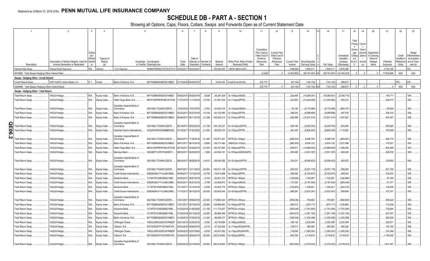# **SCHEDULE DB - PART A - SECTION 1**

|           |                                                   | $\mathcal{P}$                                      | $\mathbf{3}$ | $\overline{4}$        |                             |                                            | 6          | $\mathsf R$                      | 9            | 10 <sup>10</sup>                | 11                    | 12                    | 13           | 14              | 16             | 17                    | 18<br>19                   | 20                 | 21         | 22                      | 23                           |
|-----------|---------------------------------------------------|----------------------------------------------------|--------------|-----------------------|-----------------------------|--------------------------------------------|------------|----------------------------------|--------------|---------------------------------|-----------------------|-----------------------|--------------|-----------------|----------------|-----------------------|----------------------------|--------------------|------------|-------------------------|------------------------------|
|           |                                                   |                                                    |              |                       |                             |                                            |            |                                  |              |                                 |                       |                       |              |                 |                |                       |                            |                    |            |                         |                              |
|           |                                                   |                                                    |              |                       |                             |                                            |            |                                  |              |                                 |                       |                       |              |                 |                |                       |                            |                    |            |                         |                              |
|           |                                                   |                                                    |              |                       |                             |                                            |            |                                  |              |                                 |                       |                       |              |                 |                |                       | Total<br>Curren            |                    |            |                         |                              |
|           |                                                   |                                                    |              |                       |                             |                                            |            |                                  |              |                                 |                       |                       |              |                 |                |                       | Foreig<br>$\mathsf{n}$     |                    |            |                         |                              |
|           |                                                   |                                                    |              |                       |                             |                                            |            |                                  |              |                                 | Cumulative            |                       |              |                 |                |                       | Excha<br>Year's            |                    |            |                         |                              |
|           |                                                   |                                                    | Sched        |                       |                             |                                            |            |                                  |              |                                 | Prior Year(s)         | <b>Current Year</b>   |              |                 |                |                       | nge<br>(Amorti             | Adjustment         |            |                         | Hedge                        |
|           |                                                   |                                                    | ule /        |                       |                             |                                            |            |                                  |              |                                 | Initial Cost of       | Initial Cost of       |              |                 |                | Unrealized            | zation)<br>Chang           | to Carrying        |            | Credit                  | Effectiveness                |
|           |                                                   | Description of Item(s) Hedged, Used for   Identifi | Exhibit      | Type(s) of<br>Risk(s) |                             | Exchange, Counterparty                     | Trade      | Date of<br>Maturity or Number of | Notional     | Strike Price, Rate of Index     | Premium<br>(Received) | Premium<br>(Received) | Current Year | Book/Adjusted   |                | Valuation<br>Increase | e in<br>B./A.C.<br>Accreti | Value of<br>Hedged | Potential  | Quality of<br>Reference | at Inception<br>and at Year- |
|           | Description                                       | Income Generation or Replicated                    | er           | (a)                   |                             | or Central Clearinghouse                   | Date       | Expiration Contracts             | Amount       | Received (Paid)                 | Paid                  | Paid                  | Income       | Carrying Value  | Fair Value     | (Decrease)            | $V_{\cdot}$<br>on          | Items              | Exposure   | Entity                  | end (b)                      |
|           | Interest Rate Swap.                               | Interest Rate Exposure.                            |              | N/A Interest          | LCH Clearnet.               | WAM6YERMS7OXFZUOY219 05/22/2017 05/24/2047 |            |                                  |              | 100,000,000   LIBOR 3M/(2.4447) |                       |                       | (198, 690)   | 7,954,511       | 7,954,511      | 5,879,466             |                            |                    | 2,700,330  |                         | 002.                         |
|           |                                                   |                                                    |              |                       |                             |                                            |            |                                  |              |                                 |                       |                       |              |                 |                |                       | $\Omega$                   |                    |            |                         |                              |
|           | 0919999. Total-Swaps-Hedging Other-Interest Rate. |                                                    |              |                       |                             |                                            |            |                                  |              |                                 | (2,248)               |                       | (2,462,862)  | (96,703,497) XX | (96,703,497)   | (24, 305, 918)        | $\Omega$                   |                    | 77,639,806 | <b>XXX</b>              | XXX                          |
|           | Swaps - Hedging Other - Credit Default            |                                                    |              |                       |                             |                                            |            |                                  |              |                                 |                       |                       |              |                 |                |                       |                            |                    |            |                         |                              |
|           | Credit Default Swap                               | 530715AD3 Liberty Media LLC                        | D 1 Credit.  |                       | Bank of America, N.A.       | B4TYDEB6GKMZO031MB27 07/10/2009 09/20/2019 |            |                                  |              | .5,000,000 Credit Event/(5.00)  | .232.770              |                       | (63.194)     | (104.103)       | .(104.103)     | 288.873               |                            |                    |            | <b>RFF</b>              | 005.                         |
|           | 0929999. Total-Swaps-Hedging Other-Credit Default |                                                    |              |                       |                             |                                            |            |                                  |              |                                 | .232,770              |                       | (63, 194)    | $(104, 103)$ XX | (104, 103)     | .288.873              |                            |                    |            | <b>XXX</b>              | <b>XXX</b>                   |
|           | Swaps - Hedging Other - Total Return              |                                                    |              |                       |                             |                                            |            |                                  |              |                                 |                       |                       |              |                 |                |                       |                            |                    |            |                         |                              |
|           | Total Return Swap.                                | /AGLB Hedge                                        | $N/A$        | Equity Index.         | Bank of America, N.A.       | B4TYDEB6GKMZO031MB27.                      |            | 08/26/2016 08/28/2018<br>0.9,028 | .48,267,209  | 3L+24bps/(XNDX)                 |                       |                       | .228,488     | .(19,298,351    | (19,298,351)   | (2,059,775)           |                            |                    | .154,711   |                         | 008.                         |
|           |                                                   |                                                    |              |                       |                             |                                            |            |                                  |              |                                 |                       |                       |              |                 |                |                       |                            |                    |            |                         |                              |
|           | Total Return Swap.                                | VAGLB Hedge                                        | $N/A$        | Equity Index          | Wells Fargo Bank, N.A       | KB1H1DSPRFMYMCUFXT09.                      |            | 11/07/2016 11/13/2018<br>.12,784 | 51,881,358   | 3L+11bps/(SPTR)                 |                       |                       | 224,265      | (14, 255, 482)  | (14, 255, 482) | .505,315              |                            |                    | .204,573   |                         | 008.                         |
|           |                                                   |                                                    |              |                       | Canadian Imperial Bank of   |                                            |            |                                  |              |                                 |                       |                       |              |                 |                |                       |                            |                    |            |                         |                              |
|           | Total Return Swap.                                | VAGLB Hedge                                        | N/A          | Equity Index.         | Commerce                    | 2IGI19DL77OX0HC3ZE78.                      |            | 12/02/2016 12/07/2018<br>3,763   | 20,000,016   | 3L+21bps/(XNDX)                 |                       |                       | .93,194      | (8, 172, 569)   | (8, 172, 569)  | (863, 157)            |                            |                    | .82,926    |                         | 008.                         |
|           | Total Return Swap.                                | /AGLB Hedge                                        | N/A          | Equity Index.         | Bank of America, N.A.       | B4TYDEB6GKMZO031MB27.                      |            | 02/22/2017 02/27/2019<br>.14,154 | 64,102,985   | 3L+23bps/(SPTR)                 |                       |                       | .299.324     | .(9,098,896)    | (9,098,896)    | 567,416               |                            |                    | .306,143   |                         | 008.                         |
|           | Total Return Swap.                                | /AGLB Hedge                                        | $N/A$        | Equity Index          | Bank of America, N.A        | B4TYDEB6GKMZO031MB27.                      |            | 06/06/2017 06/11/2019<br>21,349  | .100,000,013 | 3L+31bps/(SPTR)                 |                       |                       | .493,366     | (10,531,514)    | (10,531,514).  | 1,047,927             |                            |                    | .547,097   |                         | 008.                         |
|           |                                                   |                                                    |              |                       |                             |                                            |            |                                  |              |                                 |                       |                       |              |                 |                |                       |                            |                    |            |                         |                              |
| QE06.     |                                                   |                                                    |              |                       | Canadian Imperial Bank of   |                                            |            |                                  |              |                                 |                       |                       |              |                 |                |                       |                            |                    | .555,920   |                         |                              |
|           | otal Return Swap.                                 | VAGLB Hedge                                        | N/A          | Equity Index.         | Commerce                    | 2IGI19DL77OX0HC3ZE78.                      |            | 06/19/2017 06/24/2019<br>21,150  | .100,134,231 | 3L+30.5bps/(SPTR)               |                       |                       | .506,166     | .(9,249,704)    | (9,249,704)    | .833,583              |                            |                    |            |                         | 008.                         |
|           | <b>Total Return Swap</b>                          | /AGLB Hedge                                        | N/A          | Equity Index          | Goldman Sachs International | W22LROWP2IHZNBB6K528.                      |            | 07/18/2017 07/22/2020<br>21,000  | 99,839,733   | 3L+31bps/(SPTR)                 |                       |                       | 491.445      | (8,826,443)     | (8,826,443)    | .1,110,691            |                            |                    | .759,099   |                         | 008.                         |
|           |                                                   |                                                    |              |                       | Canadian Imperial Bank of   |                                            |            |                                  |              |                                 |                       |                       |              |                 |                |                       |                            |                    |            |                         |                              |
| <u>is</u> | otal Return Swap.                                 | /AGLB Hedge.                                       | N/A          | Equity Index          | Commerce                    | 2IGI19DL77OX0HC3ZE78                       |            | 08/04/2017 11/08/2018<br>21,000  | .100,571,247 | SPTR/(3L+32bps)                 |                       |                       | (488, 403)   | 8,096,759       | .8,096,759     | .(809,061             |                            |                    | .392,170   |                         | 008.                         |
|           | otal Return Swap.                                 | VAGLB Hedge.                                       | N/A          | Equity Index          | Bank of America, N.A.       | B4TYDEB6GKMZO031MB27.                      |            | 08/07/2017 08/10/2018<br>.8,860  | 59,371,480   | XNDX/(3L+31bps)                 |                       |                       | (286, 328)   | 6,934,132       | .6,934,132     | .2,021,098            |                            |                    | 178,521    |                         | 008.                         |
|           | Total Return Swap.                                | VAGLB Hedge.                                       | N/A          |                       | Wells Fargo Bank, N.A.      | KB1H1DSPRFMYMCUFXT09.                      | 08/18/2017 | 02/22/2019<br>27,000             | .126,797,940 | 3L+29bps/(SPTR)                 |                       |                       | .609,971     | (12,885,942)    | (12,885,942)   | 1,066,839             |                            |                    | .600,998   |                         | 008.                         |
|           |                                                   |                                                    |              | Equity Index.         |                             |                                            |            |                                  |              |                                 |                       |                       |              |                 |                |                       |                            |                    |            |                         |                              |
|           | Total Return Swap.                                | /AGLB Hedge.                                       | N/A          | Equity Index          | Barclays Bank.              | G5GSEF7VJP5I7OUK5573                       |            | 08/23/2017 08/29/2019<br>.7,266  | 54,954,121   | 3L+57bps/(GDDUEAFE)             |                       |                       | .305,488     | (3,501,397)     | (3,501,397)    | .640,425              |                            |                    | .326,700   |                         | 008.                         |
|           |                                                   |                                                    |              |                       | Canadian Imperial Bank of   |                                            |            |                                  |              |                                 |                       |                       |              |                 |                |                       |                            |                    |            |                         |                              |
|           | Total Return Swap.                                | VAGLB Hedge.                                       | N/A          | Equity Index          | Commerce                    | 2IGI19DL77OX0HC3ZE78.                      |            | 08/24/2017 08/28/2018<br>14,512  |              | $68,540,582$ 3L+30.5bps/(SPTR)  |                       |                       | .334,231     | (6,556,623)     | (6, 556, 623)  | 563,972               |                            |                    | .219.693   |                         | 008.                         |
|           |                                                   |                                                    |              |                       | Canadian Imperial Bank of   |                                            |            |                                  |              |                                 |                       |                       |              |                 |                |                       |                            |                    |            |                         |                              |
|           | Total Return Swap.                                | VAGLB Hedge                                        | N/A          | Equity Index.         | Commerce                    | 2IGI19DL77OX0HC3ZE78.                      |            | 09/07/2017 12/11/2019<br>20,934  | .100,021,138 | 3L+34.5bps/(SPTR)               |                       |                       | .502,222     | (8,307,179)     | (8,307,179).   | 809,260               |                            |                    | .651,795   |                         | 008.                         |
|           | Total Return Swap.                                | VAGLB Hedge.                                       | N/A          | Equity Index          | Credit Suisse International | E58DKGMJYYYJLN8C3868                       |            | 09/08/2017 12/12/2018<br>16,750  | 79,914,568   | 3L+34bps/(SPTR)                 |                       |                       | .399,395     | (6,725,675)     | (6,725,675)    | 669,344               |                            |                    | .334,634   |                         | 008.                         |
|           | Total Return Swap.                                | VAGLB Hedge.                                       | N/A          |                       | )eutsche Bank               | 7LTWFZYICNSX8D621K86.                      |            | 09/25/2017 09/27/2018<br>5,163   | .25,001,373  | SPTR/(3L+36bps)                 |                       |                       | (129, 550)   | 1,702,287       | .1,702,287     | (206, 995)            |                            |                    | .87,786    |                         | 008.                         |
|           |                                                   |                                                    |              | Equity Index          |                             |                                            |            |                                  |              |                                 |                       |                       |              |                 |                |                       |                            |                    |            |                         |                              |
|           | Total Return Swap.                                | VAGLB Hedge.                                       | N/A          | Equity Index          | Credit Suisse International | E58DKGMJYYYJLN8C3868                       |            | 09/25/2017 06/27/2018<br>3,766   | 24,999,913   | 3L+33bps/(XNDX)                 |                       |                       | .127,254     | (3, 187, 504)   | (3, 187, 504)  | (859, 449)            |                            |                    | .61,377    |                         | 008.                         |
|           | Total Return Swap.                                | VAGLB Hedge.                                       | N/A          | Equity Index          | Deutsche Bank               | 7LTWFZYICNSX8D621K86.                      |            | 10/10/2017 10/12/2018<br>6.059   | .30,002,774  | SPTR/(3L+35bps)                 |                       |                       | (150,923)    | .1,336,441      | .1,336,441     | (242, 072)            |                            |                    | 109,648    |                         | 008.                         |
|           | Total Return Swap.                                | /AGLB Hedge                                        | N/A          | Equity Index.         | Credit Suisse International | E58DKGMJYYYJLN8C3868.                      |            | 11/13/2017 08/15/2019<br>24.000  | 120,605,544  | 3L+35.5bps/(SPTR)               |                       |                       | .596.297     | (3,533,341)     | (3,533,341)    | 958,699               |                            |                    | .707,201   |                         | 008.                         |
|           |                                                   |                                                    |              |                       | Canadian Imperial Bank of   |                                            |            |                                  |              |                                 |                       |                       |              |                 |                |                       |                            |                    |            |                         |                              |
|           | Total Return Swap.                                | VAGLB Hedge.                                       | N/A          | Equity Index          | Commerce                    | 2IGI19DL77OX0HC3ZE78.                      |            | 12/01/2017 09/06/2018<br>23,300  | 119,883,323  | SPTR/(3L+45bps)                 |                       |                       | (635, 235)   | .705,925        | 705,925        | .(894,843             |                            |                    | .395,622   |                         | 008                          |
|           | Total Return Swap.                                | VAGLB Hedge                                        | N/A          | Equity Index.         | Bank of America, N.A.       | B4TYDEB6GKMZO031MB27.                      |            | 12/01/2017 06/12/2019<br>25,266  | 129,999,983  | 3L+40bps/(SPTR)                 |                       |                       | .665,510     | (575, 117)      | (575, 117)     | 1,238,885             |                            |                    | .712,039   |                         | 008.                         |
|           |                                                   |                                                    |              |                       |                             |                                            |            |                                  |              |                                 |                       |                       |              |                 |                |                       |                            |                    |            |                         |                              |
|           | Total Return Swap.                                | VAGLB Hedge                                        | N/A          | Equity Index          | )eutsche Bank               | 7LTWFZYICNSX8D621K86.                      |            | 01/02/2018 01/06/2020<br>21,150  | .111,170,407 | SPTR/(3L+41bps)                 |                       |                       | (559, 545)   | (1,761,904).    | (1,761,904)    | (1,761,904)           |                            |                    | .739,484   |                         | 008.                         |
|           | Total Return Swap.                                | VAGLB Hedge                                        | N/A          | Equity Index.         | Deutsche Bank               | 7LTWFZYICNSX8D621K86.                      |            | 01/02/2018 06/12/2019<br>.19,000 | .99,869,396  | SPTR/(3L+40bps)                 |                       |                       | (504, 673)   | (1,591,160)     | (1,591,160)    | (1, 591, 160)         |                            |                    | .547,007   |                         | 008.                         |
|           | Total Return Swap.                                | /AGLB Hedge.                                       | N/A.         | Equity Index.         | 3ank of America, N.A        | B4TYDEB6GKMZO031MB27.                      |            | 01/02/2018 07/05/2019<br>.13,300 | 69,908,577   | SPTR/(3L+39bps)                 |                       |                       | (348, 525)   | (1,205,369).    | (1,205,369)    | (1, 205, 369)         |                            |                    | .392,830   |                         | 008.                         |
|           | Total Return Swap.                                | /AGLB Hedge.                                       | N/A          | Equity Index          | <b>IPMorgan Chase</b>       | 7H6GLXDRUGQFU57RNE97                       |            | 02/01/2018 02/05/2019<br>6,350   | .49,740,884  | 3L+48bps/(XNDX)                 |                       |                       | 169,142      | 2,320,498       | .2,320,498     | 2,320,498             |                            |                    | .229,571   |                         | 008.                         |
|           | Total Return Swap.                                | /AGLB Hedge.                                       | N/A          | Equity Index          | Citibank, N.A               | E57ODZWZ7FF32TWEFA76.                      |            | 02/02/2018 08/06/2018<br>.6.215  | .47,332,930  | 3L+17bps/(RU20INTR)             |                       |                       | 136,514      | .485,292        | .485,292       | 485,292               |                            |                    | 140,150    |                         | 008.                         |
|           | Total Return Swap.                                | /AGLB Hedge                                        | N/A          | Equity Index          | PMorgan Chase               | 7H6GLXDRUGQFU57RNE97                       |            | 02/05/2018 02/07/2020<br>6.205   | .45,541,952  | 3L+1bps/(RU20INTR)              |                       |                       | .118,636     | .(1,265,291     | (1,265,291     | 1,265,291             |                            |                    | .310,349   |                         | 008.                         |
|           |                                                   |                                                    |              |                       |                             |                                            |            |                                  |              |                                 |                       |                       |              |                 |                |                       |                            |                    |            |                         |                              |
|           | Total Return Swap.                                | /AGLB Hedge.                                       | N/A          | Equity Index.         | Citibank, N.A.              | E57ODZWZ7FF32TWEFA76                       |            | 02/06/2018 08/08/2019<br>.39.000 | .205,218,663 | 3L+42bps/(SPTR)                 |                       |                       | .642,709     | 3,718,819       | 3,718,819      | 3,718,819             |                            |                    | .1,194,932 |                         | 008.                         |
|           |                                                   |                                                    |              |                       | Canadian Imperial Bank of   |                                            |            |                                  |              |                                 |                       |                       |              |                 |                |                       |                            |                    |            |                         |                              |
|           | Total Return Swap.                                | VAGLB Hedge                                        | N/A          | Equity Index          | Commerce                    | 2IGI19DL77OX0HC3ZE78.                      |            | 02/06/2018 02/10/2020<br>39.000  | .205,218,663 | SPTR/(3L+49bps)                 |                       |                       | (663,060)    | (3,378,423)     | (3,378,423)    | (3,378,423)           |                            |                    | .1,401,567 |                         | 008                          |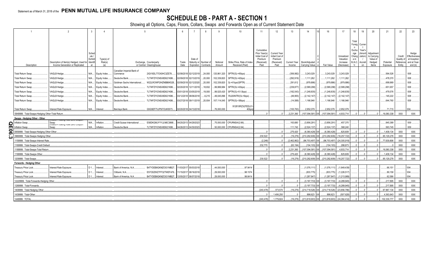# **SCHEDULE DB - PART A - SECTION 1**

|                                                                    |                                                                                     |                  |                              |                              |                                                    |                       | 6             |                       | 8                                             | 9                  | 10 <sup>1</sup>                                | 11                                                                              | 12                                                                      | 13                     | 14                                     | 16            | 17                                                | 18                                                                                                | 19                     | 20                                                       | 21                    | 22                                         | 23                                                                |
|--------------------------------------------------------------------|-------------------------------------------------------------------------------------|------------------|------------------------------|------------------------------|----------------------------------------------------|-----------------------|---------------|-----------------------|-----------------------------------------------|--------------------|------------------------------------------------|---------------------------------------------------------------------------------|-------------------------------------------------------------------------|------------------------|----------------------------------------|---------------|---------------------------------------------------|---------------------------------------------------------------------------------------------------|------------------------|----------------------------------------------------------|-----------------------|--------------------------------------------|-------------------------------------------------------------------|
| Description                                                        | Description of Item(s) Hedged, Used for Identifi<br>Income Generation or Replicated | Sched<br>Exhibit | Type(s) of<br>Risk(s)<br>(a) |                              | Exchange, Counterparty<br>or Central Clearinghouse |                       | Trade<br>Date | Date of               | Maturity or Number of<br>Expiration Contracts | Notional<br>Amount | Strike Price, Rate of Index<br>Received (Paid) | Cumulative<br>Prior Year(s)<br>Initial Cost of<br>Premium<br>(Received)<br>Paid | <b>Current Year</b><br>Initial Cost of<br>Premium<br>(Received)<br>Paid | Current Year<br>Income | Book/Adjusted<br><b>Carrying Value</b> | Fair Value    | Unrealized<br>Valuation<br>Increase<br>(Decrease) | Total<br>Foreig Currer<br>Excha<br>nge<br>Chang zation<br>e in<br>B./A.C. Accreti<br>$\mathsf{V}$ | Year's<br>(Amort<br>on | Adjustment<br>to Carrying<br>Value of<br>Hedged<br>Items | Potential<br>Exposure | Credit<br>Quality o<br>Reference<br>Entity | Hedge<br>Effectiveness<br>at Inception<br>and at Year-<br>end (b) |
|                                                                    |                                                                                     |                  |                              | Canadian Imperial Bank of    |                                                    |                       |               |                       |                                               |                    |                                                |                                                                                 |                                                                         |                        |                                        |               |                                                   |                                                                                                   |                        |                                                          |                       |                                            |                                                                   |
| Total Return Swap.                                                 | VAGLB Hedge                                                                         |                  | N/A Equity Index.            | Commerce                     |                                                    | 2IGI19DL77OX0HC3ZE78. |               | 02/08/2018 02/12/2019 | 24,000                                        | 120,961,320        | SPTR/(3L+45bps)                                |                                                                                 |                                                                         | (356, 982)             | .3,243,029                             | 3,243,029     | 3,243,029                                         |                                                                                                   |                        |                                                          | .564,526              |                                            | 008                                                               |
| Total Return Swap.                                                 | VAGLB Hedge.                                                                        | N/A              | Equity Index.                | Deutsche Bank                |                                                    | 7LTWFZYICNSX8D621K86. |               | 02/09/2018 02/13/2019 | .20.000                                       | .102,339,820       | SPTR/(3L+42bps)                                |                                                                                 |                                                                         | (292, 919)             | .1,111,262                             | 1,111,262     | 1,111,262                                         |                                                                                                   |                        |                                                          | .478,370              |                                            | 008                                                               |
| Total Return Swap.                                                 | VAGLB Hedge.                                                                        | N/A              | Equity Index.                | Goldman Sachs International. |                                                    | W22LROWP2IHZNBB6K528. |               | 02/09/2018 02/12/2020 | 0.20,000                                      | 102,339,820        | 3L+41bps/(SPTR)                                |                                                                                 |                                                                         | 291,612                | (979,886)                              | (979,886)     | .(979,886)                                        |                                                                                                   |                        |                                                          | .699,969              |                                            | $008$                                                             |
| Total Return Swap.                                                 | VAGLB Hedge.                                                                        | N/A              | Equity Index.                | Deutsche Bank                |                                                    | 7LTWFZYICNSX8D621K86. |               | 02/20/2018 12/11/2019 | 18,832                                        | 99,999,984         | SPTR/(3L+43bps)                                |                                                                                 |                                                                         | .(239,877              | .(2,589,298                            | (2,589,298)   | (2,589,298)                                       |                                                                                                   |                        |                                                          | .651,657              |                                            | $008$                                                             |
| Total Return Swap.                                                 | VAGLB Hedge.                                                                        | N/A              | Equity Index.                | Deutsche Bank                |                                                    | 7LTWFZYICNSX8D621K86. |               | 03/01/2018 03/05/2019 | 19,000                                        | 99,525,420         | SPTR/(3L+51.5bps)                              |                                                                                 |                                                                         | (182, 543)             | .(1,248,835                            | (1,248,835)   | (1,248,835                                        |                                                                                                   |                        |                                                          | .479,576              |                                            | 008.                                                              |
| Total Return Swap.                                                 | VAGLB Hedge.                                                                        | $N/A$            | Equity Index.                | Deutsche Bank                |                                                    | 7LTWFZYICNSX8D621K86. |               | 03/12/2018 08/06/2018 | .6,215                                        | 49,045,896         | RU20INTR/(3L+5bps)                             |                                                                                 |                                                                         | (49,955)               | (2, 142, 147)                          | (2, 142, 147) | (2, 142, 147)                                     |                                                                                                   |                        |                                                          | 145,222               |                                            | 008                                                               |
| Total Return Swap.                                                 | VAGLB Hedge.                                                                        |                  | N/A Equity Index             | Deutsche Bank                |                                                    | 7LTWFZYICNSX8D621K86. |               | 03/27/2018 09/11/2019 | 20,934                                        | 107,114,045        | SPTR/(3L+38bps)                                |                                                                                 |                                                                         | (14,588)               | .1,166,946                             | .1,166,946    | 1,166,946                                         |                                                                                                   |                        |                                                          | .644,760              |                                            | 008                                                               |
|                                                                    |                                                                                     |                  |                              |                              |                                                    |                       |               |                       |                                               |                    | 912810RZ3/(FEDL01                              |                                                                                 |                                                                         |                        |                                        |               |                                                   |                                                                                                   |                        |                                                          |                       |                                            |                                                                   |
| Total Return Swap.                                                 | Interest Rate Exposure.                                                             | N/A.             | <b>Interest</b>              | Barclays Bank.               |                                                    | G5GSEF7VJP5I7OUK5573. |               | 02/20/2018 04/13/2018 |                                               | 76,000,000         | 40bps                                          |                                                                                 |                                                                         | (100, 763)             | .2,952,079                             | .2,952,079    | 2,952,079                                         |                                                                                                   |                        |                                                          | .71,715               |                                            | 004.                                                              |
|                                                                    |                                                                                     |                  |                              |                              |                                                    |                       |               |                       |                                               |                    |                                                |                                                                                 |                                                                         |                        |                                        | (107.094.581  | 4.933.714                                         |                                                                                                   |                        |                                                          | 16.080.338            | XXX                                        | XXX                                                               |
| 0949999. Total-Swaps-Hedging Other-Total Return                    |                                                                                     |                  |                              |                              |                                                    |                       |               |                       |                                               |                    |                                                |                                                                                 |                                                                         | .2.231.360             | (107, 094, 581)                        |               |                                                   |                                                                                                   |                        |                                                          |                       |                                            |                                                                   |
| Swaps - Hedging Other - Other                                      |                                                                                     |                  |                              |                              |                                                    |                       |               |                       |                                               |                    |                                                |                                                                                 |                                                                         |                        |                                        |               |                                                   |                                                                                                   |                        |                                                          |                       |                                            |                                                                   |
| Inflation Swap                                                     |                                                                                     | N/A.             | nflation.                    | Credit Suisse International  |                                                    | E58DKGMJYYYJLN8C3868  |               | 04/25/2013 04/29/2023 |                                               | 75,000,000         | CPURNSA/(2.66).                                |                                                                                 |                                                                         | 163,680                | (3,856,291)                            | (3,856,291)   | .457,370                                          |                                                                                                   |                        |                                                          | .845,389              |                                            | 009.                                                              |
| Я<br>Inflation Swar                                                | Swap<br>mmalion-rioamig Rate Zero Goupon                                            | N/A.             | Inflation.                   | Deutsche Bank                |                                                    | 7LTWFZYICNSX8D621K86. |               | 04/26/2013 04/30/2023 |                                               | .50.000.000        | CPURNSA/(2.64).                                |                                                                                 |                                                                         | .111.740               | (2.524.137)                            | (2.524.137)   | 368.240                                           |                                                                                                   |                        |                                                          | 563.745               |                                            | 009.                                                              |
| $\overline{\mathbf{g}}$<br>959999. Total-Swaps-Hedging Other-Other |                                                                                     |                  |                              |                              |                                                    |                       |               |                       |                                               |                    |                                                |                                                                                 |                                                                         | .275,420               | (6,380,428)                            | (6,380,428    | 825,609                                           |                                                                                                   |                        |                                                          | 1,409,134             | <b>XXX</b>                                 | XXX                                                               |
| 969999. Total-Swaps-Hedging Other<br>ω                             |                                                                                     |                  |                              |                              |                                                    |                       |               |                       |                                               |                    |                                                | .230,522                                                                        |                                                                         | (19,276)               | (210, 282, 609)                        | (210,282,609  | 18,257,722                                        |                                                                                                   |                        |                                                          | .95, 129, 278         | <b>XXX</b>                                 | XXX                                                               |
| 159999. Total-Swaps-Interest Rate.                                 |                                                                                     |                  |                              |                              |                                                    |                       |               |                       |                                               |                    |                                                | (2,248)                                                                         |                                                                         | (2,462,862)            | (96, 703, 497)                         | (96,703,497)  | (24, 305, 918)                                    |                                                                                                   |                        |                                                          | 77,639,806            | <b>XXX</b>                                 | XXX                                                               |
| 169999. Total-Swaps-Credit Default                                 |                                                                                     |                  |                              |                              |                                                    |                       |               |                       |                                               |                    |                                                | .232,770                                                                        |                                                                         | (63, 194)              | (104.103)                              | .(104,103     | .288,873                                          |                                                                                                   |                        |                                                          |                       | <b>XXX</b>                                 | XXX                                                               |
| 189999. Total-Swaps-Total Return                                   |                                                                                     |                  |                              |                              |                                                    |                       |               |                       |                                               |                    |                                                |                                                                                 |                                                                         | .2.231.360             | (107.094.581)                          | (107.094.581  | 4.933.714                                         |                                                                                                   |                        |                                                          | .16.080.338           | <b>XXX</b>                                 | <b>XXX</b>                                                        |
| 1199999. Total-Swaps-Other.                                        |                                                                                     |                  |                              |                              |                                                    |                       |               |                       |                                               |                    |                                                |                                                                                 |                                                                         | .275.420               | (6.380.428)                            | (6.380.428    | 825.609                                           |                                                                                                   |                        |                                                          | 1.409.134             | <b>XXX</b>                                 | <b>XXX</b>                                                        |
| 1209999. Total-Swaps                                               |                                                                                     |                  |                              |                              |                                                    |                       |               |                       |                                               |                    |                                                | .230.522                                                                        |                                                                         | (19,276)               | $(210, 282, 609)$ XX $(210, 282, 609)$ |               | (18,257,722)                                      |                                                                                                   |                        |                                                          | 95,129,278            | XXX                                        | <b>XXX</b>                                                        |
| Forwards - Hedging Other                                           |                                                                                     |                  |                              |                              |                                                    |                       |               |                       |                                               |                    |                                                |                                                                                 |                                                                         |                        |                                        |               |                                                   |                                                                                                   |                        |                                                          |                       |                                            |                                                                   |
| Treasury Price Lock.                                               | Interest Rate Exposure.                                                             | D 1              | Interest                     | Bank of America, N.A.        |                                                    | B4TYDEB6GKMZO031MB27. |               | 11/03/2017 05/03/2018 |                                               | .44,000,000        | .97.9414                                       |                                                                                 |                                                                         |                        | (1,076,111)                            | (1,076,111)   | (1,849,439)                                       |                                                                                                   |                        |                                                          | .66, 151              |                                            | 004.                                                              |
| Treasury Price Lock.                                               | Interest Rate Exposure.                                                             | D 1              | Interest                     | Citibank, N.A.               |                                                    | E57ODZWZ7FF32TWEFA76. | 11/15/2017    | 08/16/2018            |                                               | 29,000,000         | .98.1574                                       |                                                                                 |                                                                         |                        | (833,775)                              | (833, 775)    | (1,226,517)                                       |                                                                                                   |                        |                                                          | 89,158                |                                            | 004.                                                              |
| Treasury Price Lock.                                               | Interest Rate Exposure                                                              |                  | D 1 Interest                 | Bank of America, N.A.        |                                                    | B4TYDEB6GKMZO031MB27. |               | 12/05/2017 06/07/2018 |                                               | .29,000,000        | .99.8414                                       |                                                                                 |                                                                         |                        | (1, 287, 847)                          | (1,287,847)   | (1,213,989)                                       |                                                                                                   |                        |                                                          | .62.586               |                                            | 004                                                               |
| 12229999. Total-Forwards-Hedging Other.                            |                                                                                     |                  |                              |                              |                                                    |                       |               |                       |                                               |                    |                                                |                                                                                 |                                                                         |                        | (3.197.733)                            | (3.197.733)   | (4.289.945)                                       |                                                                                                   |                        |                                                          | .217.895              | <b>XXX</b>                                 | <b>XXX</b>                                                        |
| 1269999. Total-Forwards                                            |                                                                                     |                  |                              |                              |                                                    |                       |               |                       |                                               |                    |                                                |                                                                                 |                                                                         |                        | (3.197.733)                            | (3.197.733)   | (4.289.945)                                       |                                                                                                   |                        |                                                          | .217.895              | <b>XXX</b>                                 | <b>XXX</b>                                                        |
| 1409999. Total-Hedging Other                                       |                                                                                     |                  |                              |                              |                                                    |                       |               |                       |                                               |                    |                                                | (240, 478)                                                                      | 373,574                                                                 | (19, 276)              | (214,718,526)                          | (214,718,526  | (23,856,786)                                      |                                                                                                   |                        |                                                          | .97,967,134           | <b>XXX</b>                                 | XXX                                                               |
| 1439999. Total-Other                                               |                                                                                     |                  |                              |                              |                                                    |                       |               |                       |                                               |                    |                                                |                                                                                 | 1,406,250                                                               |                        | 898.623                                | .898,623      | .(507,628                                         |                                                                                                   |                        |                                                          | .4,363,643            | <b>XXX</b>                                 | XXX                                                               |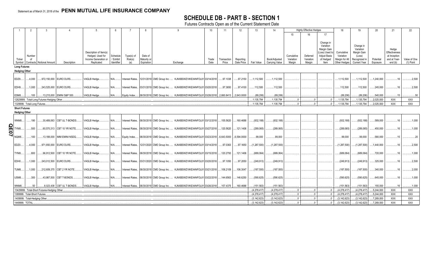# **SCHEDULE DB - PART B - SECTION 1**

Futures Contracts Open as of the Current Statement Date

|                  | $\overline{2}$                                  | $\mathbf{3}$                                |                             |                                          |                       |                       |                                                                                                       |                                                            | 10 <sup>1</sup> | 11               | 12         | 13                             | 14                             |                         | <b>Highly Effective Hedges</b> |                                  | 18                             | 19                             | 20                     | 21                           | 22                       |
|------------------|-------------------------------------------------|---------------------------------------------|-----------------------------|------------------------------------------|-----------------------|-----------------------|-------------------------------------------------------------------------------------------------------|------------------------------------------------------------|-----------------|------------------|------------|--------------------------------|--------------------------------|-------------------------|--------------------------------|----------------------------------|--------------------------------|--------------------------------|------------------------|------------------------------|--------------------------|
|                  |                                                 |                                             |                             |                                          |                       |                       |                                                                                                       |                                                            |                 |                  |            |                                |                                | 15                      |                                | 17                               |                                |                                |                        |                              |                          |
|                  |                                                 |                                             |                             |                                          |                       |                       |                                                                                                       |                                                            |                 |                  |            |                                |                                |                         |                                |                                  |                                |                                |                        |                              |                          |
|                  |                                                 |                                             |                             |                                          |                       |                       |                                                                                                       |                                                            |                 |                  |            |                                |                                |                         |                                | Change in<br>Variation           |                                | Change in                      |                        |                              |                          |
|                  |                                                 |                                             |                             |                                          |                       |                       |                                                                                                       |                                                            |                 |                  |            |                                |                                |                         |                                | Margin Gain                      |                                | Variation                      |                        | Hedge                        |                          |
|                  |                                                 |                                             |                             | Description of Item(s)                   |                       |                       |                                                                                                       |                                                            |                 |                  |            |                                |                                |                         |                                | Loss) Used to                    | Cumulative                     | Margin Gain                    |                        | Effectiveness                |                          |
| Ticker           | Number                                          |                                             |                             | Hedged, Used for<br>Income Generation or | Schedule<br>/ Exhibit | Type(s) of<br>Risk(s) | Date of<br>Maturity or                                                                                |                                                            | Trade           | Transaction      | Reporting  |                                | Book/Adjusted                  | Cumulative<br>Variation | Deferred<br>Variation          | <b>Adjust Basis</b><br>of Hedged | Variation<br>Margin for All    | (Loss)<br>Recognized in        | Potential              | at Inception<br>and at Year- | Value of One             |
| Symbol           |                                                 | Contracts   Notional Amount                 | Description                 | Replicated                               | Identifier            | (a)                   | Expiration                                                                                            | Exchange                                                   | Date            | Price            | Date Price | Fair Value                     | Carrving Value                 | Margin                  | Margin                         | Item                             | Other Hedges                   | <b>Current Year</b>            | Exposure               | end(b)                       | (1) Point                |
|                  | <b>Long Futures</b>                             |                                             |                             |                                          |                       |                       |                                                                                                       |                                                            |                 |                  |            |                                |                                |                         |                                |                                  |                                |                                |                        |                              |                          |
|                  | <b>Hedging Other</b>                            |                                             |                             |                                          |                       |                       |                                                                                                       |                                                            |                 |                  |            |                                |                                |                         |                                |                                  |                                |                                |                        |                              |                          |
|                  |                                                 |                                             |                             |                                          |                       |                       |                                                                                                       |                                                            |                 |                  |            |                                |                                |                         |                                |                                  |                                |                                |                        |                              |                          |
| EDZ9.            | .4,000                                          |                                             | 972,150,000 EURO DLRS       | VAGLB Hedge.                             | $N/A$                 | Interest Rates        |                                                                                                       | 12/31/2019 CME Group Inc.  KJNXBSWZVIKEX4NFOL81 03/14/2018 |                 | 97.1038          | 97.2150    | .1,112,500                     | .1.112.500                     |                         |                                |                                  | 1,112,500                      | 1,112,500                      | .1,240,000             | .16                          | .2,500                   |
|                  |                                                 |                                             |                             |                                          |                       |                       |                                                                                                       |                                                            |                 |                  |            |                                |                                |                         |                                |                                  |                                |                                |                        |                              |                          |
| EDH9.            | 1,000                                           |                                             | 243.525.000 EURO DLRS       | VAGLB Hedge.                             | N/A                   |                       | Interest Rates 03/31/2019 CME Group Inc.  KJNXBSWZVIKEX4NFOL81 03/20/2018                             |                                                            |                 | 97.3650          | 97.4100    | 112.500                        | .112.500                       |                         |                                |                                  | .112.500                       | 112,500                        | 245,000                | .16                          | .2.500                   |
| ESM8.            | $.100$ .                                        |                                             | 13,215,000 EMINI S&P 500.   | VAGLB Hedge.                             | $N/A$                 |                       | Equity Index   06/30/2018 CME Group Inc.  KJNXBSWZVIKEX4NFOL81   03/26/2018   2,660.8413   2,643.0000 |                                                            |                 |                  |            | (89, 206)                      | (89, 206)                      |                         |                                |                                  | (89, 206)                      | (89, 206)                      | 540,000                | .15                          | .50                      |
|                  |                                                 | 12829999. Total-Long Futures-Hedging Other. |                             |                                          |                       |                       |                                                                                                       |                                                            |                 |                  |            | .1,135,794                     | .1,135,794                     |                         |                                |                                  | .1,135,794                     | 1,135,794                      | .2,025,000             | XXX                          | XXX                      |
|                  | 329999. Total-Long Futures                      |                                             |                             |                                          |                       |                       |                                                                                                       |                                                            |                 |                  |            | .1,135,794                     | .1.135.794                     |                         |                                |                                  | 1.135.794                      | .1,135,794                     | .2.025.000             | <b>XXX</b>                   | <b>XXX</b>               |
|                  | <b>Short Futures</b>                            |                                             |                             |                                          |                       |                       |                                                                                                       |                                                            |                 |                  |            |                                |                                |                         |                                |                                  |                                |                                |                        |                              |                          |
|                  | <b>Hedging Other</b>                            |                                             |                             |                                          |                       |                       |                                                                                                       |                                                            |                 |                  |            |                                |                                |                         |                                |                                  |                                |                                |                        |                              |                          |
|                  |                                                 |                                             |                             |                                          |                       |                       |                                                                                                       |                                                            |                 |                  |            |                                |                                |                         |                                |                                  |                                |                                |                        |                              |                          |
| WNM8             | 190                                             |                                             | 30,489,063 CBT UL T-BONDS   | VAGLB Hedge.                             | N/A                   | Interest Rates        | 06/30/2018 CME Group Inc.  KJNXBSWZVIKEX4NFOL81 03/12/2018                                            |                                                            |                 | 155.5620         | 160.4688   | (932, 188)                     | (932, 188)                     |                         |                                |                                  | (932, 188)                     | (932, 188)                     | .589.000               | .16                          | 1,000                    |
| <u>ဂ</u> ္ဂ      |                                                 |                                             |                             |                                          |                       |                       |                                                                                                       |                                                            |                 |                  |            |                                |                                |                         |                                |                                  |                                |                                |                        |                              |                          |
| FYM8.            | 500                                             |                                             | 60,570,313 CBT 10 YR NOTE.  | VAGLB Hedge.                             | N/A                   | Interest Rates        | 06/30/2018 CME Group Inc.  KJNXBSWZVIKEX4NFOL81 03/27/2018                                            |                                                            |                 | 120.5620         | 121.1406   | (289,065)                      | (289,065)                      |                         |                                |                                  | (289,065)                      | (289,065)                      | 450,000                | .16                          | .1,000                   |
| 0                |                                                 |                                             |                             |                                          |                       |                       |                                                                                                       |                                                            |                 |                  |            |                                |                                |                         |                                |                                  |                                |                                |                        |                              |                          |
| NQM8.            | 100                                             |                                             | 13,188,000 IMM EMINI NSDQ.  | VAGLB Hedge.                             | N/A                   | Equity Index          | 06/30/2018 CME Group Inc.  KJNXBSWZVIKEX4NFOL81 03/23/2018 6,643.5000                                 |                                                            |                 |                  | 6,594.0000 | .99,000                        | .99,000                        |                         |                                |                                  | .99,000                        | .99,000                        | .580,000               | .15                          | .20                      |
| EDZ0             | .4,000                                          |                                             | 971,650,000 EURO DLRS       | VAGLB Hedge.                             | N/A                   | Interest Rates        | 12/31/2020 CME Group Inc.  KJNXBSWZVIKEX4NFOL81 03/14/2018                                            |                                                            |                 | 97.0363          | 97.1650    | (1,287,500)                    | (1,287,500)                    |                         |                                |                                  | (1,287,500)                    | (1,287,500)                    | .1,440,000             | .16                          | .2,500                   |
|                  |                                                 |                                             |                             |                                          |                       |                       |                                                                                                       |                                                            |                 |                  |            |                                |                                |                         |                                |                                  |                                |                                |                        |                              |                          |
| TYM8.            | .800                                            |                                             | .96,912,500 CBT 10 YR NOTE. | VAGLB Hedge.                             | N/A                   |                       | Interest Rates   06/30/2018 CME Group Inc.  KJNXBSWZVIKEX4NFOL81   03/15/2018                         |                                                            |                 | 120.2793         | 121.1406   | (689,064)                      | (689,064)                      |                         |                                |                                  | (689, 064)                     | (689,064)                      | 720,000                | .16                          | 1,000                    |
|                  |                                                 |                                             |                             |                                          |                       |                       |                                                                                                       |                                                            |                 |                  |            |                                |                                |                         |                                |                                  |                                |                                |                        |                              |                          |
| EDH <sub>0</sub> | .1,000                                          |                                             | 243,012,500 EURO DLRS       | VAGLB Hedge.                             | N/A                   | Interest Rates        | 03/31/2020 CME Group Inc.  KJNXBSWZVIKEX4NFOL81 03/20/2018                                            |                                                            |                 | 97.1050          | 97.2050    | (249, 913)                     | (249, 913)                     |                         |                                |                                  | (249, 913)                     | (249, 913)                     | .325,000               | .16                          | 2,500                    |
|                  |                                                 |                                             |                             |                                          |                       |                       |                                                                                                       |                                                            |                 |                  |            |                                |                                |                         |                                |                                  |                                |                                |                        |                              |                          |
| TUM8.            | .1,000                                          |                                             | 212,609,375 CBT 2 YR NOTE.  | VAGLB Hedge.                             | N/A                   |                       | Interest Rates 06/30/2018 CME Group Inc.  KJNXBSWZVIKEX4NFOL81 03/21/2018                             |                                                            |                 | 106.2109         | 106.3047   | (187,500)                      | (187,500)                      |                         |                                |                                  | (187,500)                      | (187,500)                      | .340,000               | .16                          | .2,000                   |
|                  |                                                 |                                             |                             |                                          |                       |                       |                                                                                                       |                                                            |                 |                  |            |                                |                                |                         |                                |                                  |                                |                                |                        |                              |                          |
| USM8             | .300                                            |                                             | .43,987,500 CBT T-BONDS.    | VAGLB Hedge.                             | $N/A$                 | Interest Rates        | . 06/30/2018 CME Group Inc.  KJNXBSWZVIKEX4NFOL81 03/22/2018                                          |                                                            |                 | 144.6563         | 146.6250   | (590, 625)                     | (590, 625)                     |                         |                                |                                  | (590, 625)                     | (590, 625)                     | 645,000                | .16                          | 1,000                    |
|                  |                                                 |                                             |                             |                                          |                       |                       |                                                                                                       |                                                            |                 |                  |            |                                |                                |                         |                                |                                  |                                |                                |                        |                              |                          |
| WNM8.            | 50                                              |                                             | 8.023.438 CBT UL T-BONDS    | VAGLB Hedge.                             | $N/A$                 |                       | Interest Rates 06/30/2018 CME Group Inc.  KJNXBSWZVIKEX4NFOL81 03/26/2018.                            |                                                            |                 | $\dots$ 157.4375 | 160.4688   | (151, 563)                     | (151, 563)                     |                         |                                |                                  | (151.563)                      | (151,563)                      | .155.000               | .16                          | 1.000                    |
|                  |                                                 | 13429999. Total-Short Futures-Hedging Other |                             |                                          |                       |                       |                                                                                                       |                                                            |                 |                  |            | (4, 278, 417)                  | (4, 278, 417)                  |                         |                                |                                  | (4,278,417)                    | (4,278,417)                    | .5,244,000             | <b>XXX</b>                   | <b>XXX</b>               |
|                  | 1389999. Total-Short Futures.                   |                                             |                             |                                          |                       |                       |                                                                                                       |                                                            |                 |                  |            | (4,278,417)                    | (4.278.417)                    |                         |                                |                                  | (4.278.417)                    | (4.278.417                     | .5.244.000             | <b>XXX</b>                   | <b>XXX</b>               |
|                  | 1409999. Total-Hedging Other.<br>1449999. TOTAL |                                             |                             |                                          |                       |                       |                                                                                                       |                                                            |                 |                  |            | (3, 142, 623)<br>(3, 142, 623) | (3, 142, 623)<br>(3, 142, 623) |                         |                                |                                  | (3, 142, 623)<br>(3, 142, 623) | (3, 142, 623)<br>(3, 142, 623) | 7,269,000<br>7,269,000 | <b>XXX</b><br><b>XXX</b>     | <b>XXX</b><br><b>XXX</b> |
|                  |                                                 |                                             |                             |                                          |                       |                       |                                                                                                       |                                                            |                 |                  |            |                                |                                |                         |                                |                                  |                                |                                |                        |                              |                          |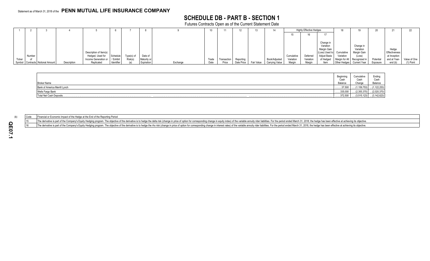# **SCHEDULE DB - PART B - SECTION 1**

Futures Contracts Open as of the Current Statement Date

|        |                                  |             |                                |            |            |             |          | 10    |             |            |            | 14             |            | <b>Highly Effective Hedges</b> |                           |                              |                             |           |               |              |
|--------|----------------------------------|-------------|--------------------------------|------------|------------|-------------|----------|-------|-------------|------------|------------|----------------|------------|--------------------------------|---------------------------|------------------------------|-----------------------------|-----------|---------------|--------------|
|        |                                  |             |                                |            |            |             |          |       |             |            |            |                |            | 16                             |                           |                              |                             |           |               |              |
|        |                                  |             |                                |            |            |             |          |       |             |            |            |                |            |                                |                           |                              |                             |           |               |              |
|        |                                  |             |                                |            |            |             |          |       |             |            |            |                |            |                                | Change in<br>Variation    |                              | Change in                   |           |               |              |
|        |                                  |             |                                |            |            |             |          |       |             |            |            |                |            |                                | Margin Gain               |                              | Variation                   |           | Hedge         |              |
|        |                                  |             | Description of Item(s)         |            |            |             |          |       |             |            |            |                |            |                                | (Loss) Used to Cumulative |                              | Margin Gain                 |           | Effectiveness |              |
|        | Number                           |             | Hedged, Used for               | Schedule   | Type(s) of | Date of     |          |       |             |            |            |                | Cumulative | Deferred                       | Adjust Basis              | Variation                    | (Loss)                      |           | at Inception  |              |
| Ticker |                                  |             | Income Generation or / Exhibit |            | Risk(s)    | Maturity or |          | Trade | Transaction | Reporting  |            | Book/Adjusted  | Variation  | Variation                      | of Hedged                 | Margin for All Recognized in |                             | Potential | and at Year-  | Value of One |
|        | Symbol Contracts Notional Amount | Description | Replicated                     | Identifier |            | Expiration  | Exchange | Date  | Price       | Date Price | Fair Value | Carrying Value | Margin     | Margin                         | Item                      |                              | Other Hedges   Current Year | Exposure  | end (b)       | $(1)$ Point  |

|                               | Beainr<br>Cash | <b>Curriculu</b><br>Cash | Ending<br>Cash       |
|-------------------------------|----------------|--------------------------|----------------------|
| <b>Broker Name</b>            | Balance        | Change                   | Balance              |
| Bank of America Merrill Lynch | 37,500         | .159,753)                | (1.122.253)          |
| Wells Fargo Bank              | 335,000        | (2,355,370)              | (2,020,370)          |
| Total Net Cash Deposits       | 372,500        | $\dots(3,515,123)$       | $\dots(3, 142, 623)$ |

(b) Code Financial or Economic Impact of the Hedge at the End of the Reporting Period

The derivative is part of the Company's Equity Hedging program. The objective of the derivative is to hedge the delta risk (change in price of option for corresponding change in equity index) of the variable annuity rider

The derivative is part of the Company's Equity Hedging program. The objective of the derivative is to hedge the rho risk (change in price of option for corresponding change in interest rates) of the variable annuity rider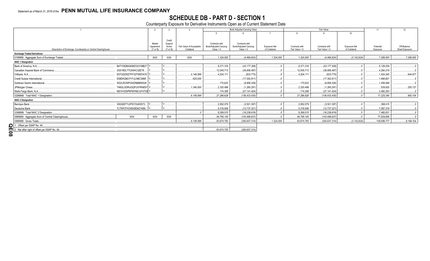# SCHEDULE DB - PART D - SECTION 1<br>Counterparty Exposure for Derivative Instruments Open as of Current Statement Date

|                                                                |                         |            |                   |                          |                        | Book Adjusted Carrying Value |               |                | Fair Value      |                     | 11          | 12             |
|----------------------------------------------------------------|-------------------------|------------|-------------------|--------------------------|------------------------|------------------------------|---------------|----------------|-----------------|---------------------|-------------|----------------|
|                                                                |                         |            |                   |                          |                        |                              |               |                |                 | 10                  |             |                |
|                                                                |                         |            |                   |                          |                        |                              |               |                |                 |                     |             |                |
|                                                                |                         | Master     | Credit<br>Support |                          | Contracts with         | Contracts with               |               |                |                 |                     |             |                |
|                                                                |                         | Agreement  | Annex             | Fair Value of Acceptable | Book/Adjusted Carrying | Book/Adjusted Carrying       | Exposure Net  | Contracts with | Contracts with  | <b>Exposure Net</b> | Potential   | Off-Balance    |
| Description of Exchange, Counterparty or Central Clearinghouse |                         | (Y or N)   | (Y or N)          | Collateral               | Value $> 0$            | Value $< 0$                  | of Collateral | Fair Value > 0 | Fair Value < 0  | of Collateral       | Exposure    | Sheet Exposure |
| <b>Exchange Traded Derivatives</b>                             |                         |            |                   |                          |                        |                              |               |                |                 |                     |             |                |
| 0199999. Aggregate Sum of Exchange Traded                      |                         | <b>XXX</b> | <b>XXX</b>        | <b>XXX</b>               | 1,324,000              | (4,466,624)                  | .1,324,000    | .1,324,000     | (4,466,624)     | (3, 142, 624)       | .7,269,000  | 7,269,000      |
| <b>NAIC 1 Designation</b>                                      |                         |            |                   |                          |                        |                              |               |                |                 |                     |             |                |
| Bank of America, N.A.                                          | B4TYDEB6GKMZO031MB27 Y. |            |                   |                          | 8,371,316              | (43, 177, 308)               |               | .8,371,316     | (43, 177, 308)  |                     | .5,129,039  |                |
| Canadian Imperial Bank of Commerce                             | 2IGI19DL77OX0HC3ZE78.   |            |                   |                          | 12,045,713             | (36,906,497)                 |               | 12,045,713     | (36,906,497)    |                     | .4,264,219  |                |
| Citibank, N.A.,                                                | E57ODZWZ7FF32TWEFA76    |            |                   | 4,149,599                | .4.204.111             | (833,775)                    |               | .4,204,111     | (833,775)       |                     | 1.424.240   | 644,977        |
| Credit Suisse International                                    | E58DKGMJYYYJLN8C3868.   |            |                   | 620,000                  |                        | (17,302,811)                 |               |                | (17,302,811).   |                     | 1,948,601   |                |
| Goldman Sachs International                                    | W22LROWP2IHZNBB6K528    |            |                   |                          | .170,632               | (9,806,329)                  |               | 170,632        | (9,806,329)     |                     | 1,459,068   |                |
| JPMorgan Chase                                                 | 7H6GLXDRUGQFU57RNE97    |            |                   | 1,340,000                | .2.320.498             | (1,265,291)                  |               | .2,320,498     | (1,265,291)     |                     | 539.920     | .255,127       |
| Wells Fargo Bank, N.A                                          | KB1H1DSPRFMYMCUFXT09    |            |                   |                          | .174.358               | (27.141.424)                 |               | .174.358       | (27, 141, 424)  |                     | 2.460.253   |                |
| 0299999. Total NAIC 1 Designation                              |                         |            |                   | .6,109,599               | .27,286,628            | (136, 433, 435)              |               | .27,286,628    | (136, 433, 435) |                     | .17,225,340 | .900,104       |
| <b>NAIC 2 Designation</b>                                      |                         |            |                   |                          |                        |                              |               |                |                 |                     |             |                |
| Barclays Bank                                                  | G5GSEF7VJP5I7OUK5573    |            |                   |                          | 2,952,079              | (3,501,397)                  |               | .2,952,079     | (3,501,397)     |                     | 398,415     |                |
| Deutsche Bank.                                                 | 7LTWFZYICNSX8D621K86    |            |                   |                          | .5,316,936             | (12,737,221)                 |               | .5,316,936     | (12,737,221)    |                     | .7,067,216  |                |
| 0399999. Total NAIC 2 Designation                              |                         |            |                   |                          | .8,269,015             | (16, 238, 618)               |               | .8,269,015     | (16, 238, 618)  |                     | .7.465.631  |                |
| 0899999. Aggregate Sum of Central Clearinghouse                | <b>XXX</b>              | <b>XXX</b> | <b>XXX</b>        |                          | .46.795.140            | (143.498.637)                |               | 46,795,140     | (143, 498, 637) |                     | .77,639,806 |                |
| 0999999. Gross Totals                                          |                         |            |                   | .6,109,599               | 83,674,783             | (300, 637, 314)              | .1,324,000    | 83,674,783     | (300, 637, 314) | (3, 142, 624)       | 109,599,777 | .8,169,104     |
|                                                                |                         |            |                   |                          |                        |                              |               |                |                 |                     |             |                |
|                                                                |                         |            |                   |                          | 83,674,783             | (300, 637, 314)              |               |                |                 |                     |             |                |
| $\overline{8}$                                                 |                         |            |                   |                          |                        |                              |               |                |                 |                     |             |                |
|                                                                |                         |            |                   |                          |                        |                              |               |                |                 |                     |             |                |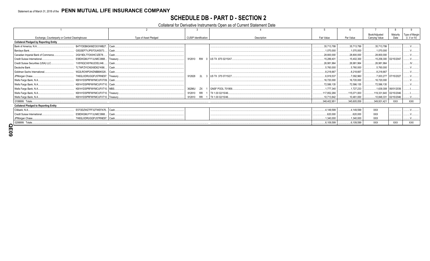# **SCHEDULE DB - PART D - SECTION 2**

### Collateral for Derivative Instruments Open as of Current Statement Date

|                                               |                                                 |                       |                             |                                   |             |              | Book/Adjusted         | Maturity                  | Type of Margin  |
|-----------------------------------------------|-------------------------------------------------|-----------------------|-----------------------------|-----------------------------------|-------------|--------------|-----------------------|---------------------------|-----------------|
|                                               | Exchange, Counterparty or Central Clearinghouse | Type of Asset Pledged | <b>CUSIP</b> Identification | Description                       | Fair Value  | Par Value    | <b>Carrying Value</b> | Date                      | (I, V or IV)    |
| <b>Collateral Pledged by Reporting Entity</b> |                                                 |                       |                             |                                   |             |              |                       |                           |                 |
| Bank of America, N.A.                         | B4TYDEB6GKMZO031MB27. Cash                      |                       |                             |                                   | .35,713,799 | .35,713,799  | .35,713,799           |                           |                 |
| Barclays Bank                                 | G5GSEF7VJP5I7OUK5573 Cash                       |                       |                             |                                   | .1,070,000  | .1,070,000   | .1,070,000            |                           |                 |
| Canadian Imperial Bank of Commerce.           | 2IGI19DL77OX0HC3ZE78                            | Cash.                 |                             |                                   | .28,800,000 | 28,800,000   | .28,800,000           |                           |                 |
| Credit Suisse International.                  | E58DKGMJYYYJLN8C3868.                           | Treasury.             |                             | 912810 RW 0 US TII .875 02/15/47. | 15,289,401  | .15,402,300  |                       | .15,258,300 02/15/2047.   |                 |
| Credit Suisse Securities (USA) LLC.           | 1V8Y6QCX6YMJ2OELII46                            | Cash.                 |                             |                                   | .26,981,964 | 26,981,964   | .26.981.964           |                           |                 |
| Deutsche Bank                                 | 7LTWFZYICNSX8D621K86                            | Cash.                 |                             |                                   | .5,760,000  | 5,760,000    | .5,760,000            |                           |                 |
| Goldman Sachs International.                  | W22LROWP2IHZNBB6K528 Cash                       |                       |                             |                                   | .8,218,667  | .8,218,667   | 8,218,667             |                           |                 |
| JPMorgan Chase                                | 7H6GLXDRUGQFU57RNE97. Treasury                  |                       | 912828                      | 2L 3 US TIL .375 07/15/27.        | .6,919,537  | 7,092,960    |                       | 7,003,277 07/15/2027.     |                 |
| Wells Fargo Bank, N.A.                        | KB1H1DSPRFMYMCUFXT09.   Cash                    |                       |                             |                                   | 16,720,000  | .16,720,000  | .16,720,000           |                           |                 |
| Wells Fargo Bank, N.A.                        | KB1H1DSPRFMYMCUFXT10.   Cash                    |                       |                             |                                   | .72,586,135 | .72.586.135  | .72.586.135           |                           |                 |
| Wells Fargo Bank, N.A.                        | KB1H1DSPRFMYMCUFXT10. MBS.                      |                       | 36296U<br>ZX                | 1 GNSF POOL 701958.               | 1.777.340   | .1.727.233   |                       | $.1,639,308$ 06/01/2039.  |                 |
| Wells Fargo Bank, N.A.                        | KB1H1DSPRFMYMCUFXT10. Treasury.                 |                       | <b>RR</b><br>912810         | 1   TII 1.00 02/15/46             | 117,852,266 | 115.071.000  |                       | .119,331,640  02/15/2046. |                 |
| Wells Fargo Bank, N.A.                        | KB1H1DSPRFMYMCUFXT10. Treasury                  |                       | <b>RR</b><br>912810         | 1   TII 1.00 02/15/46.            | .10,713,842 | .10,461,000  |                       | $.10,848,331$ 02/15/2046. |                 |
| 0199999. Totals.                              |                                                 |                       |                             |                                   | 348,402,951 | .345,605,058 | .349,931,421          | <b>XXX</b>                | <b>XXX</b>      |
| <b>Collateral Pledged to Reporting Entity</b> |                                                 |                       |                             |                                   |             |              |                       |                           |                 |
| Citibank, N.A                                 | E57ODZWZ7FF32TWEFA76 Cash                       |                       |                             |                                   | .4,149,599  | .4,149,599   | <b>XXX</b>            |                           |                 |
| Credit Suisse International.                  | E58DKGMJYYYJLN8C3868   Cash                     |                       |                             |                                   | .620.000    | .620,000     | <b>XXX</b>            |                           |                 |
| JPMorgan Chase                                | 7H6GLXDRUGQFU57RNE97. Cash                      |                       |                             |                                   | .1,340,000  | 1,340,000    | <b>XXX</b>            |                           | $\overline{11}$ |
| 0299999. Totals                               |                                                 |                       |                             |                                   | .6,109,599  | 6,109,599    | XXX                   | <b>XXX</b>                | <b>XXX</b>      |
|                                               |                                                 |                       |                             |                                   |             |              |                       |                           |                 |

 $00^{\circ}$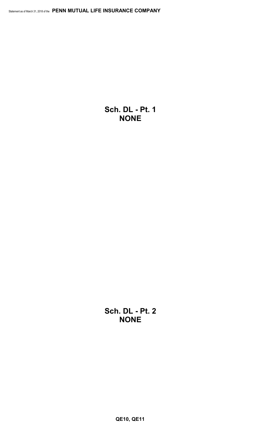**Sch. DL - Pt. 1 NONE**

**Sch. DL - Pt. 2 NONE**

**QE10, QE11**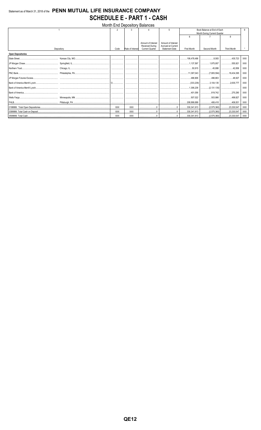# Statement as of March 31, 2018 of the PENN MUTUAL LIFE INSURANCE COMPANY **SCHEDULE E - PART 1 - CASH**

|                          |            |            |                  | Month End Depository Balances |                       |                 |                                        |                    |            |
|--------------------------|------------|------------|------------------|-------------------------------|-----------------------|-----------------|----------------------------------------|--------------------|------------|
|                          |            |            |                  |                               | 5                     |                 | Book Balance at End of Each            |                    |            |
|                          |            |            |                  |                               |                       |                 | Month During Current Quarter           |                    |            |
|                          |            |            |                  |                               |                       | 6               |                                        | 8                  |            |
|                          |            |            |                  | Amount of Interest            | Amount of Interest    |                 |                                        |                    |            |
|                          |            |            |                  | <b>Received During</b>        | Accrued at Current    |                 |                                        |                    |            |
|                          | Depository | Code       | Rate of Interest | <b>Current Quarter</b>        | <b>Statement Date</b> | First Month     | Second Month                           | <b>Third Month</b> |            |
| <b>Open Depositories</b> |            |            |                  |                               |                       |                 |                                        |                    |            |
|                          |            |            |                  |                               |                       | 106,478,486     | 8,583                                  | 435.723<br>.       | XXX        |
|                          |            |            |                  |                               |                       |                 |                                        |                    | XXX        |
|                          |            |            |                  |                               |                       |                 | 50,915 45,886 42,856                   |                    | XXX        |
|                          |            |            |                  |                               |                       |                 |                                        |                    | <b>XXX</b> |
|                          |            |            |                  |                               |                       | 496,906 496,663 |                                        |                    | <b>XXX</b> |
|                          |            |            |                  |                               |                       |                 |                                        |                    | <b>XXX</b> |
|                          |            |            |                  |                               |                       |                 |                                        |                    | <b>XXX</b> |
|                          |            |            | .                |                               |                       |                 | 401,056 819,742                        | 270,290            | <b>XXX</b> |
|                          |            |            |                  |                               |                       |                 |                                        | 499,827            | <b>XXX</b> |
|                          |            |            |                  |                               |                       |                 |                                        |                    | <b>XXX</b> |
|                          |            | <b>XXX</b> | <b>XXX</b>       |                               |                       |                 |                                        |                    | <b>XXX</b> |
|                          |            | XXX        | <b>XXX</b>       |                               |                       |                 | 330,341,913   (2,575,360)   23,330,547 |                    | XXX        |
|                          |            | <b>XXX</b> | <b>XXX</b>       |                               | 0                     |                 |                                        |                    | XXX        |